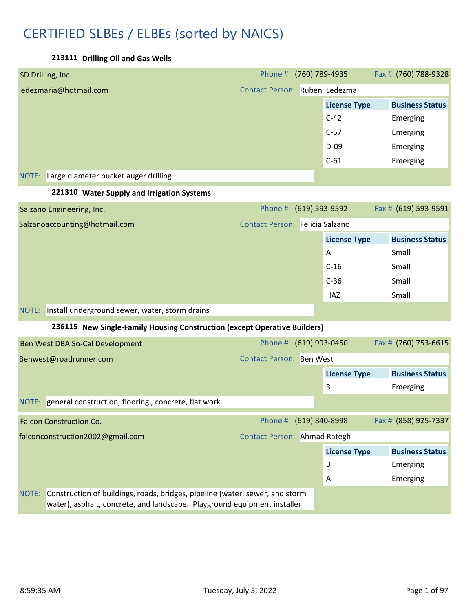# CERTIFIED SLBEs / ELBEs (sorted by NAICS)

**213111 Drilling Oil and Gas Wells**

| SD Drilling, Inc.                                                                                                                                                 | Phone # (760) 789-4935          |                     | Fax # (760) 788-9328   |  |
|-------------------------------------------------------------------------------------------------------------------------------------------------------------------|---------------------------------|---------------------|------------------------|--|
| ledezmaria@hotmail.com                                                                                                                                            | Contact Person: Ruben Ledezma   |                     |                        |  |
|                                                                                                                                                                   |                                 | <b>License Type</b> | <b>Business Status</b> |  |
|                                                                                                                                                                   |                                 | $C-42$              | Emerging               |  |
|                                                                                                                                                                   |                                 | $C-57$              | Emerging               |  |
|                                                                                                                                                                   |                                 | $D-09$              | Emerging               |  |
|                                                                                                                                                                   |                                 | $C-61$              | Emerging               |  |
| Large diameter bucket auger drilling<br>NOTE:                                                                                                                     |                                 |                     |                        |  |
| 221310 Water Supply and Irrigation Systems                                                                                                                        |                                 |                     |                        |  |
| Salzano Engineering, Inc.                                                                                                                                         | Phone # (619) 593-9592          |                     | Fax # (619) 593-9591   |  |
| Salzanoaccounting@hotmail.com                                                                                                                                     | Contact Person: Felicia Salzano |                     |                        |  |
|                                                                                                                                                                   |                                 | <b>License Type</b> | <b>Business Status</b> |  |
|                                                                                                                                                                   |                                 | A                   | Small                  |  |
|                                                                                                                                                                   |                                 | $C-16$              | Small                  |  |
|                                                                                                                                                                   |                                 | $C-36$              | Small                  |  |
|                                                                                                                                                                   |                                 | HAZ                 | Small                  |  |
| NOTE: Install underground sewer, water, storm drains                                                                                                              |                                 |                     |                        |  |
| 236115 New Single-Family Housing Construction (except Operative Builders)                                                                                         |                                 |                     |                        |  |
| Ben West DBA So-Cal Development                                                                                                                                   | Phone # (619) 993-0450          |                     | Fax # (760) 753-6615   |  |
| Benwest@roadrunner.com                                                                                                                                            | <b>Contact Person: Ben West</b> |                     |                        |  |
|                                                                                                                                                                   |                                 | <b>License Type</b> | <b>Business Status</b> |  |
|                                                                                                                                                                   |                                 | В                   | Emerging               |  |
| NOTE: general construction, flooring, concrete, flat work                                                                                                         |                                 |                     |                        |  |
| <b>Falcon Construction Co.</b>                                                                                                                                    | Phone # (619) 840-8998          |                     | Fax # (858) 925-7337   |  |
| falconconstruction2002@gmail.com                                                                                                                                  | Contact Person: Ahmad Rategh    |                     |                        |  |
|                                                                                                                                                                   |                                 | <b>License Type</b> | <b>Business Status</b> |  |
|                                                                                                                                                                   |                                 | B                   | Emerging               |  |
|                                                                                                                                                                   |                                 | A                   | Emerging               |  |
| Construction of buildings, roads, bridges, pipeline (water, sewer, and storm<br>NOTE:<br>water), asphalt, concrete, and landscape. Playground equipment installer |                                 |                     |                        |  |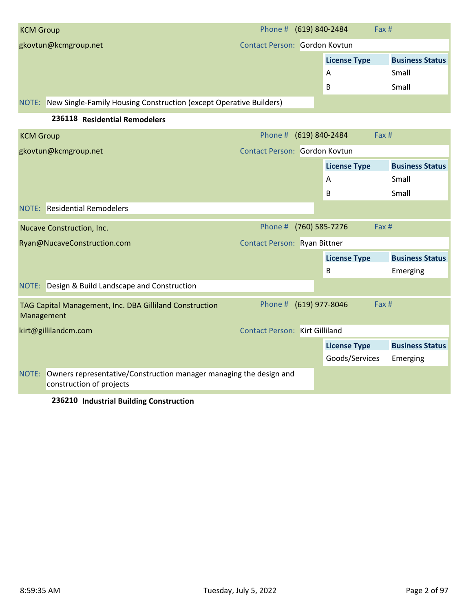| <b>KCM Group</b>                                                            | Phone # (619) 840-2484        |                     | Fax# |                        |
|-----------------------------------------------------------------------------|-------------------------------|---------------------|------|------------------------|
| gkovtun@kcmgroup.net                                                        | Contact Person: Gordon Kovtun |                     |      |                        |
|                                                                             |                               | <b>License Type</b> |      | <b>Business Status</b> |
|                                                                             |                               | A                   |      | Small                  |
|                                                                             |                               | B                   |      | Small                  |
| New Single-Family Housing Construction (except Operative Builders)<br>NOTE: |                               |                     |      |                        |

#### **236118 Residential Remodelers**

| <b>KCM Group</b> |                                                                                                | Phone # (619) 840-2484                |                | Fax #               |                        |
|------------------|------------------------------------------------------------------------------------------------|---------------------------------------|----------------|---------------------|------------------------|
|                  | gkovtun@kcmgroup.net                                                                           | Contact Person: Gordon Kovtun         |                |                     |                        |
|                  |                                                                                                |                                       |                | <b>License Type</b> | <b>Business Status</b> |
|                  |                                                                                                |                                       |                | A                   | Small                  |
|                  |                                                                                                |                                       |                | B                   | Small                  |
|                  | NOTE: Residential Remodelers                                                                   |                                       |                |                     |                        |
|                  | Nucave Construction, Inc.                                                                      | Phone #                               | (760) 585-7276 | Fax #               |                        |
|                  | Ryan@NucaveConstruction.com                                                                    | Contact Person: Ryan Bittner          |                |                     |                        |
|                  |                                                                                                |                                       |                | <b>License Type</b> | <b>Business Status</b> |
|                  |                                                                                                |                                       |                | B                   | Emerging               |
|                  | NOTE: Design & Build Landscape and Construction                                                |                                       |                |                     |                        |
| Management       | TAG Capital Management, Inc. DBA Gilliland Construction                                        | Phone # (619) 977-8046                |                | Fax #               |                        |
|                  | kirt@gillilandcm.com                                                                           | <b>Contact Person: Kirt Gilliland</b> |                |                     |                        |
|                  |                                                                                                |                                       |                | <b>License Type</b> | <b>Business Status</b> |
|                  |                                                                                                |                                       |                | Goods/Services      | Emerging               |
| NOTE:            | Owners representative/Construction manager managing the design and<br>construction of projects |                                       |                |                     |                        |
|                  |                                                                                                |                                       |                |                     |                        |

#### **236210 Industrial Building Construction**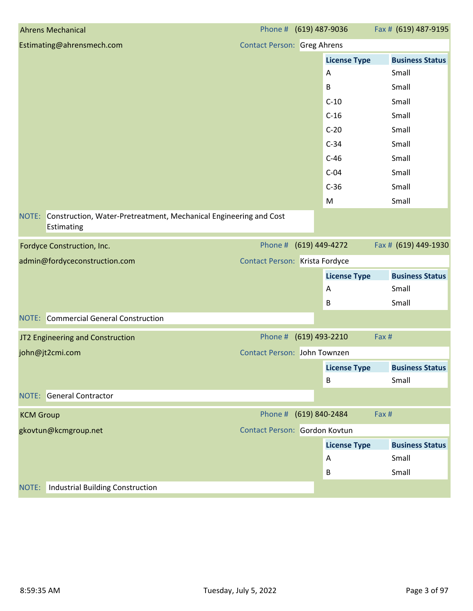| <b>Ahrens Mechanical</b>                                                              | Phone # (619) 487-9036             |                     | Fax # (619) 487-9195   |
|---------------------------------------------------------------------------------------|------------------------------------|---------------------|------------------------|
| Estimating@ahrensmech.com                                                             | <b>Contact Person: Greg Ahrens</b> |                     |                        |
|                                                                                       |                                    | <b>License Type</b> | <b>Business Status</b> |
|                                                                                       |                                    | A                   | Small                  |
|                                                                                       |                                    | $\mathsf B$         | Small                  |
|                                                                                       |                                    | $C-10$              | Small                  |
|                                                                                       |                                    | $C-16$              | Small                  |
|                                                                                       |                                    | $C-20$              | Small                  |
|                                                                                       |                                    | $C-34$              | Small                  |
|                                                                                       |                                    | $C-46$              | Small                  |
|                                                                                       |                                    | $C-04$              | Small                  |
|                                                                                       |                                    | $C-36$              | Small                  |
|                                                                                       |                                    | M                   | Small                  |
| NOTE: Construction, Water-Pretreatment, Mechanical Engineering and Cost<br>Estimating |                                    |                     |                        |
| Fordyce Construction, Inc.                                                            | Phone # (619) 449-4272             |                     | Fax # (619) 449-1930   |
| admin@fordyceconstruction.com                                                         | Contact Person: Krista Fordyce     |                     |                        |
|                                                                                       |                                    | <b>License Type</b> | <b>Business Status</b> |
|                                                                                       |                                    | A                   | Small                  |
|                                                                                       |                                    | B                   | Small                  |
| <b>NOTE:</b> Commercial General Construction                                          |                                    |                     |                        |
| JT2 Engineering and Construction                                                      | Phone # (619) 493-2210             |                     | Fax #                  |
| john@jt2cmi.com                                                                       | Contact Person: John Townzen       |                     |                        |
|                                                                                       |                                    | <b>License Type</b> | <b>Business Status</b> |
|                                                                                       |                                    | B                   | Small                  |
| <b>NOTE:</b> General Contractor                                                       |                                    |                     |                        |
| <b>KCM Group</b>                                                                      | Phone # (619) 840-2484             |                     | Fax#                   |
| gkovtun@kcmgroup.net                                                                  | Contact Person: Gordon Kovtun      |                     |                        |
|                                                                                       |                                    | <b>License Type</b> | <b>Business Status</b> |
|                                                                                       |                                    | A                   | Small                  |
|                                                                                       |                                    | B                   | Small                  |
| <b>Industrial Building Construction</b><br>NOTE:                                      |                                    |                     |                        |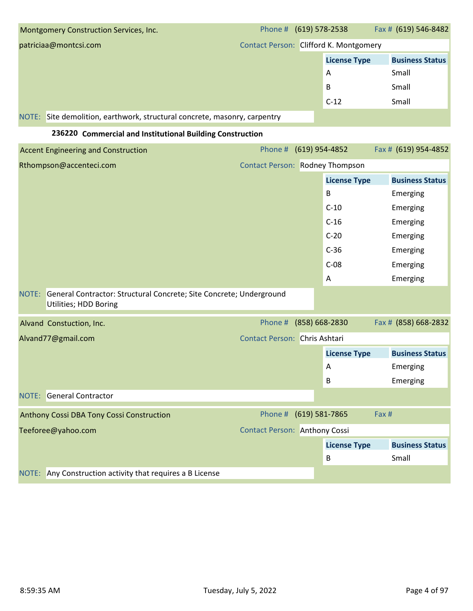| Montgomery Construction Services, Inc.                                                                | Phone # (619) 578-2538                 |                |                     | Fax # (619) 546-8482   |
|-------------------------------------------------------------------------------------------------------|----------------------------------------|----------------|---------------------|------------------------|
| patriciaa@montcsi.com                                                                                 | Contact Person: Clifford K. Montgomery |                |                     |                        |
|                                                                                                       |                                        |                | <b>License Type</b> | <b>Business Status</b> |
|                                                                                                       |                                        |                | A                   | Small                  |
|                                                                                                       |                                        |                | B                   | Small                  |
|                                                                                                       |                                        |                | $C-12$              | Small                  |
| NOTE: Site demolition, earthwork, structural concrete, masonry, carpentry                             |                                        |                |                     |                        |
| 236220 Commercial and Institutional Building Construction                                             |                                        |                |                     |                        |
| <b>Accent Engineering and Construction</b>                                                            | Phone #                                | (619) 954-4852 |                     | Fax # (619) 954-4852   |
| Rthompson@accenteci.com                                                                               | <b>Contact Person: Rodney Thompson</b> |                |                     |                        |
|                                                                                                       |                                        |                | <b>License Type</b> | <b>Business Status</b> |
|                                                                                                       |                                        |                | B                   | Emerging               |
|                                                                                                       |                                        |                | $C-10$              | Emerging               |
|                                                                                                       |                                        |                | $C-16$              | Emerging               |
|                                                                                                       |                                        |                | $C-20$              | Emerging               |
|                                                                                                       |                                        |                | $C-36$              | Emerging               |
|                                                                                                       |                                        |                | $C-08$              | Emerging               |
|                                                                                                       |                                        |                | Α                   | Emerging               |
| General Contractor: Structural Concrete; Site Concrete; Underground<br>NOTE:<br>Utilities; HDD Boring |                                        |                |                     |                        |
| Alvand Constuction, Inc.                                                                              | Phone #                                | (858) 668-2830 |                     | Fax # (858) 668-2832   |
| Alvand77@gmail.com                                                                                    | Contact Person: Chris Ashtari          |                |                     |                        |
|                                                                                                       |                                        |                | <b>License Type</b> | <b>Business Status</b> |
|                                                                                                       |                                        |                | A                   | Emerging               |
|                                                                                                       |                                        |                | B                   | Emerging               |
| <b>NOTE:</b> General Contractor                                                                       |                                        |                |                     |                        |
| Anthony Cossi DBA Tony Cossi Construction                                                             | Phone # (619) 581-7865                 |                |                     | Fax #                  |
| Teeforee@yahoo.com                                                                                    | <b>Contact Person: Anthony Cossi</b>   |                |                     |                        |
|                                                                                                       |                                        |                | <b>License Type</b> | <b>Business Status</b> |
|                                                                                                       |                                        |                | B                   | Small                  |
| Any Construction activity that requires a B License<br>NOTE:                                          |                                        |                |                     |                        |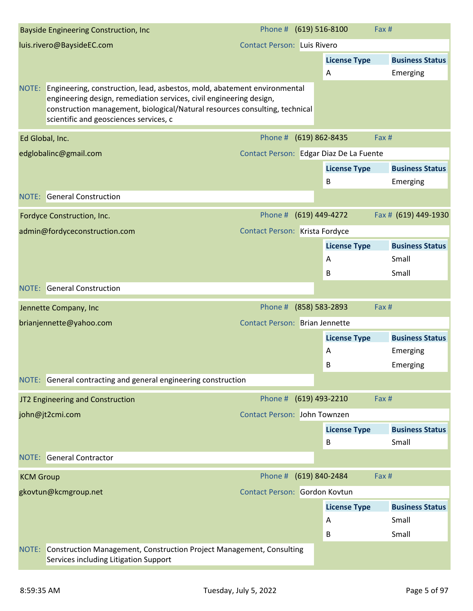|                  | <b>Bayside Engineering Construction, Inc.</b>                                                                                                                                                                                                                                  | Phone # (619) 516-8100                |                                         | Fax #                  |
|------------------|--------------------------------------------------------------------------------------------------------------------------------------------------------------------------------------------------------------------------------------------------------------------------------|---------------------------------------|-----------------------------------------|------------------------|
|                  | luis.rivero@BaysideEC.com                                                                                                                                                                                                                                                      | <b>Contact Person: Luis Rivero</b>    |                                         |                        |
|                  |                                                                                                                                                                                                                                                                                |                                       | <b>License Type</b>                     | <b>Business Status</b> |
|                  |                                                                                                                                                                                                                                                                                |                                       | Α                                       | Emerging               |
|                  | NOTE: Engineering, construction, lead, asbestos, mold, abatement environmental<br>engineering design, remediation services, civil engineering design,<br>construction management, biological/Natural resources consulting, technical<br>scientific and geosciences services, c |                                       |                                         |                        |
| Ed Global, Inc.  |                                                                                                                                                                                                                                                                                | Phone # (619) 862-8435                |                                         | Fax #                  |
|                  | edglobalinc@gmail.com                                                                                                                                                                                                                                                          |                                       | Contact Person: Edgar Diaz De La Fuente |                        |
|                  |                                                                                                                                                                                                                                                                                |                                       | <b>License Type</b>                     | <b>Business Status</b> |
|                  |                                                                                                                                                                                                                                                                                |                                       | B                                       | Emerging               |
|                  | <b>NOTE:</b> General Construction                                                                                                                                                                                                                                              |                                       |                                         |                        |
|                  | Fordyce Construction, Inc.                                                                                                                                                                                                                                                     | Phone # (619) 449-4272                |                                         | Fax # (619) 449-1930   |
|                  | admin@fordyceconstruction.com                                                                                                                                                                                                                                                  | Contact Person: Krista Fordyce        |                                         |                        |
|                  |                                                                                                                                                                                                                                                                                |                                       | <b>License Type</b>                     | <b>Business Status</b> |
|                  |                                                                                                                                                                                                                                                                                |                                       | A                                       | Small                  |
|                  |                                                                                                                                                                                                                                                                                |                                       | B                                       | Small                  |
|                  | <b>NOTE:</b> General Construction                                                                                                                                                                                                                                              |                                       |                                         |                        |
|                  | Jennette Company, Inc                                                                                                                                                                                                                                                          | Phone # (858) 583-2893                |                                         | Fax #                  |
|                  | brianjennette@yahoo.com                                                                                                                                                                                                                                                        | <b>Contact Person: Brian Jennette</b> |                                         |                        |
|                  |                                                                                                                                                                                                                                                                                |                                       | <b>License Type</b>                     | <b>Business Status</b> |
|                  |                                                                                                                                                                                                                                                                                |                                       | A                                       | Emerging               |
|                  |                                                                                                                                                                                                                                                                                |                                       | B                                       | Emerging               |
|                  | NOTE: General contracting and general engineering construction                                                                                                                                                                                                                 |                                       |                                         |                        |
|                  | JT2 Engineering and Construction                                                                                                                                                                                                                                               | Phone # (619) 493-2210                |                                         | Fax #                  |
|                  | john@jt2cmi.com                                                                                                                                                                                                                                                                | Contact Person: John Townzen          |                                         |                        |
|                  |                                                                                                                                                                                                                                                                                |                                       | <b>License Type</b>                     | <b>Business Status</b> |
|                  |                                                                                                                                                                                                                                                                                |                                       | B                                       | Small                  |
|                  | <b>NOTE:</b> General Contractor                                                                                                                                                                                                                                                |                                       |                                         |                        |
| <b>KCM Group</b> |                                                                                                                                                                                                                                                                                | Phone # (619) 840-2484                |                                         | Fax #                  |
|                  | gkovtun@kcmgroup.net                                                                                                                                                                                                                                                           | Contact Person: Gordon Kovtun         |                                         |                        |
|                  |                                                                                                                                                                                                                                                                                |                                       | <b>License Type</b>                     | <b>Business Status</b> |
|                  |                                                                                                                                                                                                                                                                                |                                       | Α                                       | Small                  |
|                  |                                                                                                                                                                                                                                                                                |                                       | B                                       | Small                  |
|                  | NOTE: Construction Management, Construction Project Management, Consulting<br>Services including Litigation Support                                                                                                                                                            |                                       |                                         |                        |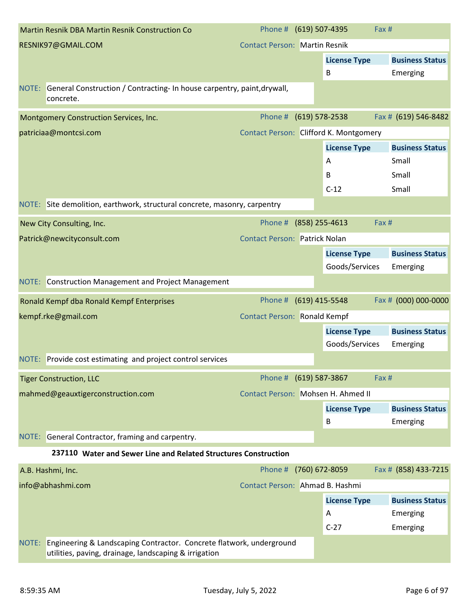|       | <b>Martin Resnik DBA Martin Resnik Construction Co</b>                                                                        | Phone # (619) 507-4395                 |                                       | Fax # |                                    |
|-------|-------------------------------------------------------------------------------------------------------------------------------|----------------------------------------|---------------------------------------|-------|------------------------------------|
|       | RESNIK97@GMAIL.COM                                                                                                            | <b>Contact Person: Martin Resnik</b>   |                                       |       |                                    |
|       |                                                                                                                               |                                        | <b>License Type</b>                   |       | <b>Business Status</b>             |
|       |                                                                                                                               |                                        | В                                     |       | Emerging                           |
|       | NOTE: General Construction / Contracting- In house carpentry, paint, drywall,<br>concrete.                                    |                                        |                                       |       |                                    |
|       | Montgomery Construction Services, Inc.                                                                                        | Phone #                                | $(619)$ 578-2538                      |       | Fax # (619) 546-8482               |
|       | patriciaa@montcsi.com                                                                                                         | Contact Person: Clifford K. Montgomery |                                       |       |                                    |
|       |                                                                                                                               |                                        | <b>License Type</b>                   |       | <b>Business Status</b>             |
|       |                                                                                                                               |                                        | A                                     |       | Small                              |
|       |                                                                                                                               |                                        | B                                     |       | Small                              |
|       |                                                                                                                               |                                        | $C-12$                                |       | Small                              |
|       | NOTE: Site demolition, earthwork, structural concrete, masonry, carpentry                                                     |                                        |                                       |       |                                    |
|       | New City Consulting, Inc.                                                                                                     | Phone #                                | $(858)$ 255-4613                      | Fax # |                                    |
|       | Patrick@newcityconsult.com                                                                                                    | <b>Contact Person: Patrick Nolan</b>   |                                       |       |                                    |
|       |                                                                                                                               |                                        | <b>License Type</b><br>Goods/Services |       | <b>Business Status</b><br>Emerging |
|       | NOTE: Construction Management and Project Management                                                                          |                                        |                                       |       |                                    |
|       | Ronald Kempf dba Ronald Kempf Enterprises                                                                                     | Phone #                                | (619) 415-5548                        |       | Fax # (000) 000-0000               |
|       | kempf.rke@gmail.com                                                                                                           | <b>Contact Person: Ronald Kempf</b>    |                                       |       |                                    |
|       |                                                                                                                               |                                        | <b>License Type</b>                   |       | <b>Business Status</b>             |
|       |                                                                                                                               |                                        | Goods/Services                        |       | Emerging                           |
|       | NOTE: Provide cost estimating and project control services                                                                    |                                        |                                       |       |                                    |
|       | <b>Tiger Construction, LLC</b>                                                                                                | Phone #                                | (619) 587-3867                        | Fax # |                                    |
|       | mahmed@geauxtigerconstruction.com                                                                                             | Contact Person: Mohsen H. Ahmed II     |                                       |       |                                    |
|       |                                                                                                                               |                                        | <b>License Type</b>                   |       | <b>Business Status</b>             |
|       |                                                                                                                               |                                        | B                                     |       | Emerging                           |
|       | NOTE: General Contractor, framing and carpentry.                                                                              |                                        |                                       |       |                                    |
|       | 237110 Water and Sewer Line and Related Structures Construction                                                               |                                        |                                       |       |                                    |
|       | A.B. Hashmi, Inc.                                                                                                             | Phone #                                | (760) 672-8059                        |       | Fax # (858) 433-7215               |
|       | info@abhashmi.com                                                                                                             | Contact Person: Ahmad B. Hashmi        |                                       |       |                                    |
|       |                                                                                                                               |                                        | <b>License Type</b>                   |       | <b>Business Status</b>             |
|       |                                                                                                                               |                                        | A                                     |       | Emerging                           |
|       |                                                                                                                               |                                        | $C-27$                                |       | Emerging                           |
| NOTE: | Engineering & Landscaping Contractor. Concrete flatwork, underground<br>utilities, paving, drainage, landscaping & irrigation |                                        |                                       |       |                                    |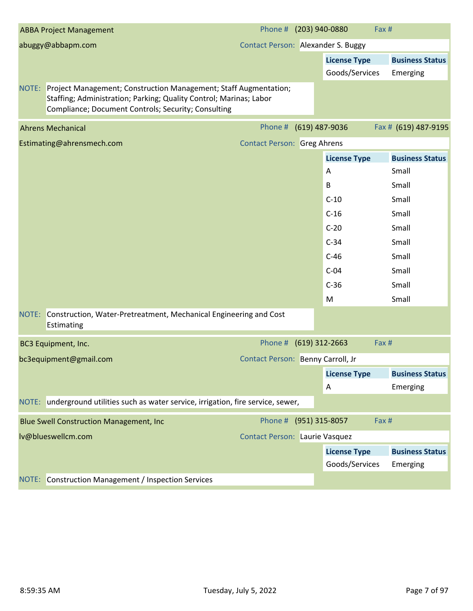| <b>ABBA Project Management</b>                                                                                                                                                                      | Phone # (203) 940-0880                |                     | Fax #                  |
|-----------------------------------------------------------------------------------------------------------------------------------------------------------------------------------------------------|---------------------------------------|---------------------|------------------------|
| abuggy@abbapm.com                                                                                                                                                                                   | Contact Person: Alexander S. Buggy    |                     |                        |
|                                                                                                                                                                                                     |                                       | <b>License Type</b> | <b>Business Status</b> |
|                                                                                                                                                                                                     |                                       | Goods/Services      | Emerging               |
| NOTE: Project Management; Construction Management; Staff Augmentation;<br>Staffing; Administration; Parking; Quality Control; Marinas; Labor<br>Compliance; Document Controls; Security; Consulting |                                       |                     |                        |
| <b>Ahrens Mechanical</b>                                                                                                                                                                            | Phone #                               | (619) 487-9036      | Fax # (619) 487-9195   |
| Estimating@ahrensmech.com                                                                                                                                                                           | <b>Contact Person: Greg Ahrens</b>    |                     |                        |
|                                                                                                                                                                                                     |                                       | <b>License Type</b> | <b>Business Status</b> |
|                                                                                                                                                                                                     |                                       | Α                   | Small                  |
|                                                                                                                                                                                                     |                                       | B                   | Small                  |
|                                                                                                                                                                                                     |                                       | $C-10$              | Small                  |
|                                                                                                                                                                                                     |                                       | $C-16$              | Small                  |
|                                                                                                                                                                                                     |                                       | $C-20$              | Small                  |
|                                                                                                                                                                                                     |                                       | $C-34$              | Small                  |
|                                                                                                                                                                                                     |                                       | $C-46$              | Small                  |
|                                                                                                                                                                                                     |                                       | $C-04$              | Small                  |
|                                                                                                                                                                                                     |                                       | $C-36$              | Small                  |
|                                                                                                                                                                                                     |                                       | M                   | Small                  |
| NOTE: Construction, Water-Pretreatment, Mechanical Engineering and Cost<br>Estimating                                                                                                               |                                       |                     |                        |
| <b>BC3 Equipment, Inc.</b>                                                                                                                                                                          | Phone # (619) 312-2663                |                     | Fax #                  |
| bc3equipment@gmail.com                                                                                                                                                                              | Contact Person: Benny Carroll, Jr     |                     |                        |
|                                                                                                                                                                                                     |                                       | <b>License Type</b> | <b>Business Status</b> |
|                                                                                                                                                                                                     |                                       | A                   | Emerging               |
| NOTE: underground utilities such as water service, irrigation, fire service, sewer,                                                                                                                 |                                       |                     |                        |
| <b>Blue Swell Construction Management, Inc.</b>                                                                                                                                                     | Phone # (951) 315-8057                |                     | Fax #                  |
| lv@blueswellcm.com                                                                                                                                                                                  | <b>Contact Person: Laurie Vasquez</b> |                     |                        |
|                                                                                                                                                                                                     |                                       | <b>License Type</b> | <b>Business Status</b> |
|                                                                                                                                                                                                     |                                       | Goods/Services      | Emerging               |
| NOTE: Construction Management / Inspection Services                                                                                                                                                 |                                       |                     |                        |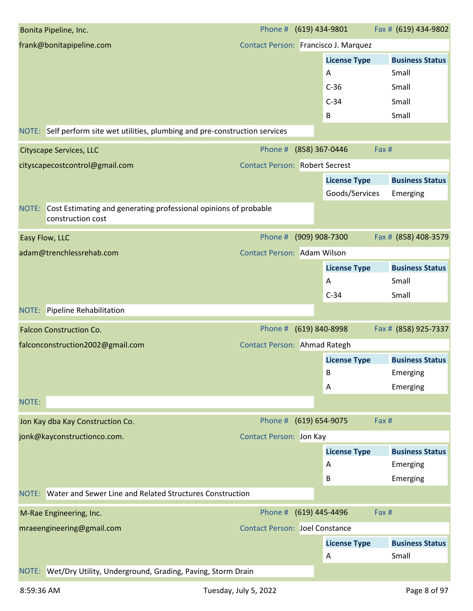| Bonita Pipeline, Inc.                                                                       | Phone # (619) 434-9801                |                |                     | Fax # (619) 434-9802   |
|---------------------------------------------------------------------------------------------|---------------------------------------|----------------|---------------------|------------------------|
| frank@bonitapipeline.com                                                                    | Contact Person: Francisco J. Marquez  |                |                     |                        |
|                                                                                             |                                       |                | <b>License Type</b> | <b>Business Status</b> |
|                                                                                             |                                       |                | A                   | Small                  |
|                                                                                             |                                       |                | $C-36$              | Small                  |
|                                                                                             |                                       |                | $C-34$              | Small                  |
|                                                                                             |                                       |                | B                   | Small                  |
| NOTE: Self perform site wet utilities, plumbing and pre-construction services               |                                       |                |                     |                        |
| <b>Cityscape Services, LLC</b>                                                              | Phone #                               | (858) 367-0446 |                     | Fax #                  |
| cityscapecostcontrol@gmail.com                                                              | <b>Contact Person: Robert Secrest</b> |                |                     |                        |
|                                                                                             |                                       |                | <b>License Type</b> | <b>Business Status</b> |
|                                                                                             |                                       |                | Goods/Services      | Emerging               |
| NOTE: Cost Estimating and generating professional opinions of probable<br>construction cost |                                       |                |                     |                        |
| Easy Flow, LLC                                                                              | Phone #                               | (909) 908-7300 |                     | Fax # (858) 408-3579   |
| adam@trenchlessrehab.com                                                                    | Contact Person: Adam Wilson           |                |                     |                        |
|                                                                                             |                                       |                | <b>License Type</b> | <b>Business Status</b> |
|                                                                                             |                                       |                | A                   | Small                  |
|                                                                                             |                                       |                | $C-34$              | Small                  |
| <b>NOTE:</b> Pipeline Rehabilitation                                                        |                                       |                |                     |                        |
| <b>Falcon Construction Co.</b>                                                              | Phone #                               | (619) 840-8998 |                     | Fax # (858) 925-7337   |
| falconconstruction2002@gmail.com                                                            | Contact Person: Ahmad Rategh          |                |                     |                        |
|                                                                                             |                                       |                | <b>License Type</b> | <b>Business Status</b> |
|                                                                                             |                                       |                | В                   | Emerging               |
|                                                                                             |                                       |                | A                   | Emerging               |
| NOTE:                                                                                       |                                       |                |                     |                        |
| Jon Kay dba Kay Construction Co.                                                            | Phone # (619) 654-9075                |                |                     | Fax #                  |
| jonk@kayconstructionco.com.                                                                 | <b>Contact Person: Jon Kay</b>        |                |                     |                        |
|                                                                                             |                                       |                | <b>License Type</b> | <b>Business Status</b> |
|                                                                                             |                                       |                | A                   | Emerging               |
|                                                                                             |                                       |                |                     |                        |
|                                                                                             |                                       |                | B                   | Emerging               |
| Water and Sewer Line and Related Structures Construction<br>NOTE:                           |                                       |                |                     |                        |
| M-Rae Engineering, Inc.                                                                     | Phone # (619) 445-4496                |                |                     | Fax #                  |
| mraeengineering@gmail.com                                                                   | <b>Contact Person: Joel Constance</b> |                |                     |                        |
|                                                                                             |                                       |                | <b>License Type</b> | <b>Business Status</b> |
|                                                                                             |                                       |                | A                   | Small                  |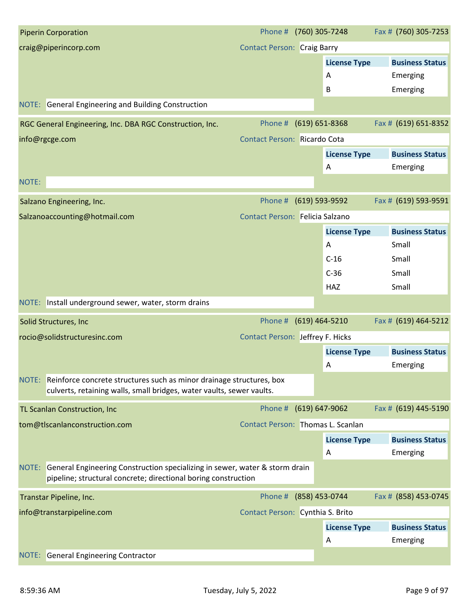| <b>Piperin Corporation</b>                                                                                                                          | Phone # (760) 305-7248             |                     | Fax # (760) 305-7253   |
|-----------------------------------------------------------------------------------------------------------------------------------------------------|------------------------------------|---------------------|------------------------|
| craig@piperincorp.com                                                                                                                               | <b>Contact Person: Craig Barry</b> |                     |                        |
|                                                                                                                                                     |                                    | <b>License Type</b> | <b>Business Status</b> |
|                                                                                                                                                     |                                    | A                   | Emerging               |
|                                                                                                                                                     |                                    | В                   | Emerging               |
| NOTE: General Engineering and Building Construction                                                                                                 |                                    |                     |                        |
| RGC General Engineering, Inc. DBA RGC Construction, Inc.                                                                                            | Phone #                            | $(619) 651 - 8368$  | Fax # (619) 651-8352   |
| info@rgcge.com                                                                                                                                      | Contact Person: Ricardo Cota       |                     |                        |
|                                                                                                                                                     |                                    | <b>License Type</b> | <b>Business Status</b> |
|                                                                                                                                                     |                                    | A                   | Emerging               |
| NOTE:                                                                                                                                               |                                    |                     |                        |
| Salzano Engineering, Inc.                                                                                                                           | Phone #                            | (619) 593-9592      | Fax # (619) 593-9591   |
| Salzanoaccounting@hotmail.com                                                                                                                       | Contact Person: Felicia Salzano    |                     |                        |
|                                                                                                                                                     |                                    | <b>License Type</b> | <b>Business Status</b> |
|                                                                                                                                                     |                                    | Α                   | Small                  |
|                                                                                                                                                     |                                    | $C-16$              | Small                  |
|                                                                                                                                                     |                                    | $C-36$              | Small                  |
|                                                                                                                                                     |                                    | HAZ                 | Small                  |
| NOTE: Install underground sewer, water, storm drains                                                                                                |                                    |                     |                        |
| Solid Structures, Inc                                                                                                                               | Phone #                            | (619) 464-5210      | Fax # (619) 464-5212   |
| rocio@solidstructuresinc.com                                                                                                                        | Contact Person: Jeffrey F. Hicks   |                     |                        |
|                                                                                                                                                     |                                    | <b>License Type</b> | <b>Business Status</b> |
|                                                                                                                                                     |                                    | A                   | Emerging               |
| NOTE: Reinforce concrete structures such as minor drainage structures, box<br>culverts, retaining walls, small bridges, water vaults, sewer vaults. |                                    |                     |                        |
| TL Scanlan Construction, Inc                                                                                                                        | Phone # (619) 647-9062             |                     | Fax # (619) 445-5190   |
| tom@tlscanlanconstruction.com                                                                                                                       | Contact Person: Thomas L. Scanlan  |                     |                        |
|                                                                                                                                                     |                                    | <b>License Type</b> | <b>Business Status</b> |
|                                                                                                                                                     |                                    | Α                   | Emerging               |
| NOTE: General Engineering Construction specializing in sewer, water & storm drain<br>pipeline; structural concrete; directional boring construction |                                    |                     |                        |
| Transtar Pipeline, Inc.                                                                                                                             | Phone # (858) 453-0744             |                     | Fax # (858) 453-0745   |
| info@transtarpipeline.com                                                                                                                           | Contact Person: Cynthia S. Brito   |                     |                        |
|                                                                                                                                                     |                                    | <b>License Type</b> | <b>Business Status</b> |
|                                                                                                                                                     |                                    | A                   | Emerging               |
| <b>NOTE:</b> General Engineering Contractor                                                                                                         |                                    |                     |                        |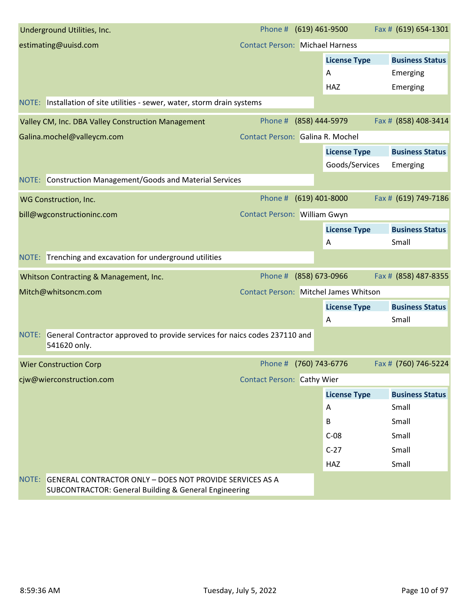| Underground Utilities, Inc.                                                                                                        | Phone #                                |                | (619) 461-9500      | Fax # (619) 654-1301   |
|------------------------------------------------------------------------------------------------------------------------------------|----------------------------------------|----------------|---------------------|------------------------|
| estimating@uuisd.com                                                                                                               | <b>Contact Person: Michael Harness</b> |                |                     |                        |
|                                                                                                                                    |                                        |                | <b>License Type</b> | <b>Business Status</b> |
|                                                                                                                                    |                                        |                | A                   | Emerging               |
|                                                                                                                                    |                                        |                | <b>HAZ</b>          | Emerging               |
| NOTE: Installation of site utilities - sewer, water, storm drain systems                                                           |                                        |                |                     |                        |
| Valley CM, Inc. DBA Valley Construction Management                                                                                 | Phone #                                | (858) 444-5979 |                     | Fax # (858) 408-3414   |
| Galina.mochel@valleycm.com                                                                                                         | Contact Person: Galina R. Mochel       |                |                     |                        |
|                                                                                                                                    |                                        |                | <b>License Type</b> | <b>Business Status</b> |
|                                                                                                                                    |                                        |                | Goods/Services      | Emerging               |
| NOTE: Construction Management/Goods and Material Services                                                                          |                                        |                |                     |                        |
| WG Construction, Inc.                                                                                                              | Phone #                                |                | $(619)$ 401-8000    | Fax # (619) 749-7186   |
| bill@wgconstructioninc.com                                                                                                         | Contact Person: William Gwyn           |                |                     |                        |
|                                                                                                                                    |                                        |                | <b>License Type</b> | <b>Business Status</b> |
|                                                                                                                                    |                                        |                | Α                   | Small                  |
| NOTE: Trenching and excavation for underground utilities                                                                           |                                        |                |                     |                        |
| Whitson Contracting & Management, Inc.                                                                                             | Phone #                                |                | (858) 673-0966      | Fax # (858) 487-8355   |
| Mitch@whitsoncm.com                                                                                                                | Contact Person: Mitchel James Whitson  |                |                     |                        |
|                                                                                                                                    |                                        |                | <b>License Type</b> | <b>Business Status</b> |
|                                                                                                                                    |                                        |                | Α                   | Small                  |
| General Contractor approved to provide services for naics codes 237110 and<br>NOTE:<br>541620 only.                                |                                        |                |                     |                        |
| <b>Wier Construction Corp</b>                                                                                                      | Phone #                                | (760) 743-6776 |                     | Fax # (760) 746-5224   |
| cjw@wierconstruction.com                                                                                                           | <b>Contact Person: Cathy Wier</b>      |                |                     |                        |
|                                                                                                                                    |                                        |                | <b>License Type</b> | <b>Business Status</b> |
|                                                                                                                                    |                                        |                | Α                   | Small                  |
|                                                                                                                                    |                                        |                | B                   | Small                  |
|                                                                                                                                    |                                        |                | $C-08$              | Small                  |
|                                                                                                                                    |                                        |                | $C-27$              | Small                  |
|                                                                                                                                    |                                        |                | HAZ                 | Small                  |
| NOTE: GENERAL CONTRACTOR ONLY - DOES NOT PROVIDE SERVICES AS A<br><b>SUBCONTRACTOR: General Building &amp; General Engineering</b> |                                        |                |                     |                        |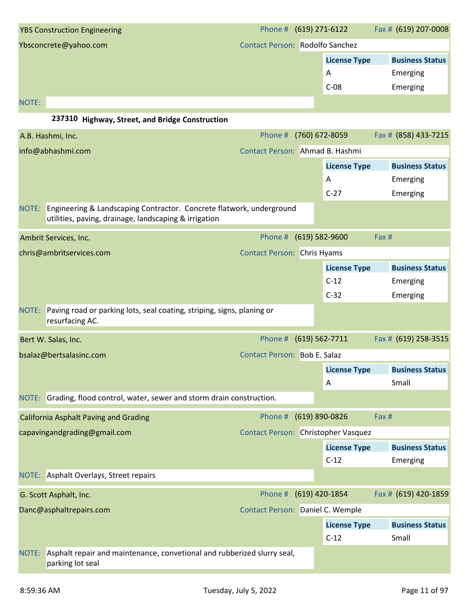| <b>YBS Construction Engineering</b> | Phone # (619) 271-6122          |                     | Fax # (619) 207-0008   |
|-------------------------------------|---------------------------------|---------------------|------------------------|
| Ybsconcrete@yahoo.com               | Contact Person: Rodolfo Sanchez |                     |                        |
|                                     |                                 | <b>License Type</b> | <b>Business Status</b> |
|                                     |                                 | A                   | Emerging               |
|                                     |                                 | $C-08$              | Emerging               |
| <b>NOTE:</b>                        |                                 |                     |                        |

#### **237310 Highway, Street, and Bridge Construction**

|       | A.B. Hashmi, Inc.                                                                                                                   | Phone #                             | (760) 672-8059              | Fax # (858) 433-7215   |
|-------|-------------------------------------------------------------------------------------------------------------------------------------|-------------------------------------|-----------------------------|------------------------|
|       | info@abhashmi.com                                                                                                                   | Contact Person: Ahmad B. Hashmi     |                             |                        |
|       |                                                                                                                                     |                                     | <b>License Type</b>         | <b>Business Status</b> |
|       |                                                                                                                                     |                                     | Α                           | Emerging               |
|       |                                                                                                                                     |                                     | $C-27$                      | Emerging               |
|       | NOTE: Engineering & Landscaping Contractor. Concrete flatwork, underground<br>utilities, paving, drainage, landscaping & irrigation |                                     |                             |                        |
|       | Ambrit Services, Inc.                                                                                                               | Phone #                             | $(619) 582 - 9600$<br>Fax # |                        |
|       | chris@ambritservices.com                                                                                                            | <b>Contact Person: Chris Hyams</b>  |                             |                        |
|       |                                                                                                                                     |                                     | <b>License Type</b>         | <b>Business Status</b> |
|       |                                                                                                                                     |                                     | $C-12$                      | Emerging               |
|       |                                                                                                                                     |                                     | $C-32$                      | Emerging               |
| NOTE: | Paving road or parking lots, seal coating, striping, signs, planing or<br>resurfacing AC.                                           |                                     |                             |                        |
|       | Bert W. Salas, Inc.                                                                                                                 | Phone #                             | $(619) 562 - 7711$          | Fax # (619) 258-3515   |
|       | bsalaz@bertsalasinc.com                                                                                                             | Contact Person: Bob E. Salaz        |                             |                        |
|       |                                                                                                                                     |                                     | <b>License Type</b>         | <b>Business Status</b> |
|       |                                                                                                                                     |                                     | Α                           | Small                  |
|       | NOTE: Grading, flood control, water, sewer and storm drain construction.                                                            |                                     |                             |                        |
|       | <b>California Asphalt Paving and Grading</b>                                                                                        | Phone #                             | (619) 890-0826<br>Fax #     |                        |
|       | capavingandgrading@gmail.com                                                                                                        | Contact Person: Christopher Vasquez |                             |                        |
|       |                                                                                                                                     |                                     | <b>License Type</b>         | <b>Business Status</b> |
|       |                                                                                                                                     |                                     | $C-12$                      | Emerging               |
|       | NOTE: Asphalt Overlays, Street repairs                                                                                              |                                     |                             |                        |
|       | G. Scott Asphalt, Inc.                                                                                                              | Phone # (619) 420-1854              |                             | Fax # (619) 420-1859   |
|       | Danc@asphaltrepairs.com                                                                                                             | Contact Person: Daniel C. Wemple    |                             |                        |
|       |                                                                                                                                     |                                     | <b>License Type</b>         | <b>Business Status</b> |
|       |                                                                                                                                     |                                     | $C-12$                      | Small                  |
| NOTE: | Asphalt repair and maintenance, convetional and rubberized slurry seal,<br>parking lot seal                                         |                                     |                             |                        |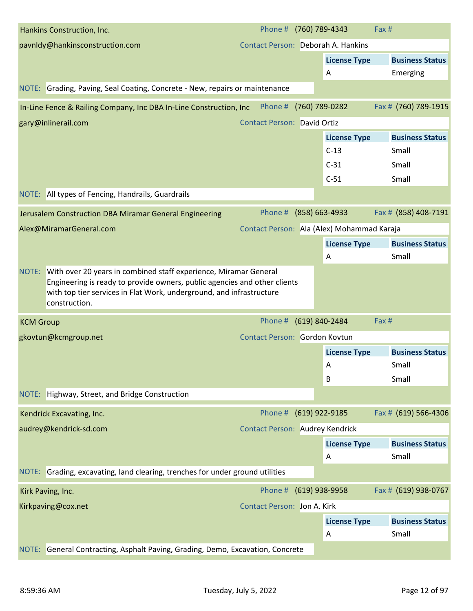|                  | Hankins Construction, Inc.                                                                                                                                                                                                                   | Phone #                                | (760) 789-4343                             | Fax #                  |
|------------------|----------------------------------------------------------------------------------------------------------------------------------------------------------------------------------------------------------------------------------------------|----------------------------------------|--------------------------------------------|------------------------|
|                  | pavnldy@hankinsconstruction.com                                                                                                                                                                                                              | Contact Person: Deborah A. Hankins     |                                            |                        |
|                  |                                                                                                                                                                                                                                              |                                        | <b>License Type</b>                        | <b>Business Status</b> |
|                  |                                                                                                                                                                                                                                              |                                        | A                                          | Emerging               |
|                  | NOTE: Grading, Paving, Seal Coating, Concrete - New, repairs or maintenance                                                                                                                                                                  |                                        |                                            |                        |
|                  | In-Line Fence & Railing Company, Inc DBA In-Line Construction, Inc                                                                                                                                                                           | Phone #                                | (760) 789-0282                             | Fax # (760) 789-1915   |
|                  | gary@inlinerail.com                                                                                                                                                                                                                          | <b>Contact Person: David Ortiz</b>     |                                            |                        |
|                  |                                                                                                                                                                                                                                              |                                        | <b>License Type</b>                        | <b>Business Status</b> |
|                  |                                                                                                                                                                                                                                              |                                        | $C-13$                                     | Small                  |
|                  |                                                                                                                                                                                                                                              |                                        | $C-31$                                     | Small                  |
|                  |                                                                                                                                                                                                                                              |                                        | $C-51$                                     | Small                  |
|                  | NOTE: All types of Fencing, Handrails, Guardrails                                                                                                                                                                                            |                                        |                                            |                        |
|                  | Jerusalem Construction DBA Miramar General Engineering                                                                                                                                                                                       | Phone # (858) 663-4933                 |                                            | Fax # (858) 408-7191   |
|                  | Alex@MiramarGeneral.com                                                                                                                                                                                                                      |                                        | Contact Person: Ala (Alex) Mohammad Karaja |                        |
|                  |                                                                                                                                                                                                                                              |                                        | <b>License Type</b>                        | <b>Business Status</b> |
|                  |                                                                                                                                                                                                                                              |                                        | Α                                          | Small                  |
|                  | NOTE: With over 20 years in combined staff experience, Miramar General<br>Engineering is ready to provide owners, public agencies and other clients<br>with top tier services in Flat Work, underground, and infrastructure<br>construction. |                                        |                                            |                        |
| <b>KCM Group</b> |                                                                                                                                                                                                                                              | Phone #                                | (619) 840-2484                             | Fax #                  |
|                  | gkovtun@kcmgroup.net                                                                                                                                                                                                                         | Contact Person: Gordon Kovtun          |                                            |                        |
|                  |                                                                                                                                                                                                                                              |                                        | <b>License Type</b>                        | <b>Business Status</b> |
|                  |                                                                                                                                                                                                                                              |                                        | A                                          | Small                  |
|                  |                                                                                                                                                                                                                                              |                                        | B                                          | Small                  |
|                  | NOTE: Highway, Street, and Bridge Construction                                                                                                                                                                                               |                                        |                                            |                        |
|                  | Kendrick Excavating, Inc.                                                                                                                                                                                                                    | Phone # (619) 922-9185                 |                                            | Fax # (619) 566-4306   |
|                  | audrey@kendrick-sd.com                                                                                                                                                                                                                       | <b>Contact Person: Audrey Kendrick</b> |                                            |                        |
|                  |                                                                                                                                                                                                                                              |                                        | <b>License Type</b>                        | <b>Business Status</b> |
|                  |                                                                                                                                                                                                                                              |                                        | Α                                          | Small                  |
|                  | NOTE: Grading, excavating, land clearing, trenches for under ground utilities                                                                                                                                                                |                                        |                                            |                        |
|                  | Kirk Paving, Inc.                                                                                                                                                                                                                            | Phone #                                | (619) 938-9958                             | Fax # (619) 938-0767   |
|                  | Kirkpaving@cox.net                                                                                                                                                                                                                           | <b>Contact Person: Jon A. Kirk</b>     |                                            |                        |
|                  |                                                                                                                                                                                                                                              |                                        | <b>License Type</b>                        | <b>Business Status</b> |
|                  |                                                                                                                                                                                                                                              |                                        | Α                                          | Small                  |
|                  | NOTE: General Contracting, Asphalt Paving, Grading, Demo, Excavation, Concrete                                                                                                                                                               |                                        |                                            |                        |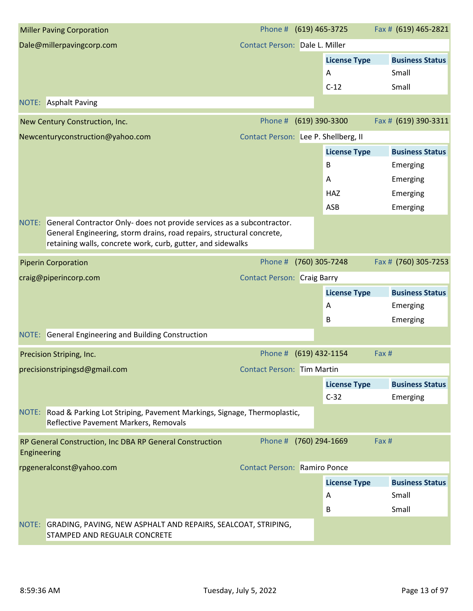|             | <b>Miller Paving Corporation</b>                                                                                                                                                                                     | Phone #                              | (619) 465-3725                     | Fax # (619) 465-2821                     |
|-------------|----------------------------------------------------------------------------------------------------------------------------------------------------------------------------------------------------------------------|--------------------------------------|------------------------------------|------------------------------------------|
|             | Dale@millerpavingcorp.com                                                                                                                                                                                            | Contact Person: Dale L. Miller       |                                    |                                          |
|             |                                                                                                                                                                                                                      |                                      | <b>License Type</b><br>A<br>$C-12$ | <b>Business Status</b><br>Small<br>Small |
|             | <b>NOTE:</b> Asphalt Paving                                                                                                                                                                                          |                                      |                                    |                                          |
|             |                                                                                                                                                                                                                      |                                      |                                    |                                          |
|             | New Century Construction, Inc.                                                                                                                                                                                       | Phone #                              | (619) 390-3300                     | Fax # (619) 390-3311                     |
|             | Newcenturyconstruction@yahoo.com                                                                                                                                                                                     | Contact Person: Lee P. Shellberg, II |                                    |                                          |
|             |                                                                                                                                                                                                                      |                                      | <b>License Type</b>                | <b>Business Status</b>                   |
|             |                                                                                                                                                                                                                      |                                      | B                                  | Emerging                                 |
|             |                                                                                                                                                                                                                      |                                      | A                                  | Emerging                                 |
|             |                                                                                                                                                                                                                      |                                      | <b>HAZ</b>                         | Emerging                                 |
|             |                                                                                                                                                                                                                      |                                      | ASB                                | Emerging                                 |
|             | NOTE: General Contractor Only- does not provide services as a subcontractor.<br>General Engineering, storm drains, road repairs, structural concrete,<br>retaining walls, concrete work, curb, gutter, and sidewalks |                                      |                                    |                                          |
|             | <b>Piperin Corporation</b>                                                                                                                                                                                           | Phone #                              | (760) 305-7248                     | Fax # (760) 305-7253                     |
|             | craig@piperincorp.com                                                                                                                                                                                                | <b>Contact Person: Craig Barry</b>   |                                    |                                          |
|             |                                                                                                                                                                                                                      |                                      | <b>License Type</b>                | <b>Business Status</b>                   |
|             |                                                                                                                                                                                                                      |                                      | A                                  | Emerging                                 |
|             |                                                                                                                                                                                                                      |                                      | B                                  | Emerging                                 |
|             | NOTE: General Engineering and Building Construction                                                                                                                                                                  |                                      |                                    |                                          |
|             | Precision Striping, Inc.                                                                                                                                                                                             | Phone #                              | $(619)$ 432-1154                   | Fax #                                    |
|             | precisionstripingsd@gmail.com                                                                                                                                                                                        | <b>Contact Person: Tim Martin</b>    |                                    |                                          |
|             |                                                                                                                                                                                                                      |                                      | <b>License Type</b>                | <b>Business Status</b>                   |
|             |                                                                                                                                                                                                                      |                                      | $C-32$                             | Emerging                                 |
|             | NOTE: Road & Parking Lot Striping, Pavement Markings, Signage, Thermoplastic,<br>Reflective Pavement Markers, Removals                                                                                               |                                      |                                    |                                          |
| Engineering | RP General Construction, Inc DBA RP General Construction                                                                                                                                                             | Phone # (760) 294-1669               |                                    | Fax #                                    |
|             | rpgeneralconst@yahoo.com                                                                                                                                                                                             | <b>Contact Person: Ramiro Ponce</b>  |                                    |                                          |
|             |                                                                                                                                                                                                                      |                                      | <b>License Type</b>                | <b>Business Status</b>                   |
|             |                                                                                                                                                                                                                      |                                      | A                                  | Small                                    |
|             |                                                                                                                                                                                                                      |                                      | B                                  | Small                                    |
|             | NOTE: GRADING, PAVING, NEW ASPHALT AND REPAIRS, SEALCOAT, STRIPING,<br>STAMPED AND REGUALR CONCRETE                                                                                                                  |                                      |                                    |                                          |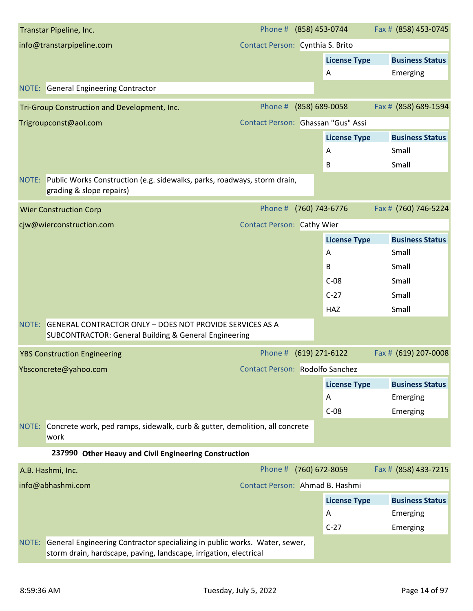| Transtar Pipeline, Inc.                                                                                                                                  | Phone # (858) 453-0744             |                     | Fax # (858) 453-0745   |
|----------------------------------------------------------------------------------------------------------------------------------------------------------|------------------------------------|---------------------|------------------------|
| info@transtarpipeline.com                                                                                                                                | Contact Person: Cynthia S. Brito   |                     |                        |
|                                                                                                                                                          |                                    | <b>License Type</b> | <b>Business Status</b> |
|                                                                                                                                                          |                                    | A                   | Emerging               |
| <b>NOTE:</b> General Engineering Contractor                                                                                                              |                                    |                     |                        |
| Tri-Group Construction and Development, Inc.                                                                                                             | Phone #                            | (858) 689-0058      | Fax # (858) 689-1594   |
| Trigroupconst@aol.com                                                                                                                                    | Contact Person: Ghassan "Gus" Assi |                     |                        |
|                                                                                                                                                          |                                    | <b>License Type</b> | <b>Business Status</b> |
|                                                                                                                                                          |                                    | A                   | Small                  |
|                                                                                                                                                          |                                    | В                   | Small                  |
| NOTE: Public Works Construction (e.g. sidewalks, parks, roadways, storm drain,<br>grading & slope repairs)                                               |                                    |                     |                        |
| <b>Wier Construction Corp</b>                                                                                                                            | Phone #                            | (760) 743-6776      | Fax # (760) 746-5224   |
| cjw@wierconstruction.com                                                                                                                                 | <b>Contact Person: Cathy Wier</b>  |                     |                        |
|                                                                                                                                                          |                                    | <b>License Type</b> | <b>Business Status</b> |
|                                                                                                                                                          |                                    | A                   | Small                  |
|                                                                                                                                                          |                                    | B                   | Small                  |
|                                                                                                                                                          |                                    | $C-08$              | Small                  |
|                                                                                                                                                          |                                    | $C-27$              | Small                  |
|                                                                                                                                                          |                                    | HAZ                 | Small                  |
| <b>GENERAL CONTRACTOR ONLY - DOES NOT PROVIDE SERVICES AS A</b><br>NOTE:<br><b>SUBCONTRACTOR: General Building &amp; General Engineering</b>             |                                    |                     |                        |
| <b>YBS Construction Engineering</b>                                                                                                                      | Phone # (619) 271-6122             |                     | Fax # (619) 207-0008   |
| Ybsconcrete@yahoo.com                                                                                                                                    | Contact Person: Rodolfo Sanchez    |                     |                        |
|                                                                                                                                                          |                                    | <b>License Type</b> | <b>Business Status</b> |
|                                                                                                                                                          |                                    | A                   | Emerging               |
|                                                                                                                                                          |                                    | $C-08$              | Emerging               |
| NOTE: Concrete work, ped ramps, sidewalk, curb & gutter, demolition, all concrete<br>work                                                                |                                    |                     |                        |
| 237990 Other Heavy and Civil Engineering Construction                                                                                                    |                                    |                     |                        |
| A.B. Hashmi, Inc.                                                                                                                                        | Phone #                            | (760) 672-8059      | Fax # (858) 433-7215   |
| info@abhashmi.com                                                                                                                                        | Contact Person: Ahmad B. Hashmi    |                     |                        |
|                                                                                                                                                          |                                    | <b>License Type</b> | <b>Business Status</b> |
|                                                                                                                                                          |                                    | A                   | Emerging               |
|                                                                                                                                                          |                                    | $C-27$              | Emerging               |
| General Engineering Contractor specializing in public works. Water, sewer,<br>NOTE:<br>storm drain, hardscape, paving, landscape, irrigation, electrical |                                    |                     |                        |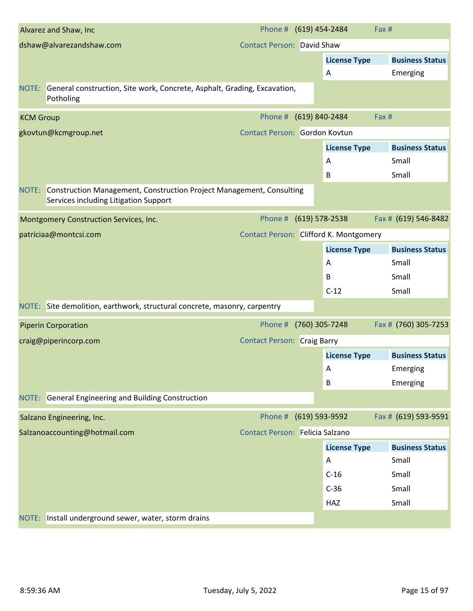|                  | Alvarez and Shaw, Inc.                                                                                              | Phone # (619) 454-2484                 |                    |                     | Fax # |                        |
|------------------|---------------------------------------------------------------------------------------------------------------------|----------------------------------------|--------------------|---------------------|-------|------------------------|
|                  | dshaw@alvarezandshaw.com                                                                                            | <b>Contact Person: David Shaw</b>      |                    |                     |       |                        |
|                  |                                                                                                                     |                                        |                    | <b>License Type</b> |       | <b>Business Status</b> |
|                  |                                                                                                                     |                                        |                    | A                   |       | Emerging               |
|                  | NOTE: General construction, Site work, Concrete, Asphalt, Grading, Excavation,<br>Potholing                         |                                        |                    |                     |       |                        |
| <b>KCM Group</b> |                                                                                                                     | Phone #                                | (619) 840-2484     |                     | Fax # |                        |
|                  | gkovtun@kcmgroup.net                                                                                                | Contact Person: Gordon Kovtun          |                    |                     |       |                        |
|                  |                                                                                                                     |                                        |                    | <b>License Type</b> |       | <b>Business Status</b> |
|                  |                                                                                                                     |                                        |                    | A                   |       | Small                  |
|                  |                                                                                                                     |                                        |                    | B                   |       | Small                  |
|                  | NOTE: Construction Management, Construction Project Management, Consulting<br>Services including Litigation Support |                                        |                    |                     |       |                        |
|                  | Montgomery Construction Services, Inc.                                                                              | Phone #                                | $(619) 578 - 2538$ |                     |       | Fax # (619) 546-8482   |
|                  | patriciaa@montcsi.com                                                                                               | Contact Person: Clifford K. Montgomery |                    |                     |       |                        |
|                  |                                                                                                                     |                                        |                    | <b>License Type</b> |       | <b>Business Status</b> |
|                  |                                                                                                                     |                                        |                    | A                   |       | Small                  |
|                  |                                                                                                                     |                                        |                    | B                   |       | Small                  |
|                  |                                                                                                                     |                                        |                    | $C-12$              |       | Small                  |
|                  | NOTE: Site demolition, earthwork, structural concrete, masonry, carpentry                                           |                                        |                    |                     |       |                        |
|                  | <b>Piperin Corporation</b>                                                                                          | Phone #                                | (760) 305-7248     |                     |       | Fax # (760) 305-7253   |
|                  | craig@piperincorp.com                                                                                               | <b>Contact Person: Craig Barry</b>     |                    |                     |       |                        |
|                  |                                                                                                                     |                                        |                    | <b>License Type</b> |       | <b>Business Status</b> |
|                  |                                                                                                                     |                                        |                    | $\mathsf{A}$        |       | Emerging               |
|                  |                                                                                                                     |                                        |                    | B                   |       | Emerging               |
|                  | NOTE: General Engineering and Building Construction                                                                 |                                        |                    |                     |       |                        |
|                  | Salzano Engineering, Inc.                                                                                           | Phone # (619) 593-9592                 |                    |                     |       | Fax # (619) 593-9591   |
|                  | Salzanoaccounting@hotmail.com                                                                                       | Contact Person: Felicia Salzano        |                    |                     |       |                        |
|                  |                                                                                                                     |                                        |                    | <b>License Type</b> |       | <b>Business Status</b> |
|                  |                                                                                                                     |                                        |                    | Α                   |       | Small                  |
|                  |                                                                                                                     |                                        |                    | $C-16$              |       | Small                  |
|                  |                                                                                                                     |                                        |                    | $C-36$              |       | Small                  |
|                  |                                                                                                                     |                                        |                    | HAZ                 |       | Small                  |
| NOTE:            | Install underground sewer, water, storm drains                                                                      |                                        |                    |                     |       |                        |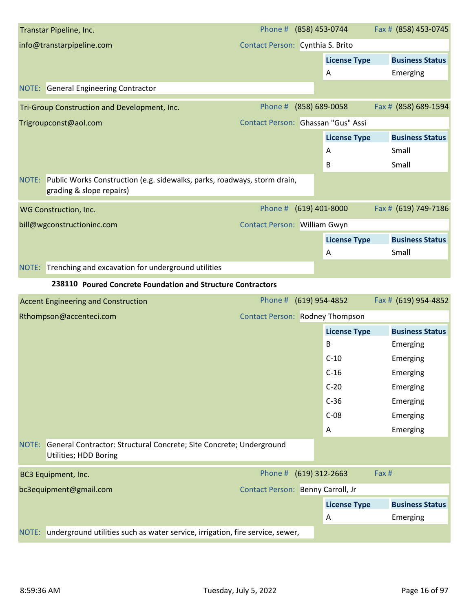| info@transtarpipeline.com<br>Contact Person: Cynthia S. Brito<br><b>License Type</b><br><b>Business Status</b><br>A<br>Emerging<br><b>NOTE:</b> General Engineering Contractor<br>Fax # (858) 689-1594<br>Phone #<br>(858) 689-0058<br>Tri-Group Construction and Development, Inc.<br>Contact Person: Ghassan "Gus" Assi<br>Trigroupconst@aol.com<br><b>Business Status</b><br><b>License Type</b><br>Small<br>Α<br>B<br>Small<br>NOTE: Public Works Construction (e.g. sidewalks, parks, roadways, storm drain,<br>grading & slope repairs)<br>$(619)$ 401-8000<br>Fax # (619) 749-7186<br>Phone #<br>WG Construction, Inc.<br>bill@wgconstructioninc.com<br>Contact Person: William Gwyn<br><b>License Type</b><br><b>Business Status</b><br>Small<br>Α<br>NOTE: Trenching and excavation for underground utilities<br>238110 Poured Concrete Foundation and Structure Contractors<br>Fax # (619) 954-4852<br>(619) 954-4852<br>Phone #<br><b>Accent Engineering and Construction</b><br><b>Contact Person: Rodney Thompson</b><br>Rthompson@accenteci.com<br><b>License Type</b><br><b>Business Status</b><br>B<br>Emerging<br>$C-10$<br>Emerging<br>$C-16$<br>Emerging<br>$C-20$<br>Emerging<br>$C-36$<br>Emerging<br>$C-08$<br>Emerging<br>Emerging<br>A<br>General Contractor: Structural Concrete; Site Concrete; Underground<br>Utilities; HDD Boring<br>Phone # (619) 312-2663<br>Fax #<br><b>BC3 Equipment, Inc.</b><br>bc3equipment@gmail.com<br>Contact Person: Benny Carroll, Jr<br><b>License Type</b><br><b>Business Status</b><br>Emerging<br>A |       | Transtar Pipeline, Inc. |  | Phone # (858) 453-0744 | Fax # (858) 453-0745 |
|------------------------------------------------------------------------------------------------------------------------------------------------------------------------------------------------------------------------------------------------------------------------------------------------------------------------------------------------------------------------------------------------------------------------------------------------------------------------------------------------------------------------------------------------------------------------------------------------------------------------------------------------------------------------------------------------------------------------------------------------------------------------------------------------------------------------------------------------------------------------------------------------------------------------------------------------------------------------------------------------------------------------------------------------------------------------------------------------------------------------------------------------------------------------------------------------------------------------------------------------------------------------------------------------------------------------------------------------------------------------------------------------------------------------------------------------------------------------------------------------------------------------------------------------------------------|-------|-------------------------|--|------------------------|----------------------|
|                                                                                                                                                                                                                                                                                                                                                                                                                                                                                                                                                                                                                                                                                                                                                                                                                                                                                                                                                                                                                                                                                                                                                                                                                                                                                                                                                                                                                                                                                                                                                                  |       |                         |  |                        |                      |
|                                                                                                                                                                                                                                                                                                                                                                                                                                                                                                                                                                                                                                                                                                                                                                                                                                                                                                                                                                                                                                                                                                                                                                                                                                                                                                                                                                                                                                                                                                                                                                  |       |                         |  |                        |                      |
|                                                                                                                                                                                                                                                                                                                                                                                                                                                                                                                                                                                                                                                                                                                                                                                                                                                                                                                                                                                                                                                                                                                                                                                                                                                                                                                                                                                                                                                                                                                                                                  |       |                         |  |                        |                      |
|                                                                                                                                                                                                                                                                                                                                                                                                                                                                                                                                                                                                                                                                                                                                                                                                                                                                                                                                                                                                                                                                                                                                                                                                                                                                                                                                                                                                                                                                                                                                                                  |       |                         |  |                        |                      |
|                                                                                                                                                                                                                                                                                                                                                                                                                                                                                                                                                                                                                                                                                                                                                                                                                                                                                                                                                                                                                                                                                                                                                                                                                                                                                                                                                                                                                                                                                                                                                                  |       |                         |  |                        |                      |
|                                                                                                                                                                                                                                                                                                                                                                                                                                                                                                                                                                                                                                                                                                                                                                                                                                                                                                                                                                                                                                                                                                                                                                                                                                                                                                                                                                                                                                                                                                                                                                  |       |                         |  |                        |                      |
|                                                                                                                                                                                                                                                                                                                                                                                                                                                                                                                                                                                                                                                                                                                                                                                                                                                                                                                                                                                                                                                                                                                                                                                                                                                                                                                                                                                                                                                                                                                                                                  |       |                         |  |                        |                      |
|                                                                                                                                                                                                                                                                                                                                                                                                                                                                                                                                                                                                                                                                                                                                                                                                                                                                                                                                                                                                                                                                                                                                                                                                                                                                                                                                                                                                                                                                                                                                                                  |       |                         |  |                        |                      |
|                                                                                                                                                                                                                                                                                                                                                                                                                                                                                                                                                                                                                                                                                                                                                                                                                                                                                                                                                                                                                                                                                                                                                                                                                                                                                                                                                                                                                                                                                                                                                                  |       |                         |  |                        |                      |
|                                                                                                                                                                                                                                                                                                                                                                                                                                                                                                                                                                                                                                                                                                                                                                                                                                                                                                                                                                                                                                                                                                                                                                                                                                                                                                                                                                                                                                                                                                                                                                  |       |                         |  |                        |                      |
|                                                                                                                                                                                                                                                                                                                                                                                                                                                                                                                                                                                                                                                                                                                                                                                                                                                                                                                                                                                                                                                                                                                                                                                                                                                                                                                                                                                                                                                                                                                                                                  |       |                         |  |                        |                      |
|                                                                                                                                                                                                                                                                                                                                                                                                                                                                                                                                                                                                                                                                                                                                                                                                                                                                                                                                                                                                                                                                                                                                                                                                                                                                                                                                                                                                                                                                                                                                                                  |       |                         |  |                        |                      |
|                                                                                                                                                                                                                                                                                                                                                                                                                                                                                                                                                                                                                                                                                                                                                                                                                                                                                                                                                                                                                                                                                                                                                                                                                                                                                                                                                                                                                                                                                                                                                                  |       |                         |  |                        |                      |
|                                                                                                                                                                                                                                                                                                                                                                                                                                                                                                                                                                                                                                                                                                                                                                                                                                                                                                                                                                                                                                                                                                                                                                                                                                                                                                                                                                                                                                                                                                                                                                  |       |                         |  |                        |                      |
|                                                                                                                                                                                                                                                                                                                                                                                                                                                                                                                                                                                                                                                                                                                                                                                                                                                                                                                                                                                                                                                                                                                                                                                                                                                                                                                                                                                                                                                                                                                                                                  |       |                         |  |                        |                      |
|                                                                                                                                                                                                                                                                                                                                                                                                                                                                                                                                                                                                                                                                                                                                                                                                                                                                                                                                                                                                                                                                                                                                                                                                                                                                                                                                                                                                                                                                                                                                                                  |       |                         |  |                        |                      |
|                                                                                                                                                                                                                                                                                                                                                                                                                                                                                                                                                                                                                                                                                                                                                                                                                                                                                                                                                                                                                                                                                                                                                                                                                                                                                                                                                                                                                                                                                                                                                                  |       |                         |  |                        |                      |
|                                                                                                                                                                                                                                                                                                                                                                                                                                                                                                                                                                                                                                                                                                                                                                                                                                                                                                                                                                                                                                                                                                                                                                                                                                                                                                                                                                                                                                                                                                                                                                  |       |                         |  |                        |                      |
|                                                                                                                                                                                                                                                                                                                                                                                                                                                                                                                                                                                                                                                                                                                                                                                                                                                                                                                                                                                                                                                                                                                                                                                                                                                                                                                                                                                                                                                                                                                                                                  |       |                         |  |                        |                      |
|                                                                                                                                                                                                                                                                                                                                                                                                                                                                                                                                                                                                                                                                                                                                                                                                                                                                                                                                                                                                                                                                                                                                                                                                                                                                                                                                                                                                                                                                                                                                                                  |       |                         |  |                        |                      |
|                                                                                                                                                                                                                                                                                                                                                                                                                                                                                                                                                                                                                                                                                                                                                                                                                                                                                                                                                                                                                                                                                                                                                                                                                                                                                                                                                                                                                                                                                                                                                                  |       |                         |  |                        |                      |
|                                                                                                                                                                                                                                                                                                                                                                                                                                                                                                                                                                                                                                                                                                                                                                                                                                                                                                                                                                                                                                                                                                                                                                                                                                                                                                                                                                                                                                                                                                                                                                  |       |                         |  |                        |                      |
|                                                                                                                                                                                                                                                                                                                                                                                                                                                                                                                                                                                                                                                                                                                                                                                                                                                                                                                                                                                                                                                                                                                                                                                                                                                                                                                                                                                                                                                                                                                                                                  |       |                         |  |                        |                      |
|                                                                                                                                                                                                                                                                                                                                                                                                                                                                                                                                                                                                                                                                                                                                                                                                                                                                                                                                                                                                                                                                                                                                                                                                                                                                                                                                                                                                                                                                                                                                                                  |       |                         |  |                        |                      |
|                                                                                                                                                                                                                                                                                                                                                                                                                                                                                                                                                                                                                                                                                                                                                                                                                                                                                                                                                                                                                                                                                                                                                                                                                                                                                                                                                                                                                                                                                                                                                                  |       |                         |  |                        |                      |
|                                                                                                                                                                                                                                                                                                                                                                                                                                                                                                                                                                                                                                                                                                                                                                                                                                                                                                                                                                                                                                                                                                                                                                                                                                                                                                                                                                                                                                                                                                                                                                  |       |                         |  |                        |                      |
|                                                                                                                                                                                                                                                                                                                                                                                                                                                                                                                                                                                                                                                                                                                                                                                                                                                                                                                                                                                                                                                                                                                                                                                                                                                                                                                                                                                                                                                                                                                                                                  | NOTE: |                         |  |                        |                      |
|                                                                                                                                                                                                                                                                                                                                                                                                                                                                                                                                                                                                                                                                                                                                                                                                                                                                                                                                                                                                                                                                                                                                                                                                                                                                                                                                                                                                                                                                                                                                                                  |       |                         |  |                        |                      |
|                                                                                                                                                                                                                                                                                                                                                                                                                                                                                                                                                                                                                                                                                                                                                                                                                                                                                                                                                                                                                                                                                                                                                                                                                                                                                                                                                                                                                                                                                                                                                                  |       |                         |  |                        |                      |
|                                                                                                                                                                                                                                                                                                                                                                                                                                                                                                                                                                                                                                                                                                                                                                                                                                                                                                                                                                                                                                                                                                                                                                                                                                                                                                                                                                                                                                                                                                                                                                  |       |                         |  |                        |                      |
| underground utilities such as water service, irrigation, fire service, sewer,                                                                                                                                                                                                                                                                                                                                                                                                                                                                                                                                                                                                                                                                                                                                                                                                                                                                                                                                                                                                                                                                                                                                                                                                                                                                                                                                                                                                                                                                                    | NOTE: |                         |  |                        |                      |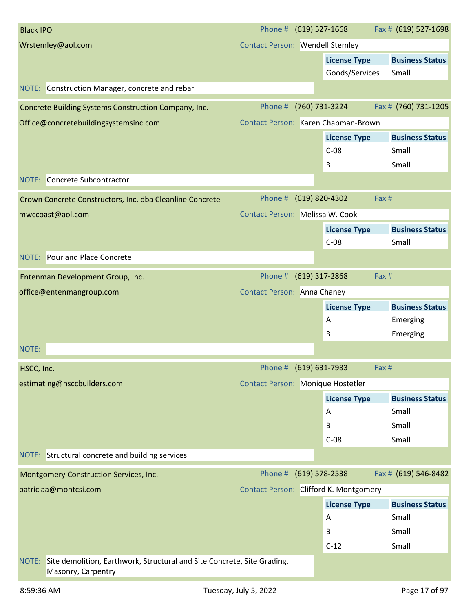| <b>Black IPO</b>                                                                                       | Phone # (619) 527-1668                 |                     | Fax # (619) 527-1698   |
|--------------------------------------------------------------------------------------------------------|----------------------------------------|---------------------|------------------------|
| Wrstemley@aol.com                                                                                      | <b>Contact Person: Wendell Stemley</b> |                     |                        |
|                                                                                                        |                                        | <b>License Type</b> | <b>Business Status</b> |
|                                                                                                        |                                        | Goods/Services      | Small                  |
| NOTE: Construction Manager, concrete and rebar                                                         |                                        |                     |                        |
| Concrete Building Systems Construction Company, Inc.                                                   | Phone #                                | (760) 731-3224      | Fax # (760) 731-1205   |
| Office@concretebuildingsystemsinc.com                                                                  | Contact Person: Karen Chapman-Brown    |                     |                        |
|                                                                                                        |                                        | <b>License Type</b> | <b>Business Status</b> |
|                                                                                                        |                                        | $C-08$              | Small                  |
|                                                                                                        |                                        | В                   | Small                  |
| Concrete Subcontractor<br>NOTE:                                                                        |                                        |                     |                        |
| Crown Concrete Constructors, Inc. dba Cleanline Concrete                                               | Phone # (619) 820-4302                 |                     | Fax #                  |
| mwccoast@aol.com                                                                                       | Contact Person: Melissa W. Cook        |                     |                        |
|                                                                                                        |                                        | <b>License Type</b> | <b>Business Status</b> |
|                                                                                                        |                                        | $C-08$              | Small                  |
| <b>NOTE:</b> Pour and Place Concrete                                                                   |                                        |                     |                        |
| Entenman Development Group, Inc.                                                                       | Phone # (619) 317-2868                 |                     | Fax #                  |
| office@entenmangroup.com                                                                               | <b>Contact Person: Anna Chaney</b>     |                     |                        |
|                                                                                                        |                                        | <b>License Type</b> | <b>Business Status</b> |
|                                                                                                        |                                        | A                   | Emerging               |
|                                                                                                        |                                        | B                   | Emerging               |
| NOTE:                                                                                                  |                                        |                     |                        |
| HSCC, Inc.                                                                                             | Phone # (619) 631-7983                 |                     | Fax #                  |
| estimating@hsccbuilders.com                                                                            | Contact Person: Monique Hostetler      |                     |                        |
|                                                                                                        |                                        | <b>License Type</b> | <b>Business Status</b> |
|                                                                                                        |                                        | Α                   | Small                  |
|                                                                                                        |                                        | B                   | Small                  |
|                                                                                                        |                                        | $C-08$              | Small                  |
| NOTE: Structural concrete and building services                                                        |                                        |                     |                        |
| Montgomery Construction Services, Inc.                                                                 | Phone #                                | $(619) 578 - 2538$  | Fax # (619) 546-8482   |
| patriciaa@montcsi.com                                                                                  | Contact Person: Clifford K. Montgomery |                     |                        |
|                                                                                                        |                                        | <b>License Type</b> | <b>Business Status</b> |
|                                                                                                        |                                        | Α                   | Small                  |
|                                                                                                        |                                        | B                   | Small                  |
|                                                                                                        |                                        | $C-12$              | Small                  |
| Site demolition, Earthwork, Structural and Site Concrete, Site Grading,<br>NOTE:<br>Masonry, Carpentry |                                        |                     |                        |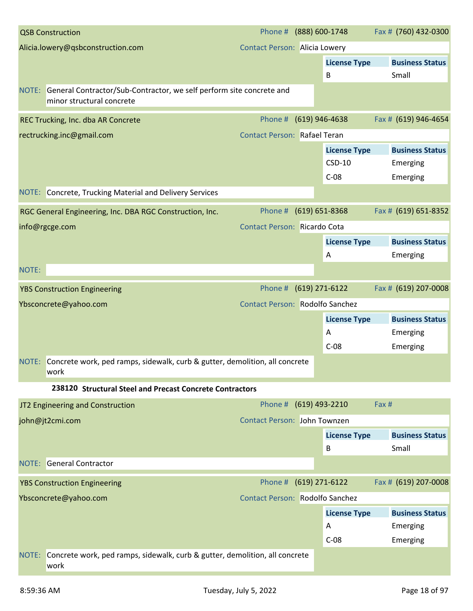|       | <b>QSB Construction</b>                                                                                 | Phone # (888) 600-1748                 |                     | Fax # (760) 432-0300   |
|-------|---------------------------------------------------------------------------------------------------------|----------------------------------------|---------------------|------------------------|
|       | Alicia.lowery@qsbconstruction.com                                                                       | <b>Contact Person: Alicia Lowery</b>   |                     |                        |
|       |                                                                                                         |                                        | <b>License Type</b> | <b>Business Status</b> |
|       |                                                                                                         |                                        | B                   | Small                  |
|       | NOTE: General Contractor/Sub-Contractor, we self perform site concrete and<br>minor structural concrete |                                        |                     |                        |
|       | REC Trucking, Inc. dba AR Concrete                                                                      | Phone #                                | $(619)$ 946-4638    | Fax # (619) 946-4654   |
|       | rectrucking.inc@gmail.com                                                                               | <b>Contact Person: Rafael Teran</b>    |                     |                        |
|       |                                                                                                         |                                        | <b>License Type</b> | <b>Business Status</b> |
|       |                                                                                                         |                                        | $CSD-10$            | Emerging               |
|       |                                                                                                         |                                        | $C-08$              | Emerging               |
|       | NOTE: Concrete, Trucking Material and Delivery Services                                                 |                                        |                     |                        |
|       | RGC General Engineering, Inc. DBA RGC Construction, Inc.                                                | Phone #                                | $(619) 651 - 8368$  | Fax # (619) 651-8352   |
|       | info@rgcge.com                                                                                          | Contact Person: Ricardo Cota           |                     |                        |
|       |                                                                                                         |                                        | <b>License Type</b> | <b>Business Status</b> |
|       |                                                                                                         |                                        | Α                   | Emerging               |
| NOTE: |                                                                                                         |                                        |                     |                        |
|       | <b>YBS Construction Engineering</b>                                                                     | Phone # (619) 271-6122                 |                     | Fax # (619) 207-0008   |
|       | Ybsconcrete@yahoo.com                                                                                   | <b>Contact Person: Rodolfo Sanchez</b> |                     |                        |
|       |                                                                                                         |                                        | <b>License Type</b> | <b>Business Status</b> |
|       |                                                                                                         |                                        | Α                   | Emerging               |
|       |                                                                                                         |                                        | $C-08$              | Emerging               |
|       | NOTE: Concrete work, ped ramps, sidewalk, curb & gutter, demolition, all concrete<br>work               |                                        |                     |                        |
|       | 238120 Structural Steel and Precast Concrete Contractors                                                |                                        |                     |                        |
|       | JT2 Engineering and Construction                                                                        | Phone # (619) 493-2210                 |                     | Fax #                  |
|       | john@jt2cmi.com                                                                                         | <b>Contact Person: John Townzen</b>    |                     |                        |
|       |                                                                                                         |                                        | <b>License Type</b> | <b>Business Status</b> |
|       |                                                                                                         |                                        | B                   | Small                  |
|       | <b>NOTE:</b> General Contractor                                                                         |                                        |                     |                        |
|       | <b>YBS Construction Engineering</b>                                                                     | Phone #                                | (619) 271-6122      | Fax # (619) 207-0008   |
|       | Ybsconcrete@yahoo.com                                                                                   | Contact Person: Rodolfo Sanchez        |                     |                        |
|       |                                                                                                         |                                        | <b>License Type</b> | <b>Business Status</b> |
|       |                                                                                                         |                                        | Α                   | Emerging               |
|       |                                                                                                         |                                        | $C-08$              | Emerging               |
| NOTE: | Concrete work, ped ramps, sidewalk, curb & gutter, demolition, all concrete<br>work                     |                                        |                     |                        |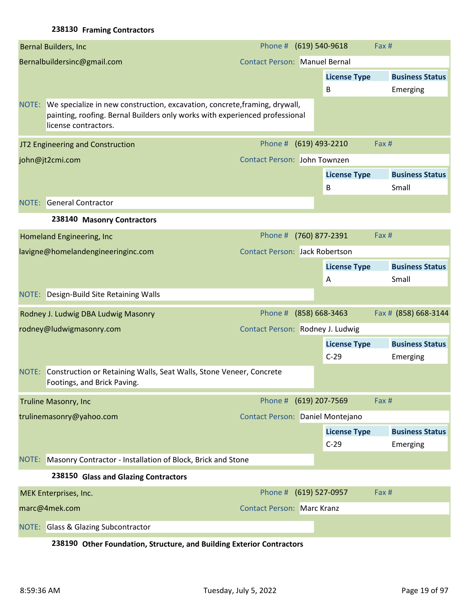# **238130 Framing Contractors**

|       | Bernal Builders, Inc.                                                                                                                                                             | Phone # (619) 540-9618                |                |                          | Fax #                              |
|-------|-----------------------------------------------------------------------------------------------------------------------------------------------------------------------------------|---------------------------------------|----------------|--------------------------|------------------------------------|
|       | Bernalbuildersinc@gmail.com                                                                                                                                                       | <b>Contact Person: Manuel Bernal</b>  |                |                          |                                    |
|       |                                                                                                                                                                                   |                                       |                | <b>License Type</b><br>B | <b>Business Status</b><br>Emerging |
| NOTE: | We specialize in new construction, excavation, concrete, framing, drywall,<br>painting, roofing. Bernal Builders only works with experienced professional<br>license contractors. |                                       |                |                          |                                    |
|       | JT2 Engineering and Construction                                                                                                                                                  | Phone # (619) 493-2210                |                |                          | Fax #                              |
|       | john@jt2cmi.com                                                                                                                                                                   | Contact Person: John Townzen          |                |                          |                                    |
|       |                                                                                                                                                                                   |                                       |                | <b>License Type</b><br>B | <b>Business Status</b><br>Small    |
|       | <b>NOTE:</b> General Contractor                                                                                                                                                   |                                       |                |                          |                                    |
|       | 238140 Masonry Contractors                                                                                                                                                        |                                       |                |                          |                                    |
|       | Homeland Engineering, Inc                                                                                                                                                         | Phone #                               | (760) 877-2391 |                          | Fax #                              |
|       | lavigne@homelandengineeringinc.com                                                                                                                                                | <b>Contact Person: Jack Robertson</b> |                |                          |                                    |
|       |                                                                                                                                                                                   |                                       |                | <b>License Type</b>      | <b>Business Status</b>             |
|       |                                                                                                                                                                                   |                                       |                |                          | Small                              |
|       |                                                                                                                                                                                   |                                       |                | A                        |                                    |
| NOTE: | Design-Build Site Retaining Walls                                                                                                                                                 |                                       |                |                          |                                    |
|       | Rodney J. Ludwig DBA Ludwig Masonry                                                                                                                                               | Phone #                               | (858) 668-3463 |                          | Fax # (858) 668-3144               |
|       | rodney@ludwigmasonry.com                                                                                                                                                          | Contact Person: Rodney J. Ludwig      |                |                          |                                    |
|       |                                                                                                                                                                                   |                                       |                | <b>License Type</b>      | <b>Business Status</b>             |
|       |                                                                                                                                                                                   |                                       |                | $C-29$                   | Emerging                           |
| NOTE: | Construction or Retaining Walls, Seat Walls, Stone Veneer, Concrete<br>Footings, and Brick Paving                                                                                 |                                       |                |                          |                                    |
|       | <b>Truline Masonry, Inc.</b>                                                                                                                                                      | Phone # (619) 207-7569                |                |                          | Fax #                              |
|       | trulinemasonry@yahoo.com                                                                                                                                                          | Contact Person: Daniel Montejano      |                |                          |                                    |
|       |                                                                                                                                                                                   |                                       |                | <b>License Type</b>      | <b>Business Status</b>             |
|       |                                                                                                                                                                                   |                                       |                | $C-29$                   | Emerging                           |
|       | NOTE: Masonry Contractor - Installation of Block, Brick and Stone                                                                                                                 |                                       |                |                          |                                    |
|       | 238150 Glass and Glazing Contractors                                                                                                                                              |                                       |                |                          |                                    |
|       | MEK Enterprises, Inc.                                                                                                                                                             | Phone # (619) 527-0957                |                |                          | Fax#                               |
|       | marc@4mek.com                                                                                                                                                                     | <b>Contact Person: Marc Kranz</b>     |                |                          |                                    |

**238190 Other Foundation, Structure, and Building Exterior Contractors**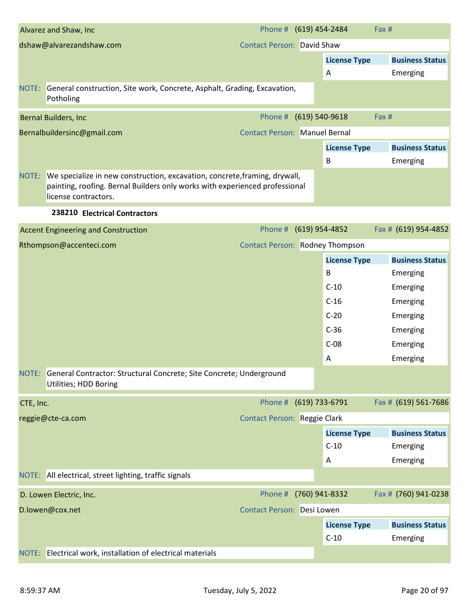|           | Alvarez and Shaw, Inc                                                                                                                                                                   | Phone # (619) 454-2484                 |                |                     | Fax # |                        |
|-----------|-----------------------------------------------------------------------------------------------------------------------------------------------------------------------------------------|----------------------------------------|----------------|---------------------|-------|------------------------|
|           | dshaw@alvarezandshaw.com                                                                                                                                                                | <b>Contact Person: David Shaw</b>      |                |                     |       |                        |
|           |                                                                                                                                                                                         |                                        |                | <b>License Type</b> |       | <b>Business Status</b> |
|           |                                                                                                                                                                                         |                                        |                | A                   |       | Emerging               |
|           | NOTE: General construction, Site work, Concrete, Asphalt, Grading, Excavation,<br>Potholing                                                                                             |                                        |                |                     |       |                        |
|           | Bernal Builders, Inc                                                                                                                                                                    | Phone #                                | (619) 540-9618 |                     | Fax # |                        |
|           | Bernalbuildersinc@gmail.com                                                                                                                                                             | <b>Contact Person: Manuel Bernal</b>   |                |                     |       |                        |
|           |                                                                                                                                                                                         |                                        |                | <b>License Type</b> |       | <b>Business Status</b> |
|           |                                                                                                                                                                                         |                                        |                | В                   |       | Emerging               |
|           | NOTE: We specialize in new construction, excavation, concrete, framing, drywall,<br>painting, roofing. Bernal Builders only works with experienced professional<br>license contractors. |                                        |                |                     |       |                        |
|           | 238210 Electrical Contractors                                                                                                                                                           |                                        |                |                     |       |                        |
|           | <b>Accent Engineering and Construction</b>                                                                                                                                              | Phone #                                |                | (619) 954-4852      |       | Fax # (619) 954-4852   |
|           | Rthompson@accenteci.com                                                                                                                                                                 | <b>Contact Person: Rodney Thompson</b> |                |                     |       |                        |
|           |                                                                                                                                                                                         |                                        |                | <b>License Type</b> |       | <b>Business Status</b> |
|           |                                                                                                                                                                                         |                                        |                | B                   |       | Emerging               |
|           |                                                                                                                                                                                         |                                        |                | $C-10$              |       | Emerging               |
|           |                                                                                                                                                                                         |                                        |                | $C-16$              |       | Emerging               |
|           |                                                                                                                                                                                         |                                        |                | $C-20$              |       | Emerging               |
|           |                                                                                                                                                                                         |                                        |                | $C-36$              |       | Emerging               |
|           |                                                                                                                                                                                         |                                        |                | $C-08$              |       | Emerging               |
|           |                                                                                                                                                                                         |                                        |                | A                   |       | Emerging               |
|           | NOTE: General Contractor: Structural Concrete; Site Concrete; Underground<br>Utilities; HDD Boring                                                                                      |                                        |                |                     |       |                        |
| CTE, Inc. |                                                                                                                                                                                         | Phone #                                |                | (619) 733-6791      |       | Fax # (619) 561-7686   |
|           | reggie@cte-ca.com                                                                                                                                                                       | <b>Contact Person: Reggie Clark</b>    |                |                     |       |                        |
|           |                                                                                                                                                                                         |                                        |                | <b>License Type</b> |       | <b>Business Status</b> |
|           |                                                                                                                                                                                         |                                        |                | $C-10$              |       | Emerging               |
|           |                                                                                                                                                                                         |                                        |                | Α                   |       | Emerging               |
|           | NOTE: All electrical, street lighting, traffic signals                                                                                                                                  |                                        |                |                     |       |                        |
|           | D. Lowen Electric, Inc.                                                                                                                                                                 | Phone #                                |                | (760) 941-8332      |       | Fax # (760) 941-0238   |
|           | D.lowen@cox.net                                                                                                                                                                         | Contact Person: Desi Lowen             |                |                     |       |                        |
|           |                                                                                                                                                                                         |                                        |                | <b>License Type</b> |       | <b>Business Status</b> |
|           |                                                                                                                                                                                         |                                        |                | $C-10$              |       | Emerging               |
|           | NOTE: Electrical work, installation of electrical materials                                                                                                                             |                                        |                |                     |       |                        |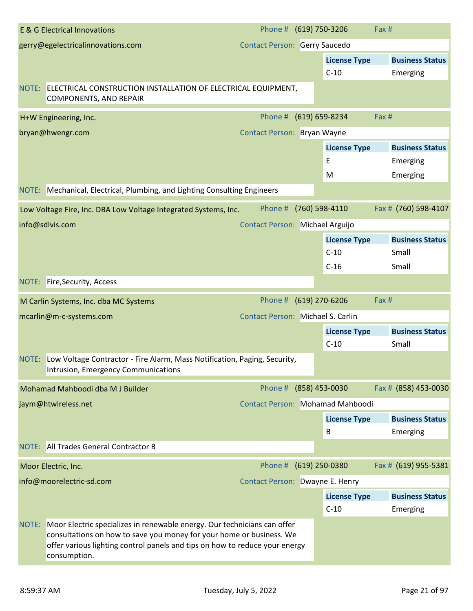|       | <b>E &amp; G Electrical Innovations</b>                                                                                                                                                                                                         | Phone # (619) 750-3206                   |                                  | Fax # |                        |
|-------|-------------------------------------------------------------------------------------------------------------------------------------------------------------------------------------------------------------------------------------------------|------------------------------------------|----------------------------------|-------|------------------------|
|       | gerry@egelectricalinnovations.com                                                                                                                                                                                                               | <b>Contact Person: Gerry Saucedo</b>     |                                  |       |                        |
|       |                                                                                                                                                                                                                                                 |                                          | <b>License Type</b>              |       | <b>Business Status</b> |
|       |                                                                                                                                                                                                                                                 |                                          | $C-10$                           |       | Emerging               |
|       | NOTE: ELECTRICAL CONSTRUCTION INSTALLATION OF ELECTRICAL EQUIPMENT,<br><b>COMPONENTS, AND REPAIR</b>                                                                                                                                            |                                          |                                  |       |                        |
|       | H+W Engineering, Inc.                                                                                                                                                                                                                           | Phone #                                  | (619) 659-8234                   | Fax # |                        |
|       | bryan@hwengr.com                                                                                                                                                                                                                                | Contact Person: Bryan Wayne              |                                  |       |                        |
|       |                                                                                                                                                                                                                                                 |                                          | <b>License Type</b>              |       | <b>Business Status</b> |
|       |                                                                                                                                                                                                                                                 |                                          | E                                |       | Emerging               |
|       |                                                                                                                                                                                                                                                 |                                          | M                                |       | Emerging               |
|       | NOTE: Mechanical, Electrical, Plumbing, and Lighting Consulting Engineers                                                                                                                                                                       |                                          |                                  |       |                        |
|       | Low Voltage Fire, Inc. DBA Low Voltage Integrated Systems, Inc.                                                                                                                                                                                 | Phone #                                  | (760) 598-4110                   |       | Fax # (760) 598-4107   |
|       | info@sdlvis.com                                                                                                                                                                                                                                 | Contact Person: Michael Arguijo          |                                  |       |                        |
|       |                                                                                                                                                                                                                                                 |                                          | <b>License Type</b>              |       | <b>Business Status</b> |
|       |                                                                                                                                                                                                                                                 |                                          | $C-10$                           |       | Small                  |
|       |                                                                                                                                                                                                                                                 |                                          | $C-16$                           |       | Small                  |
|       | NOTE: Fire, Security, Access                                                                                                                                                                                                                    |                                          |                                  |       |                        |
|       | M Carlin Systems, Inc. dba MC Systems                                                                                                                                                                                                           | Phone #                                  | (619) 270-6206                   | Fax # |                        |
|       | mcarlin@m-c-systems.com                                                                                                                                                                                                                         | <b>Contact Person: Michael S. Carlin</b> |                                  |       |                        |
|       |                                                                                                                                                                                                                                                 |                                          | <b>License Type</b>              |       | <b>Business Status</b> |
|       |                                                                                                                                                                                                                                                 |                                          | $C-10$                           |       | Small                  |
|       | NOTE: Low Voltage Contractor - Fire Alarm, Mass Notification, Paging, Security,<br>Intrusion, Emergency Communications                                                                                                                          |                                          |                                  |       |                        |
|       | Mohamad Mahboodi dba M J Builder                                                                                                                                                                                                                | Phone # (858) 453-0030                   |                                  |       | Fax # (858) 453-0030   |
|       | jaym@htwireless.net                                                                                                                                                                                                                             |                                          | Contact Person: Mohamad Mahboodi |       |                        |
|       |                                                                                                                                                                                                                                                 |                                          | <b>License Type</b>              |       | <b>Business Status</b> |
|       |                                                                                                                                                                                                                                                 |                                          | B                                |       | Emerging               |
|       | NOTE: All Trades General Contractor B                                                                                                                                                                                                           |                                          |                                  |       |                        |
|       | Moor Electric, Inc.                                                                                                                                                                                                                             | Phone #                                  | (619) 250-0380                   |       | Fax # (619) 955-5381   |
|       | info@moorelectric-sd.com                                                                                                                                                                                                                        | Contact Person: Dwayne E. Henry          |                                  |       |                        |
|       |                                                                                                                                                                                                                                                 |                                          | <b>License Type</b>              |       | <b>Business Status</b> |
|       |                                                                                                                                                                                                                                                 |                                          | $C-10$                           |       | Emerging               |
| NOTE: | Moor Electric specializes in renewable energy. Our technicians can offer<br>consultations on how to save you money for your home or business. We<br>offer various lighting control panels and tips on how to reduce your energy<br>consumption. |                                          |                                  |       |                        |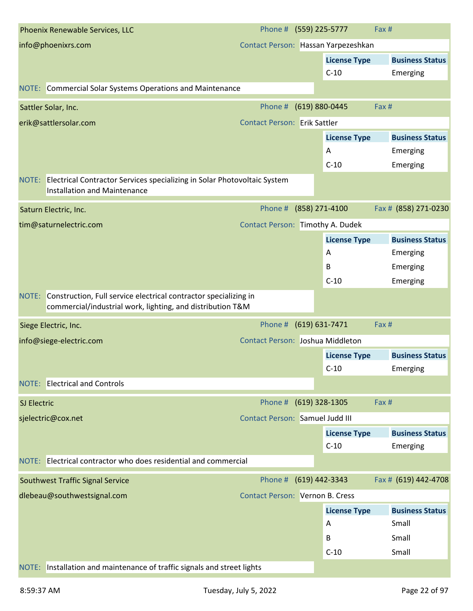| Phoenix Renewable Services, LLC                                                                                                         | Phone # (559) 225-5777                 |                     | Fax #                  |
|-----------------------------------------------------------------------------------------------------------------------------------------|----------------------------------------|---------------------|------------------------|
| info@phoenixrs.com                                                                                                                      | Contact Person: Hassan Yarpezeshkan    |                     |                        |
|                                                                                                                                         |                                        | <b>License Type</b> | <b>Business Status</b> |
|                                                                                                                                         |                                        | $C-10$              | Emerging               |
| NOTE: Commercial Solar Systems Operations and Maintenance                                                                               |                                        |                     |                        |
| Sattler Solar, Inc.                                                                                                                     | Phone #                                | (619) 880-0445      | Fax#                   |
| erik@sattlersolar.com                                                                                                                   | <b>Contact Person: Erik Sattler</b>    |                     |                        |
|                                                                                                                                         |                                        | <b>License Type</b> | <b>Business Status</b> |
|                                                                                                                                         |                                        | Α                   | Emerging               |
|                                                                                                                                         |                                        | $C-10$              | Emerging               |
| NOTE: Electrical Contractor Services specializing in Solar Photovoltaic System<br><b>Installation and Maintenance</b>                   |                                        |                     |                        |
| Saturn Electric, Inc.                                                                                                                   | Phone #                                | (858) 271-4100      | Fax # (858) 271-0230   |
| tim@saturnelectric.com                                                                                                                  | Contact Person: Timothy A. Dudek       |                     |                        |
|                                                                                                                                         |                                        | <b>License Type</b> | <b>Business Status</b> |
|                                                                                                                                         |                                        | A                   | Emerging               |
|                                                                                                                                         |                                        | B                   | Emerging               |
|                                                                                                                                         |                                        | $C-10$              | Emerging               |
| Construction, Full service electrical contractor specializing in<br>NOTE:<br>commercial/industrial work, lighting, and distribution T&M |                                        |                     |                        |
| Siege Electric, Inc.                                                                                                                    | Phone # (619) 631-7471                 |                     | Fax #                  |
| info@siege-electric.com                                                                                                                 | Contact Person: Joshua Middleton       |                     |                        |
|                                                                                                                                         |                                        | <b>License Type</b> | <b>Business Status</b> |
|                                                                                                                                         |                                        | $C-10$              | Emerging               |
| NOTE: Electrical and Controls                                                                                                           |                                        |                     |                        |
| SJ Electric                                                                                                                             | Phone # (619) 328-1305                 |                     | Fax #                  |
| sjelectric@cox.net                                                                                                                      | <b>Contact Person: Samuel Judd III</b> |                     |                        |
|                                                                                                                                         |                                        | <b>License Type</b> | <b>Business Status</b> |
|                                                                                                                                         |                                        | $C-10$              | Emerging               |
| NOTE: Electrical contractor who does residential and commercial                                                                         |                                        |                     |                        |
| <b>Southwest Traffic Signal Service</b>                                                                                                 | Phone #                                | (619) 442-3343      | Fax # (619) 442-4708   |
| dlebeau@southwestsignal.com                                                                                                             | <b>Contact Person: Vernon B. Cress</b> |                     |                        |
|                                                                                                                                         |                                        | <b>License Type</b> | <b>Business Status</b> |
|                                                                                                                                         |                                        | Α                   | Small                  |
|                                                                                                                                         |                                        |                     |                        |
|                                                                                                                                         |                                        | B                   | Small                  |
|                                                                                                                                         |                                        | $C-10$              | Small                  |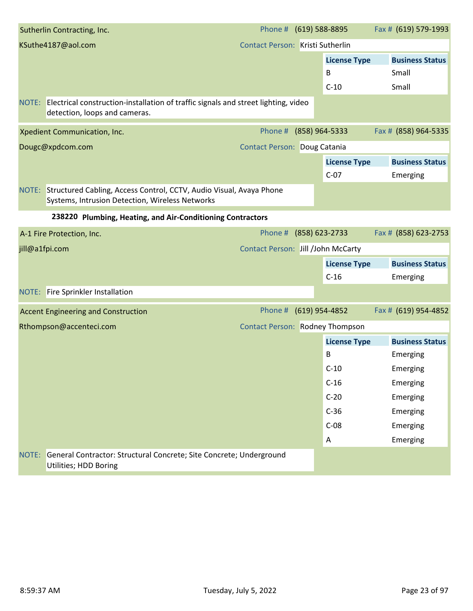|                | Sutherlin Contracting, Inc.                                                                                                  | Phone #                                | (619) 588-8895   |                                    | Fax # (619) 579-1993                     |
|----------------|------------------------------------------------------------------------------------------------------------------------------|----------------------------------------|------------------|------------------------------------|------------------------------------------|
|                | KSuthe4187@aol.com                                                                                                           | Contact Person: Kristi Sutherlin       |                  |                                    |                                          |
|                |                                                                                                                              |                                        |                  | <b>License Type</b><br>B<br>$C-10$ | <b>Business Status</b><br>Small<br>Small |
|                | NOTE: Electrical construction-installation of traffic signals and street lighting, video<br>detection, loops and cameras.    |                                        |                  |                                    |                                          |
|                | Xpedient Communication, Inc.                                                                                                 | Phone #                                | (858) 964-5333   |                                    | Fax # (858) 964-5335                     |
|                | Dougc@xpdcom.com                                                                                                             | <b>Contact Person: Doug Catania</b>    |                  |                                    |                                          |
|                |                                                                                                                              |                                        |                  | <b>License Type</b><br>$C-07$      | <b>Business Status</b><br>Emerging       |
|                | NOTE: Structured Cabling, Access Control, CCTV, Audio Visual, Avaya Phone<br>Systems, Intrusion Detection, Wireless Networks |                                        |                  |                                    |                                          |
|                | 238220 Plumbing, Heating, and Air-Conditioning Contractors                                                                   |                                        |                  |                                    |                                          |
|                | A-1 Fire Protection, Inc.                                                                                                    | Phone #                                | $(858)$ 623-2733 |                                    | Fax # (858) 623-2753                     |
| jill@a1fpi.com |                                                                                                                              | Contact Person: Jill /John McCarty     |                  |                                    |                                          |
|                |                                                                                                                              |                                        |                  | <b>License Type</b>                | <b>Business Status</b>                   |
|                |                                                                                                                              |                                        |                  | $C-16$                             | Emerging                                 |
|                | <b>NOTE:</b> Fire Sprinkler Installation                                                                                     |                                        |                  |                                    |                                          |
|                | <b>Accent Engineering and Construction</b>                                                                                   | Phone #                                | $(619)$ 954-4852 |                                    | Fax # (619) 954-4852                     |
|                | Rthompson@accenteci.com                                                                                                      | <b>Contact Person: Rodney Thompson</b> |                  |                                    |                                          |
|                |                                                                                                                              |                                        |                  | <b>License Type</b>                | <b>Business Status</b>                   |
|                |                                                                                                                              |                                        |                  | B                                  | Emerging                                 |
|                |                                                                                                                              |                                        |                  | $C-10$                             | Emerging                                 |
|                |                                                                                                                              |                                        |                  | $C-16$                             | Emerging                                 |
|                |                                                                                                                              |                                        |                  | $C-20$                             | Emerging                                 |
|                |                                                                                                                              |                                        |                  | $C-36$                             | Emerging                                 |
|                |                                                                                                                              |                                        |                  | $C-08$                             | Emerging                                 |
|                |                                                                                                                              |                                        |                  | A                                  | Emerging                                 |
| NOTE:          | General Contractor: Structural Concrete; Site Concrete; Underground<br>Utilities; HDD Boring                                 |                                        |                  |                                    |                                          |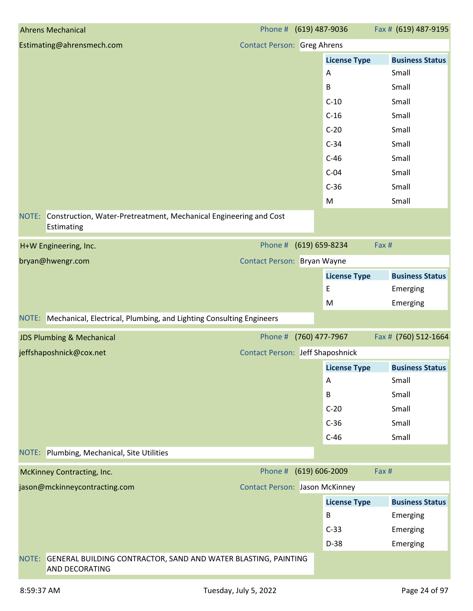| <b>Ahrens Mechanical</b>                                                                         | Phone # (619) 487-9036                  |                     | Fax # (619) 487-9195         |
|--------------------------------------------------------------------------------------------------|-----------------------------------------|---------------------|------------------------------|
| Estimating@ahrensmech.com                                                                        | <b>Contact Person: Greg Ahrens</b>      |                     |                              |
|                                                                                                  |                                         | <b>License Type</b> | <b>Business Status</b>       |
|                                                                                                  |                                         | Α                   | Small                        |
|                                                                                                  |                                         | B                   | Small                        |
|                                                                                                  |                                         | $C-10$              | Small                        |
|                                                                                                  |                                         | $C-16$              | Small                        |
|                                                                                                  |                                         | $C-20$              | Small                        |
|                                                                                                  |                                         | $C-34$              | Small                        |
|                                                                                                  |                                         | $C-46$              | Small                        |
|                                                                                                  |                                         | $C-04$              | Small                        |
|                                                                                                  |                                         | $C-36$              | Small                        |
|                                                                                                  |                                         | M                   | Small                        |
| NOTE: Construction, Water-Pretreatment, Mechanical Engineering and Cost<br>Estimating            |                                         |                     |                              |
| H+W Engineering, Inc.                                                                            | Phone # (619) 659-8234                  |                     | Fax #                        |
| bryan@hwengr.com                                                                                 | Contact Person: Bryan Wayne             |                     |                              |
|                                                                                                  |                                         | <b>License Type</b> | <b>Business Status</b>       |
|                                                                                                  |                                         | E                   | Emerging                     |
|                                                                                                  |                                         | M                   | Emerging                     |
| NOTE: Mechanical, Electrical, Plumbing, and Lighting Consulting Engineers                        |                                         |                     |                              |
| <b>JDS Plumbing &amp; Mechanical</b>                                                             | Phone # (760) 477-7967                  |                     | Fax # (760) 512-1664         |
| jeffshaposhnick@cox.net                                                                          | <b>Contact Person: Jeff Shaposhnick</b> |                     |                              |
|                                                                                                  |                                         |                     | License Type Business Status |
|                                                                                                  |                                         | Α                   | Small                        |
|                                                                                                  |                                         | B                   | Small                        |
|                                                                                                  |                                         | $C-20$              | Small                        |
|                                                                                                  |                                         | $C-36$              | Small                        |
|                                                                                                  |                                         | $C-46$              | Small                        |
| NOTE: Plumbing, Mechanical, Site Utilities                                                       |                                         |                     |                              |
| <b>McKinney Contracting, Inc.</b>                                                                | Phone #                                 | $(619) 606 - 2009$  | Fax #                        |
| jason@mckinneycontracting.com                                                                    | <b>Contact Person: Jason McKinney</b>   |                     |                              |
|                                                                                                  |                                         | <b>License Type</b> | <b>Business Status</b>       |
|                                                                                                  |                                         | В                   | Emerging                     |
|                                                                                                  |                                         | $C-33$              | Emerging                     |
|                                                                                                  |                                         | $D-38$              | Emerging                     |
| GENERAL BUILDING CONTRACTOR, SAND AND WATER BLASTING, PAINTING<br>NOTE:<br><b>AND DECORATING</b> |                                         |                     |                              |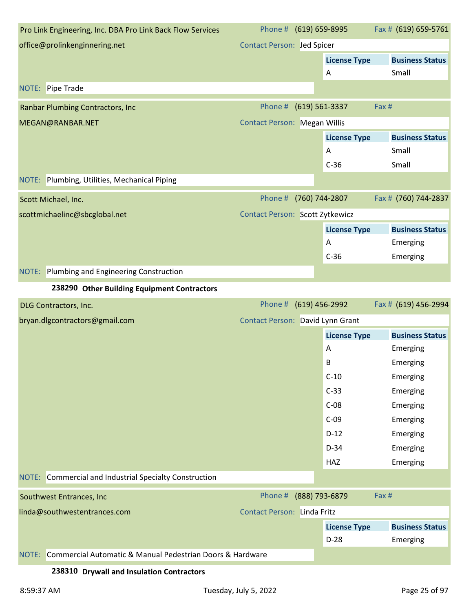| Pro Link Engineering, Inc. DBA Pro Link Back Flow Services      | Phone # (619) 659-8995              |                     | Fax # (619) 659-5761   |
|-----------------------------------------------------------------|-------------------------------------|---------------------|------------------------|
| office@prolinkenginnering.net                                   | <b>Contact Person: Jed Spicer</b>   |                     |                        |
|                                                                 |                                     | <b>License Type</b> | <b>Business Status</b> |
|                                                                 |                                     | Α                   | Small                  |
| NOTE: Pipe Trade                                                |                                     |                     |                        |
| <b>Ranbar Plumbing Contractors, Inc.</b>                        | Phone #                             | $(619) 561 - 3337$  | Fax #                  |
| MEGAN@RANBAR.NET                                                | <b>Contact Person: Megan Willis</b> |                     |                        |
|                                                                 |                                     | <b>License Type</b> | <b>Business Status</b> |
|                                                                 |                                     | A                   | Small                  |
|                                                                 |                                     | $C-36$              | Small                  |
| NOTE: Plumbing, Utilities, Mechanical Piping                    |                                     |                     |                        |
| Scott Michael, Inc.                                             | Phone #                             | (760) 744-2807      | Fax # (760) 744-2837   |
| scottmichaelinc@sbcglobal.net                                   | Contact Person: Scott Zytkewicz     |                     |                        |
|                                                                 |                                     | <b>License Type</b> | <b>Business Status</b> |
|                                                                 |                                     | A                   | Emerging               |
|                                                                 |                                     | $C-36$              | Emerging               |
| NOTE: Plumbing and Engineering Construction                     |                                     |                     |                        |
| 238290 Other Building Equipment Contractors                     |                                     |                     |                        |
| DLG Contractors, Inc.                                           | Phone # (619) 456-2992              |                     | Fax # (619) 456-2994   |
| bryan.dlgcontractors@gmail.com                                  | Contact Person: David Lynn Grant    |                     |                        |
|                                                                 |                                     | <b>License Type</b> | <b>Business Status</b> |
|                                                                 |                                     | Α                   | Emerging               |
|                                                                 |                                     | В                   | Emerging               |
|                                                                 |                                     | $C-10$              | Emerging               |
|                                                                 |                                     | $C-33$              | Emerging               |
|                                                                 |                                     | $C-08$              | Emerging               |
|                                                                 |                                     | $C-09$              | Emerging               |
|                                                                 |                                     | $D-12$              | Emerging               |
|                                                                 |                                     | $D-34$              | Emerging               |
|                                                                 |                                     | HAZ                 | Emerging               |
| NOTE: Commercial and Industrial Specialty Construction          |                                     |                     |                        |
| Southwest Entrances, Inc                                        | Phone # (888) 793-6879              |                     | Fax #                  |
| linda@southwestentrances.com                                    | <b>Contact Person: Linda Fritz</b>  |                     |                        |
|                                                                 |                                     | <b>License Type</b> | <b>Business Status</b> |
|                                                                 |                                     | $D-28$              | Emerging               |
| NOTE: Commercial Automatic & Manual Pedestrian Doors & Hardware |                                     |                     |                        |
|                                                                 |                                     |                     |                        |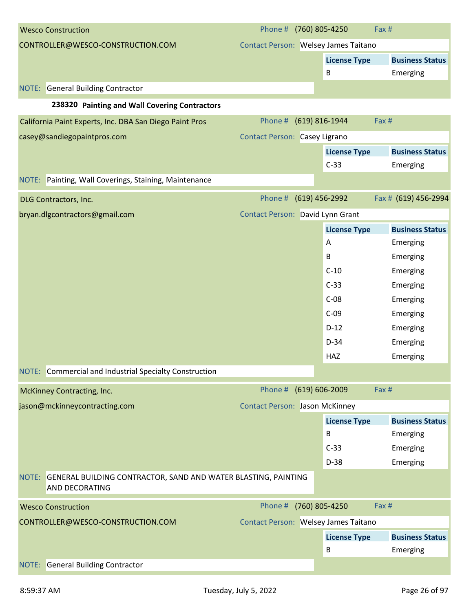| <b>Wesco Construction</b>                                                                 | Phone # (760) 805-4250                |                     | Fax #                  |
|-------------------------------------------------------------------------------------------|---------------------------------------|---------------------|------------------------|
| CONTROLLER@WESCO-CONSTRUCTION.COM                                                         | Contact Person: Welsey James Taitano  |                     |                        |
|                                                                                           |                                       | <b>License Type</b> | <b>Business Status</b> |
|                                                                                           |                                       | B                   | Emerging               |
| <b>NOTE:</b> General Building Contractor                                                  |                                       |                     |                        |
| 238320 Painting and Wall Covering Contractors                                             |                                       |                     |                        |
| California Paint Experts, Inc. DBA San Diego Paint Pros                                   | Phone # (619) 816-1944                |                     | Fax #                  |
| casey@sandiegopaintpros.com                                                               | <b>Contact Person: Casey Ligrano</b>  |                     |                        |
|                                                                                           |                                       | <b>License Type</b> | <b>Business Status</b> |
|                                                                                           |                                       | $C-33$              | Emerging               |
| NOTE: Painting, Wall Coverings, Staining, Maintenance                                     |                                       |                     |                        |
| <b>DLG Contractors, Inc.</b>                                                              | Phone #                               | (619) 456-2992      | Fax # (619) 456-2994   |
| bryan.dlgcontractors@gmail.com                                                            | Contact Person: David Lynn Grant      |                     |                        |
|                                                                                           |                                       | <b>License Type</b> | <b>Business Status</b> |
|                                                                                           |                                       | A                   | Emerging               |
|                                                                                           |                                       | В                   | Emerging               |
|                                                                                           |                                       | $C-10$              | Emerging               |
|                                                                                           |                                       | $C-33$              | Emerging               |
|                                                                                           |                                       | $C-08$              | Emerging               |
|                                                                                           |                                       | $C-09$              | Emerging               |
|                                                                                           |                                       | $D-12$              | Emerging               |
|                                                                                           |                                       | $D-34$              | Emerging               |
|                                                                                           |                                       | <b>HAZ</b>          | Emerging               |
| NOTE: Commercial and Industrial Specialty Construction                                    |                                       |                     |                        |
| McKinney Contracting, Inc.                                                                | Phone # (619) 606-2009                |                     | Fax #                  |
| jason@mckinneycontracting.com                                                             | <b>Contact Person: Jason McKinney</b> |                     |                        |
|                                                                                           |                                       | <b>License Type</b> | <b>Business Status</b> |
|                                                                                           |                                       | B                   | Emerging               |
|                                                                                           |                                       | $C-33$              | Emerging               |
|                                                                                           |                                       | $D-38$              | Emerging               |
| GENERAL BUILDING CONTRACTOR, SAND AND WATER BLASTING, PAINTING<br>NOTE:<br>AND DECORATING |                                       |                     |                        |
| <b>Wesco Construction</b>                                                                 | Phone #                               | (760) 805-4250      | Fax #                  |
| CONTROLLER@WESCO-CONSTRUCTION.COM                                                         | Contact Person: Welsey James Taitano  |                     |                        |
|                                                                                           |                                       | <b>License Type</b> | <b>Business Status</b> |
|                                                                                           |                                       | B                   | Emerging               |
| <b>General Building Contractor</b><br>NOTE:                                               |                                       |                     |                        |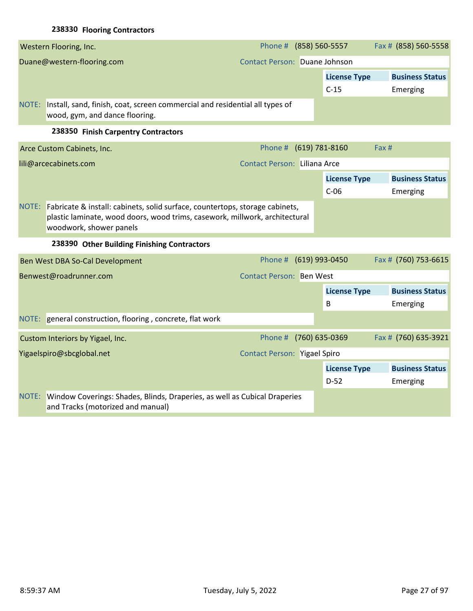# **238330 Flooring Contractors**

|                            | Western Flooring, Inc.                                                                                        | Phone # (858) 560-5557        |                     | Fax # (858) 560-5558   |
|----------------------------|---------------------------------------------------------------------------------------------------------------|-------------------------------|---------------------|------------------------|
| Duane@western-flooring.com |                                                                                                               | Contact Person: Duane Johnson |                     |                        |
|                            |                                                                                                               |                               | <b>License Type</b> | <b>Business Status</b> |
|                            |                                                                                                               |                               | $C-15$              | Emerging               |
| NOTE:                      | Install, sand, finish, coat, screen commercial and residential all types of<br>wood, gym, and dance flooring. |                               |                     |                        |

#### **238350 Finish Carpentry Contractors**

|       | Arce Custom Cabinets, Inc.                                                                                                                                                                   | Phone # (619) 781-8160              |                     | Fax #                  |
|-------|----------------------------------------------------------------------------------------------------------------------------------------------------------------------------------------------|-------------------------------------|---------------------|------------------------|
|       | lili@arcecabinets.com                                                                                                                                                                        | <b>Contact Person: Liliana Arce</b> |                     |                        |
|       |                                                                                                                                                                                              |                                     | <b>License Type</b> | <b>Business Status</b> |
|       |                                                                                                                                                                                              |                                     | $C-06$              | Emerging               |
|       | NOTE: Fabricate & install: cabinets, solid surface, countertops, storage cabinets,<br>plastic laminate, wood doors, wood trims, casework, millwork, architectural<br>woodwork, shower panels |                                     |                     |                        |
|       | 238390 Other Building Finishing Contractors                                                                                                                                                  |                                     |                     |                        |
|       | Ben West DBA So-Cal Development                                                                                                                                                              | Phone #                             | (619) 993-0450      | Fax # (760) 753-6615   |
|       | Benwest@roadrunner.com                                                                                                                                                                       | <b>Contact Person: Ben West</b>     |                     |                        |
|       |                                                                                                                                                                                              |                                     | <b>License Type</b> | <b>Business Status</b> |
|       |                                                                                                                                                                                              |                                     | B                   | Emerging               |
|       | NOTE: general construction, flooring, concrete, flat work                                                                                                                                    |                                     |                     |                        |
|       | Custom Interiors by Yigael, Inc.                                                                                                                                                             | Phone #                             | (760) 635-0369      | Fax # (760) 635-3921   |
|       | Yigaelspiro@sbcglobal.net                                                                                                                                                                    | <b>Contact Person: Yigael Spiro</b> |                     |                        |
|       |                                                                                                                                                                                              |                                     | <b>License Type</b> | <b>Business Status</b> |
|       |                                                                                                                                                                                              |                                     | $D-52$              | Emerging               |
| NOTE: | Window Coverings: Shades, Blinds, Draperies, as well as Cubical Draperies<br>and Tracks (motorized and manual)                                                                               |                                     |                     |                        |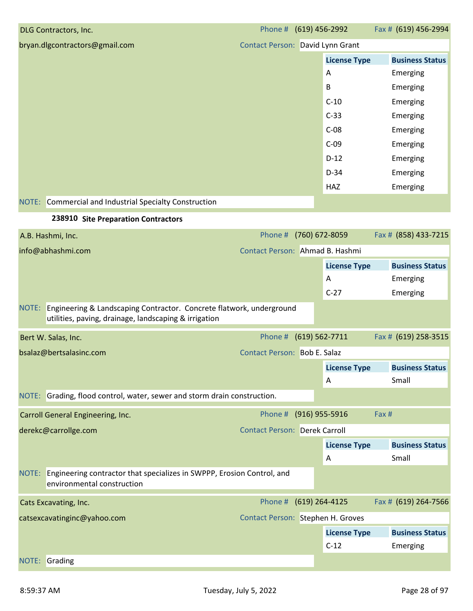| DLG Contractors, Inc.                                  | Phone # (619) 456-2992           |                     | Fax # (619) 456-2994   |
|--------------------------------------------------------|----------------------------------|---------------------|------------------------|
| bryan.dlgcontractors@gmail.com                         | Contact Person: David Lynn Grant |                     |                        |
|                                                        |                                  | <b>License Type</b> | <b>Business Status</b> |
|                                                        |                                  | A                   | Emerging               |
|                                                        |                                  | B                   | Emerging               |
|                                                        |                                  | $C-10$              | Emerging               |
|                                                        |                                  | $C-33$              | Emerging               |
|                                                        |                                  | $C-08$              | Emerging               |
|                                                        |                                  | $C-09$              | Emerging               |
|                                                        |                                  | $D-12$              | Emerging               |
|                                                        |                                  | $D-34$              | Emerging               |
|                                                        |                                  | HAZ                 | Emerging               |
| NOTE: Commercial and Industrial Specialty Construction |                                  |                     |                        |
| 238910 Site Preparation Contractors                    |                                  |                     |                        |

| A.B. Hashmi, Inc.                                                                                                                   | Phone #                              | (760) 672-8059      |       | Fax # (858) 433-7215   |
|-------------------------------------------------------------------------------------------------------------------------------------|--------------------------------------|---------------------|-------|------------------------|
| info@abhashmi.com                                                                                                                   | Contact Person: Ahmad B. Hashmi      |                     |       |                        |
|                                                                                                                                     |                                      | <b>License Type</b> |       | <b>Business Status</b> |
|                                                                                                                                     |                                      | A                   |       | Emerging               |
|                                                                                                                                     |                                      | $C-27$              |       | Emerging               |
| NOTE: Engineering & Landscaping Contractor. Concrete flatwork, underground<br>utilities, paving, drainage, landscaping & irrigation |                                      |                     |       |                        |
| Bert W. Salas, Inc.                                                                                                                 | Phone # (619) 562-7711               |                     |       | Fax # (619) 258-3515   |
| bsalaz@bertsalasinc.com                                                                                                             | Contact Person: Bob E. Salaz         |                     |       |                        |
|                                                                                                                                     |                                      | <b>License Type</b> |       | <b>Business Status</b> |
|                                                                                                                                     |                                      | A                   |       | Small                  |
| NOTE: Grading, flood control, water, sewer and storm drain construction.                                                            |                                      |                     |       |                        |
| Carroll General Engineering, Inc.                                                                                                   | Phone # (916) 955-5916               |                     | Fax # |                        |
| derekc@carrollge.com                                                                                                                | <b>Contact Person: Derek Carroll</b> |                     |       |                        |
|                                                                                                                                     |                                      | <b>License Type</b> |       | <b>Business Status</b> |
|                                                                                                                                     |                                      | A                   |       | Small                  |
| NOTE: Engineering contractor that specializes in SWPPP, Erosion Control, and<br>environmental construction                          |                                      |                     |       |                        |
| Cats Excavating, Inc.                                                                                                               | Phone #                              | (619) 264-4125      |       | Fax # (619) 264-7566   |
| catsexcavatinginc@yahoo.com                                                                                                         | Contact Person: Stephen H. Groves    |                     |       |                        |
|                                                                                                                                     |                                      | <b>License Type</b> |       | <b>Business Status</b> |
|                                                                                                                                     |                                      | $C-12$              |       | Emerging               |
| NOTE: Grading                                                                                                                       |                                      |                     |       |                        |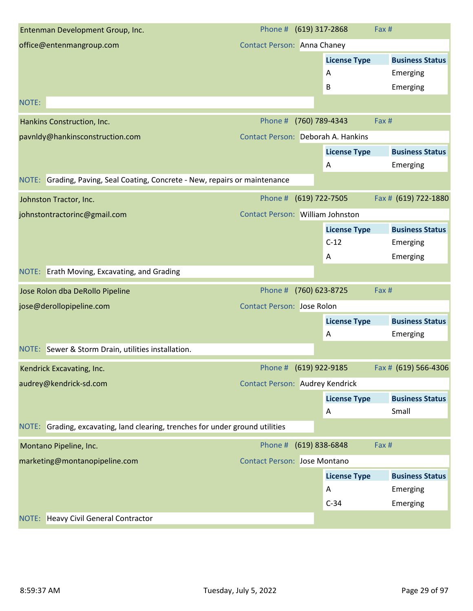| Entenman Development Group, Inc.                                               |                                     | Phone # (619) 317-2868                  | Fax #                  |
|--------------------------------------------------------------------------------|-------------------------------------|-----------------------------------------|------------------------|
| office@entenmangroup.com                                                       | <b>Contact Person: Anna Chaney</b>  |                                         |                        |
|                                                                                |                                     | <b>License Type</b>                     | <b>Business Status</b> |
|                                                                                |                                     | A                                       | Emerging               |
|                                                                                |                                     | B                                       | Emerging               |
| NOTE:                                                                          |                                     |                                         |                        |
| Hankins Construction, Inc.                                                     | Phone #                             | (760) 789-4343                          | Fax #                  |
| pavnldy@hankinsconstruction.com                                                |                                     | Contact Person: Deborah A. Hankins      |                        |
|                                                                                |                                     | <b>License Type</b>                     | <b>Business Status</b> |
|                                                                                |                                     | A                                       | Emerging               |
| Grading, Paving, Seal Coating, Concrete - New, repairs or maintenance<br>NOTE: |                                     |                                         |                        |
| Johnston Tractor, Inc.                                                         | Phone #                             | (619) 722-7505                          | Fax # (619) 722-1880   |
| johnstontractorinc@gmail.com                                                   |                                     | <b>Contact Person: William Johnston</b> |                        |
|                                                                                |                                     | <b>License Type</b>                     | <b>Business Status</b> |
|                                                                                |                                     | $C-12$                                  | Emerging               |
|                                                                                |                                     | A                                       | Emerging               |
| NOTE: Erath Moving, Excavating, and Grading                                    |                                     |                                         |                        |
|                                                                                |                                     |                                         |                        |
| Jose Rolon dba DeRollo Pipeline                                                | Phone #                             | (760) 623-8725                          | Fax #                  |
| jose@derollopipeline.com                                                       | <b>Contact Person: Jose Rolon</b>   |                                         |                        |
|                                                                                |                                     | <b>License Type</b>                     | <b>Business Status</b> |
|                                                                                |                                     | A                                       | Emerging               |
| NOTE: Sewer & Storm Drain, utilities installation.                             |                                     |                                         |                        |
| Kendrick Excavating, Inc.                                                      |                                     | Phone # (619) 922-9185                  | Fax # (619) 566-4306   |
| audrey@kendrick-sd.com                                                         |                                     | <b>Contact Person: Audrey Kendrick</b>  |                        |
|                                                                                |                                     | <b>License Type</b>                     | <b>Business Status</b> |
|                                                                                |                                     | A                                       | Small                  |
| NOTE: Grading, excavating, land clearing, trenches for under ground utilities  |                                     |                                         |                        |
| Montano Pipeline, Inc.                                                         |                                     | Phone # (619) 838-6848                  | Fax #                  |
| marketing@montanopipeline.com                                                  | <b>Contact Person: Jose Montano</b> |                                         |                        |
|                                                                                |                                     | <b>License Type</b>                     | <b>Business Status</b> |
|                                                                                |                                     | A                                       | Emerging               |
|                                                                                |                                     | $C-34$                                  | Emerging               |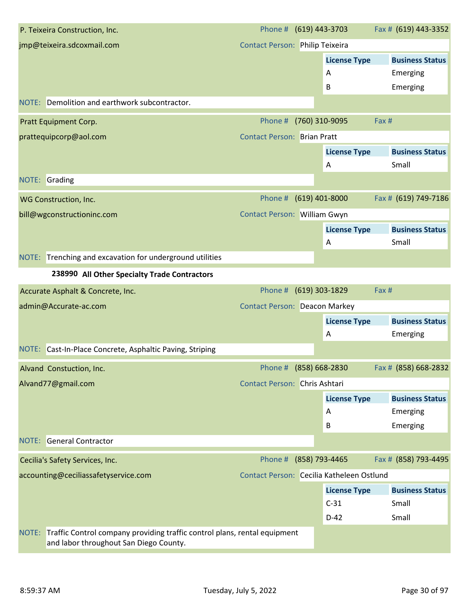| P. Teixeira Construction, Inc.                                                                                               | Phone # (619) 443-3703                    |                     | Fax # (619) 443-3352   |
|------------------------------------------------------------------------------------------------------------------------------|-------------------------------------------|---------------------|------------------------|
| jmp@teixeira.sdcoxmail.com                                                                                                   | Contact Person: Philip Teixeira           |                     |                        |
|                                                                                                                              |                                           | <b>License Type</b> | <b>Business Status</b> |
|                                                                                                                              |                                           | Α                   | Emerging               |
|                                                                                                                              |                                           | B                   | Emerging               |
| NOTE: Demolition and earthwork subcontractor.                                                                                |                                           |                     |                        |
| Pratt Equipment Corp.                                                                                                        | Phone #                                   | (760) 310-9095      | Fax #                  |
| prattequipcorp@aol.com                                                                                                       | <b>Contact Person: Brian Pratt</b>        |                     |                        |
|                                                                                                                              |                                           | <b>License Type</b> | <b>Business Status</b> |
|                                                                                                                              |                                           | A                   | Small                  |
| NOTE:<br>Grading                                                                                                             |                                           |                     |                        |
| WG Construction, Inc.                                                                                                        | Phone #                                   | $(619)$ 401-8000    | Fax # (619) 749-7186   |
| bill@wgconstructioninc.com                                                                                                   | Contact Person: William Gwyn              |                     |                        |
|                                                                                                                              |                                           | <b>License Type</b> | <b>Business Status</b> |
|                                                                                                                              |                                           | Α                   | Small                  |
| NOTE: Trenching and excavation for underground utilities                                                                     |                                           |                     |                        |
| 238990 All Other Specialty Trade Contractors                                                                                 |                                           |                     |                        |
| Accurate Asphalt & Concrete, Inc.                                                                                            | Phone #                                   | $(619)$ 303-1829    | Fax #                  |
| admin@Accurate-ac.com                                                                                                        | <b>Contact Person: Deacon Markey</b>      |                     |                        |
|                                                                                                                              |                                           | <b>License Type</b> | <b>Business Status</b> |
|                                                                                                                              |                                           | A                   | Emerging               |
| NOTE: Cast-In-Place Concrete, Asphaltic Paving, Striping                                                                     |                                           |                     |                        |
| Alvand Constuction, Inc.                                                                                                     | Phone # (858) 668-2830                    |                     | Fax # (858) 668-2832   |
| Alvand77@gmail.com                                                                                                           | Contact Person: Chris Ashtari             |                     |                        |
|                                                                                                                              |                                           | <b>License Type</b> | <b>Business Status</b> |
|                                                                                                                              |                                           | Α                   | Emerging               |
|                                                                                                                              |                                           | B                   | Emerging               |
| <b>NOTE:</b> General Contractor                                                                                              |                                           |                     |                        |
| Cecilia's Safety Services, Inc.                                                                                              | Phone #                                   | (858) 793-4465      | Fax # (858) 793-4495   |
| accounting@ceciliassafetyservice.com                                                                                         | Contact Person: Cecilia Katheleen Ostlund |                     |                        |
|                                                                                                                              |                                           | <b>License Type</b> | <b>Business Status</b> |
|                                                                                                                              |                                           | $C-31$              | Small                  |
|                                                                                                                              |                                           | $D-42$              | Small                  |
| Traffic Control company providing traffic control plans, rental equipment<br>NOTE:<br>and labor throughout San Diego County. |                                           |                     |                        |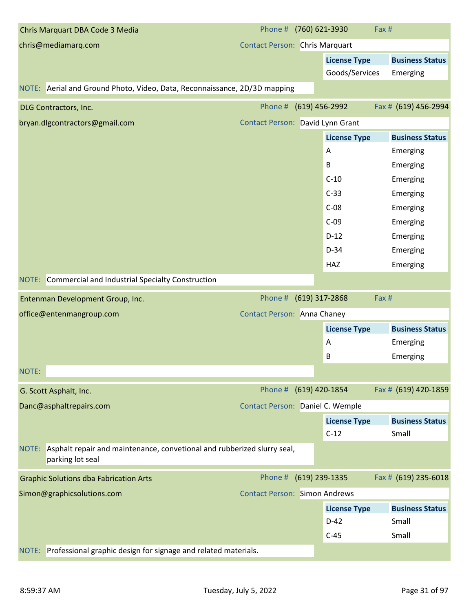| Chris Marquart DBA Code 3 Media                                                                   | Phone # (760) 621-3930                |                     | Fax #                  |
|---------------------------------------------------------------------------------------------------|---------------------------------------|---------------------|------------------------|
| chris@mediamarq.com                                                                               | <b>Contact Person: Chris Marquart</b> |                     |                        |
|                                                                                                   |                                       | <b>License Type</b> | <b>Business Status</b> |
|                                                                                                   |                                       | Goods/Services      | Emerging               |
| NOTE: Aerial and Ground Photo, Video, Data, Reconnaissance, 2D/3D mapping                         |                                       |                     |                        |
| DLG Contractors, Inc.                                                                             | Phone # (619) 456-2992                |                     | Fax # (619) 456-2994   |
| bryan.dlgcontractors@gmail.com                                                                    | Contact Person: David Lynn Grant      |                     |                        |
|                                                                                                   |                                       | <b>License Type</b> | <b>Business Status</b> |
|                                                                                                   |                                       | A                   | Emerging               |
|                                                                                                   |                                       | B                   | Emerging               |
|                                                                                                   |                                       | $C-10$              | Emerging               |
|                                                                                                   |                                       | $C-33$              | Emerging               |
|                                                                                                   |                                       | $C-08$              | Emerging               |
|                                                                                                   |                                       | $C-09$              | Emerging               |
|                                                                                                   |                                       | $D-12$              | Emerging               |
|                                                                                                   |                                       | $D-34$              | Emerging               |
|                                                                                                   |                                       | HAZ                 | Emerging               |
| Commercial and Industrial Specialty Construction<br>NOTE:                                         |                                       |                     |                        |
| Entenman Development Group, Inc.                                                                  | Phone # (619) 317-2868                |                     | Fax #                  |
| office@entenmangroup.com                                                                          | <b>Contact Person: Anna Chaney</b>    |                     |                        |
|                                                                                                   |                                       | <b>License Type</b> | <b>Business Status</b> |
|                                                                                                   |                                       | A                   | Emerging               |
|                                                                                                   |                                       | В                   | Emerging               |
| NOTE:                                                                                             |                                       |                     |                        |
| G. Scott Asphalt, Inc.                                                                            | Phone # (619) 420-1854                |                     | Fax # (619) 420-1859   |
| Danc@asphaltrepairs.com                                                                           | Contact Person: Daniel C. Wemple      |                     |                        |
|                                                                                                   |                                       | <b>License Type</b> | <b>Business Status</b> |
|                                                                                                   |                                       | $C-12$              | Small                  |
| NOTE: Asphalt repair and maintenance, convetional and rubberized slurry seal,<br>parking lot seal |                                       |                     |                        |
| <b>Graphic Solutions dba Fabrication Arts</b>                                                     | Phone # (619) 239-1335                |                     | Fax # (619) 235-6018   |
| Simon@graphicsolutions.com                                                                        | <b>Contact Person: Simon Andrews</b>  |                     |                        |
|                                                                                                   |                                       | <b>License Type</b> | <b>Business Status</b> |
|                                                                                                   |                                       | $D-42$              | Small                  |
|                                                                                                   |                                       | $C-45$              | Small                  |
|                                                                                                   |                                       |                     |                        |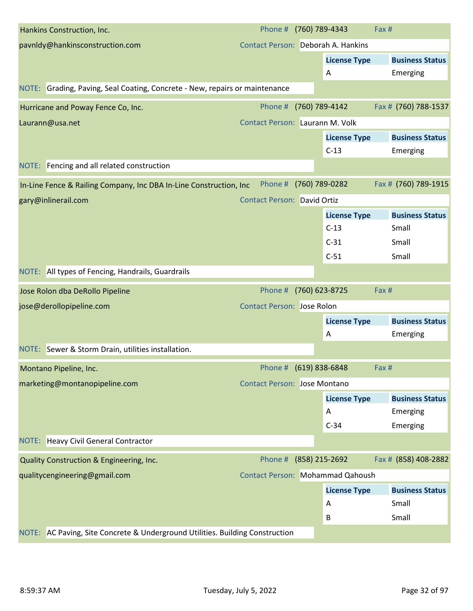| Hankins Construction, Inc.                                                  | Phone # (760) 789-4343              |                     | Fax #                         |
|-----------------------------------------------------------------------------|-------------------------------------|---------------------|-------------------------------|
| pavnldy@hankinsconstruction.com                                             | Contact Person: Deborah A. Hankins  |                     |                               |
|                                                                             |                                     | <b>License Type</b> | <b>Business Status</b>        |
|                                                                             |                                     | Α                   | Emerging                      |
| NOTE: Grading, Paving, Seal Coating, Concrete - New, repairs or maintenance |                                     |                     |                               |
| Hurricane and Poway Fence Co, Inc.                                          | Phone #                             | (760) 789-4142      | Fax # (760) 788-1537          |
| Laurann@usa.net                                                             | Contact Person: Laurann M. Volk     |                     |                               |
|                                                                             |                                     | <b>License Type</b> | <b>Business Status</b>        |
|                                                                             |                                     | $C-13$              | Emerging                      |
| NOTE: Fencing and all related construction                                  |                                     |                     |                               |
| In-Line Fence & Railing Company, Inc DBA In-Line Construction, Inc          | Phone #                             | (760) 789-0282      | Fax # (760) 789-1915          |
| gary@inlinerail.com                                                         | <b>Contact Person: David Ortiz</b>  |                     |                               |
|                                                                             |                                     | <b>License Type</b> | <b>Business Status</b>        |
|                                                                             |                                     | $C-13$              | Small                         |
|                                                                             |                                     | $C-31$              | Small                         |
|                                                                             |                                     | $C-51$              | Small                         |
| NOTE: All types of Fencing, Handrails, Guardrails                           |                                     |                     |                               |
|                                                                             |                                     |                     |                               |
| Jose Rolon dba DeRollo Pipeline                                             | Phone #                             | (760) 623-8725      | Fax #                         |
| jose@derollopipeline.com                                                    | <b>Contact Person: Jose Rolon</b>   |                     |                               |
|                                                                             |                                     | <b>License Type</b> | <b>Business Status</b>        |
|                                                                             |                                     | Α                   | Emerging                      |
| NOTE: Sewer & Storm Drain, utilities installation.                          |                                     |                     |                               |
| Montano Pipeline, Inc.                                                      | Phone # (619) 838-6848              |                     | Fax #                         |
| marketing@montanopipeline.com                                               | <b>Contact Person: Jose Montano</b> |                     |                               |
|                                                                             |                                     | <b>License Type</b> | <b>Business Status</b>        |
|                                                                             |                                     | A                   | Emerging                      |
|                                                                             |                                     | $C-34$              | Emerging                      |
| NOTE: Heavy Civil General Contractor                                        |                                     |                     |                               |
| Quality Construction & Engineering, Inc.                                    | Phone #                             | (858) 215-2692      |                               |
| qualitycengineering@gmail.com                                               | Contact Person: Mohammad Qahoush    |                     |                               |
|                                                                             |                                     | <b>License Type</b> | <b>Business Status</b>        |
|                                                                             |                                     | A                   | Small                         |
|                                                                             |                                     | B                   | Fax # (858) 408-2882<br>Small |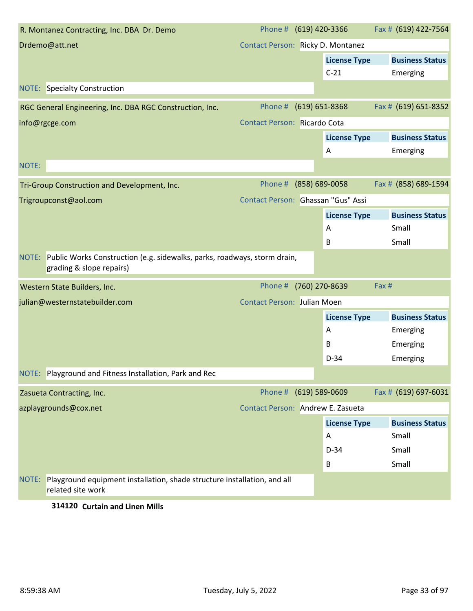| R. Montanez Contracting, Inc. DBA Dr. Demo                                                             | Phone # (619) 420-3366             |                    |                     | Fax # (619) 422-7564   |
|--------------------------------------------------------------------------------------------------------|------------------------------------|--------------------|---------------------|------------------------|
| Drdemo@att.net                                                                                         | Contact Person: Ricky D. Montanez  |                    |                     |                        |
|                                                                                                        |                                    |                    | <b>License Type</b> | <b>Business Status</b> |
|                                                                                                        |                                    |                    | $C-21$              | Emerging               |
| <b>NOTE:</b> Specialty Construction                                                                    |                                    |                    |                     |                        |
| RGC General Engineering, Inc. DBA RGC Construction, Inc.                                               | Phone #                            | $(619) 651 - 8368$ |                     | Fax # (619) 651-8352   |
| info@rgcge.com                                                                                         | Contact Person: Ricardo Cota       |                    |                     |                        |
|                                                                                                        |                                    |                    | <b>License Type</b> | <b>Business Status</b> |
|                                                                                                        |                                    |                    | Α                   | Emerging               |
| NOTE:                                                                                                  |                                    |                    |                     |                        |
| Tri-Group Construction and Development, Inc.                                                           | Phone # (858) 689-0058             |                    |                     | Fax # (858) 689-1594   |
| Trigroupconst@aol.com                                                                                  | Contact Person: Ghassan "Gus" Assi |                    |                     |                        |
|                                                                                                        |                                    |                    | <b>License Type</b> | <b>Business Status</b> |
|                                                                                                        |                                    |                    | Α                   | Small                  |
|                                                                                                        |                                    |                    | B                   | Small                  |
| NOTE: Public Works Construction (e.g. sidewalks, parks, roadways, storm drain,                         |                                    |                    |                     |                        |
| grading & slope repairs)                                                                               |                                    |                    |                     |                        |
| Western State Builders, Inc.                                                                           | Phone # (760) 270-8639             |                    |                     | Fax #                  |
| julian@westernstatebuilder.com                                                                         | <b>Contact Person: Julian Moen</b> |                    |                     |                        |
|                                                                                                        |                                    |                    | <b>License Type</b> | <b>Business Status</b> |
|                                                                                                        |                                    |                    | Α                   | Emerging               |
|                                                                                                        |                                    |                    | B                   | Emerging               |
|                                                                                                        |                                    |                    | $D-34$              | Emerging               |
| NOTE: Playground and Fitness Installation, Park and Rec                                                |                                    |                    |                     |                        |
| Zasueta Contracting, Inc.                                                                              | Phone # (619) 589-0609             |                    |                     | Fax # (619) 697-6031   |
| azplaygrounds@cox.net                                                                                  | Contact Person: Andrew E. Zasueta  |                    |                     |                        |
|                                                                                                        |                                    |                    | <b>License Type</b> | <b>Business Status</b> |
|                                                                                                        |                                    |                    | A                   | Small                  |
|                                                                                                        |                                    |                    | $D-34$              | Small                  |
|                                                                                                        |                                    |                    | В                   | Small                  |
| Playground equipment installation, shade structure installation, and all<br>NOTE:<br>related site work |                                    |                    |                     |                        |
| $214120$ Current and Hann Mills                                                                        |                                    |                    |                     |                        |

#### **314120 Curtain and Linen Mills**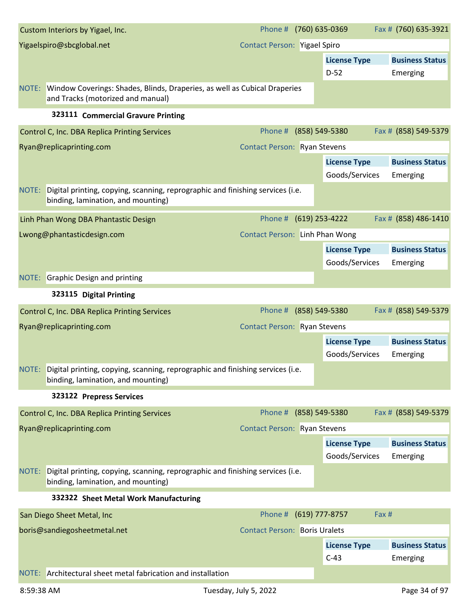| Yigaelspiro@sbcglobal.net<br><b>Contact Person: Yigael Spiro</b>                                                              |  |
|-------------------------------------------------------------------------------------------------------------------------------|--|
| <b>License Type</b><br><b>Business Status</b>                                                                                 |  |
| $D-52$<br>Emerging                                                                                                            |  |
| NOTE: Window Coverings: Shades, Blinds, Draperies, as well as Cubical Draperies<br>and Tracks (motorized and manual)          |  |
| 323111 Commercial Gravure Printing                                                                                            |  |
| Fax # (858) 549-5379<br>Phone #<br>(858) 549-5380<br>Control C, Inc. DBA Replica Printing Services                            |  |
| Ryan@replicaprinting.com<br><b>Contact Person: Ryan Stevens</b>                                                               |  |
| <b>License Type</b><br><b>Business Status</b>                                                                                 |  |
| Goods/Services<br>Emerging                                                                                                    |  |
| Digital printing, copying, scanning, reprographic and finishing services (i.e.<br>NOTE:<br>binding, lamination, and mounting) |  |
| Phone #<br>(619) 253-4222<br>Fax # (858) 486-1410<br>Linh Phan Wong DBA Phantastic Design                                     |  |
| Contact Person: Linh Phan Wong<br>Lwong@phantasticdesign.com                                                                  |  |
| <b>License Type</b><br><b>Business Status</b>                                                                                 |  |
| Goods/Services<br>Emerging                                                                                                    |  |
| <b>NOTE:</b> Graphic Design and printing                                                                                      |  |
| 323115 Digital Printing                                                                                                       |  |
| (858) 549-5380<br>Fax # (858) 549-5379<br>Phone #<br>Control C, Inc. DBA Replica Printing Services                            |  |
| <b>Contact Person: Ryan Stevens</b><br>Ryan@replicaprinting.com                                                               |  |
| <b>License Type</b><br><b>Business Status</b>                                                                                 |  |
| Goods/Services<br>Emerging                                                                                                    |  |
| NOTE: Digital printing, copying, scanning, reprographic and finishing services (i.e.<br>binding, lamination, and mounting)    |  |
| 323122 Prepress Services                                                                                                      |  |
| Fax # (858) 549-5379<br>Phone # (858) 549-5380<br>Control C, Inc. DBA Replica Printing Services                               |  |
| Ryan@replicaprinting.com<br><b>Contact Person: Ryan Stevens</b>                                                               |  |
| <b>License Type</b><br><b>Business Status</b>                                                                                 |  |
| Goods/Services<br>Emerging                                                                                                    |  |
| Digital printing, copying, scanning, reprographic and finishing services (i.e.<br>NOTE:<br>binding, lamination, and mounting) |  |
| 332322 Sheet Metal Work Manufacturing                                                                                         |  |
| Phone # (619) 777-8757<br>Fax #<br>San Diego Sheet Metal, Inc                                                                 |  |
| boris@sandiegosheetmetal.net<br><b>Contact Person: Boris Uralets</b>                                                          |  |
| <b>Business Status</b><br><b>License Type</b>                                                                                 |  |
| $C-43$<br>Emerging                                                                                                            |  |
| NOTE: Architectural sheet metal fabrication and installation                                                                  |  |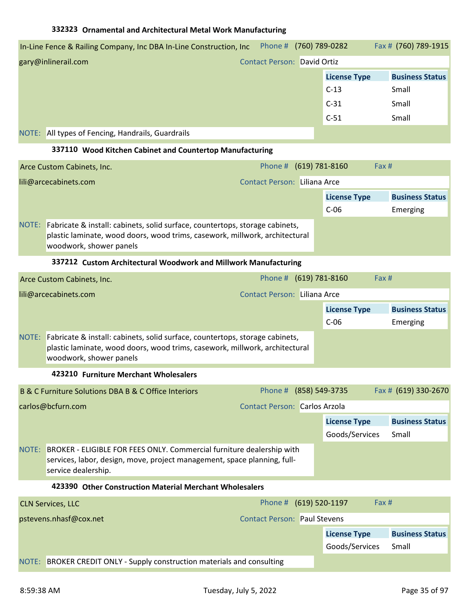| In-Line Fence & Railing Company, Inc DBA In-Line Construction, Inc | Phone #                            | (760) 789-0282      | Fax # (760) 789-1915   |  |
|--------------------------------------------------------------------|------------------------------------|---------------------|------------------------|--|
| gary@inlinerail.com                                                | <b>Contact Person: David Ortiz</b> |                     |                        |  |
|                                                                    |                                    | <b>License Type</b> | <b>Business Status</b> |  |
|                                                                    |                                    | $C-13$              | Small                  |  |
|                                                                    |                                    | $C-31$              | Small                  |  |
|                                                                    |                                    | $C-51$              | Small                  |  |
| NOTE: All types of Fencing, Handrails, Guardrails                  |                                    |                     |                        |  |

### **337110 Wood Kitchen Cabinet and Countertop Manufacturing**

| Arce Custom Cabinets, Inc.                                                                                                                                                                   | Phone # (619) 781-8160       |                               | Fax# |                                    |
|----------------------------------------------------------------------------------------------------------------------------------------------------------------------------------------------|------------------------------|-------------------------------|------|------------------------------------|
| lili@arcecabinets.com                                                                                                                                                                        | Contact Person: Liliana Arce |                               |      |                                    |
|                                                                                                                                                                                              |                              | <b>License Type</b><br>$C-06$ |      | <b>Business Status</b><br>Emerging |
| NOTE: Fabricate & install: cabinets, solid surface, countertops, storage cabinets,<br>plastic laminate, wood doors, wood trims, casework, millwork, architectural<br>woodwork, shower panels |                              |                               |      |                                    |

#### **337212 Custom Architectural Woodwork and Millwork Manufacturing**

|                       | Arce Custom Cabinets, Inc.                                                                                                                                                             | Phone # (619) 781-8160                  |                     | Fax#                   |  |
|-----------------------|----------------------------------------------------------------------------------------------------------------------------------------------------------------------------------------|-----------------------------------------|---------------------|------------------------|--|
| lili@arcecabinets.com |                                                                                                                                                                                        | <b>Contact Person: Liliana Arce</b>     |                     |                        |  |
|                       |                                                                                                                                                                                        |                                         | <b>License Type</b> | <b>Business Status</b> |  |
|                       |                                                                                                                                                                                        |                                         | $C-06$              | Emerging               |  |
| NOTE:                 | Fabricate & install: cabinets, solid surface, countertops, storage cabinets,<br>plastic laminate, wood doors, wood trims, casework, millwork, architectural<br>woodwork, shower panels |                                         |                     |                        |  |
|                       | 423210 Furniture Merchant Wholesalers                                                                                                                                                  |                                         |                     |                        |  |
|                       | B & C Furniture Solutions DBA B & C Office Interiors                                                                                                                                   | Phone # (858) 549-3735                  |                     | Fax # (619) 330-2670   |  |
| carlos@bcfurn.com     |                                                                                                                                                                                        | <b>Contact Person: Carlos Arzola</b>    |                     |                        |  |
|                       |                                                                                                                                                                                        |                                         | <b>License Type</b> | <b>Business Status</b> |  |
|                       |                                                                                                                                                                                        |                                         | Goods/Services      | Small                  |  |
| NOTE:                 | BROKER - ELIGIBLE FOR FEES ONLY. Commercial furniture dealership with<br>services, labor, design, move, project management, space planning, full-<br>service dealership.               |                                         |                     |                        |  |
|                       | 423390 Other Construction Material Merchant Wholesalers                                                                                                                                |                                         |                     |                        |  |
|                       | $C[N$ Composed $\Gamma$                                                                                                                                                                | $Dh$ <sub>nn</sub> $H$ $(610)$ 500-1107 |                     | $\sqrt{2}vH$           |  |

| <b>CLN Services, LLC</b> |                                                                         | Phone # (619) 520-1197              |                     | Fax#                   |
|--------------------------|-------------------------------------------------------------------------|-------------------------------------|---------------------|------------------------|
| pstevens.nhasf@cox.net   |                                                                         | <b>Contact Person: Paul Stevens</b> |                     |                        |
|                          |                                                                         |                                     | <b>License Type</b> | <b>Business Status</b> |
|                          |                                                                         |                                     | Goods/Services      | Small                  |
|                          | NOTE: BROKER CREDIT ONLY - Supply construction materials and consulting |                                     |                     |                        |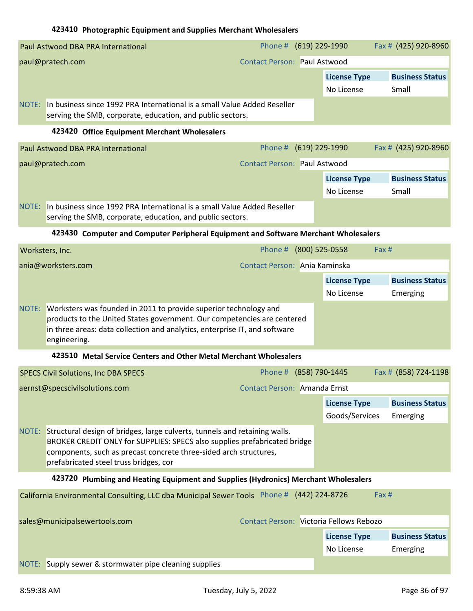### **423410 Photographic Equipment and Supplies Merchant Wholesalers**

|                               | Paul Astwood DBA PRA International                                                                                                                                                                                                                                     | Phone # (619) 229-1990                  |                                       | Fax # (425) 920-8960               |
|-------------------------------|------------------------------------------------------------------------------------------------------------------------------------------------------------------------------------------------------------------------------------------------------------------------|-----------------------------------------|---------------------------------------|------------------------------------|
|                               | paul@pratech.com                                                                                                                                                                                                                                                       | <b>Contact Person: Paul Astwood</b>     |                                       |                                    |
|                               |                                                                                                                                                                                                                                                                        |                                         | <b>License Type</b><br>No License     | <b>Business Status</b><br>Small    |
|                               | NOTE: In business since 1992 PRA International is a small Value Added Reseller<br>serving the SMB, corporate, education, and public sectors.                                                                                                                           |                                         |                                       |                                    |
|                               | 423420 Office Equipment Merchant Wholesalers                                                                                                                                                                                                                           |                                         |                                       |                                    |
|                               | Paul Astwood DBA PRA International                                                                                                                                                                                                                                     | Phone #                                 | (619) 229-1990                        | Fax # (425) 920-8960               |
|                               | paul@pratech.com                                                                                                                                                                                                                                                       | <b>Contact Person: Paul Astwood</b>     |                                       |                                    |
|                               |                                                                                                                                                                                                                                                                        |                                         | <b>License Type</b><br>No License     | <b>Business Status</b><br>Small    |
|                               | NOTE: In business since 1992 PRA International is a small Value Added Reseller<br>serving the SMB, corporate, education, and public sectors.                                                                                                                           |                                         |                                       |                                    |
|                               | 423430 Computer and Computer Peripheral Equipment and Software Merchant Wholesalers                                                                                                                                                                                    |                                         |                                       |                                    |
|                               | Worksters, Inc.                                                                                                                                                                                                                                                        | Phone #                                 | (800) 525-0558                        | Fax#                               |
|                               | ania@worksters.com                                                                                                                                                                                                                                                     | Contact Person: Ania Kaminska           |                                       |                                    |
|                               |                                                                                                                                                                                                                                                                        |                                         | <b>License Type</b>                   | <b>Business Status</b>             |
|                               |                                                                                                                                                                                                                                                                        |                                         | No License                            | Emerging                           |
| NOTE:                         | Worksters was founded in 2011 to provide superior technology and<br>products to the United States government. Our competencies are centered<br>in three areas: data collection and analytics, enterprise IT, and software<br>engineering.                              |                                         |                                       |                                    |
|                               | 423510 Metal Service Centers and Other Metal Merchant Wholesalers                                                                                                                                                                                                      |                                         |                                       |                                    |
|                               | <b>SPECS Civil Solutions, Inc DBA SPECS</b>                                                                                                                                                                                                                            | Phone # (858) 790-1445                  |                                       | Fax # (858) 724-1198               |
|                               | aernst@specscivilsolutions.com                                                                                                                                                                                                                                         | Contact Person: Amanda Ernst            |                                       |                                    |
|                               |                                                                                                                                                                                                                                                                        |                                         | <b>License Type</b><br>Goods/Services | <b>Business Status</b><br>Emerging |
| NOTE:                         | Structural design of bridges, large culverts, tunnels and retaining walls.<br>BROKER CREDIT ONLY for SUPPLIES: SPECS also supplies prefabricated bridge<br>components, such as precast concrete three-sided arch structures,<br>prefabricated steel truss bridges, cor |                                         |                                       |                                    |
|                               | 423720 Plumbing and Heating Equipment and Supplies (Hydronics) Merchant Wholesalers                                                                                                                                                                                    |                                         |                                       |                                    |
|                               | California Environmental Consulting, LLC dba Municipal Sewer Tools Phone # (442) 224-8726                                                                                                                                                                              |                                         |                                       | Fax #                              |
| sales@municipalsewertools.com |                                                                                                                                                                                                                                                                        | Contact Person: Victoria Fellows Rebozo |                                       |                                    |
|                               |                                                                                                                                                                                                                                                                        |                                         | <b>License Type</b>                   | <b>Business Status</b>             |
|                               |                                                                                                                                                                                                                                                                        |                                         | No License                            | Emerging                           |
| NOTE:                         | Supply sewer & stormwater pipe cleaning supplies                                                                                                                                                                                                                       |                                         |                                       |                                    |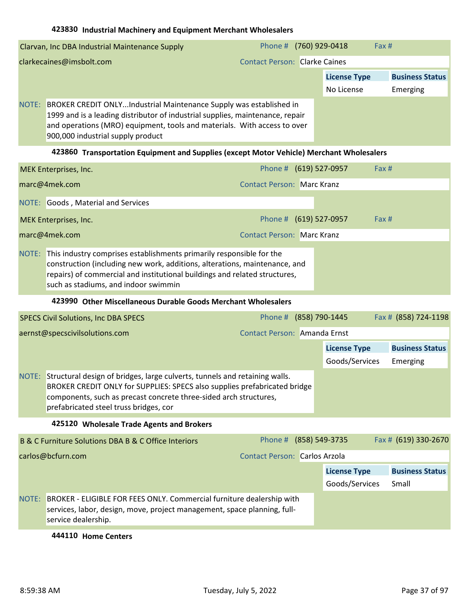|                          | Clarvan, Inc DBA Industrial Maintenance Supply                                                                                                                                                                                                                       | Phone # (760) 929-0418               |                     | Fax# |                        |
|--------------------------|----------------------------------------------------------------------------------------------------------------------------------------------------------------------------------------------------------------------------------------------------------------------|--------------------------------------|---------------------|------|------------------------|
| clarkecaines@imsbolt.com |                                                                                                                                                                                                                                                                      | <b>Contact Person: Clarke Caines</b> |                     |      |                        |
|                          |                                                                                                                                                                                                                                                                      |                                      | <b>License Type</b> |      | <b>Business Status</b> |
|                          |                                                                                                                                                                                                                                                                      |                                      | No License          |      | Emerging               |
| NOTE:                    | BROKER CREDIT ONLYIndustrial Maintenance Supply was established in<br>1999 and is a leading distributor of industrial supplies, maintenance, repair<br>and operations (MRO) equipment, tools and materials. With access to over<br>900,000 industrial supply product |                                      |                     |      |                        |

# **423860 Transportation Equipment and Supplies (except Motor Vehicle) Merchant Wholesalers**

|       | <b>MEK Enterprises, Inc.</b>                                                                                                                                                                                                                                             |                                   | Phone # (619) 527-0957 | Fax # |
|-------|--------------------------------------------------------------------------------------------------------------------------------------------------------------------------------------------------------------------------------------------------------------------------|-----------------------------------|------------------------|-------|
|       | marc@4mek.com                                                                                                                                                                                                                                                            | <b>Contact Person: Marc Kranz</b> |                        |       |
|       | NOTE: Goods, Material and Services                                                                                                                                                                                                                                       |                                   |                        |       |
|       | MEK Enterprises, Inc.                                                                                                                                                                                                                                                    |                                   | Phone # (619) 527-0957 | Fax#  |
|       | marc@4mek.com                                                                                                                                                                                                                                                            | <b>Contact Person: Marc Kranz</b> |                        |       |
| NOTE: | This industry comprises establishments primarily responsible for the<br>construction (including new work, additions, alterations, maintenance, and<br>repairs) of commercial and institutional buildings and related structures,<br>such as stadiums, and indoor swimmin |                                   |                        |       |

#### **423990 Other Miscellaneous Durable Goods Merchant Wholesalers**

|       | <b>SPECS Civil Solutions, Inc DBA SPECS</b>                                                                                                                                                                                                                            | Phone # (858) 790-1445 |                     | Fax # (858) 724-1198   |
|-------|------------------------------------------------------------------------------------------------------------------------------------------------------------------------------------------------------------------------------------------------------------------------|------------------------|---------------------|------------------------|
|       | Contact Person: Amanda Ernst<br>aernst@specscivilsolutions.com                                                                                                                                                                                                         |                        |                     |                        |
|       |                                                                                                                                                                                                                                                                        |                        | <b>License Type</b> | <b>Business Status</b> |
|       |                                                                                                                                                                                                                                                                        |                        | Goods/Services      | Emerging               |
| NOTE: | Structural design of bridges, large culverts, tunnels and retaining walls.<br>BROKER CREDIT ONLY for SUPPLIES: SPECS also supplies prefabricated bridge<br>components, such as precast concrete three-sided arch structures,<br>prefabricated steel truss bridges, cor |                        |                     |                        |

## **425120 Wholesale Trade Agents and Brokers**

|       | B & C Furniture Solutions DBA B & C Office Interiors                                                                                                                     | Phone # (858) 549-3735               |                     | Fax # (619) 330-2670   |
|-------|--------------------------------------------------------------------------------------------------------------------------------------------------------------------------|--------------------------------------|---------------------|------------------------|
|       | carlos@bcfurn.com                                                                                                                                                        | <b>Contact Person: Carlos Arzola</b> |                     |                        |
|       |                                                                                                                                                                          |                                      | <b>License Type</b> | <b>Business Status</b> |
|       |                                                                                                                                                                          |                                      | Goods/Services      | Small                  |
| NOTE: | BROKER - ELIGIBLE FOR FEES ONLY. Commercial furniture dealership with<br>services, labor, design, move, project management, space planning, full-<br>service dealership. |                                      |                     |                        |

#### **444110 Home Centers**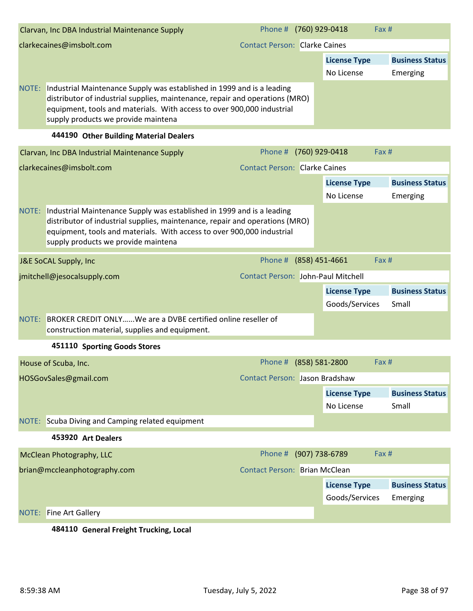|                                                                  | Clarvan, Inc DBA Industrial Maintenance Supply                                                                                                                                                                                                                          | Phone # (760) 929-0418 |                     | Fax # |                        |
|------------------------------------------------------------------|-------------------------------------------------------------------------------------------------------------------------------------------------------------------------------------------------------------------------------------------------------------------------|------------------------|---------------------|-------|------------------------|
| <b>Contact Person: Clarke Caines</b><br>clarkecaines@imsbolt.com |                                                                                                                                                                                                                                                                         |                        |                     |       |                        |
|                                                                  |                                                                                                                                                                                                                                                                         |                        | <b>License Type</b> |       | <b>Business Status</b> |
|                                                                  |                                                                                                                                                                                                                                                                         |                        | No License          |       | Emerging               |
| NOTE:                                                            | Industrial Maintenance Supply was established in 1999 and is a leading<br>distributor of industrial supplies, maintenance, repair and operations (MRO)<br>equipment, tools and materials. With access to over 900,000 industrial<br>supply products we provide maintena |                        |                     |       |                        |
|                                                                  |                                                                                                                                                                                                                                                                         |                        |                     |       |                        |

#### **444190 Other Building Material Dealers**

| Clarvan, Inc DBA Industrial Maintenance Supply                                                                                                                                                                                                                                | Phone # (760) 929-0418                | Fax #                   |                        |
|-------------------------------------------------------------------------------------------------------------------------------------------------------------------------------------------------------------------------------------------------------------------------------|---------------------------------------|-------------------------|------------------------|
| clarkecaines@imsbolt.com                                                                                                                                                                                                                                                      | <b>Contact Person: Clarke Caines</b>  |                         |                        |
|                                                                                                                                                                                                                                                                               |                                       | <b>License Type</b>     | <b>Business Status</b> |
|                                                                                                                                                                                                                                                                               |                                       | No License              | Emerging               |
| NOTE: Industrial Maintenance Supply was established in 1999 and is a leading<br>distributor of industrial supplies, maintenance, repair and operations (MRO)<br>equipment, tools and materials. With access to over 900,000 industrial<br>supply products we provide maintena |                                       |                         |                        |
| J&E SoCAL Supply, Inc                                                                                                                                                                                                                                                         | Phone # (858) 451-4661                | Fax #                   |                        |
| jmitchell@jesocalsupply.com                                                                                                                                                                                                                                                   | Contact Person: John-Paul Mitchell    |                         |                        |
|                                                                                                                                                                                                                                                                               |                                       | <b>License Type</b>     | <b>Business Status</b> |
|                                                                                                                                                                                                                                                                               |                                       | Goods/Services          | Small                  |
| NOTE: BROKER CREDIT ONLYWe are a DVBE certified online reseller of<br>construction material, supplies and equipment.                                                                                                                                                          |                                       |                         |                        |
| 451110 Sporting Goods Stores                                                                                                                                                                                                                                                  |                                       |                         |                        |
| House of Scuba, Inc.                                                                                                                                                                                                                                                          | Phone #                               | (858) 581-2800<br>Fax # |                        |
| HOSGovSales@gmail.com                                                                                                                                                                                                                                                         | <b>Contact Person: Jason Bradshaw</b> |                         |                        |
|                                                                                                                                                                                                                                                                               |                                       | <b>License Type</b>     | <b>Business Status</b> |
|                                                                                                                                                                                                                                                                               |                                       | No License              | Small                  |
| NOTE: Scuba Diving and Camping related equipment                                                                                                                                                                                                                              |                                       |                         |                        |
| 453920 Art Dealers                                                                                                                                                                                                                                                            |                                       |                         |                        |
| McClean Photography, LLC                                                                                                                                                                                                                                                      | Phone #                               | (907) 738-6789<br>Fax # |                        |
| brian@mccleanphotography.com                                                                                                                                                                                                                                                  | <b>Contact Person: Brian McClean</b>  |                         |                        |
|                                                                                                                                                                                                                                                                               |                                       | <b>License Type</b>     | <b>Business Status</b> |
|                                                                                                                                                                                                                                                                               |                                       | Goods/Services          | Emerging               |
| <b>NOTE:</b> Fine Art Gallery                                                                                                                                                                                                                                                 |                                       |                         |                        |

# **484110 General Freight Trucking, Local**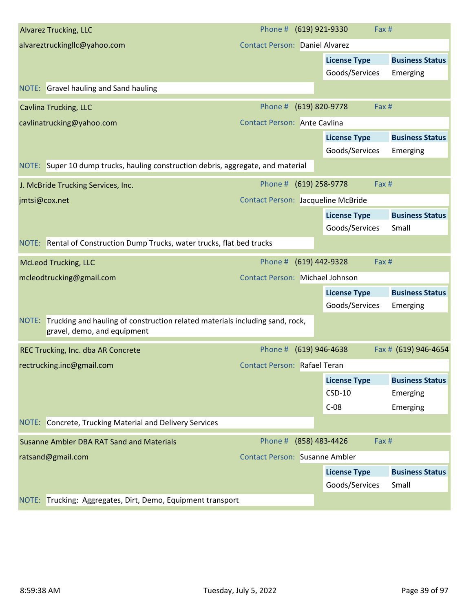| <b>Alvarez Trucking, LLC</b>                                                                                      | Phone # (619) 921-9330                    |                     | Fax #                  |
|-------------------------------------------------------------------------------------------------------------------|-------------------------------------------|---------------------|------------------------|
| alvareztruckingllc@yahoo.com                                                                                      | <b>Contact Person: Daniel Alvarez</b>     |                     |                        |
|                                                                                                                   |                                           | <b>License Type</b> | <b>Business Status</b> |
|                                                                                                                   |                                           | Goods/Services      | Emerging               |
| NOTE: Gravel hauling and Sand hauling                                                                             |                                           |                     |                        |
| <b>Cavlina Trucking, LLC</b>                                                                                      | Phone #                                   | (619) 820-9778      | Fax #                  |
| cavlinatrucking@yahoo.com                                                                                         | Contact Person: Ante Cavlina              |                     |                        |
|                                                                                                                   |                                           | <b>License Type</b> | <b>Business Status</b> |
|                                                                                                                   |                                           | Goods/Services      | Emerging               |
| NOTE: Super 10 dump trucks, hauling construction debris, aggregate, and material                                  |                                           |                     |                        |
| J. McBride Trucking Services, Inc.                                                                                | Phone # (619) 258-9778                    |                     | Fax #                  |
| jmtsi@cox.net                                                                                                     | <b>Contact Person: Jacqueline McBride</b> |                     |                        |
|                                                                                                                   |                                           | <b>License Type</b> | <b>Business Status</b> |
|                                                                                                                   |                                           | Goods/Services      | Small                  |
| NOTE: Rental of Construction Dump Trucks, water trucks, flat bed trucks                                           |                                           |                     |                        |
| <b>McLeod Trucking, LLC</b>                                                                                       | Phone #                                   | (619) 442-9328      | Fax #                  |
| mcleodtrucking@gmail.com                                                                                          | <b>Contact Person: Michael Johnson</b>    |                     |                        |
|                                                                                                                   |                                           | <b>License Type</b> | <b>Business Status</b> |
|                                                                                                                   |                                           | Goods/Services      | Emerging               |
| NOTE: Trucking and hauling of construction related materials including sand, rock,<br>gravel, demo, and equipment |                                           |                     |                        |
| REC Trucking, Inc. dba AR Concrete                                                                                | Phone # (619) 946-4638                    |                     | Fax # (619) 946-4654   |
| rectrucking.inc@gmail.com                                                                                         | Contact Person: Rafael Teran              |                     |                        |
|                                                                                                                   |                                           | <b>License Type</b> | <b>Business Status</b> |
|                                                                                                                   |                                           | $CSD-10$            | Emerging               |
|                                                                                                                   |                                           | $C-08$              | Emerging               |
| NOTE: Concrete, Trucking Material and Delivery Services                                                           |                                           |                     |                        |
| Susanne Ambler DBA RAT Sand and Materials                                                                         | Phone #                                   | (858) 483-4426      | Fax #                  |
| ratsand@gmail.com                                                                                                 | <b>Contact Person: Susanne Ambler</b>     |                     |                        |
|                                                                                                                   |                                           | <b>License Type</b> | <b>Business Status</b> |
|                                                                                                                   |                                           | Goods/Services      | Small                  |
| NOTE: Trucking: Aggregates, Dirt, Demo, Equipment transport                                                       |                                           |                     |                        |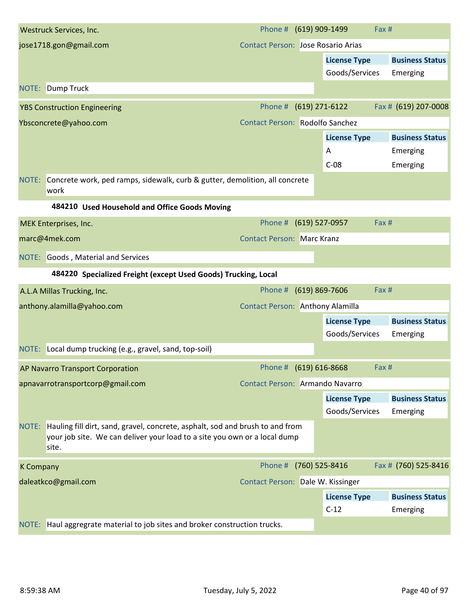| Westruck Services, Inc.                                                                                                                                                   | Phone # (619) 909-1499                    | Fax #                     |                        |
|---------------------------------------------------------------------------------------------------------------------------------------------------------------------------|-------------------------------------------|---------------------------|------------------------|
| jose1718.gon@gmail.com                                                                                                                                                    | <b>Contact Person: Jose Rosario Arias</b> |                           |                        |
|                                                                                                                                                                           |                                           | <b>License Type</b>       | <b>Business Status</b> |
|                                                                                                                                                                           |                                           | Goods/Services            | Emerging               |
| <b>Dump Truck</b><br>NOTE:                                                                                                                                                |                                           |                           |                        |
| <b>YBS Construction Engineering</b>                                                                                                                                       | Phone #                                   | (619) 271-6122            | Fax # (619) 207-0008   |
| Ybsconcrete@yahoo.com                                                                                                                                                     | <b>Contact Person: Rodolfo Sanchez</b>    |                           |                        |
|                                                                                                                                                                           |                                           | <b>License Type</b>       | <b>Business Status</b> |
|                                                                                                                                                                           |                                           | Α                         | Emerging               |
|                                                                                                                                                                           |                                           | $C-08$                    | Emerging               |
| NOTE: Concrete work, ped ramps, sidewalk, curb & gutter, demolition, all concrete<br>work                                                                                 |                                           |                           |                        |
| 484210 Used Household and Office Goods Moving                                                                                                                             |                                           |                           |                        |
| MEK Enterprises, Inc.                                                                                                                                                     | Phone # (619) 527-0957                    | Fax #                     |                        |
| marc@4mek.com                                                                                                                                                             | <b>Contact Person: Marc Kranz</b>         |                           |                        |
| NOTE: Goods, Material and Services                                                                                                                                        |                                           |                           |                        |
| 484220 Specialized Freight (except Used Goods) Trucking, Local                                                                                                            |                                           |                           |                        |
| A.L.A Millas Trucking, Inc.                                                                                                                                               | Phone #                                   | $(619)$ 869-7606<br>Fax # |                        |
| anthony.alamilla@yahoo.com                                                                                                                                                | Contact Person: Anthony Alamilla          |                           |                        |
|                                                                                                                                                                           |                                           | <b>License Type</b>       | <b>Business Status</b> |
|                                                                                                                                                                           |                                           | Goods/Services            | Emerging               |
| NOTE: Local dump trucking (e.g., gravel, sand, top-soil)                                                                                                                  |                                           |                           |                        |
| <b>AP Navarro Transport Corporation</b>                                                                                                                                   | Phone # (619) 616-8668                    | Fax #                     |                        |
| apnavarrotransportcorp@gmail.com                                                                                                                                          | Contact Person: Armando Navarro           |                           |                        |
|                                                                                                                                                                           |                                           | <b>License Type</b>       | <b>Business Status</b> |
|                                                                                                                                                                           |                                           | Goods/Services            | Emerging               |
| NOTE: Hauling fill dirt, sand, gravel, concrete, asphalt, sod and brush to and from<br>your job site. We can deliver your load to a site you own or a local dump<br>site. |                                           |                           |                        |
| <b>K Company</b>                                                                                                                                                          | Phone # (760) 525-8416                    |                           | Fax # (760) 525-8416   |
| daleatkco@gmail.com                                                                                                                                                       | Contact Person: Dale W. Kissinger         |                           |                        |
|                                                                                                                                                                           |                                           | <b>License Type</b>       | <b>Business Status</b> |
|                                                                                                                                                                           |                                           | $C-12$                    | Emerging               |
| NOTE: Haul aggregrate material to job sites and broker construction trucks.                                                                                               |                                           |                           |                        |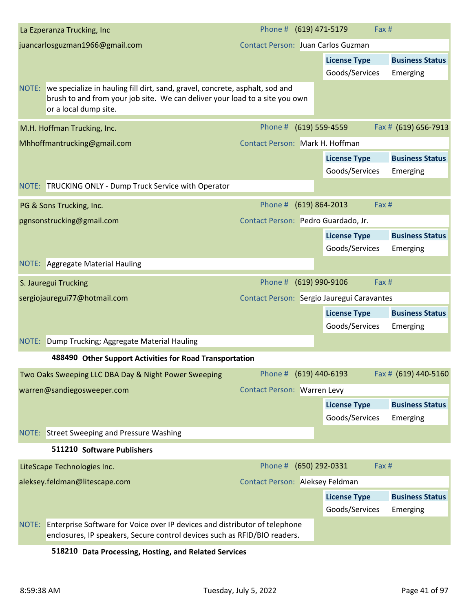| La Ezperanza Trucking, Inc                                                                                                                                                                 | Phone # (619) 471-5179              | Fax #                                      |                        |
|--------------------------------------------------------------------------------------------------------------------------------------------------------------------------------------------|-------------------------------------|--------------------------------------------|------------------------|
| juancarlosguzman1966@gmail.com                                                                                                                                                             | Contact Person: Juan Carlos Guzman  |                                            |                        |
|                                                                                                                                                                                            |                                     | <b>License Type</b>                        | <b>Business Status</b> |
|                                                                                                                                                                                            |                                     | Goods/Services                             | Emerging               |
| NOTE: we specialize in hauling fill dirt, sand, gravel, concrete, asphalt, sod and<br>brush to and from your job site. We can deliver your load to a site you own<br>or a local dump site. |                                     |                                            |                        |
| M.H. Hoffman Trucking, Inc.                                                                                                                                                                | Phone # (619) 559-4559              |                                            | Fax # (619) 656-7913   |
| Mhhoffmantrucking@gmail.com                                                                                                                                                                | Contact Person: Mark H. Hoffman     |                                            |                        |
|                                                                                                                                                                                            |                                     | <b>License Type</b>                        | <b>Business Status</b> |
|                                                                                                                                                                                            |                                     | Goods/Services                             | Emerging               |
| NOTE: TRUCKING ONLY - Dump Truck Service with Operator                                                                                                                                     |                                     |                                            |                        |
| PG & Sons Trucking, Inc.                                                                                                                                                                   | Phone #                             | $(619) 864 - 2013$<br>Fax #                |                        |
| pgnsonstrucking@gmail.com                                                                                                                                                                  | Contact Person: Pedro Guardado, Jr. |                                            |                        |
|                                                                                                                                                                                            |                                     | <b>License Type</b>                        | <b>Business Status</b> |
|                                                                                                                                                                                            |                                     | Goods/Services                             | Emerging               |
| NOTE: Aggregate Material Hauling                                                                                                                                                           |                                     |                                            |                        |
| S. Jauregui Trucking                                                                                                                                                                       | Phone #                             | (619) 990-9106<br>Fax #                    |                        |
| sergiojauregui77@hotmail.com                                                                                                                                                               |                                     | Contact Person: Sergio Jauregui Caravantes |                        |
|                                                                                                                                                                                            |                                     | <b>License Type</b>                        | <b>Business Status</b> |
|                                                                                                                                                                                            |                                     | Goods/Services                             | Emerging               |
| NOTE: Dump Trucking; Aggregate Material Hauling                                                                                                                                            |                                     |                                            |                        |
| 488490 Other Support Activities for Road Transportation                                                                                                                                    |                                     |                                            |                        |
| Two Oaks Sweeping LLC DBA Day & Night Power Sweeping                                                                                                                                       | Phone # (619) 440-6193              |                                            | Fax # (619) 440-5160   |
| warren@sandiegosweeper.com                                                                                                                                                                 | <b>Contact Person: Warren Levy</b>  |                                            |                        |
|                                                                                                                                                                                            |                                     | <b>License Type</b>                        | <b>Business Status</b> |
|                                                                                                                                                                                            |                                     | Goods/Services                             | Emerging               |
| NOTE: Street Sweeping and Pressure Washing                                                                                                                                                 |                                     |                                            |                        |
| 511210 Software Publishers                                                                                                                                                                 |                                     |                                            |                        |
| LiteScape Technologies Inc.                                                                                                                                                                | Phone #                             | (650) 292-0331<br>Fax #                    |                        |
| aleksey.feldman@litescape.com                                                                                                                                                              | Contact Person: Aleksey Feldman     |                                            |                        |
|                                                                                                                                                                                            |                                     | <b>License Type</b>                        | <b>Business Status</b> |
|                                                                                                                                                                                            |                                     | Goods/Services                             | Emerging               |
| NOTE: Enterprise Software for Voice over IP devices and distributor of telephone<br>enclosures, IP speakers, Secure control devices such as RFID/BIO readers.                              |                                     |                                            |                        |

# **518210 Data Processing, Hosting, and Related Services**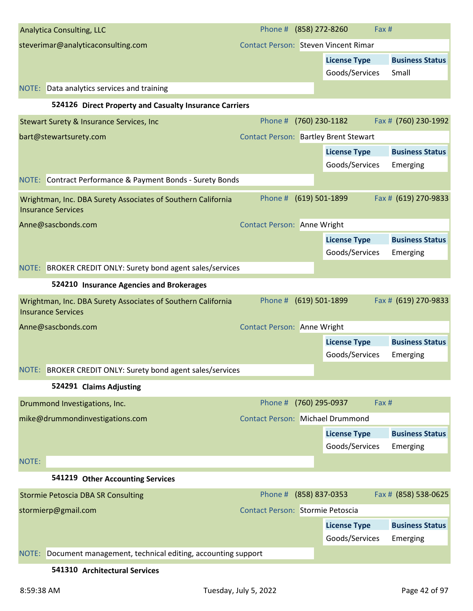| <b>Analytica Consulting, LLC</b>                                                          | Phone # (858) 272-8260                       |                    |                     | Fax #                  |
|-------------------------------------------------------------------------------------------|----------------------------------------------|--------------------|---------------------|------------------------|
| steverimar@analyticaconsulting.com                                                        | <b>Contact Person: Steven Vincent Rimar</b>  |                    |                     |                        |
|                                                                                           |                                              |                    | <b>License Type</b> | <b>Business Status</b> |
|                                                                                           |                                              |                    | Goods/Services      | Small                  |
| NOTE: Data analytics services and training                                                |                                              |                    |                     |                        |
| 524126 Direct Property and Casualty Insurance Carriers                                    |                                              |                    |                     |                        |
| Stewart Surety & Insurance Services, Inc                                                  | Phone #                                      | (760) 230-1182     |                     | Fax # (760) 230-1992   |
| bart@stewartsurety.com                                                                    | <b>Contact Person: Bartley Brent Stewart</b> |                    |                     |                        |
|                                                                                           |                                              |                    | <b>License Type</b> | <b>Business Status</b> |
|                                                                                           |                                              |                    | Goods/Services      | Emerging               |
| NOTE: Contract Performance & Payment Bonds - Surety Bonds                                 |                                              |                    |                     |                        |
| Wrightman, Inc. DBA Surety Associates of Southern California<br><b>Insurance Services</b> | Phone #                                      | (619) 501-1899     |                     | Fax # (619) 270-9833   |
| Anne@sascbonds.com                                                                        | <b>Contact Person: Anne Wright</b>           |                    |                     |                        |
|                                                                                           |                                              |                    | <b>License Type</b> | <b>Business Status</b> |
|                                                                                           |                                              |                    | Goods/Services      | Emerging               |
| NOTE: BROKER CREDIT ONLY: Surety bond agent sales/services                                |                                              |                    |                     |                        |
| 524210 Insurance Agencies and Brokerages                                                  |                                              |                    |                     |                        |
| Wrightman, Inc. DBA Surety Associates of Southern California<br><b>Insurance Services</b> | Phone #                                      | $(619) 501 - 1899$ |                     | Fax # (619) 270-9833   |
| Anne@sascbonds.com                                                                        | <b>Contact Person: Anne Wright</b>           |                    |                     |                        |
|                                                                                           |                                              |                    | <b>License Type</b> | <b>Business Status</b> |
|                                                                                           |                                              |                    | Goods/Services      | Emerging               |
| NOTE: BROKER CREDIT ONLY: Surety bond agent sales/services                                |                                              |                    |                     |                        |
| 524291 Claims Adjusting                                                                   |                                              |                    |                     |                        |
| Drummond Investigations, Inc.                                                             | Phone #                                      | (760) 295-0937     |                     | Fax #                  |
| mike@drummondinvestigations.com                                                           | <b>Contact Person: Michael Drummond</b>      |                    |                     |                        |
|                                                                                           |                                              |                    | <b>License Type</b> | <b>Business Status</b> |
|                                                                                           |                                              |                    | Goods/Services      | Emerging               |
| NOTE:                                                                                     |                                              |                    |                     |                        |
| 541219 Other Accounting Services                                                          |                                              |                    |                     |                        |
| <b>Stormie Petoscia DBA SR Consulting</b>                                                 | Phone #                                      | (858) 837-0353     |                     | Fax # (858) 538-0625   |
| stormierp@gmail.com                                                                       | Contact Person: Stormie Petoscia             |                    |                     |                        |
|                                                                                           |                                              |                    | <b>License Type</b> | <b>Business Status</b> |
|                                                                                           |                                              |                    | Goods/Services      | Emerging               |
| Document management, technical editing, accounting support<br>NOTE:                       |                                              |                    |                     |                        |
|                                                                                           |                                              |                    |                     |                        |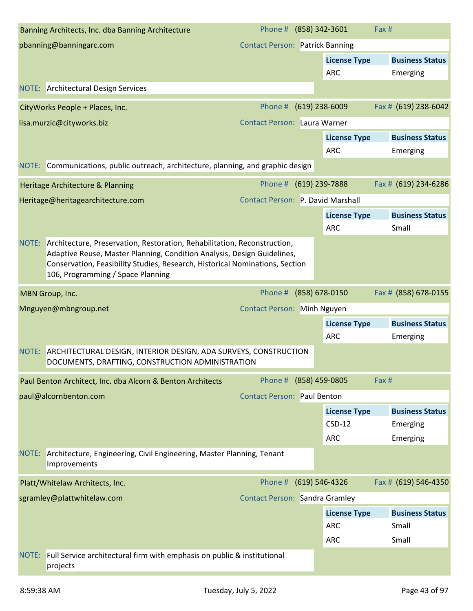| Banning Architects, Inc. dba Banning Architecture                                                                                                         | Phone # (858) 342-3601                 |                  |                     | Fax #                  |
|-----------------------------------------------------------------------------------------------------------------------------------------------------------|----------------------------------------|------------------|---------------------|------------------------|
| pbanning@banningarc.com                                                                                                                                   | <b>Contact Person: Patrick Banning</b> |                  |                     |                        |
|                                                                                                                                                           |                                        |                  | <b>License Type</b> | <b>Business Status</b> |
|                                                                                                                                                           |                                        |                  | <b>ARC</b>          | Emerging               |
| <b>NOTE:</b> Architectural Design Services                                                                                                                |                                        |                  |                     |                        |
| CityWorks People + Places, Inc.                                                                                                                           | Phone #                                | $(619)$ 238-6009 |                     | Fax # (619) 238-6042   |
| lisa.murzic@cityworks.biz                                                                                                                                 | Contact Person: Laura Warner           |                  |                     |                        |
|                                                                                                                                                           |                                        |                  | <b>License Type</b> | <b>Business Status</b> |
|                                                                                                                                                           |                                        |                  | <b>ARC</b>          | Emerging               |
| NOTE: Communications, public outreach, architecture, planning, and graphic design                                                                         |                                        |                  |                     |                        |
| Heritage Architecture & Planning                                                                                                                          | Phone # (619) 239-7888                 |                  |                     | Fax # (619) 234-6286   |
| Heritage@heritagearchitecture.com                                                                                                                         | Contact Person: P. David Marshall      |                  |                     |                        |
|                                                                                                                                                           |                                        |                  | <b>License Type</b> | <b>Business Status</b> |
|                                                                                                                                                           |                                        |                  | <b>ARC</b>          | Small                  |
| NOTE: Architecture, Preservation, Restoration, Rehabilitation, Reconstruction,<br>Adaptive Reuse, Master Planning, Condition Analysis, Design Guidelines, |                                        |                  |                     |                        |
| Conservation, Feasibility Studies, Research, Historical Nominations, Section                                                                              |                                        |                  |                     |                        |
| 106, Programming / Space Planning                                                                                                                         |                                        |                  |                     |                        |
| MBN Group, Inc.                                                                                                                                           | Phone #                                | (858) 678-0150   |                     | Fax # (858) 678-0155   |
| Mnguyen@mbngroup.net                                                                                                                                      | <b>Contact Person: Minh Nguyen</b>     |                  |                     |                        |
|                                                                                                                                                           |                                        |                  | <b>License Type</b> | <b>Business Status</b> |
|                                                                                                                                                           |                                        |                  | <b>ARC</b>          | Emerging               |
| NOTE: ARCHITECTURAL DESIGN, INTERIOR DESIGN, ADA SURVEYS, CONSTRUCTION<br>DOCUMENTS, DRAFTING, CONSTRUCTION ADMINISTRATION                                |                                        |                  |                     |                        |
| Paul Benton Architect, Inc. dba Alcorn & Benton Architects                                                                                                | Phone #                                | (858) 459-0805   |                     | Fax #                  |
| paul@alcornbenton.com                                                                                                                                     | <b>Contact Person: Paul Benton</b>     |                  |                     |                        |
|                                                                                                                                                           |                                        |                  | <b>License Type</b> | <b>Business Status</b> |
|                                                                                                                                                           |                                        |                  | $CSD-12$            | Emerging               |
|                                                                                                                                                           |                                        |                  | <b>ARC</b>          | Emerging               |
| NOTE: Architecture, Engineering, Civil Engineering, Master Planning, Tenant<br>Improvements                                                               |                                        |                  |                     |                        |
| Platt/Whitelaw Architects, Inc.                                                                                                                           | Phone #                                | (619) 546-4326   |                     | Fax # (619) 546-4350   |
| sgramley@plattwhitelaw.com                                                                                                                                | <b>Contact Person: Sandra Gramley</b>  |                  |                     |                        |
|                                                                                                                                                           |                                        |                  | <b>License Type</b> | <b>Business Status</b> |
|                                                                                                                                                           |                                        |                  | <b>ARC</b>          | Small                  |
|                                                                                                                                                           |                                        |                  | <b>ARC</b>          | Small                  |
| NOTE: Full Service architectural firm with emphasis on public & institutional<br>projects                                                                 |                                        |                  |                     |                        |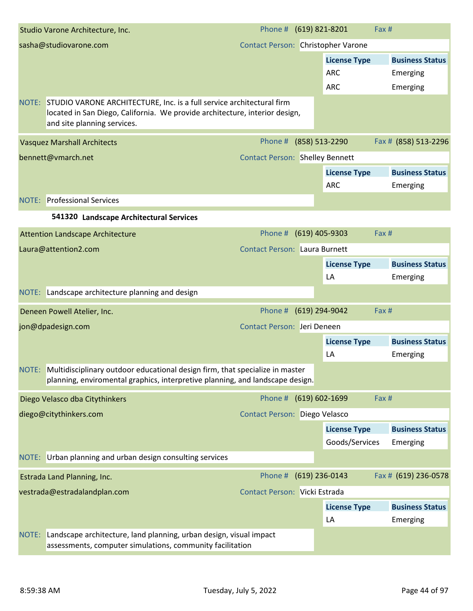|       | Studio Varone Architecture, Inc.                                                                                                                                                    | Phone # (619) 821-8201                 |                                       | Fax #                              |
|-------|-------------------------------------------------------------------------------------------------------------------------------------------------------------------------------------|----------------------------------------|---------------------------------------|------------------------------------|
|       | sasha@studiovarone.com                                                                                                                                                              | Contact Person: Christopher Varone     |                                       |                                    |
|       |                                                                                                                                                                                     |                                        | <b>License Type</b>                   | <b>Business Status</b>             |
|       |                                                                                                                                                                                     |                                        | <b>ARC</b>                            | Emerging                           |
|       |                                                                                                                                                                                     |                                        | <b>ARC</b>                            | Emerging                           |
| NOTE: | STUDIO VARONE ARCHITECTURE, Inc. is a full service architectural firm<br>located in San Diego, California. We provide architecture, interior design,<br>and site planning services. |                                        |                                       |                                    |
|       | <b>Vasquez Marshall Architects</b>                                                                                                                                                  | Phone #                                | (858) 513-2290                        | Fax # (858) 513-2296               |
|       | bennett@vmarch.net                                                                                                                                                                  | <b>Contact Person: Shelley Bennett</b> |                                       |                                    |
|       |                                                                                                                                                                                     |                                        | <b>License Type</b>                   | <b>Business Status</b>             |
|       |                                                                                                                                                                                     |                                        | <b>ARC</b>                            | Emerging                           |
|       | <b>NOTE:</b> Professional Services                                                                                                                                                  |                                        |                                       |                                    |
|       | 541320 Landscape Architectural Services                                                                                                                                             |                                        |                                       |                                    |
|       | <b>Attention Landscape Architecture</b>                                                                                                                                             | Phone #                                | $(619)$ 405-9303                      | Fax #                              |
|       | Laura@attention2.com                                                                                                                                                                | <b>Contact Person: Laura Burnett</b>   |                                       |                                    |
|       |                                                                                                                                                                                     |                                        | <b>License Type</b>                   | <b>Business Status</b>             |
|       |                                                                                                                                                                                     |                                        | LA                                    | Emerging                           |
|       | NOTE: Landscape architecture planning and design                                                                                                                                    |                                        |                                       |                                    |
|       | Deneen Powell Atelier, Inc.                                                                                                                                                         | Phone # (619) 294-9042                 |                                       | Fax #                              |
|       | jon@dpadesign.com                                                                                                                                                                   | Contact Person: Jeri Deneen            |                                       |                                    |
|       |                                                                                                                                                                                     |                                        | <b>License Type</b>                   | <b>Business Status</b>             |
|       |                                                                                                                                                                                     |                                        | LA                                    | Emerging                           |
|       | NOTE: Multidisciplinary outdoor educational design firm, that specialize in master<br>planning, enviromental graphics, interpretive planning, and landscape design.                 |                                        |                                       |                                    |
|       | Diego Velasco dba Citythinkers                                                                                                                                                      | Phone # (619) 602-1699                 |                                       | Fax #                              |
|       | diego@citythinkers.com                                                                                                                                                              | Contact Person: Diego Velasco          |                                       |                                    |
|       |                                                                                                                                                                                     |                                        | <b>License Type</b><br>Goods/Services | <b>Business Status</b><br>Emerging |
|       | NOTE: Urban planning and urban design consulting services                                                                                                                           |                                        |                                       |                                    |
|       | Estrada Land Planning, Inc.                                                                                                                                                         | Phone # (619) 236-0143                 |                                       | Fax # (619) 236-0578               |
|       |                                                                                                                                                                                     |                                        |                                       |                                    |
|       | vestrada@estradalandplan.com                                                                                                                                                        | Contact Person: Vicki Estrada          |                                       |                                    |
|       |                                                                                                                                                                                     |                                        | <b>License Type</b>                   | <b>Business Status</b>             |
|       |                                                                                                                                                                                     |                                        | LA                                    | Emerging                           |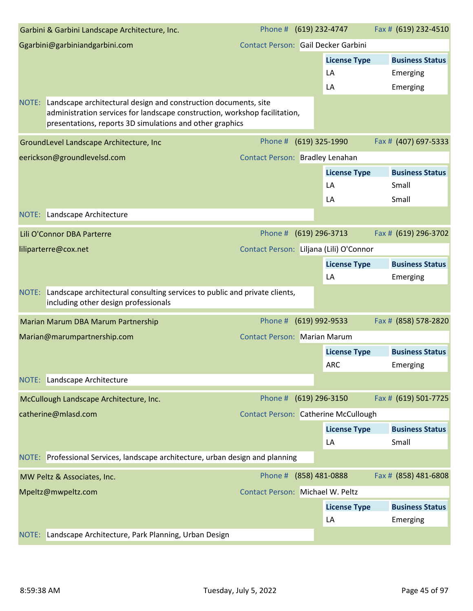|       | Garbini & Garbini Landscape Architecture, Inc.                                                                                                                                                            | Phone # (619) 232-4747                  |                                             | Fax # (619) 232-4510   |
|-------|-----------------------------------------------------------------------------------------------------------------------------------------------------------------------------------------------------------|-----------------------------------------|---------------------------------------------|------------------------|
|       | Ggarbini@garbiniandgarbini.com                                                                                                                                                                            | Contact Person: Gail Decker Garbini     |                                             |                        |
|       |                                                                                                                                                                                                           |                                         | <b>License Type</b>                         | <b>Business Status</b> |
|       |                                                                                                                                                                                                           |                                         | LA                                          | Emerging               |
|       |                                                                                                                                                                                                           |                                         | LA                                          | Emerging               |
| NOTE: | Landscape architectural design and construction documents, site<br>administration services for landscape construction, workshop facilitation,<br>presentations, reports 3D simulations and other graphics |                                         |                                             |                        |
|       | GroundLevel Landscape Architecture, Inc                                                                                                                                                                   | Phone #                                 | (619) 325-1990                              | Fax # (407) 697-5333   |
|       | eerickson@groundlevelsd.com                                                                                                                                                                               | Contact Person: Bradley Lenahan         |                                             |                        |
|       |                                                                                                                                                                                                           |                                         | <b>License Type</b>                         | <b>Business Status</b> |
|       |                                                                                                                                                                                                           |                                         | LA                                          | Small                  |
|       |                                                                                                                                                                                                           |                                         | LA                                          | Small                  |
|       | NOTE: Landscape Architecture                                                                                                                                                                              |                                         |                                             |                        |
|       | Lili O'Connor DBA Parterre                                                                                                                                                                                | Phone #                                 | (619) 296-3713                              | Fax # (619) 296-3702   |
|       | liliparterre@cox.net                                                                                                                                                                                      | Contact Person: Liljana (Lili) O'Connor |                                             |                        |
|       |                                                                                                                                                                                                           |                                         | <b>License Type</b>                         | <b>Business Status</b> |
|       |                                                                                                                                                                                                           |                                         | LA                                          | Emerging               |
| NOTE: | Landscape architectural consulting services to public and private clients,<br>including other design professionals                                                                                        |                                         |                                             |                        |
|       | Marian Marum DBA Marum Partnership                                                                                                                                                                        | Phone #                                 | (619) 992-9533                              | Fax # (858) 578-2820   |
|       | Marian@marumpartnership.com                                                                                                                                                                               | <b>Contact Person: Marian Marum</b>     |                                             |                        |
|       |                                                                                                                                                                                                           |                                         | <b>License Type</b>                         | <b>Business Status</b> |
|       |                                                                                                                                                                                                           |                                         | <b>ARC</b>                                  | Emerging               |
| NOTE: | Landscape Architecture                                                                                                                                                                                    |                                         |                                             |                        |
|       | McCullough Landscape Architecture, Inc.                                                                                                                                                                   | Phone # (619) 296-3150                  |                                             | Fax # (619) 501-7725   |
|       | catherine@mlasd.com                                                                                                                                                                                       |                                         | <b>Contact Person: Catherine McCullough</b> |                        |
|       |                                                                                                                                                                                                           |                                         | <b>License Type</b>                         | <b>Business Status</b> |
|       |                                                                                                                                                                                                           |                                         | LA                                          | Small                  |
|       | NOTE: Professional Services, landscape architecture, urban design and planning                                                                                                                            |                                         |                                             |                        |
|       | MW Peltz & Associates, Inc.                                                                                                                                                                               | Phone # (858) 481-0888                  |                                             | Fax # (858) 481-6808   |
|       | Mpeltz@mwpeltz.com                                                                                                                                                                                        | Contact Person: Michael W. Peltz        |                                             |                        |
|       |                                                                                                                                                                                                           |                                         | <b>License Type</b>                         | <b>Business Status</b> |
|       |                                                                                                                                                                                                           |                                         | LA                                          | Emerging               |
| NOTE: | Landscape Architecture, Park Planning, Urban Design                                                                                                                                                       |                                         |                                             |                        |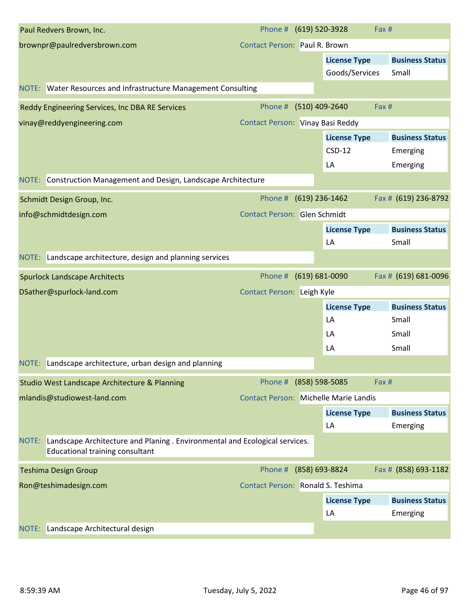| Paul Redvers Brown, Inc.                                                                                                       | Phone #                                      | (619) 520-3928            | Fax #                              |
|--------------------------------------------------------------------------------------------------------------------------------|----------------------------------------------|---------------------------|------------------------------------|
| brownpr@paulredversbrown.com                                                                                                   | <b>Contact Person: Paul R. Brown</b>         |                           |                                    |
|                                                                                                                                |                                              | <b>License Type</b>       | <b>Business Status</b>             |
|                                                                                                                                |                                              | Goods/Services            | Small                              |
| NOTE: Water Resources and Infrastructure Management Consulting                                                                 |                                              |                           |                                    |
| Reddy Engineering Services, Inc DBA RE Services                                                                                | Phone #                                      | (510) 409-2640            | Fax #                              |
| vinay@reddyengineering.com                                                                                                     | Contact Person: Vinay Basi Reddy             |                           |                                    |
|                                                                                                                                |                                              | <b>License Type</b>       | <b>Business Status</b>             |
|                                                                                                                                |                                              | $CSD-12$                  | Emerging                           |
|                                                                                                                                |                                              | LA                        | Emerging                           |
| Construction Management and Design, Landscape Architecture<br>NOTE:                                                            |                                              |                           |                                    |
| Schmidt Design Group, Inc.                                                                                                     | Phone #                                      | $(619)$ 236-1462          | Fax # (619) 236-8792               |
| info@schmidtdesign.com                                                                                                         | <b>Contact Person: Glen Schmidt</b>          |                           |                                    |
|                                                                                                                                |                                              | <b>License Type</b>       | <b>Business Status</b>             |
|                                                                                                                                |                                              | LA                        | Small                              |
| NOTE: Landscape architecture, design and planning services                                                                     |                                              |                           |                                    |
| <b>Spurlock Landscape Architects</b>                                                                                           | Phone # (619) 681-0090                       |                           | Fax # (619) 681-0096               |
| DSather@spurlock-land.com                                                                                                      | Contact Person: Leigh Kyle                   |                           |                                    |
|                                                                                                                                |                                              | <b>License Type</b>       | <b>Business Status</b>             |
|                                                                                                                                |                                              | LA                        | Small                              |
|                                                                                                                                |                                              | LA                        | Small                              |
|                                                                                                                                |                                              | LA                        | Small                              |
| NOTE: Landscape architecture, urban design and planning                                                                        |                                              |                           |                                    |
| Studio West Landscape Architecture & Planning                                                                                  | Phone #                                      | (858) 598-5085            | Fax #                              |
| mlandis@studiowest-land.com                                                                                                    | <b>Contact Person: Michelle Marie Landis</b> |                           |                                    |
|                                                                                                                                |                                              | <b>License Type</b>       | <b>Business Status</b>             |
|                                                                                                                                |                                              | LA                        | Emerging                           |
| Landscape Architecture and Planing . Environmental and Ecological services.<br>NOTE:<br><b>Educational training consultant</b> |                                              |                           |                                    |
| <b>Teshima Design Group</b>                                                                                                    | Phone #                                      | (858) 693-8824            | Fax # (858) 693-1182               |
| Ron@teshimadesign.com                                                                                                          | Contact Person: Ronald S. Teshima            |                           |                                    |
|                                                                                                                                |                                              | <b>License Type</b><br>LA | <b>Business Status</b><br>Emerging |
| Landscape Architectural design<br>NOTE:                                                                                        |                                              |                           |                                    |
|                                                                                                                                |                                              |                           |                                    |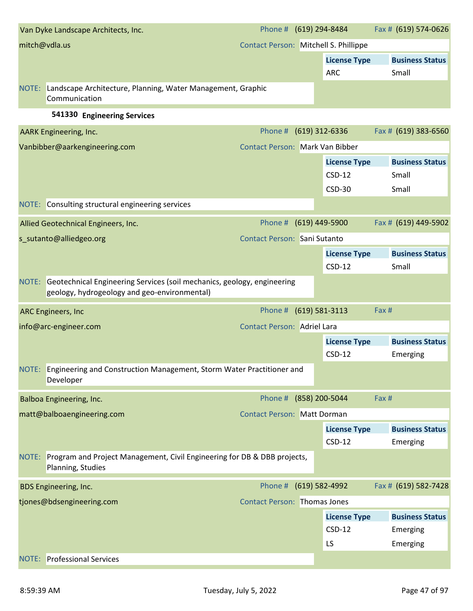|       | Van Dyke Landscape Architects, Inc.                                                                                           | Phone # (619) 294-8484                |                     | Fax # (619) 574-0626   |
|-------|-------------------------------------------------------------------------------------------------------------------------------|---------------------------------------|---------------------|------------------------|
|       | mitch@vdla.us                                                                                                                 | Contact Person: Mitchell S. Phillippe |                     |                        |
|       |                                                                                                                               |                                       | <b>License Type</b> | <b>Business Status</b> |
|       |                                                                                                                               |                                       | <b>ARC</b>          | Small                  |
| NOTE: | Landscape Architecture, Planning, Water Management, Graphic<br>Communication                                                  |                                       |                     |                        |
|       | 541330 Engineering Services                                                                                                   |                                       |                     |                        |
|       | AARK Engineering, Inc.                                                                                                        | Phone #                               | $(619)$ 312-6336    | Fax # (619) 383-6560   |
|       | Vanbibber@aarkengineering.com                                                                                                 | Contact Person: Mark Van Bibber       |                     |                        |
|       |                                                                                                                               |                                       | <b>License Type</b> | <b>Business Status</b> |
|       |                                                                                                                               |                                       | $CSD-12$            | Small                  |
|       |                                                                                                                               |                                       | <b>CSD-30</b>       | Small                  |
|       | NOTE: Consulting structural engineering services                                                                              |                                       |                     |                        |
|       | Allied Geotechnical Engineers, Inc.                                                                                           | Phone # (619) 449-5900                |                     | Fax # (619) 449-5902   |
|       | s_sutanto@alliedgeo.org                                                                                                       | Contact Person: Sani Sutanto          |                     |                        |
|       |                                                                                                                               |                                       | <b>License Type</b> | <b>Business Status</b> |
|       |                                                                                                                               |                                       | $CSD-12$            | Small                  |
|       | NOTE: Geotechnical Engineering Services (soil mechanics, geology, engineering<br>geology, hydrogeology and geo-environmental) |                                       |                     |                        |
|       | ARC Engineers, Inc                                                                                                            | Phone #                               | $(619) 581 - 3113$  | Fax #                  |
|       | info@arc-engineer.com                                                                                                         | <b>Contact Person: Adriel Lara</b>    |                     |                        |
|       |                                                                                                                               |                                       | <b>License Type</b> | <b>Business Status</b> |
|       |                                                                                                                               |                                       | $CSD-12$            | Emerging               |
|       | NOTE: Engineering and Construction Management, Storm Water Practitioner and<br>Developer                                      |                                       |                     |                        |
|       | Balboa Engineering, Inc.                                                                                                      | Phone # (858) 200-5044                |                     | Fax #                  |
|       | matt@balboaengineering.com                                                                                                    | <b>Contact Person: Matt Dorman</b>    |                     |                        |
|       |                                                                                                                               |                                       | <b>License Type</b> | <b>Business Status</b> |
|       |                                                                                                                               |                                       | $CSD-12$            | Emerging               |
| NOTE: | Program and Project Management, Civil Engineering for DB & DBB projects,<br>Planning, Studies                                 |                                       |                     |                        |
|       | <b>BDS Engineering, Inc.</b>                                                                                                  | Phone # (619) 582-4992                |                     | Fax # (619) 582-7428   |
|       | tjones@bdsengineering.com                                                                                                     | <b>Contact Person: Thomas Jones</b>   |                     |                        |
|       |                                                                                                                               |                                       |                     |                        |
|       |                                                                                                                               |                                       | <b>License Type</b> | <b>Business Status</b> |
|       |                                                                                                                               |                                       | $CSD-12$            | Emerging               |
|       |                                                                                                                               |                                       | LS                  | Emerging               |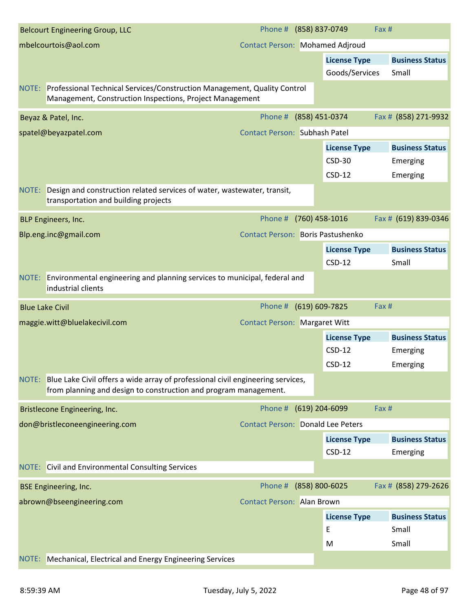| <b>Belcourt Engineering Group, LLC</b>                                                                                                                    | Phone # (858) 837-0749                   |                     | Fax #                  |
|-----------------------------------------------------------------------------------------------------------------------------------------------------------|------------------------------------------|---------------------|------------------------|
| mbelcourtois@aol.com                                                                                                                                      | <b>Contact Person: Mohamed Adjroud</b>   |                     |                        |
|                                                                                                                                                           |                                          | <b>License Type</b> | <b>Business Status</b> |
|                                                                                                                                                           |                                          | Goods/Services      | Small                  |
| NOTE: Professional Technical Services/Construction Management, Quality Control<br>Management, Construction Inspections, Project Management                |                                          |                     |                        |
| Beyaz & Patel, Inc.                                                                                                                                       | Phone #                                  | (858) 451-0374      | Fax # (858) 271-9932   |
| spatel@beyazpatel.com                                                                                                                                     | <b>Contact Person: Subhash Patel</b>     |                     |                        |
|                                                                                                                                                           |                                          | <b>License Type</b> | <b>Business Status</b> |
|                                                                                                                                                           |                                          | <b>CSD-30</b>       | Emerging               |
|                                                                                                                                                           |                                          | $CSD-12$            | Emerging               |
| Design and construction related services of water, wastewater, transit,<br>NOTE:<br>transportation and building projects                                  |                                          |                     |                        |
| BLP Engineers, Inc.                                                                                                                                       | Phone #                                  | (760) 458-1016      | Fax # (619) 839-0346   |
| Blp.eng.inc@gmail.com                                                                                                                                     | <b>Contact Person: Boris Pastushenko</b> |                     |                        |
|                                                                                                                                                           |                                          | <b>License Type</b> | <b>Business Status</b> |
|                                                                                                                                                           |                                          | $CSD-12$            | Small                  |
| Environmental engineering and planning services to municipal, federal and<br>NOTE:<br>industrial clients                                                  |                                          |                     |                        |
| <b>Blue Lake Civil</b>                                                                                                                                    | Phone #                                  | (619) 609-7825      | Fax #                  |
| maggie.witt@bluelakecivil.com                                                                                                                             | <b>Contact Person: Margaret Witt</b>     |                     |                        |
|                                                                                                                                                           |                                          | <b>License Type</b> | <b>Business Status</b> |
|                                                                                                                                                           |                                          | $CSD-12$            | Emerging               |
|                                                                                                                                                           |                                          | $CSD-12$            | Emerging               |
| NOTE: Blue Lake Civil offers a wide array of professional civil engineering services,<br>from planning and design to construction and program management. |                                          |                     |                        |
| <b>Bristlecone Engineering, Inc.</b>                                                                                                                      | Phone #                                  | (619) 204-6099      | Fax #                  |
| don@bristleconeengineering.com                                                                                                                            | <b>Contact Person: Donald Lee Peters</b> |                     |                        |
|                                                                                                                                                           |                                          | <b>License Type</b> | <b>Business Status</b> |
|                                                                                                                                                           |                                          | $CSD-12$            | Emerging               |
| <b>NOTE:</b> Civil and Environmental Consulting Services                                                                                                  |                                          |                     |                        |
| <b>BSE Engineering, Inc.</b>                                                                                                                              | Phone # (858) 800-6025                   |                     | Fax # (858) 279-2626   |
| abrown@bseengineering.com                                                                                                                                 | <b>Contact Person: Alan Brown</b>        |                     |                        |
|                                                                                                                                                           |                                          | <b>License Type</b> | <b>Business Status</b> |
|                                                                                                                                                           |                                          | E                   | Small                  |
|                                                                                                                                                           |                                          |                     |                        |
|                                                                                                                                                           |                                          | M                   | Small                  |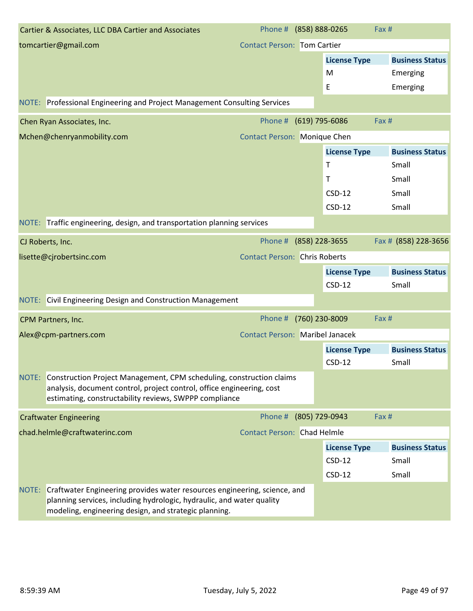|       | Cartier & Associates, LLC DBA Cartier and Associates                                                                                                                                                          | Phone # (858) 888-0265                 |                     | Fax #                  |
|-------|---------------------------------------------------------------------------------------------------------------------------------------------------------------------------------------------------------------|----------------------------------------|---------------------|------------------------|
|       | tomcartier@gmail.com                                                                                                                                                                                          | <b>Contact Person: Tom Cartier</b>     |                     |                        |
|       |                                                                                                                                                                                                               |                                        | <b>License Type</b> | <b>Business Status</b> |
|       |                                                                                                                                                                                                               |                                        | M                   | Emerging               |
|       |                                                                                                                                                                                                               |                                        | Ε                   | Emerging               |
|       | NOTE: Professional Engineering and Project Management Consulting Services                                                                                                                                     |                                        |                     |                        |
|       | Chen Ryan Associates, Inc.                                                                                                                                                                                    | Phone #                                | $(619)$ 795-6086    | Fax #                  |
|       | Mchen@chenryanmobility.com                                                                                                                                                                                    | <b>Contact Person: Monique Chen</b>    |                     |                        |
|       |                                                                                                                                                                                                               |                                        | <b>License Type</b> | <b>Business Status</b> |
|       |                                                                                                                                                                                                               |                                        | Τ                   | Small                  |
|       |                                                                                                                                                                                                               |                                        | Т                   | Small                  |
|       |                                                                                                                                                                                                               |                                        | $CSD-12$            | Small                  |
|       |                                                                                                                                                                                                               |                                        | $CSD-12$            | Small                  |
|       | NOTE: Traffic engineering, design, and transportation planning services                                                                                                                                       |                                        |                     |                        |
|       | CJ Roberts, Inc.                                                                                                                                                                                              | Phone #                                | (858) 228-3655      | Fax # (858) 228-3656   |
|       | lisette@cjrobertsinc.com                                                                                                                                                                                      | <b>Contact Person: Chris Roberts</b>   |                     |                        |
|       |                                                                                                                                                                                                               |                                        | <b>License Type</b> | <b>Business Status</b> |
|       |                                                                                                                                                                                                               |                                        | $CSD-12$            | Small                  |
|       | NOTE: Civil Engineering Design and Construction Management                                                                                                                                                    |                                        |                     |                        |
|       | CPM Partners, Inc.                                                                                                                                                                                            | Phone #                                | (760) 230-8009      | Fax #                  |
|       | Alex@cpm-partners.com                                                                                                                                                                                         | <b>Contact Person: Maribel Janacek</b> |                     |                        |
|       |                                                                                                                                                                                                               |                                        | <b>License Type</b> | <b>Business Status</b> |
|       |                                                                                                                                                                                                               |                                        | $CSD-12$            | Small                  |
|       | NOTE: Construction Project Management, CPM scheduling, construction claims<br>analysis, document control, project control, office engineering, cost<br>estimating, constructability reviews, SWPPP compliance |                                        |                     |                        |
|       | <b>Craftwater Engineering</b>                                                                                                                                                                                 | Phone #                                | (805) 729-0943      | Fax #                  |
|       | chad.helmle@craftwaterinc.com                                                                                                                                                                                 | <b>Contact Person: Chad Helmle</b>     |                     |                        |
|       |                                                                                                                                                                                                               |                                        | <b>License Type</b> | <b>Business Status</b> |
|       |                                                                                                                                                                                                               |                                        | $CSD-12$            | Small                  |
|       |                                                                                                                                                                                                               |                                        | $CSD-12$            | Small                  |
| NOTE: | Craftwater Engineering provides water resources engineering, science, and<br>planning services, including hydrologic, hydraulic, and water quality<br>modeling, engineering design, and strategic planning.   |                                        |                     |                        |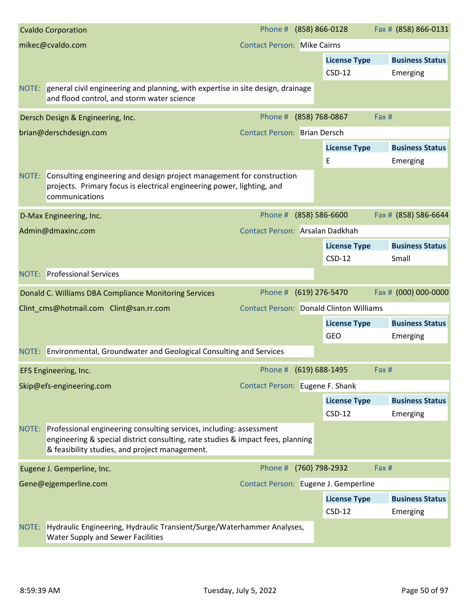|       | <b>Cvaldo Corporation</b>                                                                                                                                                                                      | Phone # (858) 866-0128                         |                |                                 | Fax # (858) 866-0131            |
|-------|----------------------------------------------------------------------------------------------------------------------------------------------------------------------------------------------------------------|------------------------------------------------|----------------|---------------------------------|---------------------------------|
|       | mikec@cvaldo.com                                                                                                                                                                                               | <b>Contact Person: Mike Cairns</b>             |                |                                 |                                 |
|       |                                                                                                                                                                                                                |                                                |                | <b>License Type</b>             | <b>Business Status</b>          |
|       |                                                                                                                                                                                                                |                                                |                | $CSD-12$                        | Emerging                        |
|       | NOTE: general civil engineering and planning, with expertise in site design, drainage<br>and flood control, and storm water science                                                                            |                                                |                |                                 |                                 |
|       | Dersch Design & Engineering, Inc.                                                                                                                                                                              | Phone #                                        | (858) 768-0867 |                                 | Fax #                           |
|       | brian@derschdesign.com                                                                                                                                                                                         | <b>Contact Person: Brian Dersch</b>            |                |                                 |                                 |
|       |                                                                                                                                                                                                                |                                                |                | <b>License Type</b>             | <b>Business Status</b>          |
|       |                                                                                                                                                                                                                |                                                |                | E                               | Emerging                        |
|       | NOTE: Consulting engineering and design project management for construction<br>projects. Primary focus is electrical engineering power, lighting, and<br>communications                                        |                                                |                |                                 |                                 |
|       | D-Max Engineering, Inc.                                                                                                                                                                                        | Phone #                                        | (858) 586-6600 |                                 | Fax # (858) 586-6644            |
|       | Admin@dmaxinc.com                                                                                                                                                                                              | Contact Person: Arsalan Dadkhah                |                |                                 |                                 |
|       |                                                                                                                                                                                                                |                                                |                | <b>License Type</b><br>$CSD-12$ | <b>Business Status</b><br>Small |
|       | <b>NOTE:</b> Professional Services                                                                                                                                                                             |                                                |                |                                 |                                 |
|       | Donald C. Williams DBA Compliance Monitoring Services                                                                                                                                                          | Phone # (619) 276-5470                         |                |                                 | Fax # (000) 000-0000            |
|       | Clint_cms@hotmail.com Clint@san.rr.com                                                                                                                                                                         | <b>Contact Person: Donald Clinton Williams</b> |                |                                 |                                 |
|       |                                                                                                                                                                                                                |                                                |                | <b>License Type</b>             | <b>Business Status</b>          |
|       |                                                                                                                                                                                                                |                                                |                | <b>GEO</b>                      | Emerging                        |
|       | NOTE: Environmental, Groundwater and Geological Consulting and Services                                                                                                                                        |                                                |                |                                 |                                 |
|       | EFS Engineering, Inc.                                                                                                                                                                                          | Phone # (619) 688-1495                         |                |                                 | Fax #                           |
|       | Skip@efs-engineering.com                                                                                                                                                                                       | Contact Person: Eugene F. Shank                |                |                                 |                                 |
|       |                                                                                                                                                                                                                |                                                |                | <b>License Type</b>             | <b>Business Status</b>          |
|       |                                                                                                                                                                                                                |                                                |                | $CSD-12$                        | Emerging                        |
|       | NOTE: Professional engineering consulting services, including: assessment<br>engineering & special district consulting, rate studies & impact fees, planning<br>& feasibility studies, and project management. |                                                |                |                                 |                                 |
|       | Eugene J. Gemperline, Inc.                                                                                                                                                                                     | Phone # (760) 798-2932                         |                |                                 | Fax #                           |
|       | Gene@ejgemperline.com                                                                                                                                                                                          | Contact Person: Eugene J. Gemperline           |                |                                 |                                 |
|       |                                                                                                                                                                                                                |                                                |                | <b>License Type</b>             | <b>Business Status</b>          |
|       |                                                                                                                                                                                                                |                                                |                | $CSD-12$                        | Emerging                        |
| NOTE: | Hydraulic Engineering, Hydraulic Transient/Surge/Waterhammer Analyses,<br>Water Supply and Sewer Facilities                                                                                                    |                                                |                |                                 |                                 |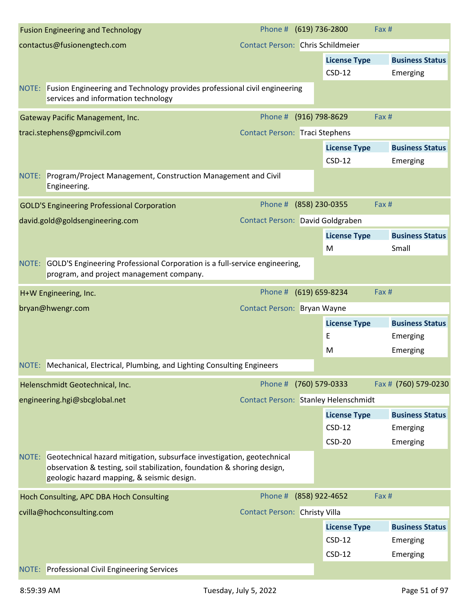| <b>Fusion Engineering and Technology</b>                                                                                                                                                              | Phone # (619) 736-2800                |                                 | Fax #                              |
|-------------------------------------------------------------------------------------------------------------------------------------------------------------------------------------------------------|---------------------------------------|---------------------------------|------------------------------------|
| contactus@fusionengtech.com                                                                                                                                                                           | Contact Person: Chris Schildmeier     |                                 |                                    |
|                                                                                                                                                                                                       |                                       | <b>License Type</b>             | <b>Business Status</b>             |
|                                                                                                                                                                                                       |                                       | $CSD-12$                        | Emerging                           |
| NOTE: Fusion Engineering and Technology provides professional civil engineering<br>services and information technology                                                                                |                                       |                                 |                                    |
| Gateway Pacific Management, Inc.                                                                                                                                                                      | Phone #                               | (916) 798-8629                  | Fax #                              |
| traci.stephens@gpmcivil.com                                                                                                                                                                           | <b>Contact Person: Traci Stephens</b> |                                 |                                    |
|                                                                                                                                                                                                       |                                       | <b>License Type</b><br>$CSD-12$ | <b>Business Status</b><br>Emerging |
| NOTE: Program/Project Management, Construction Management and Civil<br>Engineering.                                                                                                                   |                                       |                                 |                                    |
| <b>GOLD'S Engineering Professional Corporation</b>                                                                                                                                                    | Phone #                               | (858) 230-0355                  | Fax #                              |
| david.gold@goldsengineering.com                                                                                                                                                                       | Contact Person: David Goldgraben      |                                 |                                    |
|                                                                                                                                                                                                       |                                       | <b>License Type</b><br>M        | <b>Business Status</b><br>Small    |
| NOTE: GOLD'S Engineering Professional Corporation is a full-service engineering,<br>program, and project management company.                                                                          |                                       |                                 |                                    |
| H+W Engineering, Inc.                                                                                                                                                                                 | Phone # (619) 659-8234                |                                 | Fax #                              |
| bryan@hwengr.com                                                                                                                                                                                      | Contact Person: Bryan Wayne           |                                 |                                    |
|                                                                                                                                                                                                       |                                       | <b>License Type</b>             | <b>Business Status</b>             |
|                                                                                                                                                                                                       |                                       | E                               | Emerging                           |
|                                                                                                                                                                                                       |                                       | M                               | Emerging                           |
| NOTE: Mechanical, Electrical, Plumbing, and Lighting Consulting Engineers                                                                                                                             |                                       |                                 |                                    |
| Helenschmidt Geotechnical, Inc.                                                                                                                                                                       | Phone #                               | (760) 579-0333                  | Fax # (760) 579-0230               |
| engineering.hgi@sbcglobal.net                                                                                                                                                                         | Contact Person: Stanley Helenschmidt  |                                 |                                    |
|                                                                                                                                                                                                       |                                       | <b>License Type</b>             | <b>Business Status</b>             |
|                                                                                                                                                                                                       |                                       | $CSD-12$                        | Emerging                           |
|                                                                                                                                                                                                       |                                       | $CSD-20$                        | Emerging                           |
| NOTE: Geotechnical hazard mitigation, subsurface investigation, geotechnical<br>observation & testing, soil stabilization, foundation & shoring design,<br>geologic hazard mapping, & seismic design. |                                       |                                 |                                    |
| Hoch Consulting, APC DBA Hoch Consulting                                                                                                                                                              | Phone #                               | (858) 922-4652                  | Fax #                              |
| cvilla@hochconsulting.com                                                                                                                                                                             | <b>Contact Person: Christy Villa</b>  |                                 |                                    |
|                                                                                                                                                                                                       |                                       |                                 |                                    |
|                                                                                                                                                                                                       |                                       | <b>License Type</b>             | <b>Business Status</b>             |
|                                                                                                                                                                                                       |                                       | $CSD-12$                        | Emerging                           |
|                                                                                                                                                                                                       |                                       | $CSD-12$                        | Emerging                           |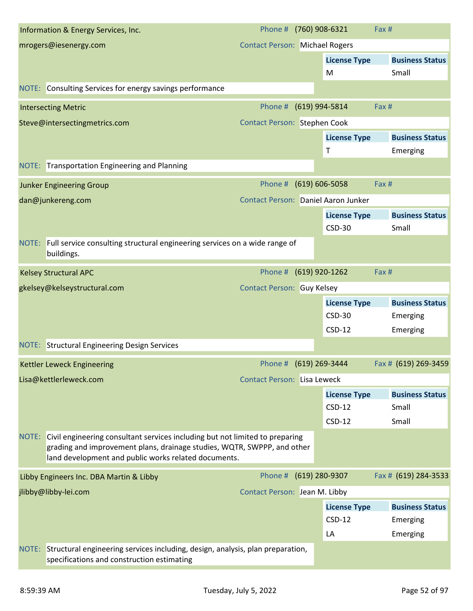|       | Information & Energy Services, Inc.                                                                                                                                                                                   | Phone #                               | (760) 908-6321      | Fax #                  |  |
|-------|-----------------------------------------------------------------------------------------------------------------------------------------------------------------------------------------------------------------------|---------------------------------------|---------------------|------------------------|--|
|       | mrogers@iesenergy.com                                                                                                                                                                                                 | <b>Contact Person: Michael Rogers</b> |                     |                        |  |
|       |                                                                                                                                                                                                                       |                                       | <b>License Type</b> | <b>Business Status</b> |  |
|       |                                                                                                                                                                                                                       |                                       | M                   | Small                  |  |
|       | NOTE: Consulting Services for energy savings performance                                                                                                                                                              |                                       |                     |                        |  |
|       | <b>Intersecting Metric</b>                                                                                                                                                                                            | Phone #                               | (619) 994-5814      | Fax #                  |  |
|       | Steve@intersectingmetrics.com                                                                                                                                                                                         | Contact Person: Stephen Cook          |                     |                        |  |
|       |                                                                                                                                                                                                                       |                                       | <b>License Type</b> | <b>Business Status</b> |  |
|       |                                                                                                                                                                                                                       |                                       | Τ                   | Emerging               |  |
|       | NOTE: Transportation Engineering and Planning                                                                                                                                                                         |                                       |                     |                        |  |
|       | <b>Junker Engineering Group</b>                                                                                                                                                                                       | Phone #                               | $(619) 606 - 5058$  | Fax #                  |  |
|       | dan@junkereng.com                                                                                                                                                                                                     | Contact Person: Daniel Aaron Junker   |                     |                        |  |
|       |                                                                                                                                                                                                                       |                                       | <b>License Type</b> | <b>Business Status</b> |  |
|       |                                                                                                                                                                                                                       |                                       | $CSD-30$            | Small                  |  |
| NOTE: | Full service consulting structural engineering services on a wide range of<br>buildings.                                                                                                                              |                                       |                     |                        |  |
|       | <b>Kelsey Structural APC</b>                                                                                                                                                                                          | Phone #                               | (619) 920-1262      | Fax #                  |  |
|       | gkelsey@kelseystructural.com                                                                                                                                                                                          | <b>Contact Person: Guy Kelsey</b>     |                     |                        |  |
|       |                                                                                                                                                                                                                       |                                       | <b>License Type</b> | <b>Business Status</b> |  |
|       |                                                                                                                                                                                                                       |                                       | <b>CSD-30</b>       | Emerging               |  |
|       |                                                                                                                                                                                                                       |                                       | $CSD-12$            | Emerging               |  |
|       | <b>NOTE:</b> Structural Engineering Design Services                                                                                                                                                                   |                                       |                     |                        |  |
|       | Kettler Leweck Engineering                                                                                                                                                                                            | Phone #                               | (619) 269-3444      | Fax # (619) 269-3459   |  |
|       | Lisa@kettlerleweck.com                                                                                                                                                                                                | <b>Contact Person: Lisa Leweck</b>    |                     |                        |  |
|       |                                                                                                                                                                                                                       |                                       | <b>License Type</b> | <b>Business Status</b> |  |
|       |                                                                                                                                                                                                                       |                                       | $CSD-12$            | Small                  |  |
|       |                                                                                                                                                                                                                       |                                       | $CSD-12$            | Small                  |  |
|       | NOTE: Civil engineering consultant services including but not limited to preparing<br>grading and improvement plans, drainage studies, WQTR, SWPPP, and other<br>land development and public works related documents. |                                       |                     |                        |  |
|       | Libby Engineers Inc. DBA Martin & Libby                                                                                                                                                                               | Phone # (619) 280-9307                |                     | Fax # (619) 284-3533   |  |
|       | jlibby@libby-lei.com                                                                                                                                                                                                  | Contact Person: Jean M. Libby         |                     |                        |  |
|       |                                                                                                                                                                                                                       |                                       | <b>License Type</b> | <b>Business Status</b> |  |
|       |                                                                                                                                                                                                                       |                                       | $CSD-12$            | Emerging               |  |
|       |                                                                                                                                                                                                                       |                                       | LA                  | Emerging               |  |
|       | NOTE: Structural engineering services including, design, analysis, plan preparation,<br>specifications and construction estimating                                                                                    |                                       |                     |                        |  |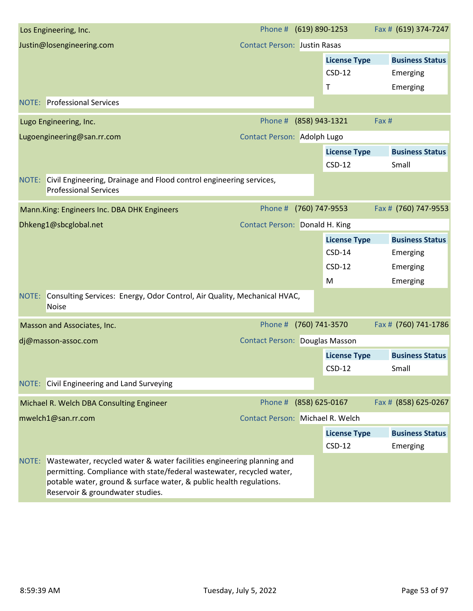|       | Los Engineering, Inc.                                                                                                                                                                                                                                      | Phone # (619) 890-1253                  |                                 | Fax # (619) 374-7247            |
|-------|------------------------------------------------------------------------------------------------------------------------------------------------------------------------------------------------------------------------------------------------------------|-----------------------------------------|---------------------------------|---------------------------------|
|       | Justin@losengineering.com                                                                                                                                                                                                                                  | <b>Contact Person: Justin Rasas</b>     |                                 |                                 |
|       |                                                                                                                                                                                                                                                            |                                         | <b>License Type</b>             | <b>Business Status</b>          |
|       |                                                                                                                                                                                                                                                            |                                         | $CSD-12$                        | Emerging                        |
|       |                                                                                                                                                                                                                                                            |                                         | Τ                               | Emerging                        |
|       | <b>NOTE:</b> Professional Services                                                                                                                                                                                                                         |                                         |                                 |                                 |
|       | Lugo Engineering, Inc.                                                                                                                                                                                                                                     | Phone #                                 | (858) 943-1321                  | Fax #                           |
|       | Lugoengineering@san.rr.com                                                                                                                                                                                                                                 | <b>Contact Person: Adolph Lugo</b>      |                                 |                                 |
|       |                                                                                                                                                                                                                                                            |                                         | <b>License Type</b><br>$CSD-12$ | <b>Business Status</b><br>Small |
|       | NOTE: Civil Engineering, Drainage and Flood control engineering services,<br><b>Professional Services</b>                                                                                                                                                  |                                         |                                 |                                 |
|       | Mann.King: Engineers Inc. DBA DHK Engineers                                                                                                                                                                                                                | Phone #                                 | (760) 747-9553                  | Fax # (760) 747-9553            |
|       | Dhkeng1@sbcglobal.net                                                                                                                                                                                                                                      | Contact Person: Donald H. King          |                                 |                                 |
|       |                                                                                                                                                                                                                                                            |                                         | <b>License Type</b>             | <b>Business Status</b>          |
|       |                                                                                                                                                                                                                                                            |                                         | $CSD-14$                        | Emerging                        |
|       |                                                                                                                                                                                                                                                            |                                         | $CSD-12$                        | Emerging                        |
|       |                                                                                                                                                                                                                                                            |                                         | M                               | Emerging                        |
| NOTE: | Consulting Services: Energy, Odor Control, Air Quality, Mechanical HVAC,<br><b>Noise</b>                                                                                                                                                                   |                                         |                                 |                                 |
|       | Masson and Associates, Inc.                                                                                                                                                                                                                                | Phone #                                 | (760) 741-3570                  | Fax # (760) 741-1786            |
|       | dj@masson-assoc.com                                                                                                                                                                                                                                        | <b>Contact Person: Douglas Masson</b>   |                                 |                                 |
|       |                                                                                                                                                                                                                                                            |                                         | <b>License Type</b>             | <b>Business Status</b>          |
|       |                                                                                                                                                                                                                                                            |                                         | $CSD-12$                        | Small                           |
|       | NOTE: Civil Engineering and Land Surveying                                                                                                                                                                                                                 |                                         |                                 |                                 |
|       | Michael R. Welch DBA Consulting Engineer                                                                                                                                                                                                                   | Phone # (858) 625-0167                  |                                 | Fax # (858) 625-0267            |
|       | mwelch1@san.rr.com                                                                                                                                                                                                                                         | <b>Contact Person: Michael R. Welch</b> |                                 |                                 |
|       |                                                                                                                                                                                                                                                            |                                         | <b>License Type</b>             | <b>Business Status</b>          |
|       |                                                                                                                                                                                                                                                            |                                         | $CSD-12$                        | Emerging                        |
| NOTE: | Wastewater, recycled water & water facilities engineering planning and<br>permitting. Compliance with state/federal wastewater, recycled water,<br>potable water, ground & surface water, & public health regulations.<br>Reservoir & groundwater studies. |                                         |                                 |                                 |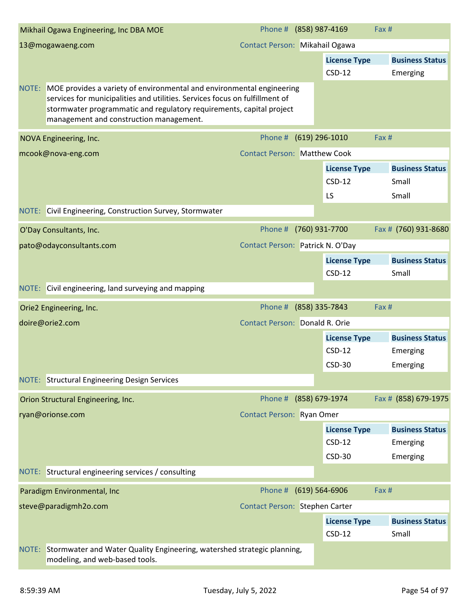| Mikhail Ogawa Engineering, Inc DBA MOE                                                                                                                                                                                                                                        | Phone # (858) 987-4169                |                                       | Fax #                                    |
|-------------------------------------------------------------------------------------------------------------------------------------------------------------------------------------------------------------------------------------------------------------------------------|---------------------------------------|---------------------------------------|------------------------------------------|
| 13@mogawaeng.com                                                                                                                                                                                                                                                              | Contact Person: Mikahail Ogawa        |                                       |                                          |
|                                                                                                                                                                                                                                                                               |                                       | <b>License Type</b><br>$CSD-12$       | <b>Business Status</b><br>Emerging       |
| NOTE: MOE provides a variety of environmental and environmental engineering<br>services for municipalities and utilities. Services focus on fulfillment of<br>stormwater programmatic and regulatory requirements, capital project<br>management and construction management. |                                       |                                       |                                          |
| NOVA Engineering, Inc.                                                                                                                                                                                                                                                        | Phone #                               | $(619)$ 296-1010                      | Fax #                                    |
| mcook@nova-eng.com                                                                                                                                                                                                                                                            | <b>Contact Person: Matthew Cook</b>   |                                       |                                          |
|                                                                                                                                                                                                                                                                               |                                       | <b>License Type</b><br>$CSD-12$<br>LS | <b>Business Status</b><br>Small<br>Small |
| NOTE: Civil Engineering, Construction Survey, Stormwater                                                                                                                                                                                                                      |                                       |                                       |                                          |
|                                                                                                                                                                                                                                                                               |                                       |                                       |                                          |
| O'Day Consultants, Inc.                                                                                                                                                                                                                                                       | Phone #                               | (760) 931-7700                        | Fax # (760) 931-8680                     |
| pato@odayconsultants.com                                                                                                                                                                                                                                                      | Contact Person: Patrick N. O'Day      |                                       |                                          |
|                                                                                                                                                                                                                                                                               |                                       | <b>License Type</b><br>$CSD-12$       | <b>Business Status</b><br>Small          |
| NOTE: Civil engineering, land surveying and mapping                                                                                                                                                                                                                           |                                       |                                       |                                          |
|                                                                                                                                                                                                                                                                               |                                       |                                       |                                          |
| Orie2 Engineering, Inc.                                                                                                                                                                                                                                                       | Phone #                               | (858) 335-7843                        | Fax #                                    |
| doire@orie2.com                                                                                                                                                                                                                                                               | <b>Contact Person: Donald R. Orie</b> |                                       |                                          |
|                                                                                                                                                                                                                                                                               |                                       | <b>License Type</b><br>$CSD-12$       | <b>Business Status</b><br>Emerging       |
|                                                                                                                                                                                                                                                                               |                                       | <b>CSD-30</b>                         | Emerging                                 |
| NOTE: Structural Engineering Design Services                                                                                                                                                                                                                                  |                                       |                                       |                                          |
| Orion Structural Engineering, Inc.                                                                                                                                                                                                                                            | Phone # (858) 679-1974                |                                       | Fax # (858) 679-1975                     |
| ryan@orionse.com                                                                                                                                                                                                                                                              | Contact Person: Ryan Omer             |                                       |                                          |
|                                                                                                                                                                                                                                                                               |                                       | <b>License Type</b>                   | <b>Business Status</b>                   |
|                                                                                                                                                                                                                                                                               |                                       | $CSD-12$                              | Emerging                                 |
|                                                                                                                                                                                                                                                                               |                                       | <b>CSD-30</b>                         | Emerging                                 |
| NOTE: Structural engineering services / consulting                                                                                                                                                                                                                            |                                       |                                       |                                          |
| Paradigm Environmental, Inc                                                                                                                                                                                                                                                   | Phone # (619) 564-6906                |                                       | Fax #                                    |
| steve@paradigmh2o.com                                                                                                                                                                                                                                                         | Contact Person: Stephen Carter        |                                       |                                          |
|                                                                                                                                                                                                                                                                               |                                       | <b>License Type</b>                   | <b>Business Status</b>                   |
|                                                                                                                                                                                                                                                                               |                                       | $CSD-12$                              | Small                                    |
| NOTE: Stormwater and Water Quality Engineering, watershed strategic planning,<br>modeling, and web-based tools.                                                                                                                                                               |                                       |                                       |                                          |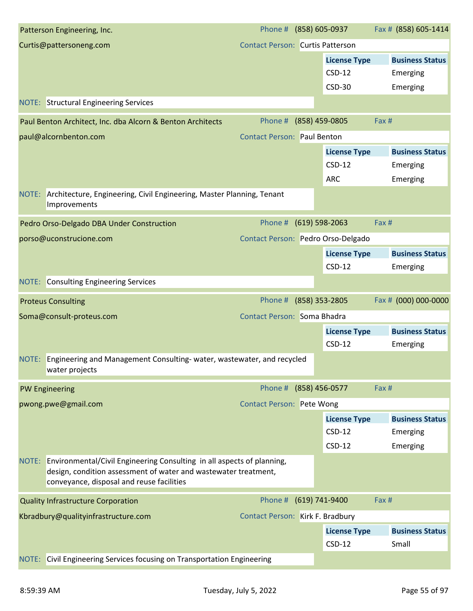| Patterson Engineering, Inc.                                                                                                                                                                  | Phone #                                 | (858) 605-0937      | Fax # (858) 605-1414   |
|----------------------------------------------------------------------------------------------------------------------------------------------------------------------------------------------|-----------------------------------------|---------------------|------------------------|
| Curtis@pattersoneng.com                                                                                                                                                                      | <b>Contact Person: Curtis Patterson</b> |                     |                        |
|                                                                                                                                                                                              |                                         | <b>License Type</b> | <b>Business Status</b> |
|                                                                                                                                                                                              |                                         | $CSD-12$            | Emerging               |
|                                                                                                                                                                                              |                                         | $CSD-30$            | Emerging               |
| <b>NOTE:</b> Structural Engineering Services                                                                                                                                                 |                                         |                     |                        |
| Paul Benton Architect, Inc. dba Alcorn & Benton Architects                                                                                                                                   | Phone #                                 | (858) 459-0805      | Fax #                  |
| paul@alcornbenton.com                                                                                                                                                                        | <b>Contact Person: Paul Benton</b>      |                     |                        |
|                                                                                                                                                                                              |                                         | <b>License Type</b> | <b>Business Status</b> |
|                                                                                                                                                                                              |                                         | $CSD-12$            | Emerging               |
|                                                                                                                                                                                              |                                         | <b>ARC</b>          | Emerging               |
| Architecture, Engineering, Civil Engineering, Master Planning, Tenant<br>NOTE:<br>Improvements                                                                                               |                                         |                     |                        |
| Pedro Orso-Delgado DBA Under Construction                                                                                                                                                    | Phone #                                 | (619) 598-2063      | Fax#                   |
| porso@uconstrucione.com                                                                                                                                                                      | Contact Person: Pedro Orso-Delgado      |                     |                        |
|                                                                                                                                                                                              |                                         | <b>License Type</b> | <b>Business Status</b> |
|                                                                                                                                                                                              |                                         | $CSD-12$            | Emerging               |
| <b>Consulting Engineering Services</b><br>NOTE:                                                                                                                                              |                                         |                     |                        |
| <b>Proteus Consulting</b>                                                                                                                                                                    | Phone #                                 | (858) 353-2805      | Fax # (000) 000-0000   |
| Soma@consult-proteus.com                                                                                                                                                                     | Contact Person: Soma Bhadra             |                     |                        |
|                                                                                                                                                                                              |                                         | <b>License Type</b> | <b>Business Status</b> |
|                                                                                                                                                                                              |                                         | $CSD-12$            | Emerging               |
| NOTE: Engineering and Management Consulting- water, wastewater, and recycled<br>water projects                                                                                               |                                         |                     |                        |
| <b>PW Engineering</b>                                                                                                                                                                        | Phone # (858) 456-0577                  |                     | Fax #                  |
| pwong.pwe@gmail.com                                                                                                                                                                          | <b>Contact Person: Pete Wong</b>        |                     |                        |
|                                                                                                                                                                                              |                                         | <b>License Type</b> | <b>Business Status</b> |
|                                                                                                                                                                                              |                                         | $CSD-12$            | Emerging               |
|                                                                                                                                                                                              |                                         | $CSD-12$            | Emerging               |
| NOTE: Environmental/Civil Engineering Consulting in all aspects of planning,<br>design, condition assessment of water and wastewater treatment,<br>conveyance, disposal and reuse facilities |                                         |                     |                        |
| <b>Quality Infrastructure Corporation</b>                                                                                                                                                    | Phone # (619) 741-9400                  |                     | Fax#                   |
| Kbradbury@qualityinfrastructure.com                                                                                                                                                          | Contact Person: Kirk F. Bradbury        |                     |                        |
|                                                                                                                                                                                              |                                         | <b>License Type</b> | <b>Business Status</b> |
|                                                                                                                                                                                              |                                         | $CSD-12$            | Small                  |
| NOTE: Civil Engineering Services focusing on Transportation Engineering                                                                                                                      |                                         |                     |                        |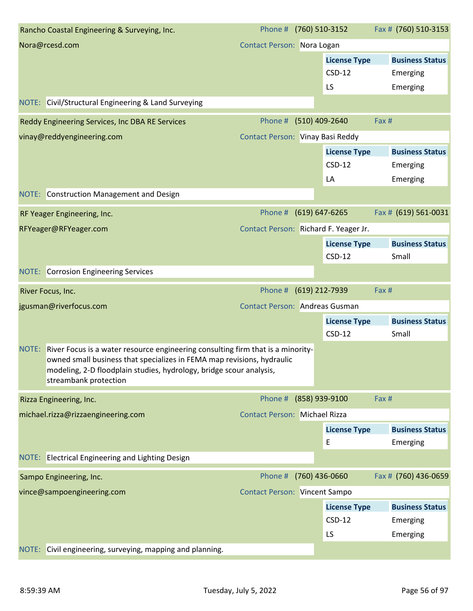|       | Rancho Coastal Engineering & Surveying, Inc.                                                                                                  | Phone # (760) 510-3152                |                     | Fax # (760) 510-3153   |
|-------|-----------------------------------------------------------------------------------------------------------------------------------------------|---------------------------------------|---------------------|------------------------|
|       | Nora@rcesd.com                                                                                                                                | Contact Person: Nora Logan            |                     |                        |
|       |                                                                                                                                               |                                       | <b>License Type</b> | <b>Business Status</b> |
|       |                                                                                                                                               |                                       | $CSD-12$            | Emerging               |
|       |                                                                                                                                               |                                       | LS                  | Emerging               |
|       | NOTE: Civil/Structural Engineering & Land Surveying                                                                                           |                                       |                     |                        |
|       | Reddy Engineering Services, Inc DBA RE Services                                                                                               | Phone # (510) 409-2640                |                     | Fax #                  |
|       | vinay@reddyengineering.com                                                                                                                    | Contact Person: Vinay Basi Reddy      |                     |                        |
|       |                                                                                                                                               |                                       | <b>License Type</b> | <b>Business Status</b> |
|       |                                                                                                                                               |                                       | $CSD-12$            | Emerging               |
|       |                                                                                                                                               |                                       | LA                  | Emerging               |
|       | NOTE: Construction Management and Design                                                                                                      |                                       |                     |                        |
|       | RF Yeager Engineering, Inc.                                                                                                                   | Phone # (619) 647-6265                |                     | Fax # (619) 561-0031   |
|       | RFYeager@RFYeager.com                                                                                                                         | Contact Person: Richard F. Yeager Jr. |                     |                        |
|       |                                                                                                                                               |                                       | <b>License Type</b> | <b>Business Status</b> |
|       |                                                                                                                                               |                                       | $CSD-12$            | Small                  |
|       | <b>NOTE:</b> Corrosion Engineering Services                                                                                                   |                                       |                     |                        |
|       | River Focus, Inc.                                                                                                                             | Phone #                               | (619) 212-7939      | Fax #                  |
|       | jgusman@riverfocus.com                                                                                                                        | <b>Contact Person: Andreas Gusman</b> |                     |                        |
|       |                                                                                                                                               |                                       | <b>License Type</b> | <b>Business Status</b> |
|       |                                                                                                                                               |                                       | $CSD-12$            | Small                  |
|       | NOTE: River Focus is a water resource engineering consulting firm that is a minority-                                                         |                                       |                     |                        |
|       | owned small business that specializes in FEMA map revisions, hydraulic<br>modeling, 2-D floodplain studies, hydrology, bridge scour analysis, |                                       |                     |                        |
|       | streambank protection                                                                                                                         |                                       |                     |                        |
|       | Rizza Engineering, Inc.                                                                                                                       | Phone # (858) 939-9100                |                     | Fax #                  |
|       | michael.rizza@rizzaengineering.com                                                                                                            | <b>Contact Person: Michael Rizza</b>  |                     |                        |
|       |                                                                                                                                               |                                       | <b>License Type</b> | <b>Business Status</b> |
|       |                                                                                                                                               |                                       | E                   | Emerging               |
|       | NOTE: Electrical Engineering and Lighting Design                                                                                              |                                       |                     |                        |
|       | Sampo Engineering, Inc.                                                                                                                       | Phone # (760) 436-0660                |                     | Fax # (760) 436-0659   |
|       | vince@sampoengineering.com                                                                                                                    | <b>Contact Person: Vincent Sampo</b>  |                     |                        |
|       |                                                                                                                                               |                                       | <b>License Type</b> | <b>Business Status</b> |
|       |                                                                                                                                               |                                       | $CSD-12$            | Emerging               |
|       |                                                                                                                                               |                                       | LS                  | Emerging               |
| NOTE: | Civil engineering, surveying, mapping and planning.                                                                                           |                                       |                     |                        |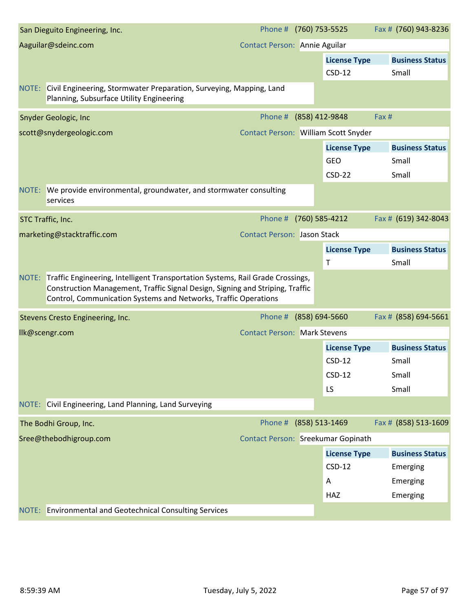| San Dieguito Engineering, Inc.                                                                                                                                                                                                           | Phone # (760) 753-5525               |                     | Fax # (760) 943-8236                           |
|------------------------------------------------------------------------------------------------------------------------------------------------------------------------------------------------------------------------------------------|--------------------------------------|---------------------|------------------------------------------------|
| Aaguilar@sdeinc.com                                                                                                                                                                                                                      | <b>Contact Person: Annie Aguilar</b> |                     |                                                |
|                                                                                                                                                                                                                                          |                                      | <b>License Type</b> | <b>Business Status</b>                         |
|                                                                                                                                                                                                                                          |                                      | $CSD-12$            | Small                                          |
| NOTE: Civil Engineering, Stormwater Preparation, Surveying, Mapping, Land<br>Planning, Subsurface Utility Engineering                                                                                                                    |                                      |                     |                                                |
| <b>Snyder Geologic, Inc</b>                                                                                                                                                                                                              | Phone #                              | (858) 412-9848      | Fax #                                          |
| scott@snydergeologic.com                                                                                                                                                                                                                 | Contact Person: William Scott Snyder |                     |                                                |
|                                                                                                                                                                                                                                          |                                      | <b>License Type</b> | <b>Business Status</b>                         |
|                                                                                                                                                                                                                                          |                                      | <b>GEO</b>          | Small                                          |
|                                                                                                                                                                                                                                          |                                      | $CSD-22$            | Small                                          |
| NOTE: We provide environmental, groundwater, and stormwater consulting<br>services                                                                                                                                                       |                                      |                     |                                                |
| STC Traffic, Inc.                                                                                                                                                                                                                        | Phone #                              | (760) 585-4212      | Fax # (619) 342-8043                           |
| marketing@stacktraffic.com                                                                                                                                                                                                               | <b>Contact Person: Jason Stack</b>   |                     |                                                |
|                                                                                                                                                                                                                                          |                                      | <b>License Type</b> | <b>Business Status</b>                         |
|                                                                                                                                                                                                                                          |                                      | Τ                   | Small                                          |
|                                                                                                                                                                                                                                          |                                      |                     |                                                |
| NOTE: Traffic Engineering, Intelligent Transportation Systems, Rail Grade Crossings,<br>Construction Management, Traffic Signal Design, Signing and Striping, Traffic<br>Control, Communication Systems and Networks, Traffic Operations |                                      |                     |                                                |
| Stevens Cresto Engineering, Inc.                                                                                                                                                                                                         | Phone #                              | (858) 694-5660      | Fax # (858) 694-5661                           |
| llk@scengr.com                                                                                                                                                                                                                           | <b>Contact Person: Mark Stevens</b>  |                     |                                                |
|                                                                                                                                                                                                                                          |                                      | <b>License Type</b> | <b>Business Status</b>                         |
|                                                                                                                                                                                                                                          |                                      | $CSD-12$            | Small                                          |
|                                                                                                                                                                                                                                          |                                      | $CSD-12$            | Small                                          |
|                                                                                                                                                                                                                                          |                                      | LS                  | Small                                          |
| NOTE: Civil Engineering, Land Planning, Land Surveying                                                                                                                                                                                   |                                      |                     |                                                |
| The Bodhi Group, Inc.                                                                                                                                                                                                                    | Phone #                              | (858) 513-1469      |                                                |
| Sree@thebodhigroup.com                                                                                                                                                                                                                   | Contact Person: Sreekumar Gopinath   |                     |                                                |
|                                                                                                                                                                                                                                          |                                      | <b>License Type</b> | Fax # (858) 513-1609<br><b>Business Status</b> |
|                                                                                                                                                                                                                                          |                                      | $CSD-12$            | Emerging                                       |
|                                                                                                                                                                                                                                          |                                      | Α                   | Emerging                                       |
|                                                                                                                                                                                                                                          |                                      | HAZ                 | Emerging                                       |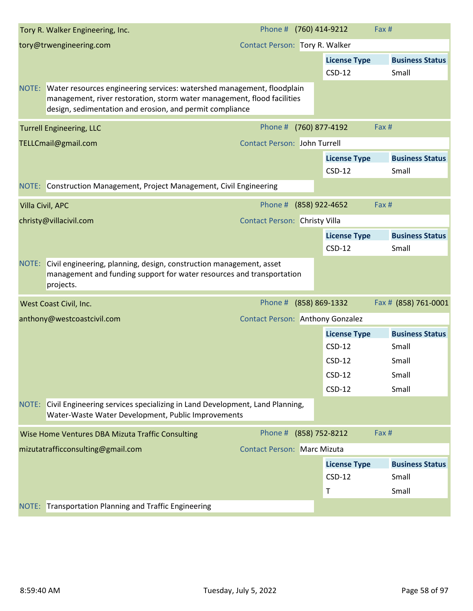|                  | Tory R. Walker Engineering, Inc.                                                                                                                                                                                    | Phone # (760) 414-9212                  |                |                     | Fax #                  |
|------------------|---------------------------------------------------------------------------------------------------------------------------------------------------------------------------------------------------------------------|-----------------------------------------|----------------|---------------------|------------------------|
|                  | tory@trwengineering.com                                                                                                                                                                                             | Contact Person: Tory R. Walker          |                |                     |                        |
|                  |                                                                                                                                                                                                                     |                                         |                | <b>License Type</b> | <b>Business Status</b> |
|                  |                                                                                                                                                                                                                     |                                         |                | $CSD-12$            | Small                  |
|                  | NOTE: Water resources engineering services: watershed management, floodplain<br>management, river restoration, storm water management, flood facilities<br>design, sedimentation and erosion, and permit compliance |                                         |                |                     |                        |
|                  | <b>Turrell Engineering, LLC</b>                                                                                                                                                                                     | Phone #                                 | (760) 877-4192 |                     | Fax #                  |
|                  | TELLCmail@gmail.com                                                                                                                                                                                                 | <b>Contact Person: John Turrell</b>     |                |                     |                        |
|                  |                                                                                                                                                                                                                     |                                         |                | <b>License Type</b> | <b>Business Status</b> |
|                  |                                                                                                                                                                                                                     |                                         |                | $CSD-12$            | Small                  |
|                  | NOTE: Construction Management, Project Management, Civil Engineering                                                                                                                                                |                                         |                |                     |                        |
| Villa Civil, APC |                                                                                                                                                                                                                     | Phone #                                 | (858) 922-4652 |                     | Fax #                  |
|                  | christy@villacivil.com                                                                                                                                                                                              | <b>Contact Person: Christy Villa</b>    |                |                     |                        |
|                  |                                                                                                                                                                                                                     |                                         |                | <b>License Type</b> | <b>Business Status</b> |
|                  |                                                                                                                                                                                                                     |                                         |                | $CSD-12$            | Small                  |
| NOTE:            | Civil engineering, planning, design, construction management, asset<br>management and funding support for water resources and transportation<br>projects.                                                           |                                         |                |                     |                        |
|                  | West Coast Civil, Inc.                                                                                                                                                                                              | Phone #                                 | (858) 869-1332 |                     | Fax # (858) 761-0001   |
|                  | anthony@westcoastcivil.com                                                                                                                                                                                          | <b>Contact Person: Anthony Gonzalez</b> |                |                     |                        |
|                  |                                                                                                                                                                                                                     |                                         |                | <b>License Type</b> | <b>Business Status</b> |
|                  |                                                                                                                                                                                                                     |                                         |                | $CSD-12$            | Small                  |
|                  |                                                                                                                                                                                                                     |                                         |                | $CSD-12$            | Small                  |
|                  |                                                                                                                                                                                                                     |                                         |                | $CSD-12$            | Small                  |
|                  |                                                                                                                                                                                                                     |                                         |                | $CSD-12$            | Small                  |
|                  | NOTE: Civil Engineering services specializing in Land Development, Land Planning,<br>Water-Waste Water Development, Public Improvements                                                                             |                                         |                |                     |                        |
|                  | Wise Home Ventures DBA Mizuta Traffic Consulting                                                                                                                                                                    | Phone #                                 | (858) 752-8212 |                     | Fax #                  |
|                  | mizutatrafficconsulting@gmail.com                                                                                                                                                                                   | <b>Contact Person: Marc Mizuta</b>      |                |                     |                        |
|                  |                                                                                                                                                                                                                     |                                         |                | <b>License Type</b> | <b>Business Status</b> |
|                  |                                                                                                                                                                                                                     |                                         |                | $CSD-12$            | Small                  |
|                  |                                                                                                                                                                                                                     |                                         |                | Τ                   | Small                  |
|                  | NOTE: Transportation Planning and Traffic Engineering                                                                                                                                                               |                                         |                |                     |                        |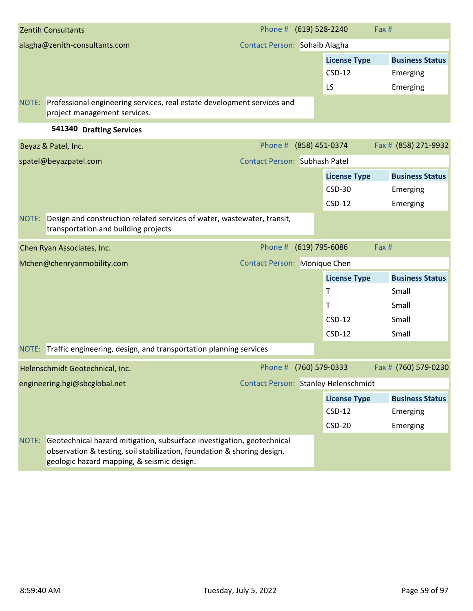| <b>Zentih Consultants</b>                                                                                     | Phone # (619) 528-2240               |                     | Fax #                  |
|---------------------------------------------------------------------------------------------------------------|--------------------------------------|---------------------|------------------------|
| alagha@zenith-consultants.com                                                                                 | Contact Person: Sohaib Alagha        |                     |                        |
|                                                                                                               |                                      | <b>License Type</b> | <b>Business Status</b> |
|                                                                                                               |                                      | $CSD-12$            | Emerging               |
|                                                                                                               |                                      | LS                  | Emerging               |
| NOTE: Professional engineering services, real estate development services and<br>project management services. |                                      |                     |                        |
| 541340 Drafting Services                                                                                      |                                      |                     |                        |
| Beyaz & Patel, Inc.                                                                                           | Phone # (858) 451-0374               |                     | Fax # (858) 271-9932   |
| spatel@beyazpatel.com                                                                                         | <b>Contact Person: Subhash Patel</b> |                     |                        |
|                                                                                                               |                                      | <b>License Type</b> | <b>Business Status</b> |
|                                                                                                               |                                      | $CSD-30$            | Emerging               |
|                                                                                                               |                                      | $CSD-12$            | Emerging               |
| Design and construction related services of water, wastewater, transit,<br>NOTE:                              |                                      |                     |                        |

| transportation and building projects                                         |                                      |                     |                        |
|------------------------------------------------------------------------------|--------------------------------------|---------------------|------------------------|
| Chen Ryan Associates, Inc.                                                   | Phone # (619) 795-6086               |                     | Fax#                   |
| Mchen@chenryanmobility.com                                                   | <b>Contact Person: Monique Chen</b>  |                     |                        |
|                                                                              |                                      | <b>License Type</b> | <b>Business Status</b> |
|                                                                              |                                      | Τ                   | Small                  |
|                                                                              |                                      | т                   | Small                  |
|                                                                              |                                      | $CSD-12$            | Small                  |
|                                                                              |                                      | $CSD-12$            | Small                  |
| NOTE: Traffic engineering, design, and transportation planning services      |                                      |                     |                        |
| Helenschmidt Geotechnical, Inc.                                              | Phone #                              | (760) 579-0333      | Fax # (760) 579-0230   |
| engineering.hgi@sbcglobal.net                                                | Contact Person: Stanley Helenschmidt |                     |                        |
|                                                                              |                                      | <b>License Type</b> | <b>Business Status</b> |
|                                                                              |                                      | $CSD-12$            | Emerging               |
|                                                                              |                                      | $CSD-20$            | Emerging               |
| NOTE: Geotechnical hazard mitigation, subsurface investigation, geotechnical |                                      |                     |                        |

observation & testing, soil stabilization, foundation & shoring design, geologic hazard mapping, & seismic design.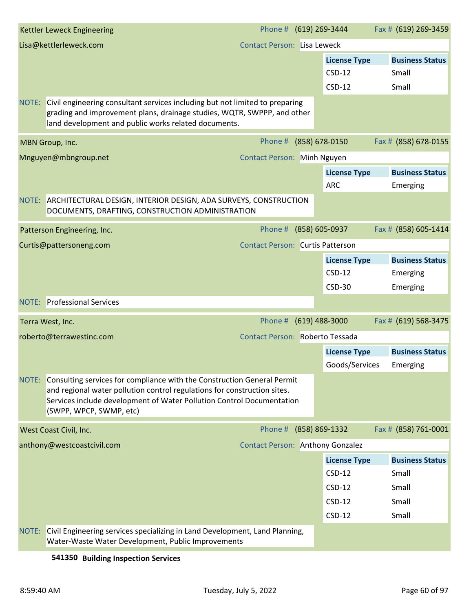| Kettler Leweck Engineering                                                                                                                                                                                                                                       |                                         | Phone # (619) 269-3444 |                     | Fax # (619) 269-3459   |
|------------------------------------------------------------------------------------------------------------------------------------------------------------------------------------------------------------------------------------------------------------------|-----------------------------------------|------------------------|---------------------|------------------------|
| Lisa@kettlerleweck.com                                                                                                                                                                                                                                           | <b>Contact Person: Lisa Leweck</b>      |                        |                     |                        |
|                                                                                                                                                                                                                                                                  |                                         |                        | <b>License Type</b> | <b>Business Status</b> |
|                                                                                                                                                                                                                                                                  |                                         |                        | $CSD-12$            | Small                  |
|                                                                                                                                                                                                                                                                  |                                         |                        | $CSD-12$            | Small                  |
| Civil engineering consultant services including but not limited to preparing<br>NOTE:                                                                                                                                                                            |                                         |                        |                     |                        |
| grading and improvement plans, drainage studies, WQTR, SWPPP, and other<br>land development and public works related documents.                                                                                                                                  |                                         |                        |                     |                        |
| MBN Group, Inc.                                                                                                                                                                                                                                                  | Phone #                                 | (858) 678-0150         |                     | Fax # (858) 678-0155   |
| Mnguyen@mbngroup.net                                                                                                                                                                                                                                             | Contact Person: Minh Nguyen             |                        |                     |                        |
|                                                                                                                                                                                                                                                                  |                                         |                        | <b>License Type</b> | <b>Business Status</b> |
|                                                                                                                                                                                                                                                                  |                                         | <b>ARC</b>             |                     | Emerging               |
| NOTE: ARCHITECTURAL DESIGN, INTERIOR DESIGN, ADA SURVEYS, CONSTRUCTION<br>DOCUMENTS, DRAFTING, CONSTRUCTION ADMINISTRATION                                                                                                                                       |                                         |                        |                     |                        |
| Patterson Engineering, Inc.                                                                                                                                                                                                                                      | Phone #                                 | (858) 605-0937         |                     | Fax # (858) 605-1414   |
| Curtis@pattersoneng.com                                                                                                                                                                                                                                          | <b>Contact Person: Curtis Patterson</b> |                        |                     |                        |
|                                                                                                                                                                                                                                                                  |                                         |                        | <b>License Type</b> | <b>Business Status</b> |
|                                                                                                                                                                                                                                                                  |                                         |                        | $CSD-12$            | Emerging               |
|                                                                                                                                                                                                                                                                  |                                         |                        | <b>CSD-30</b>       | Emerging               |
| <b>NOTE:</b> Professional Services                                                                                                                                                                                                                               |                                         |                        |                     |                        |
| Terra West, Inc.                                                                                                                                                                                                                                                 | Phone #                                 | $(619)$ 488-3000       |                     | Fax # (619) 568-3475   |
| roberto@terrawestinc.com                                                                                                                                                                                                                                         | Contact Person: Roberto Tessada         |                        |                     |                        |
|                                                                                                                                                                                                                                                                  |                                         |                        | <b>License Type</b> | <b>Business Status</b> |
|                                                                                                                                                                                                                                                                  |                                         |                        | Goods/Services      | Emerging               |
| NOTE:<br>Consulting services for compliance with the Construction General Permit<br>and regional water pollution control regulations for construction sites.<br>Services include development of Water Pollution Control Documentation<br>(SWPP, WPCP, SWMP, etc) |                                         |                        |                     |                        |
| West Coast Civil, Inc.                                                                                                                                                                                                                                           |                                         | Phone # (858) 869-1332 |                     | Fax # (858) 761-0001   |
| anthony@westcoastcivil.com                                                                                                                                                                                                                                       | Contact Person: Anthony Gonzalez        |                        |                     |                        |
|                                                                                                                                                                                                                                                                  |                                         |                        | <b>License Type</b> | <b>Business Status</b> |
|                                                                                                                                                                                                                                                                  |                                         |                        | $CSD-12$            | Small                  |
|                                                                                                                                                                                                                                                                  |                                         |                        | $CSD-12$            | Small                  |
|                                                                                                                                                                                                                                                                  |                                         |                        | $CSD-12$            | Small                  |
|                                                                                                                                                                                                                                                                  |                                         |                        | $CSD-12$            | Small                  |
| Civil Engineering services specializing in Land Development, Land Planning,<br>NOTE:<br>Water-Waste Water Development, Public Improvements                                                                                                                       |                                         |                        |                     |                        |
| 541350 Building Inspection Services                                                                                                                                                                                                                              |                                         |                        |                     |                        |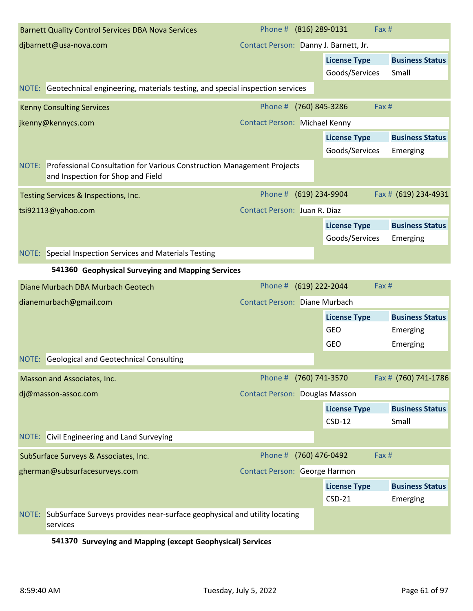| <b>Barnett Quality Control Services DBA Nova Services</b>                                                         | Phone # (816) 289-0131                | Fax #                                 |                                    |
|-------------------------------------------------------------------------------------------------------------------|---------------------------------------|---------------------------------------|------------------------------------|
| djbarnett@usa-nova.com                                                                                            | Contact Person: Danny J. Barnett, Jr. |                                       |                                    |
|                                                                                                                   |                                       | <b>License Type</b><br>Goods/Services | <b>Business Status</b><br>Small    |
| NOTE: Geotechnical engineering, materials testing, and special inspection services                                |                                       |                                       |                                    |
| <b>Kenny Consulting Services</b>                                                                                  | Phone #                               | (760) 845-3286<br>Fax #               |                                    |
| jkenny@kennycs.com                                                                                                | <b>Contact Person: Michael Kenny</b>  |                                       |                                    |
|                                                                                                                   |                                       | <b>License Type</b><br>Goods/Services | <b>Business Status</b><br>Emerging |
| NOTE: Professional Consultation for Various Construction Management Projects<br>and Inspection for Shop and Field |                                       |                                       |                                    |
| Testing Services & Inspections, Inc.                                                                              | Phone # (619) 234-9904                |                                       | Fax # (619) 234-4931               |
| tsi92113@yahoo.com                                                                                                | Contact Person: Juan R. Diaz          |                                       |                                    |
|                                                                                                                   |                                       | <b>License Type</b><br>Goods/Services | <b>Business Status</b><br>Emerging |
| NOTE: Special Inspection Services and Materials Testing                                                           |                                       |                                       |                                    |
| 541360 Geophysical Surveying and Mapping Services                                                                 |                                       |                                       |                                    |
| Diane Murbach DBA Murbach Geotech                                                                                 | Phone #                               | (619) 222-2044<br>Fax #               |                                    |
|                                                                                                                   |                                       |                                       |                                    |
| dianemurbach@gmail.com                                                                                            | <b>Contact Person: Diane Murbach</b>  |                                       |                                    |
|                                                                                                                   |                                       | <b>License Type</b>                   | <b>Business Status</b>             |
|                                                                                                                   |                                       | <b>GEO</b>                            | Emerging                           |
|                                                                                                                   |                                       | <b>GEO</b>                            | Emerging                           |
| NOTE: Geological and Geotechnical Consulting                                                                      |                                       |                                       |                                    |
| Masson and Associates, Inc.                                                                                       | Phone # (760) 741-3570                |                                       | Fax # (760) 741-1786               |
| dj@masson-assoc.com                                                                                               | <b>Contact Person: Douglas Masson</b> |                                       |                                    |
|                                                                                                                   |                                       | <b>License Type</b>                   | <b>Business Status</b>             |
|                                                                                                                   |                                       | $CSD-12$                              | Small                              |
| NOTE: Civil Engineering and Land Surveying                                                                        |                                       |                                       |                                    |
| SubSurface Surveys & Associates, Inc.                                                                             | Phone #                               | (760) 476-0492<br>Fax #               |                                    |
| gherman@subsurfacesurveys.com                                                                                     | Contact Person: George Harmon         |                                       |                                    |
|                                                                                                                   |                                       | <b>License Type</b>                   | <b>Business Status</b>             |
|                                                                                                                   |                                       | $CSD-21$                              | Emerging                           |
| NOTE: SubSurface Surveys provides near-surface geophysical and utility locating<br>services                       |                                       |                                       |                                    |

#### **541370 Surveying and Mapping (except Geophysical) Services**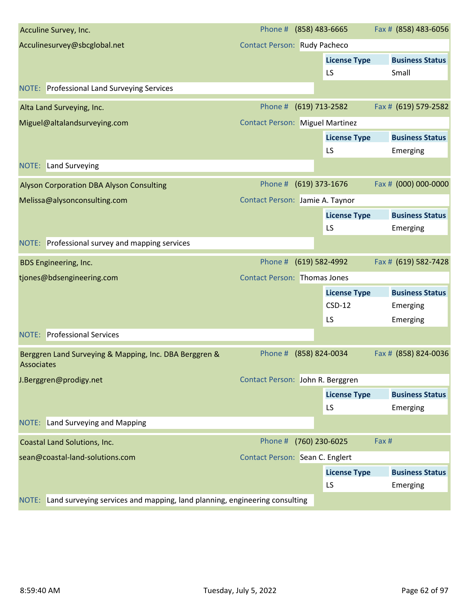| Acculine Survey, Inc.                                                               | Phone # (858) 483-6665                 |                     | Fax # (858) 483-6056   |
|-------------------------------------------------------------------------------------|----------------------------------------|---------------------|------------------------|
| Acculinesurvey@sbcglobal.net                                                        | <b>Contact Person: Rudy Pacheco</b>    |                     |                        |
|                                                                                     |                                        | <b>License Type</b> | <b>Business Status</b> |
|                                                                                     |                                        | LS                  | Small                  |
| <b>NOTE:</b> Professional Land Surveying Services                                   |                                        |                     |                        |
| Alta Land Surveying, Inc.                                                           | Phone #                                | (619) 713-2582      | Fax # (619) 579-2582   |
| Miguel@altalandsurveying.com                                                        | <b>Contact Person: Miguel Martinez</b> |                     |                        |
|                                                                                     |                                        | <b>License Type</b> | <b>Business Status</b> |
|                                                                                     |                                        | LS                  | Emerging               |
| <b>NOTE:</b> Land Surveying                                                         |                                        |                     |                        |
| <b>Alyson Corporation DBA Alyson Consulting</b>                                     | Phone # (619) 373-1676                 |                     | Fax # (000) 000-0000   |
| Melissa@alysonconsulting.com                                                        | Contact Person: Jamie A. Taynor        |                     |                        |
|                                                                                     |                                        | <b>License Type</b> | <b>Business Status</b> |
|                                                                                     |                                        | LS                  | Emerging               |
| NOTE: Professional survey and mapping services                                      |                                        |                     |                        |
| <b>BDS Engineering, Inc.</b>                                                        | Phone #                                | (619) 582-4992      | Fax # (619) 582-7428   |
| tjones@bdsengineering.com                                                           | <b>Contact Person: Thomas Jones</b>    |                     |                        |
|                                                                                     |                                        | <b>License Type</b> | <b>Business Status</b> |
|                                                                                     |                                        | $CSD-12$            | Emerging               |
|                                                                                     |                                        | LS                  | Emerging               |
| <b>NOTE: Professional Services</b>                                                  |                                        |                     |                        |
| Berggren Land Surveying & Mapping, Inc. DBA Berggren &<br>Associates                | Phone #                                | (858) 824-0034      | Fax # (858) 824-0036   |
| J.Berggren@prodigy.net                                                              | Contact Person: John R. Berggren       |                     |                        |
|                                                                                     |                                        | <b>License Type</b> | <b>Business Status</b> |
|                                                                                     |                                        | LS                  | Emerging               |
| NOTE: Land Surveying and Mapping                                                    |                                        |                     |                        |
| Coastal Land Solutions, Inc.                                                        | Phone #                                | (760) 230-6025      | Fax #                  |
| sean@coastal-land-solutions.com                                                     | Contact Person: Sean C. Englert        |                     |                        |
|                                                                                     |                                        | <b>License Type</b> | <b>Business Status</b> |
|                                                                                     |                                        | LS                  | Emerging               |
| Land surveying services and mapping, land planning, engineering consulting<br>NOTE: |                                        |                     |                        |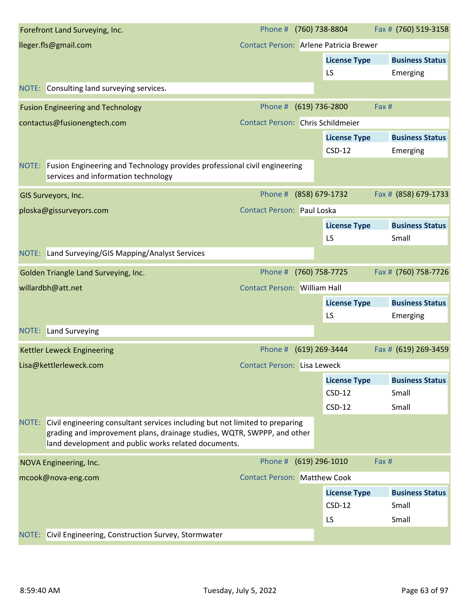|       | Forefront Land Surveying, Inc.                                                                                                                                                                                  | Phone #                                  | (760) 738-8804            | Fax # (760) 519-3158            |
|-------|-----------------------------------------------------------------------------------------------------------------------------------------------------------------------------------------------------------------|------------------------------------------|---------------------------|---------------------------------|
|       | lleger.fls@gmail.com                                                                                                                                                                                            | Contact Person: Arlene Patricia Brewer   |                           |                                 |
|       |                                                                                                                                                                                                                 |                                          | <b>License Type</b>       | <b>Business Status</b>          |
|       |                                                                                                                                                                                                                 |                                          | LS                        | Emerging                        |
| NOTE: | Consulting land surveying services.                                                                                                                                                                             |                                          |                           |                                 |
|       | <b>Fusion Engineering and Technology</b>                                                                                                                                                                        | Phone #                                  | $(619)$ 736-2800          | Fax #                           |
|       | contactus@fusionengtech.com                                                                                                                                                                                     | <b>Contact Person: Chris Schildmeier</b> |                           |                                 |
|       |                                                                                                                                                                                                                 |                                          | <b>License Type</b>       | <b>Business Status</b>          |
|       |                                                                                                                                                                                                                 |                                          | $CSD-12$                  | Emerging                        |
|       | NOTE: Fusion Engineering and Technology provides professional civil engineering<br>services and information technology                                                                                          |                                          |                           |                                 |
|       | GIS Surveyors, Inc.                                                                                                                                                                                             | Phone #                                  | (858) 679-1732            | Fax # (858) 679-1733            |
|       | ploska@gissurveyors.com                                                                                                                                                                                         | <b>Contact Person: Paul Loska</b>        |                           |                                 |
|       |                                                                                                                                                                                                                 |                                          | <b>License Type</b><br>LS | <b>Business Status</b><br>Small |
|       | NOTE: Land Surveying/GIS Mapping/Analyst Services                                                                                                                                                               |                                          |                           |                                 |
|       | Golden Triangle Land Surveying, Inc.                                                                                                                                                                            | Phone #                                  | (760) 758-7725            | Fax # (760) 758-7726            |
|       |                                                                                                                                                                                                                 |                                          |                           |                                 |
|       | willardbh@att.net                                                                                                                                                                                               | <b>Contact Person: William Hall</b>      |                           |                                 |
|       |                                                                                                                                                                                                                 |                                          | <b>License Type</b>       | <b>Business Status</b>          |
|       |                                                                                                                                                                                                                 |                                          | LS                        | Emerging                        |
|       | <b>NOTE:</b> Land Surveying                                                                                                                                                                                     |                                          |                           |                                 |
|       | <b>Kettler Leweck Engineering</b>                                                                                                                                                                               | Phone #                                  | (619) 269-3444            | Fax # (619) 269-3459            |
|       | Lisa@kettlerleweck.com                                                                                                                                                                                          | <b>Contact Person: Lisa Leweck</b>       |                           |                                 |
|       |                                                                                                                                                                                                                 |                                          | <b>License Type</b>       | <b>Business Status</b>          |
|       |                                                                                                                                                                                                                 |                                          | $CSD-12$                  | Small                           |
|       |                                                                                                                                                                                                                 |                                          | $CSD-12$                  | Small                           |
| NOTE: | Civil engineering consultant services including but not limited to preparing<br>grading and improvement plans, drainage studies, WQTR, SWPPP, and other<br>land development and public works related documents. |                                          |                           |                                 |
|       | NOVA Engineering, Inc.                                                                                                                                                                                          | Phone #                                  | $(619)$ 296-1010          | Fax #                           |
|       | mcook@nova-eng.com                                                                                                                                                                                              | <b>Contact Person: Matthew Cook</b>      |                           |                                 |
|       |                                                                                                                                                                                                                 |                                          | <b>License Type</b>       | <b>Business Status</b>          |
|       |                                                                                                                                                                                                                 |                                          | $CSD-12$                  | Small                           |
|       |                                                                                                                                                                                                                 |                                          | LS                        | Small                           |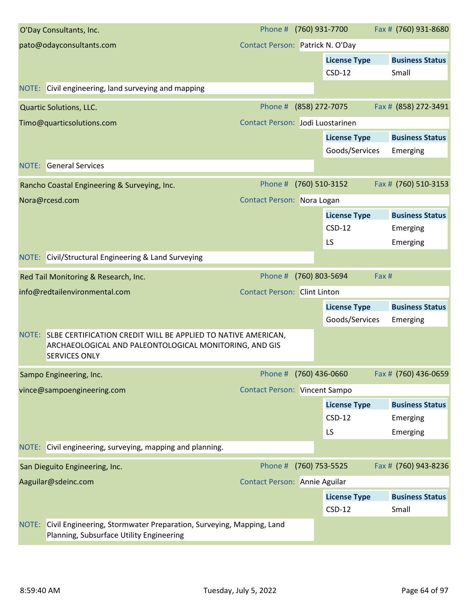| O'Day Consultants, Inc.                                                                                                                               | Phone # (760) 931-7700               |                                       | Fax # (760) 931-8680               |
|-------------------------------------------------------------------------------------------------------------------------------------------------------|--------------------------------------|---------------------------------------|------------------------------------|
| pato@odayconsultants.com                                                                                                                              | Contact Person: Patrick N. O'Day     |                                       |                                    |
|                                                                                                                                                       |                                      | <b>License Type</b><br>$CSD-12$       | <b>Business Status</b><br>Small    |
| NOTE: Civil engineering, land surveying and mapping                                                                                                   |                                      |                                       |                                    |
| <b>Quartic Solutions, LLC.</b>                                                                                                                        | Phone #                              | (858) 272-7075                        | Fax # (858) 272-3491               |
| Timo@quarticsolutions.com                                                                                                                             | Contact Person: Jodi Luostarinen     |                                       |                                    |
|                                                                                                                                                       |                                      | <b>License Type</b><br>Goods/Services | <b>Business Status</b><br>Emerging |
| <b>NOTE:</b> General Services                                                                                                                         |                                      |                                       |                                    |
| Rancho Coastal Engineering & Surveying, Inc.                                                                                                          | Phone # (760) 510-3152               |                                       | Fax # (760) 510-3153               |
| Nora@rcesd.com                                                                                                                                        | Contact Person: Nora Logan           |                                       |                                    |
|                                                                                                                                                       |                                      | <b>License Type</b>                   | <b>Business Status</b>             |
|                                                                                                                                                       |                                      | $CSD-12$                              | Emerging                           |
|                                                                                                                                                       |                                      | LS                                    | Emerging                           |
| NOTE: Civil/Structural Engineering & Land Surveying                                                                                                   |                                      |                                       |                                    |
| Red Tail Monitoring & Research, Inc.                                                                                                                  | Phone #                              | (760) 803-5694                        | Fax #                              |
| info@redtailenvironmental.com                                                                                                                         | <b>Contact Person: Clint Linton</b>  |                                       |                                    |
|                                                                                                                                                       |                                      | <b>License Type</b>                   | <b>Business Status</b>             |
|                                                                                                                                                       |                                      | Goods/Services                        | Emerging                           |
| NOTE: SLBE CERTIFICATION CREDIT WILL BE APPLIED TO NATIVE AMERICAN,<br>ARCHAEOLOGICAL AND PALEONTOLOGICAL MONITORING, AND GIS<br><b>SERVICES ONLY</b> |                                      |                                       |                                    |
| Sampo Engineering, Inc.                                                                                                                               | Phone # (760) 436-0660               |                                       | Fax # (760) 436-0659               |
| vince@sampoengineering.com                                                                                                                            | <b>Contact Person: Vincent Sampo</b> |                                       |                                    |
|                                                                                                                                                       |                                      | <b>License Type</b>                   | <b>Business Status</b>             |
|                                                                                                                                                       |                                      | $CSD-12$                              | Emerging                           |
|                                                                                                                                                       |                                      | LS                                    | Emerging                           |
| NOTE: Civil engineering, surveying, mapping and planning.                                                                                             |                                      |                                       |                                    |
| San Dieguito Engineering, Inc.                                                                                                                        | Phone #                              | (760) 753-5525                        | Fax # (760) 943-8236               |
| Aaguilar@sdeinc.com                                                                                                                                   | <b>Contact Person: Annie Aguilar</b> |                                       |                                    |
|                                                                                                                                                       |                                      | <b>License Type</b>                   | <b>Business Status</b>             |
| NOTE:<br>Civil Engineering, Stormwater Preparation, Surveying, Mapping, Land<br>Planning, Subsurface Utility Engineering                              |                                      | $CSD-12$                              | Small                              |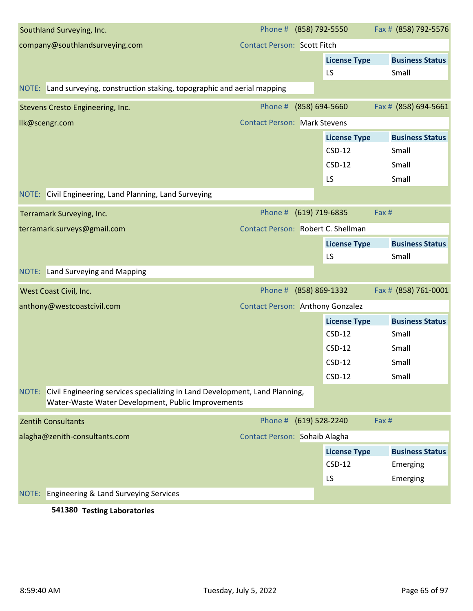|       | Southland Surveying, Inc.                                                                                                         | Phone # (858) 792-5550                  |                |                     | Fax # (858) 792-5576   |
|-------|-----------------------------------------------------------------------------------------------------------------------------------|-----------------------------------------|----------------|---------------------|------------------------|
|       | company@southlandsurveying.com                                                                                                    | <b>Contact Person: Scott Fitch</b>      |                |                     |                        |
|       |                                                                                                                                   |                                         |                | <b>License Type</b> | <b>Business Status</b> |
|       |                                                                                                                                   |                                         |                | LS                  | Small                  |
|       | NOTE: Land surveying, construction staking, topographic and aerial mapping                                                        |                                         |                |                     |                        |
|       | Stevens Cresto Engineering, Inc.                                                                                                  | Phone #                                 | (858) 694-5660 |                     | Fax # (858) 694-5661   |
|       | Ilk@scengr.com                                                                                                                    | <b>Contact Person: Mark Stevens</b>     |                |                     |                        |
|       |                                                                                                                                   |                                         |                | <b>License Type</b> | <b>Business Status</b> |
|       |                                                                                                                                   |                                         |                | $CSD-12$            | Small                  |
|       |                                                                                                                                   |                                         |                | $CSD-12$            | Small                  |
|       |                                                                                                                                   |                                         |                | LS                  | Small                  |
|       | NOTE: Civil Engineering, Land Planning, Land Surveying                                                                            |                                         |                |                     |                        |
|       | Terramark Surveying, Inc.                                                                                                         | Phone # (619) 719-6835                  |                |                     | Fax #                  |
|       | terramark.surveys@gmail.com                                                                                                       | Contact Person: Robert C. Shellman      |                |                     |                        |
|       |                                                                                                                                   |                                         |                | <b>License Type</b> | <b>Business Status</b> |
|       |                                                                                                                                   |                                         |                | LS                  | Small                  |
|       | NOTE: Land Surveying and Mapping                                                                                                  |                                         |                |                     |                        |
|       | West Coast Civil, Inc.                                                                                                            | Phone #                                 | (858) 869-1332 |                     | Fax # (858) 761-0001   |
|       | anthony@westcoastcivil.com                                                                                                        | <b>Contact Person: Anthony Gonzalez</b> |                |                     |                        |
|       |                                                                                                                                   |                                         |                | <b>License Type</b> | <b>Business Status</b> |
|       |                                                                                                                                   |                                         |                | $CSD-12$            | Small                  |
|       |                                                                                                                                   |                                         |                | $CSD-12$            | Small                  |
|       |                                                                                                                                   |                                         |                | $CSD-12$            | Small                  |
|       |                                                                                                                                   |                                         |                | $CSD-12$            | Small                  |
| NOTE: | Civil Engineering services specializing in Land Development, Land Planning,<br>Water-Waste Water Development, Public Improvements |                                         |                |                     |                        |
|       | <b>Zentih Consultants</b>                                                                                                         | Phone # (619) 528-2240                  |                |                     | Fax #                  |
|       | alagha@zenith-consultants.com                                                                                                     | Contact Person: Sohaib Alagha           |                |                     |                        |
|       |                                                                                                                                   |                                         |                | <b>License Type</b> | <b>Business Status</b> |
|       |                                                                                                                                   |                                         |                | $CSD-12$            | Emerging               |
|       |                                                                                                                                   |                                         |                | LS                  | Emerging               |
| NOTE: | <b>Engineering &amp; Land Surveying Services</b>                                                                                  |                                         |                |                     |                        |
|       |                                                                                                                                   |                                         |                |                     |                        |

### **541380 Testing Laboratories**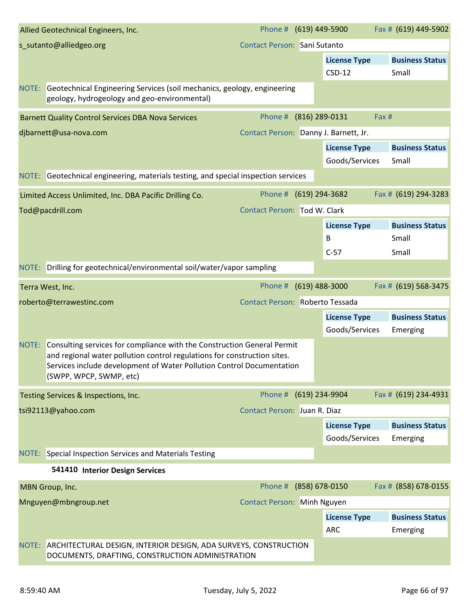|       | Allied Geotechnical Engineers, Inc.                                                                                                                                                                                                                     | Phone # (619) 449-5900                |                |                                 | Fax # (619) 449-5902            |
|-------|---------------------------------------------------------------------------------------------------------------------------------------------------------------------------------------------------------------------------------------------------------|---------------------------------------|----------------|---------------------------------|---------------------------------|
|       | s_sutanto@alliedgeo.org                                                                                                                                                                                                                                 | Contact Person: Sani Sutanto          |                |                                 |                                 |
|       |                                                                                                                                                                                                                                                         |                                       |                | <b>License Type</b><br>$CSD-12$ | <b>Business Status</b><br>Small |
|       | NOTE: Geotechnical Engineering Services (soil mechanics, geology, engineering<br>geology, hydrogeology and geo-environmental)                                                                                                                           |                                       |                |                                 |                                 |
|       | <b>Barnett Quality Control Services DBA Nova Services</b>                                                                                                                                                                                               | Phone #                               | (816) 289-0131 |                                 | Fax #                           |
|       | djbarnett@usa-nova.com                                                                                                                                                                                                                                  | Contact Person: Danny J. Barnett, Jr. |                |                                 |                                 |
|       |                                                                                                                                                                                                                                                         |                                       |                | <b>License Type</b>             | <b>Business Status</b>          |
|       |                                                                                                                                                                                                                                                         |                                       |                | Goods/Services                  | Small                           |
|       | NOTE: Geotechnical engineering, materials testing, and special inspection services                                                                                                                                                                      |                                       |                |                                 |                                 |
|       | Limited Access Unlimited, Inc. DBA Pacific Drilling Co.                                                                                                                                                                                                 | Phone # (619) 294-3682                |                |                                 | Fax # (619) 294-3283            |
|       | Tod@pacdrill.com                                                                                                                                                                                                                                        | <b>Contact Person: Tod W. Clark</b>   |                |                                 |                                 |
|       |                                                                                                                                                                                                                                                         |                                       |                | <b>License Type</b>             | <b>Business Status</b>          |
|       |                                                                                                                                                                                                                                                         |                                       |                | B                               | Small                           |
|       |                                                                                                                                                                                                                                                         |                                       |                | $C-57$                          | Small                           |
|       | NOTE: Drilling for geotechnical/environmental soil/water/vapor sampling                                                                                                                                                                                 |                                       |                |                                 |                                 |
|       | Terra West, Inc.                                                                                                                                                                                                                                        | Phone # (619) 488-3000                |                |                                 | Fax # (619) 568-3475            |
|       | roberto@terrawestinc.com                                                                                                                                                                                                                                | Contact Person: Roberto Tessada       |                |                                 |                                 |
|       |                                                                                                                                                                                                                                                         |                                       |                | <b>License Type</b>             | <b>Business Status</b>          |
|       |                                                                                                                                                                                                                                                         |                                       |                | Goods/Services                  | Emerging                        |
| NOTE: | Consulting services for compliance with the Construction General Permit<br>and regional water pollution control regulations for construction sites.<br>Services include development of Water Pollution Control Documentation<br>(SWPP, WPCP, SWMP, etc) |                                       |                |                                 |                                 |
|       | Testing Services & Inspections, Inc.                                                                                                                                                                                                                    | Phone # (619) 234-9904                |                |                                 | Fax # (619) 234-4931            |
|       | tsi92113@yahoo.com                                                                                                                                                                                                                                      | Contact Person: Juan R. Diaz          |                |                                 |                                 |
|       |                                                                                                                                                                                                                                                         |                                       |                | <b>License Type</b>             | <b>Business Status</b>          |
|       |                                                                                                                                                                                                                                                         |                                       |                | Goods/Services                  | Emerging                        |
|       | NOTE: Special Inspection Services and Materials Testing                                                                                                                                                                                                 |                                       |                |                                 |                                 |
|       | 541410 Interior Design Services                                                                                                                                                                                                                         |                                       |                |                                 |                                 |
|       | MBN Group, Inc.                                                                                                                                                                                                                                         | Phone # (858) 678-0150                |                |                                 | Fax # (858) 678-0155            |
|       | Mnguyen@mbngroup.net                                                                                                                                                                                                                                    | <b>Contact Person: Minh Nguyen</b>    |                |                                 |                                 |
|       |                                                                                                                                                                                                                                                         |                                       |                | <b>License Type</b>             | <b>Business Status</b>          |
|       |                                                                                                                                                                                                                                                         |                                       |                | <b>ARC</b>                      | Emerging                        |
|       | NOTE: ARCHITECTURAL DESIGN, INTERIOR DESIGN, ADA SURVEYS, CONSTRUCTION<br>DOCUMENTS, DRAFTING, CONSTRUCTION ADMINISTRATION                                                                                                                              |                                       |                |                                 |                                 |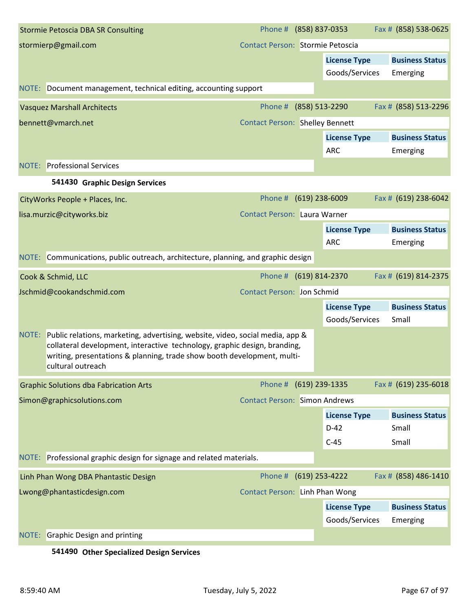|       | <b>Stormie Petoscia DBA SR Consulting</b>                                                                                                                                                                                                                  | Phone # (858) 837-0353                 |                                       | Fax # (858) 538-0625               |
|-------|------------------------------------------------------------------------------------------------------------------------------------------------------------------------------------------------------------------------------------------------------------|----------------------------------------|---------------------------------------|------------------------------------|
|       | stormierp@gmail.com                                                                                                                                                                                                                                        | Contact Person: Stormie Petoscia       |                                       |                                    |
|       |                                                                                                                                                                                                                                                            |                                        | <b>License Type</b><br>Goods/Services | <b>Business Status</b><br>Emerging |
|       | NOTE: Document management, technical editing, accounting support                                                                                                                                                                                           |                                        |                                       |                                    |
|       | <b>Vasquez Marshall Architects</b>                                                                                                                                                                                                                         | Phone #                                | (858) 513-2290                        | Fax # (858) 513-2296               |
|       | bennett@vmarch.net                                                                                                                                                                                                                                         | <b>Contact Person: Shelley Bennett</b> |                                       |                                    |
|       |                                                                                                                                                                                                                                                            |                                        | <b>License Type</b><br>ARC            | <b>Business Status</b><br>Emerging |
|       | <b>NOTE:</b> Professional Services                                                                                                                                                                                                                         |                                        |                                       |                                    |
|       | 541430 Graphic Design Services                                                                                                                                                                                                                             |                                        |                                       |                                    |
|       | CityWorks People + Places, Inc.                                                                                                                                                                                                                            | Phone # (619) 238-6009                 |                                       | Fax # (619) 238-6042               |
|       | lisa.murzic@cityworks.biz                                                                                                                                                                                                                                  | <b>Contact Person: Laura Warner</b>    |                                       |                                    |
|       |                                                                                                                                                                                                                                                            |                                        | <b>License Type</b>                   | <b>Business Status</b>             |
|       |                                                                                                                                                                                                                                                            |                                        | <b>ARC</b>                            | Emerging                           |
|       | NOTE: Communications, public outreach, architecture, planning, and graphic design                                                                                                                                                                          |                                        |                                       |                                    |
|       | Cook & Schmid, LLC                                                                                                                                                                                                                                         | Phone # (619) 814-2370                 |                                       | Fax # (619) 814-2375               |
|       | Jschmid@cookandschmid.com                                                                                                                                                                                                                                  | <b>Contact Person: Jon Schmid</b>      |                                       |                                    |
|       |                                                                                                                                                                                                                                                            |                                        | <b>License Type</b>                   | <b>Business Status</b>             |
|       |                                                                                                                                                                                                                                                            |                                        | Goods/Services                        | Small                              |
| NOTE: | Public relations, marketing, advertising, website, video, social media, app &<br>collateral development, interactive technology, graphic design, branding,<br>writing, presentations & planning, trade show booth development, multi-<br>cultural outreach |                                        |                                       |                                    |
|       | <b>Graphic Solutions dba Fabrication Arts</b>                                                                                                                                                                                                              | Phone # (619) 239-1335                 |                                       | Fax # (619) 235-6018               |
|       | Simon@graphicsolutions.com                                                                                                                                                                                                                                 | <b>Contact Person: Simon Andrews</b>   |                                       |                                    |
|       |                                                                                                                                                                                                                                                            |                                        | <b>License Type</b>                   | <b>Business Status</b>             |
|       |                                                                                                                                                                                                                                                            |                                        | $D-42$                                | Small                              |
|       |                                                                                                                                                                                                                                                            |                                        | $C-45$                                | Small                              |
|       | NOTE: Professional graphic design for signage and related materials.                                                                                                                                                                                       |                                        |                                       |                                    |
|       | Linh Phan Wong DBA Phantastic Design                                                                                                                                                                                                                       | Phone # (619) 253-4222                 |                                       | Fax # (858) 486-1410               |
|       | Lwong@phantasticdesign.com                                                                                                                                                                                                                                 | Contact Person: Linh Phan Wong         |                                       |                                    |
|       |                                                                                                                                                                                                                                                            |                                        | <b>License Type</b>                   | <b>Business Status</b>             |
|       |                                                                                                                                                                                                                                                            |                                        | Goods/Services                        | Emerging                           |
| NOTE: | <b>Graphic Design and printing</b>                                                                                                                                                                                                                         |                                        |                                       |                                    |

**541490 Other Specialized Design Services**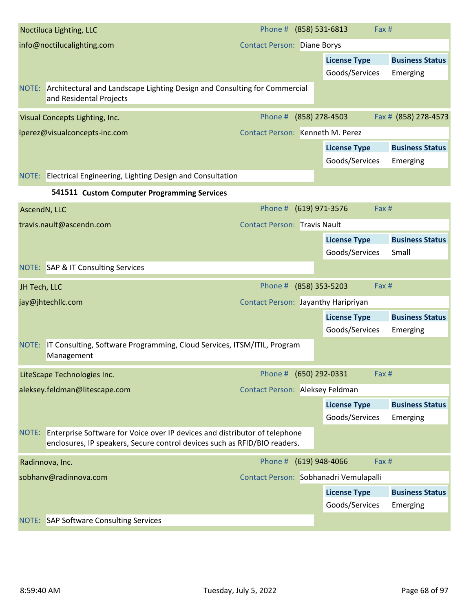|                            | Noctiluca Lighting, LLC                                                                                                                                       | Phone # (858) 531-6813                     | Fax #                                  |                                 |
|----------------------------|---------------------------------------------------------------------------------------------------------------------------------------------------------------|--------------------------------------------|----------------------------------------|---------------------------------|
| info@noctilucalighting.com |                                                                                                                                                               | <b>Contact Person: Diane Borys</b>         |                                        |                                 |
|                            |                                                                                                                                                               |                                            | <b>License Type</b>                    | <b>Business Status</b>          |
|                            |                                                                                                                                                               |                                            | Goods/Services                         | Emerging                        |
|                            | NOTE: Architectural and Landscape Lighting Design and Consulting for Commercial<br>and Residental Projects                                                    |                                            |                                        |                                 |
|                            | Visual Concepts Lighting, Inc.                                                                                                                                | Phone #                                    | (858) 278-4503                         | Fax # (858) 278-4573            |
|                            | lperez@visualconcepts-inc.com                                                                                                                                 | <b>Contact Person: Kenneth M. Perez</b>    |                                        |                                 |
|                            |                                                                                                                                                               |                                            | <b>License Type</b>                    | <b>Business Status</b>          |
|                            |                                                                                                                                                               |                                            | Goods/Services                         | Emerging                        |
|                            | NOTE: Electrical Engineering, Lighting Design and Consultation                                                                                                |                                            |                                        |                                 |
|                            | 541511 Custom Computer Programming Services                                                                                                                   |                                            |                                        |                                 |
| AscendN, LLC               |                                                                                                                                                               | Phone #                                    | (619) 971-3576<br>Fax #                |                                 |
|                            | travis.nault@ascendn.com                                                                                                                                      | <b>Contact Person: Travis Nault</b>        |                                        |                                 |
|                            |                                                                                                                                                               |                                            | <b>License Type</b><br>Goods/Services  | <b>Business Status</b><br>Small |
|                            | NOTE: SAP & IT Consulting Services                                                                                                                            |                                            |                                        |                                 |
| JH Tech, LLC               |                                                                                                                                                               | Phone # (858) 353-5203                     | Fax #                                  |                                 |
|                            | jay@jhtechllc.com                                                                                                                                             | <b>Contact Person: Jayanthy Haripriyan</b> |                                        |                                 |
|                            |                                                                                                                                                               |                                            | <b>License Type</b>                    | <b>Business Status</b>          |
|                            |                                                                                                                                                               |                                            | Goods/Services                         | Emerging                        |
|                            | NOTE: IT Consulting, Software Programming, Cloud Services, ITSM/ITIL, Program<br>Management                                                                   |                                            |                                        |                                 |
|                            | LiteScape Technologies Inc.                                                                                                                                   | Phone # (650) 292-0331                     | Fax #                                  |                                 |
|                            | aleksey.feldman@litescape.com                                                                                                                                 | Contact Person: Aleksey Feldman            |                                        |                                 |
|                            |                                                                                                                                                               |                                            |                                        |                                 |
|                            |                                                                                                                                                               |                                            | <b>License Type</b>                    | <b>Business Status</b>          |
|                            |                                                                                                                                                               |                                            | Goods/Services                         | Emerging                        |
|                            | NOTE: Enterprise Software for Voice over IP devices and distributor of telephone<br>enclosures, IP speakers, Secure control devices such as RFID/BIO readers. |                                            |                                        |                                 |
|                            | Radinnova, Inc.                                                                                                                                               | Phone # (619) 948-4066                     | Fax #                                  |                                 |
|                            | sobhanv@radinnova.com                                                                                                                                         |                                            | Contact Person: Sobhanadri Vemulapalli |                                 |
|                            |                                                                                                                                                               |                                            | <b>License Type</b>                    | <b>Business Status</b>          |
|                            |                                                                                                                                                               |                                            | Goods/Services                         | Emerging                        |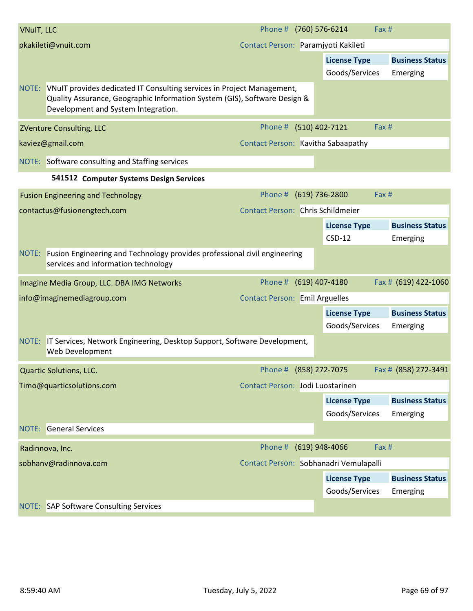| <b>VNuIT, LLC</b>   |                                                                                                                                                                                                  | Phone # (760) 576-6214                   |                                        | Fax #                              |
|---------------------|--------------------------------------------------------------------------------------------------------------------------------------------------------------------------------------------------|------------------------------------------|----------------------------------------|------------------------------------|
| pkakileti@vnuit.com |                                                                                                                                                                                                  | Contact Person: Paramjyoti Kakileti      |                                        |                                    |
|                     |                                                                                                                                                                                                  |                                          | <b>License Type</b>                    | <b>Business Status</b>             |
|                     |                                                                                                                                                                                                  |                                          | Goods/Services                         | Emerging                           |
|                     | NOTE: VNuIT provides dedicated IT Consulting services in Project Management,<br>Quality Assurance, Geographic Information System (GIS), Software Design &<br>Development and System Integration. |                                          |                                        |                                    |
|                     | <b>ZVenture Consulting, LLC</b>                                                                                                                                                                  | Phone # (510) 402-7121                   |                                        | Fax #                              |
|                     | kaviez@gmail.com                                                                                                                                                                                 | Contact Person: Kavitha Sabaapathy       |                                        |                                    |
|                     | NOTE: Software consulting and Staffing services                                                                                                                                                  |                                          |                                        |                                    |
|                     | 541512 Computer Systems Design Services                                                                                                                                                          |                                          |                                        |                                    |
|                     | <b>Fusion Engineering and Technology</b>                                                                                                                                                         | Phone # (619) 736-2800                   |                                        | Fax #                              |
|                     | contactus@fusionengtech.com                                                                                                                                                                      | <b>Contact Person: Chris Schildmeier</b> |                                        |                                    |
|                     |                                                                                                                                                                                                  |                                          | <b>License Type</b><br>$CSD-12$        | <b>Business Status</b><br>Emerging |
|                     | NOTE: Fusion Engineering and Technology provides professional civil engineering<br>services and information technology                                                                           |                                          |                                        |                                    |
|                     | Imagine Media Group, LLC. DBA IMG Networks                                                                                                                                                       | Phone # (619) 407-4180                   |                                        | Fax # (619) 422-1060               |
|                     | info@imaginemediagroup.com                                                                                                                                                                       | <b>Contact Person: Emil Arguelles</b>    |                                        |                                    |
|                     |                                                                                                                                                                                                  |                                          | <b>License Type</b>                    | <b>Business Status</b>             |
|                     |                                                                                                                                                                                                  |                                          | Goods/Services                         | Emerging                           |
|                     | NOTE: IT Services, Network Engineering, Desktop Support, Software Development,<br>Web Development                                                                                                |                                          |                                        |                                    |
|                     | Quartic Solutions, LLC.                                                                                                                                                                          | Phone # (858) 272-7075                   |                                        | Fax # (858) 272-3491               |
|                     | Timo@quarticsolutions.com                                                                                                                                                                        | Contact Person: Jodi Luostarinen         |                                        |                                    |
|                     |                                                                                                                                                                                                  |                                          | <b>License Type</b>                    | <b>Business Status</b>             |
|                     |                                                                                                                                                                                                  |                                          | Goods/Services                         | Emerging                           |
|                     | <b>NOTE:</b> General Services                                                                                                                                                                    |                                          |                                        |                                    |
|                     | Radinnova, Inc.                                                                                                                                                                                  | Phone # (619) 948-4066                   |                                        | Fax #                              |
|                     | sobhanv@radinnova.com                                                                                                                                                                            |                                          | Contact Person: Sobhanadri Vemulapalli |                                    |
|                     |                                                                                                                                                                                                  |                                          | <b>License Type</b>                    | <b>Business Status</b>             |
|                     |                                                                                                                                                                                                  |                                          | Goods/Services                         | Emerging                           |
|                     | NOTE: SAP Software Consulting Services                                                                                                                                                           |                                          |                                        |                                    |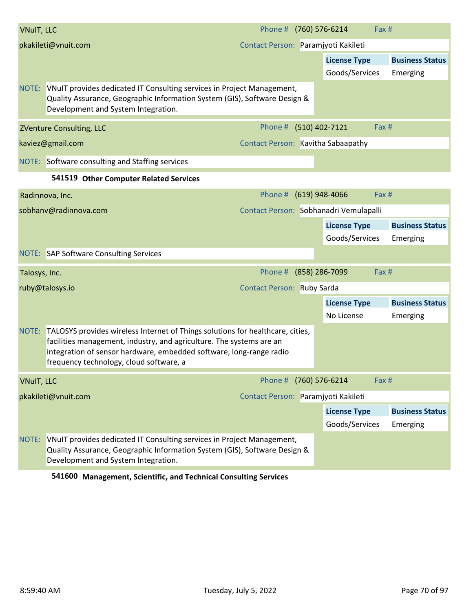| <b>VNuIT, LLC</b>   |                                                                                                                                                                                                                                                                          | Phone # (760) 576-6214                 |                                       | Fax # |                                    |
|---------------------|--------------------------------------------------------------------------------------------------------------------------------------------------------------------------------------------------------------------------------------------------------------------------|----------------------------------------|---------------------------------------|-------|------------------------------------|
| pkakileti@vnuit.com |                                                                                                                                                                                                                                                                          | Contact Person: Paramjyoti Kakileti    |                                       |       |                                    |
|                     |                                                                                                                                                                                                                                                                          |                                        | <b>License Type</b><br>Goods/Services |       | <b>Business Status</b><br>Emerging |
|                     | NOTE: VNuIT provides dedicated IT Consulting services in Project Management,<br>Quality Assurance, Geographic Information System (GIS), Software Design &<br>Development and System Integration.                                                                         |                                        |                                       |       |                                    |
|                     | <b>ZVenture Consulting, LLC</b>                                                                                                                                                                                                                                          | Phone # (510) 402-7121                 |                                       | Fax # |                                    |
|                     | kaviez@gmail.com                                                                                                                                                                                                                                                         | Contact Person: Kavitha Sabaapathy     |                                       |       |                                    |
|                     | NOTE: Software consulting and Staffing services                                                                                                                                                                                                                          |                                        |                                       |       |                                    |
|                     | 541519 Other Computer Related Services                                                                                                                                                                                                                                   |                                        |                                       |       |                                    |
|                     | Radinnova, Inc.                                                                                                                                                                                                                                                          | Phone # (619) 948-4066                 |                                       | Fax # |                                    |
|                     | sobhanv@radinnova.com                                                                                                                                                                                                                                                    | Contact Person: Sobhanadri Vemulapalli |                                       |       |                                    |
|                     |                                                                                                                                                                                                                                                                          |                                        | <b>License Type</b><br>Goods/Services |       | <b>Business Status</b><br>Emerging |
|                     | <b>NOTE:</b> SAP Software Consulting Services                                                                                                                                                                                                                            |                                        |                                       |       |                                    |
| Talosys, Inc.       |                                                                                                                                                                                                                                                                          | Phone # (858) 286-7099                 |                                       | Fax # |                                    |
|                     | ruby@talosys.io                                                                                                                                                                                                                                                          | Contact Person: Ruby Sarda             |                                       |       |                                    |
|                     |                                                                                                                                                                                                                                                                          |                                        | <b>License Type</b><br>No License     |       | <b>Business Status</b><br>Emerging |
| NOTE:               | TALOSYS provides wireless Internet of Things solutions for healthcare, cities,<br>facilities management, industry, and agriculture. The systems are an<br>integration of sensor hardware, embedded software, long-range radio<br>frequency technology, cloud software, a |                                        |                                       |       |                                    |
| <b>VNuIT, LLC</b>   |                                                                                                                                                                                                                                                                          | Phone #                                | (760) 576-6214                        | Fax # |                                    |
| pkakileti@vnuit.com |                                                                                                                                                                                                                                                                          | Contact Person: Paramjyoti Kakileti    |                                       |       |                                    |
|                     |                                                                                                                                                                                                                                                                          |                                        | <b>License Type</b><br>Goods/Services |       | <b>Business Status</b><br>Emerging |
| NOTE:               | VNuIT provides dedicated IT Consulting services in Project Management,<br>Quality Assurance, Geographic Information System (GIS), Software Design &<br>Development and System Integration.                                                                               |                                        |                                       |       |                                    |

**541600 Management, Scientific, and Technical Consulting Services**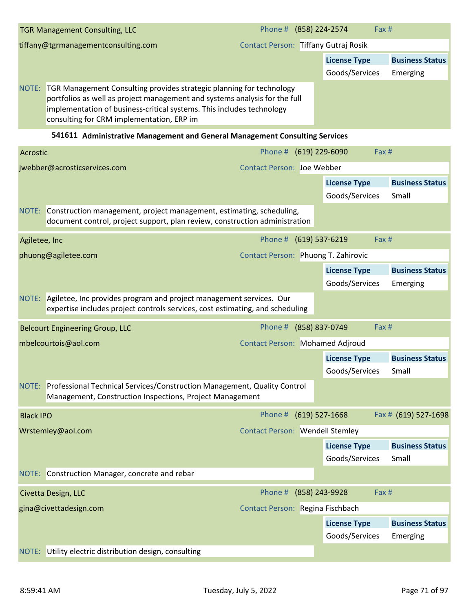|       | <b>TGR Management Consulting, LLC</b>                                                                                                                                                                                                                                           | Phone # (858) 224-2574               |                     | Fax#                   |  |
|-------|---------------------------------------------------------------------------------------------------------------------------------------------------------------------------------------------------------------------------------------------------------------------------------|--------------------------------------|---------------------|------------------------|--|
|       | tiffany@tgrmanagementconsulting.com                                                                                                                                                                                                                                             | Contact Person: Tiffany Gutraj Rosik |                     |                        |  |
|       |                                                                                                                                                                                                                                                                                 |                                      | <b>License Type</b> | <b>Business Status</b> |  |
|       |                                                                                                                                                                                                                                                                                 |                                      | Goods/Services      | Emerging               |  |
| NOTE: | <b>TGR Management Consulting provides strategic planning for technology</b><br>portfolios as well as project management and systems analysis for the full<br>implementation of business-critical systems. This includes technology<br>consulting for CRM implementation, ERP im |                                      |                     |                        |  |

**541611 Administrative Management and General Management Consulting Services**

| Acrostic                     |                                                                                                                                                           | Phone # (619) 229-6090                 |                                 | Fax #                                 |                                    |  |
|------------------------------|-----------------------------------------------------------------------------------------------------------------------------------------------------------|----------------------------------------|---------------------------------|---------------------------------------|------------------------------------|--|
| jwebber@acrosticservices.com |                                                                                                                                                           | <b>Contact Person: Joe Webber</b>      |                                 |                                       |                                    |  |
|                              |                                                                                                                                                           |                                        |                                 | <b>License Type</b><br>Goods/Services | <b>Business Status</b><br>Small    |  |
|                              | NOTE: Construction management, project management, estimating, scheduling,<br>document control, project support, plan review, construction administration |                                        |                                 |                                       |                                    |  |
| Agiletee, Inc                |                                                                                                                                                           | Phone # (619) 537-6219                 |                                 | Fax #                                 |                                    |  |
|                              | phuong@agiletee.com                                                                                                                                       | Contact Person: Phuong T. Zahirovic    |                                 |                                       |                                    |  |
|                              |                                                                                                                                                           |                                        |                                 | <b>License Type</b><br>Goods/Services | <b>Business Status</b><br>Emerging |  |
| NOTE:                        | Agiletee, Inc provides program and project management services. Our<br>expertise includes project controls services, cost estimating, and scheduling      |                                        |                                 |                                       |                                    |  |
|                              | <b>Belcourt Engineering Group, LLC</b>                                                                                                                    | Phone # (858) 837-0749                 |                                 | Fax #                                 |                                    |  |
|                              | mbelcourtois@aol.com                                                                                                                                      |                                        | Contact Person: Mohamed Adjroud |                                       |                                    |  |
|                              |                                                                                                                                                           |                                        |                                 | <b>License Type</b><br>Goods/Services | <b>Business Status</b><br>Small    |  |
|                              | NOTE: Professional Technical Services/Construction Management, Quality Control<br>Management, Construction Inspections, Project Management                |                                        |                                 |                                       |                                    |  |
| <b>Black IPO</b>             |                                                                                                                                                           | Phone # (619) 527-1668                 |                                 |                                       | Fax # (619) 527-1698               |  |
|                              | Wrstemley@aol.com                                                                                                                                         | <b>Contact Person: Wendell Stemley</b> |                                 |                                       |                                    |  |
|                              |                                                                                                                                                           |                                        |                                 | <b>License Type</b>                   | <b>Business Status</b>             |  |
|                              |                                                                                                                                                           |                                        |                                 | Goods/Services                        | Small                              |  |
|                              | NOTE: Construction Manager, concrete and rebar                                                                                                            |                                        |                                 |                                       |                                    |  |
|                              | Civetta Design, LLC                                                                                                                                       | Phone # (858) 243-9928                 |                                 | Fax #                                 |                                    |  |
|                              | gina@civettadesign.com                                                                                                                                    | Contact Person: Regina Fischbach       |                                 |                                       |                                    |  |
|                              |                                                                                                                                                           |                                        |                                 | <b>License Type</b><br>Goods/Services | <b>Business Status</b><br>Emerging |  |
| NOTE:                        | Utility electric distribution design, consulting                                                                                                          |                                        |                                 |                                       |                                    |  |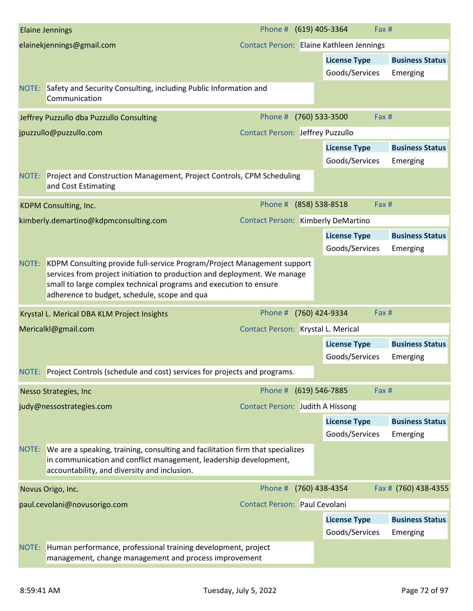|                                                               | <b>Elaine Jennings</b>                                                                                                                                                                                                                                                         | Phone # (619) 405-3364                  | Fax #                                    |                                    |
|---------------------------------------------------------------|--------------------------------------------------------------------------------------------------------------------------------------------------------------------------------------------------------------------------------------------------------------------------------|-----------------------------------------|------------------------------------------|------------------------------------|
|                                                               | elainekjennings@gmail.com                                                                                                                                                                                                                                                      |                                         | Contact Person: Elaine Kathleen Jennings |                                    |
|                                                               |                                                                                                                                                                                                                                                                                |                                         | <b>License Type</b>                      | <b>Business Status</b>             |
|                                                               |                                                                                                                                                                                                                                                                                |                                         | Goods/Services                           | Emerging                           |
|                                                               | NOTE: Safety and Security Consulting, including Public Information and<br>Communication                                                                                                                                                                                        |                                         |                                          |                                    |
|                                                               | Jeffrey Puzzullo dba Puzzullo Consulting                                                                                                                                                                                                                                       | Phone #                                 | (760) 533-3500<br>Fax #                  |                                    |
|                                                               | jpuzzullo@puzzullo.com                                                                                                                                                                                                                                                         | <b>Contact Person: Jeffrey Puzzullo</b> |                                          |                                    |
|                                                               |                                                                                                                                                                                                                                                                                |                                         | <b>License Type</b><br>Goods/Services    | <b>Business Status</b><br>Emerging |
|                                                               | NOTE: Project and Construction Management, Project Controls, CPM Scheduling<br>and Cost Estimating                                                                                                                                                                             |                                         |                                          |                                    |
|                                                               | KDPM Consulting, Inc.                                                                                                                                                                                                                                                          | Phone # (858) 538-8518                  | Fax #                                    |                                    |
|                                                               | kimberly.demartino@kdpmconsulting.com                                                                                                                                                                                                                                          | Contact Person: Kimberly DeMartino      |                                          |                                    |
|                                                               |                                                                                                                                                                                                                                                                                |                                         | <b>License Type</b><br>Goods/Services    | <b>Business Status</b><br>Emerging |
|                                                               | NOTE: KDPM Consulting provide full-service Program/Project Management support<br>services from project initiation to production and deployment. We manage<br>small to large complex technical programs and execution to ensure<br>adherence to budget, schedule, scope and qua |                                         |                                          |                                    |
|                                                               | Krystal L. Merical DBA KLM Project Insights                                                                                                                                                                                                                                    | Phone #                                 | (760) 424-9334<br>Fax #                  |                                    |
|                                                               | Mericalkl@gmail.com                                                                                                                                                                                                                                                            | Contact Person: Krystal L. Merical      |                                          |                                    |
|                                                               |                                                                                                                                                                                                                                                                                |                                         | <b>License Type</b><br>Goods/Services    | <b>Business Status</b><br>Emerging |
|                                                               | NOTE: Project Controls (schedule and cost) services for projects and programs.                                                                                                                                                                                                 |                                         |                                          |                                    |
|                                                               | <b>Nesso Strategies, Inc.</b>                                                                                                                                                                                                                                                  | Phone # (619) 546-7885                  | Fax #                                    |                                    |
|                                                               | judy@nessostrategies.com                                                                                                                                                                                                                                                       | Contact Person: Judith A Hissong        |                                          |                                    |
|                                                               |                                                                                                                                                                                                                                                                                |                                         | <b>License Type</b>                      | <b>Business Status</b>             |
|                                                               |                                                                                                                                                                                                                                                                                |                                         | Goods/Services                           | Emerging                           |
|                                                               | NOTE: We are a speaking, training, consulting and facilitation firm that specializes<br>in communication and conflict management, leadership development,<br>accountability, and diversity and inclusion.                                                                      |                                         |                                          |                                    |
|                                                               | Novus Origo, Inc.                                                                                                                                                                                                                                                              | Phone #                                 | (760) 438-4354                           | Fax # (760) 438-4355               |
| paul.cevolani@novusorigo.com<br>Contact Person: Paul Cevolani |                                                                                                                                                                                                                                                                                |                                         |                                          |                                    |
|                                                               |                                                                                                                                                                                                                                                                                |                                         | <b>License Type</b>                      | <b>Business Status</b>             |
|                                                               |                                                                                                                                                                                                                                                                                |                                         | Goods/Services                           | Emerging                           |
| NOTE:                                                         | Human performance, professional training development, project<br>management, change management and process improvement                                                                                                                                                         |                                         |                                          |                                    |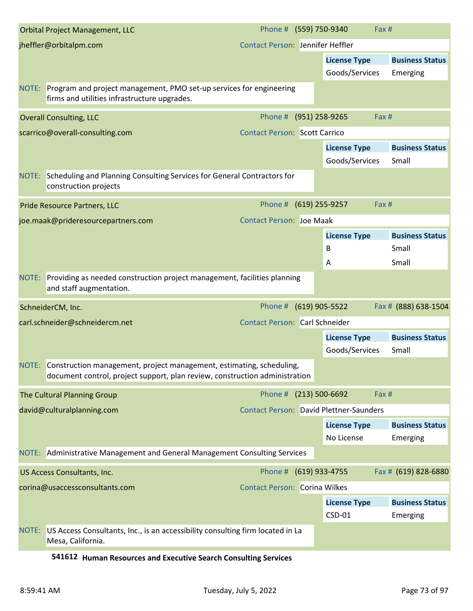| <b>Orbital Project Management, LLC</b>                                                                                                                    | Phone # (559) 750-9340                         |                     | Fax#                   |
|-----------------------------------------------------------------------------------------------------------------------------------------------------------|------------------------------------------------|---------------------|------------------------|
| jheffler@orbitalpm.com                                                                                                                                    | <b>Contact Person: Jennifer Heffler</b>        |                     |                        |
|                                                                                                                                                           |                                                | <b>License Type</b> | <b>Business Status</b> |
|                                                                                                                                                           |                                                | Goods/Services      | Emerging               |
| NOTE: Program and project management, PMO set-up services for engineering<br>firms and utilities infrastructure upgrades.                                 |                                                |                     |                        |
| <b>Overall Consulting, LLC</b>                                                                                                                            | Phone # (951) 258-9265                         |                     | Fax #                  |
| scarrico@overall-consulting.com                                                                                                                           | <b>Contact Person: Scott Carrico</b>           |                     |                        |
|                                                                                                                                                           |                                                | <b>License Type</b> | <b>Business Status</b> |
|                                                                                                                                                           |                                                | Goods/Services      | Small                  |
| NOTE: Scheduling and Planning Consulting Services for General Contractors for<br>construction projects                                                    |                                                |                     |                        |
| Pride Resource Partners, LLC                                                                                                                              | Phone # (619) 255-9257                         |                     | Fax#                   |
| joe.maak@prideresourcepartners.com                                                                                                                        | <b>Contact Person: Joe Maak</b>                |                     |                        |
|                                                                                                                                                           |                                                | <b>License Type</b> | <b>Business Status</b> |
|                                                                                                                                                           |                                                | B                   | Small                  |
|                                                                                                                                                           |                                                | A                   | Small                  |
| NOTE: Providing as needed construction project management, facilities planning<br>and staff augmentation.                                                 |                                                |                     |                        |
| SchneiderCM, Inc.                                                                                                                                         | Phone # (619) 905-5522                         |                     | Fax # (888) 638-1504   |
| carl.schneider@schneidercm.net                                                                                                                            | <b>Contact Person: Carl Schneider</b>          |                     |                        |
|                                                                                                                                                           |                                                | <b>License Type</b> | <b>Business Status</b> |
|                                                                                                                                                           |                                                | Goods/Services      | Small                  |
| NOTE: Construction management, project management, estimating, scheduling,<br>document control, project support, plan review, construction administration |                                                |                     |                        |
| The Cultural Planning Group                                                                                                                               | Phone # (213) 500-6692                         |                     | Fax #                  |
| david@culturalplanning.com                                                                                                                                | <b>Contact Person: David Plettner-Saunders</b> |                     |                        |
|                                                                                                                                                           |                                                | <b>License Type</b> | <b>Business Status</b> |
|                                                                                                                                                           |                                                | No License          | Emerging               |
| NOTE: Administrative Management and General Management Consulting Services                                                                                |                                                |                     |                        |
| US Access Consultants, Inc.                                                                                                                               | Phone # (619) 933-4755                         |                     | Fax # (619) 828-6880   |
| corina@usaccessconsultants.com                                                                                                                            | <b>Contact Person: Corina Wilkes</b>           |                     |                        |
|                                                                                                                                                           |                                                | <b>License Type</b> | <b>Business Status</b> |
|                                                                                                                                                           |                                                | CSD-01              | Emerging               |
| US Access Consultants, Inc., is an accessibility consulting firm located in La<br>NOTE:<br>Mesa, California.                                              |                                                |                     |                        |

**541612 Human Resources and Executive Search Consulting Services**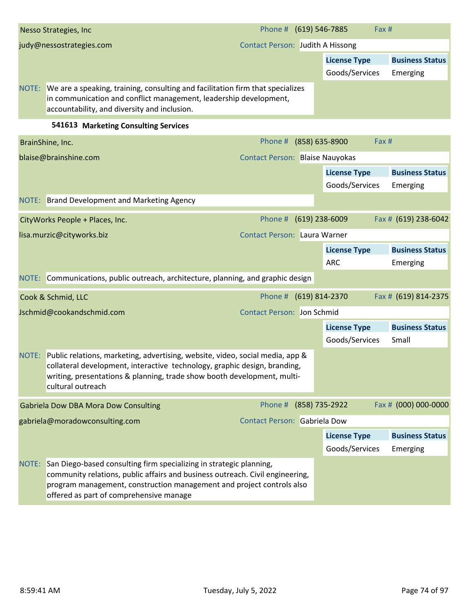|       | Nesso Strategies, Inc.                                                                                                                                                                              | Phone # (619) 546-7885                 |                     | Fax #                  |
|-------|-----------------------------------------------------------------------------------------------------------------------------------------------------------------------------------------------------|----------------------------------------|---------------------|------------------------|
|       | judy@nessostrategies.com                                                                                                                                                                            | Contact Person: Judith A Hissong       |                     |                        |
|       |                                                                                                                                                                                                     |                                        | <b>License Type</b> | <b>Business Status</b> |
|       |                                                                                                                                                                                                     |                                        | Goods/Services      | Emerging               |
| NOTE: | We are a speaking, training, consulting and facilitation firm that specializes<br>in communication and conflict management, leadership development,<br>accountability, and diversity and inclusion. |                                        |                     |                        |
|       | 541613<br><b>Marketing Consulting Services</b>                                                                                                                                                      |                                        |                     |                        |
|       | BrainShine, Inc.                                                                                                                                                                                    | Phone # (858) 635-8900                 |                     | Fax#                   |
|       | blaise@brainshine.com                                                                                                                                                                               | <b>Contact Person: Blaise Nauyokas</b> |                     |                        |
|       |                                                                                                                                                                                                     |                                        | License Type        | <b>Business Status</b> |

|       |                                                                                                                                                                                                                                                                          |                                     | Goods/Services      | Emerging               |
|-------|--------------------------------------------------------------------------------------------------------------------------------------------------------------------------------------------------------------------------------------------------------------------------|-------------------------------------|---------------------|------------------------|
|       | NOTE: Brand Development and Marketing Agency                                                                                                                                                                                                                             |                                     |                     |                        |
|       | CityWorks People + Places, Inc.                                                                                                                                                                                                                                          | Phone # (619) 238-6009              |                     | Fax # (619) 238-6042   |
|       | lisa.murzic@cityworks.biz                                                                                                                                                                                                                                                | <b>Contact Person: Laura Warner</b> |                     |                        |
|       |                                                                                                                                                                                                                                                                          |                                     | <b>License Type</b> | <b>Business Status</b> |
|       |                                                                                                                                                                                                                                                                          |                                     | <b>ARC</b>          | Emerging               |
|       | NOTE: Communications, public outreach, architecture, planning, and graphic design                                                                                                                                                                                        |                                     |                     |                        |
|       | Cook & Schmid, LLC                                                                                                                                                                                                                                                       | Phone # (619) 814-2370              |                     | Fax # (619) 814-2375   |
|       | Jschmid@cookandschmid.com                                                                                                                                                                                                                                                | <b>Contact Person: Jon Schmid</b>   |                     |                        |
|       |                                                                                                                                                                                                                                                                          |                                     | <b>License Type</b> | <b>Business Status</b> |
|       |                                                                                                                                                                                                                                                                          |                                     | Goods/Services      | Small                  |
|       | NOTE: Public relations, marketing, advertising, website, video, social media, app &<br>collateral development, interactive technology, graphic design, branding,<br>writing, presentations & planning, trade show booth development, multi-<br>cultural outreach         |                                     |                     |                        |
|       | <b>Gabriela Dow DBA Mora Dow Consulting</b>                                                                                                                                                                                                                              | Phone # (858) 735-2922              |                     | Fax # (000) 000-0000   |
|       | gabriela@moradowconsulting.com                                                                                                                                                                                                                                           | Contact Person: Gabriela Dow        |                     |                        |
|       |                                                                                                                                                                                                                                                                          |                                     | <b>License Type</b> | <b>Business Status</b> |
|       |                                                                                                                                                                                                                                                                          |                                     | Goods/Services      | Emerging               |
| NOTE: | San Diego-based consulting firm specializing in strategic planning,<br>community relations, public affairs and business outreach. Civil engineering,<br>program management, construction management and project controls also<br>offered as part of comprehensive manage |                                     |                     |                        |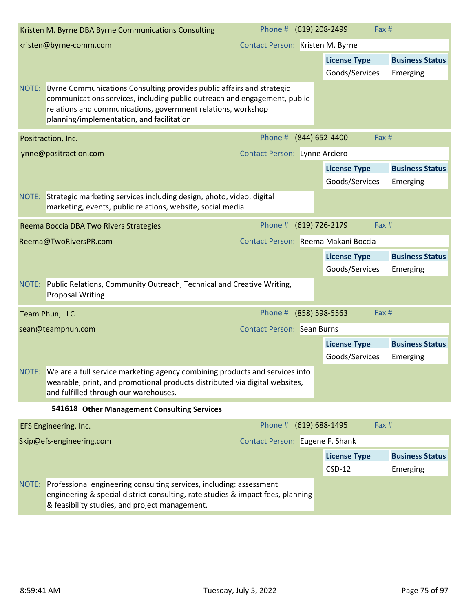|       | Kristen M. Byrne DBA Byrne Communications Consulting                                                                                                                                                                                                                  | Phone # (619) 208-2499               |                                       | Fax #                              |
|-------|-----------------------------------------------------------------------------------------------------------------------------------------------------------------------------------------------------------------------------------------------------------------------|--------------------------------------|---------------------------------------|------------------------------------|
|       | kristen@byrne-comm.com                                                                                                                                                                                                                                                | Contact Person: Kristen M. Byrne     |                                       |                                    |
|       |                                                                                                                                                                                                                                                                       |                                      | <b>License Type</b>                   | <b>Business Status</b>             |
|       |                                                                                                                                                                                                                                                                       |                                      | Goods/Services                        | Emerging                           |
|       | NOTE: Byrne Communications Consulting provides public affairs and strategic<br>communications services, including public outreach and engagement, public<br>relations and communications, government relations, workshop<br>planning/implementation, and facilitation |                                      |                                       |                                    |
|       | Positraction, Inc.                                                                                                                                                                                                                                                    | Phone #                              | (844) 652-4400                        | Fax #                              |
|       | lynne@positraction.com                                                                                                                                                                                                                                                | <b>Contact Person: Lynne Arciero</b> |                                       |                                    |
|       |                                                                                                                                                                                                                                                                       |                                      | <b>License Type</b>                   | <b>Business Status</b>             |
|       |                                                                                                                                                                                                                                                                       |                                      | Goods/Services                        | Emerging                           |
|       | NOTE: Strategic marketing services including design, photo, video, digital<br>marketing, events, public relations, website, social media                                                                                                                              |                                      |                                       |                                    |
|       | Reema Boccia DBA Two Rivers Strategies                                                                                                                                                                                                                                | Phone #                              | (619) 726-2179                        | Fax #                              |
|       | Reema@TwoRiversPR.com                                                                                                                                                                                                                                                 | Contact Person: Reema Makani Boccia  |                                       |                                    |
|       |                                                                                                                                                                                                                                                                       |                                      | <b>License Type</b><br>Goods/Services | <b>Business Status</b><br>Emerging |
|       | NOTE: Public Relations, Community Outreach, Technical and Creative Writing,<br><b>Proposal Writing</b>                                                                                                                                                                |                                      |                                       |                                    |
|       | Team Phun, LLC                                                                                                                                                                                                                                                        | Phone #                              | (858) 598-5563                        | Fax #                              |
|       | sean@teamphun.com                                                                                                                                                                                                                                                     | <b>Contact Person: Sean Burns</b>    |                                       |                                    |
|       |                                                                                                                                                                                                                                                                       |                                      | <b>License Type</b>                   | <b>Business Status</b>             |
|       |                                                                                                                                                                                                                                                                       |                                      | Goods/Services                        | Emerging                           |
|       | NOTE: We are a full service marketing agency combining products and services into<br>wearable, print, and promotional products distributed via digital websites,<br>and fulfilled through our warehouses.                                                             |                                      |                                       |                                    |
|       | 541618 Other Management Consulting Services                                                                                                                                                                                                                           |                                      |                                       |                                    |
|       | EFS Engineering, Inc.                                                                                                                                                                                                                                                 | Phone # (619) 688-1495               |                                       | Fax #                              |
|       | Skip@efs-engineering.com                                                                                                                                                                                                                                              | Contact Person: Eugene F. Shank      |                                       |                                    |
|       |                                                                                                                                                                                                                                                                       |                                      | <b>License Type</b>                   | <b>Business Status</b>             |
|       |                                                                                                                                                                                                                                                                       |                                      | $CSD-12$                              | Emerging                           |
| NOTE: | Professional engineering consulting services, including: assessment<br>engineering & special district consulting, rate studies & impact fees, planning<br>& feasibility studies, and project management.                                                              |                                      |                                       |                                    |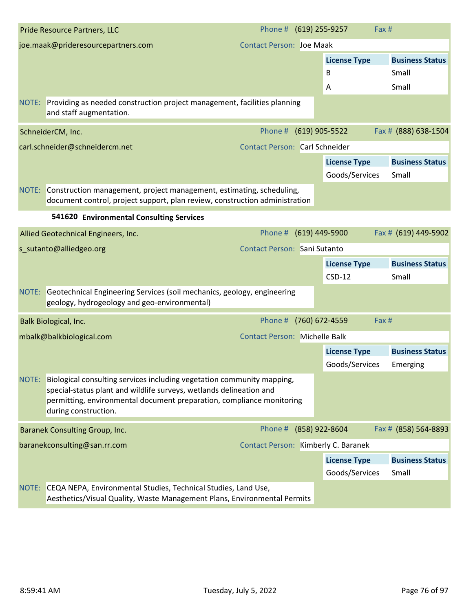| joe.maak@prideresourcepartners.com<br><b>Contact Person: Joe Maak</b><br><b>License Type</b>                                                                                                                                                            |                                    |
|---------------------------------------------------------------------------------------------------------------------------------------------------------------------------------------------------------------------------------------------------------|------------------------------------|
|                                                                                                                                                                                                                                                         |                                    |
|                                                                                                                                                                                                                                                         | <b>Business Status</b>             |
| B<br>Small                                                                                                                                                                                                                                              |                                    |
| Small<br>Α                                                                                                                                                                                                                                              |                                    |
| NOTE: Providing as needed construction project management, facilities planning<br>and staff augmentation.                                                                                                                                               |                                    |
| Phone #<br>(619) 905-5522<br>SchneiderCM, Inc.                                                                                                                                                                                                          | Fax # (888) 638-1504               |
| carl.schneider@schneidercm.net<br><b>Contact Person: Carl Schneider</b>                                                                                                                                                                                 |                                    |
| <b>License Type</b>                                                                                                                                                                                                                                     | <b>Business Status</b>             |
| Goods/Services<br>Small                                                                                                                                                                                                                                 |                                    |
| NOTE: Construction management, project management, estimating, scheduling,<br>document control, project support, plan review, construction administration                                                                                               |                                    |
| 541620 Environmental Consulting Services                                                                                                                                                                                                                |                                    |
| Phone #<br>$(619)$ 449-5900<br>Allied Geotechnical Engineers, Inc.                                                                                                                                                                                      | Fax # (619) 449-5902               |
| <b>Contact Person: Sani Sutanto</b><br>s_sutanto@alliedgeo.org                                                                                                                                                                                          |                                    |
| <b>License Type</b>                                                                                                                                                                                                                                     | <b>Business Status</b>             |
| $CSD-12$<br>Small                                                                                                                                                                                                                                       |                                    |
| NOTE: Geotechnical Engineering Services (soil mechanics, geology, engineering<br>geology, hydrogeology and geo-environmental)                                                                                                                           |                                    |
| Phone #<br>(760) 672-4559<br>Fax #<br>Balk Biological, Inc.                                                                                                                                                                                             |                                    |
| <b>Contact Person: Michelle Balk</b><br>mbalk@balkbiological.com                                                                                                                                                                                        |                                    |
| <b>License Type</b><br>Goods/Services                                                                                                                                                                                                                   | <b>Business Status</b><br>Emerging |
| NOTE:<br>Biological consulting services including vegetation community mapping,<br>special-status plant and wildlife surveys, wetlands delineation and<br>permitting, environmental document preparation, compliance monitoring<br>during construction. |                                    |
| Phone # (858) 922-8604<br><b>Baranek Consulting Group, Inc.</b>                                                                                                                                                                                         | Fax # (858) 564-8893               |
| Contact Person: Kimberly C. Baranek<br>baranekconsulting@san.rr.com                                                                                                                                                                                     |                                    |
| <b>License Type</b>                                                                                                                                                                                                                                     | <b>Business Status</b>             |
| Goods/Services<br>Small                                                                                                                                                                                                                                 |                                    |
| NOTE: CEQA NEPA, Environmental Studies, Technical Studies, Land Use,<br>Aesthetics/Visual Quality, Waste Management Plans, Environmental Permits                                                                                                        |                                    |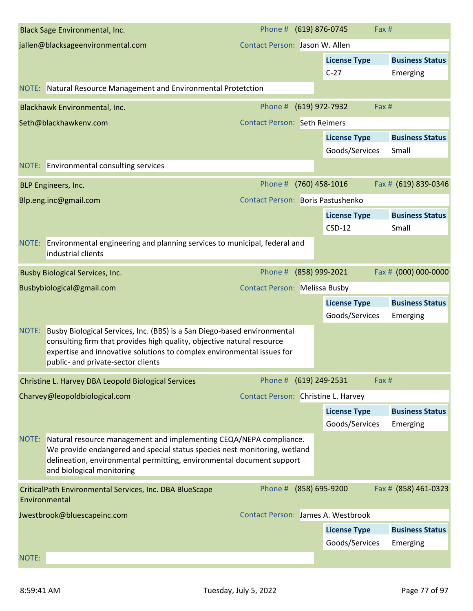|       | <b>Black Sage Environmental, Inc.</b>                                                                                                                                                                                                                              | Phone # (619) 876-0745                   |                |                                       | Fax #                              |
|-------|--------------------------------------------------------------------------------------------------------------------------------------------------------------------------------------------------------------------------------------------------------------------|------------------------------------------|----------------|---------------------------------------|------------------------------------|
|       | jallen@blacksageenvironmental.com                                                                                                                                                                                                                                  | Contact Person: Jason W. Allen           |                |                                       |                                    |
|       |                                                                                                                                                                                                                                                                    |                                          |                | <b>License Type</b>                   | <b>Business Status</b>             |
|       |                                                                                                                                                                                                                                                                    |                                          |                | $C-27$                                | Emerging                           |
|       | NOTE: Natural Resource Management and Environmental Protetction                                                                                                                                                                                                    |                                          |                |                                       |                                    |
|       | Blackhawk Environmental, Inc.                                                                                                                                                                                                                                      | Phone #                                  |                | (619) 972-7932                        | Fax #                              |
|       | Seth@blackhawkenv.com                                                                                                                                                                                                                                              | <b>Contact Person: Seth Reimers</b>      |                |                                       |                                    |
|       |                                                                                                                                                                                                                                                                    |                                          |                | <b>License Type</b>                   | <b>Business Status</b>             |
|       |                                                                                                                                                                                                                                                                    |                                          |                | Goods/Services                        | Small                              |
|       | NOTE: Environmental consulting services                                                                                                                                                                                                                            |                                          |                |                                       |                                    |
|       | BLP Engineers, Inc.                                                                                                                                                                                                                                                | Phone # (760) 458-1016                   |                |                                       | Fax # (619) 839-0346               |
|       | Blp.eng.inc@gmail.com                                                                                                                                                                                                                                              | <b>Contact Person: Boris Pastushenko</b> |                |                                       |                                    |
|       |                                                                                                                                                                                                                                                                    |                                          |                | <b>License Type</b>                   | <b>Business Status</b>             |
|       |                                                                                                                                                                                                                                                                    |                                          |                | $CSD-12$                              | Small                              |
|       | NOTE: Environmental engineering and planning services to municipal, federal and<br>industrial clients                                                                                                                                                              |                                          |                |                                       |                                    |
|       | <b>Busby Biological Services, Inc.</b>                                                                                                                                                                                                                             | Phone #                                  | (858) 999-2021 |                                       | Fax # (000) 000-0000               |
|       | Busbybiological@gmail.com                                                                                                                                                                                                                                          | <b>Contact Person: Melissa Busby</b>     |                |                                       |                                    |
|       |                                                                                                                                                                                                                                                                    |                                          |                | <b>License Type</b>                   | <b>Business Status</b>             |
|       |                                                                                                                                                                                                                                                                    |                                          |                | Goods/Services                        | Emerging                           |
| NOTE: | Busby Biological Services, Inc. (BBS) is a San Diego-based environmental<br>consulting firm that provides high quality, objective natural resource<br>expertise and innovative solutions to complex environmental issues for<br>public- and private-sector clients |                                          |                |                                       |                                    |
|       | Christine L. Harvey DBA Leopold Biological Services                                                                                                                                                                                                                | Phone #                                  | (619) 249-2531 |                                       | Fax #                              |
|       | Charvey@leopoldbiological.com                                                                                                                                                                                                                                      | Contact Person: Christine L. Harvey      |                |                                       |                                    |
|       |                                                                                                                                                                                                                                                                    |                                          |                | <b>License Type</b><br>Goods/Services | <b>Business Status</b><br>Emerging |
| NOTE: | Natural resource management and implementing CEQA/NEPA compliance.<br>We provide endangered and special status species nest monitoring, wetland<br>delineation, environmental permitting, environmental document support<br>and biological monitoring              |                                          |                |                                       |                                    |
|       | CriticalPath Environmental Services, Inc. DBA BlueScape<br>Environmental                                                                                                                                                                                           | Phone # (858) 695-9200                   |                |                                       | Fax # (858) 461-0323               |
|       | Jwestbrook@bluescapeinc.com                                                                                                                                                                                                                                        | Contact Person: James A. Westbrook       |                |                                       |                                    |
|       |                                                                                                                                                                                                                                                                    |                                          |                | <b>License Type</b>                   | <b>Business Status</b>             |
|       |                                                                                                                                                                                                                                                                    |                                          |                | Goods/Services                        | Emerging                           |
| NOTE: |                                                                                                                                                                                                                                                                    |                                          |                |                                       |                                    |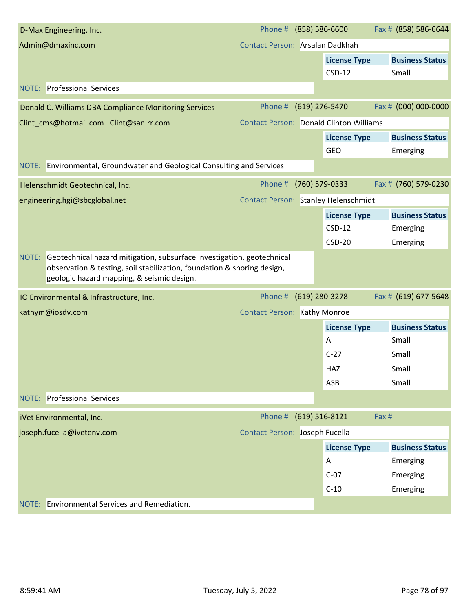| D-Max Engineering, Inc.                                                                                                                                                                                  | Phone #                                        | $(858) 586 - 6600$ |                     | Fax # (858) 586-6644   |
|----------------------------------------------------------------------------------------------------------------------------------------------------------------------------------------------------------|------------------------------------------------|--------------------|---------------------|------------------------|
| Admin@dmaxinc.com                                                                                                                                                                                        | Contact Person: Arsalan Dadkhah                |                    |                     |                        |
|                                                                                                                                                                                                          |                                                |                    | <b>License Type</b> | <b>Business Status</b> |
|                                                                                                                                                                                                          |                                                |                    | $CSD-12$            | Small                  |
| <b>NOTE: Professional Services</b>                                                                                                                                                                       |                                                |                    |                     |                        |
| Donald C. Williams DBA Compliance Monitoring Services                                                                                                                                                    | Phone #                                        |                    | (619) 276-5470      | Fax # (000) 000-0000   |
| Clint_cms@hotmail.com Clint@san.rr.com                                                                                                                                                                   | <b>Contact Person: Donald Clinton Williams</b> |                    |                     |                        |
|                                                                                                                                                                                                          |                                                |                    | <b>License Type</b> | <b>Business Status</b> |
|                                                                                                                                                                                                          |                                                |                    | GEO                 | Emerging               |
| NOTE: Environmental, Groundwater and Geological Consulting and Services                                                                                                                                  |                                                |                    |                     |                        |
| Helenschmidt Geotechnical, Inc.                                                                                                                                                                          | Phone # (760) 579-0333                         |                    |                     | Fax # (760) 579-0230   |
| engineering.hgi@sbcglobal.net                                                                                                                                                                            | <b>Contact Person: Stanley Helenschmidt</b>    |                    |                     |                        |
|                                                                                                                                                                                                          |                                                |                    | <b>License Type</b> | <b>Business Status</b> |
|                                                                                                                                                                                                          |                                                |                    | $CSD-12$            | Emerging               |
|                                                                                                                                                                                                          |                                                |                    | $CSD-20$            | Emerging               |
| Geotechnical hazard mitigation, subsurface investigation, geotechnical<br>NOTE:<br>observation & testing, soil stabilization, foundation & shoring design,<br>geologic hazard mapping, & seismic design. |                                                |                    |                     |                        |
| IO Environmental & Infrastructure, Inc.                                                                                                                                                                  | Phone #                                        |                    | (619) 280-3278      | Fax # (619) 677-5648   |
| kathym@iosdv.com                                                                                                                                                                                         | <b>Contact Person: Kathy Monroe</b>            |                    |                     |                        |
|                                                                                                                                                                                                          |                                                |                    | <b>License Type</b> | <b>Business Status</b> |
|                                                                                                                                                                                                          |                                                |                    | A                   | Small                  |
|                                                                                                                                                                                                          |                                                |                    | $C-27$              | Small                  |
|                                                                                                                                                                                                          |                                                |                    | HAZ                 | Small                  |
|                                                                                                                                                                                                          |                                                |                    | ASB                 | Small                  |
| <b>NOTE:</b> Professional Services                                                                                                                                                                       |                                                |                    |                     |                        |
| iVet Environmental, Inc.                                                                                                                                                                                 | Phone #                                        | $(619) 516 - 8121$ |                     | Fax #                  |
| joseph.fucella@ivetenv.com                                                                                                                                                                               | Contact Person: Joseph Fucella                 |                    |                     |                        |
|                                                                                                                                                                                                          |                                                |                    | <b>License Type</b> | <b>Business Status</b> |
|                                                                                                                                                                                                          |                                                |                    | A                   | Emerging               |
|                                                                                                                                                                                                          |                                                |                    | $C-07$              | Emerging               |
|                                                                                                                                                                                                          |                                                |                    | $C-10$              | Emerging               |
| NOTE: Environmental Services and Remediation.                                                                                                                                                            |                                                |                    |                     |                        |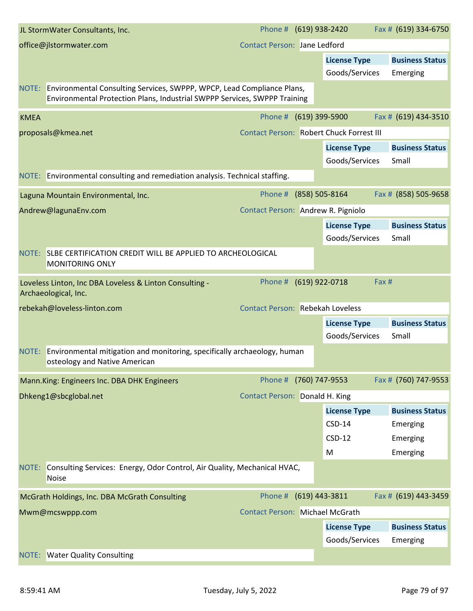|             | JL StormWater Consultants, Inc.                                                                                                                           | Phone # (619) 938-2420                  |                |                                          | Fax # (619) 334-6750   |
|-------------|-----------------------------------------------------------------------------------------------------------------------------------------------------------|-----------------------------------------|----------------|------------------------------------------|------------------------|
|             | office@jlstormwater.com                                                                                                                                   | <b>Contact Person: Jane Ledford</b>     |                |                                          |                        |
|             |                                                                                                                                                           |                                         |                | <b>License Type</b>                      | <b>Business Status</b> |
|             |                                                                                                                                                           |                                         |                | Goods/Services                           | Emerging               |
|             | NOTE: Environmental Consulting Services, SWPPP, WPCP, Lead Compliance Plans,<br>Environmental Protection Plans, Industrial SWPPP Services, SWPPP Training |                                         |                |                                          |                        |
| <b>KMEA</b> |                                                                                                                                                           | Phone # (619) 399-5900                  |                |                                          | Fax # (619) 434-3510   |
|             | proposals@kmea.net                                                                                                                                        |                                         |                | Contact Person: Robert Chuck Forrest III |                        |
|             |                                                                                                                                                           |                                         |                | <b>License Type</b>                      | <b>Business Status</b> |
|             |                                                                                                                                                           |                                         |                | Goods/Services                           | Small                  |
|             | NOTE: Environmental consulting and remediation analysis. Technical staffing.                                                                              |                                         |                |                                          |                        |
|             | Laguna Mountain Environmental, Inc.                                                                                                                       | Phone # (858) 505-8164                  |                |                                          | Fax # (858) 505-9658   |
|             | Andrew@lagunaEnv.com                                                                                                                                      | Contact Person: Andrew R. Pigniolo      |                |                                          |                        |
|             |                                                                                                                                                           |                                         |                | <b>License Type</b>                      | <b>Business Status</b> |
|             |                                                                                                                                                           |                                         |                | Goods/Services                           | Small                  |
|             | NOTE: SLBE CERTIFICATION CREDIT WILL BE APPLIED TO ARCHEOLOGICAL<br><b>MONITORING ONLY</b>                                                                |                                         |                |                                          |                        |
|             | Loveless Linton, Inc DBA Loveless & Linton Consulting -<br>Archaeological, Inc.                                                                           | Phone #                                 | (619) 922-0718 |                                          | Fax #                  |
|             | rebekah@loveless-linton.com                                                                                                                               | <b>Contact Person: Rebekah Loveless</b> |                |                                          |                        |
|             |                                                                                                                                                           |                                         |                | <b>License Type</b>                      | <b>Business Status</b> |
|             |                                                                                                                                                           |                                         |                | Goods/Services                           | Small                  |
| NOTE:       | <b>Environmental mitigation and monitoring, specifically archaeology, human</b><br>osteology and Native American                                          |                                         |                |                                          |                        |
|             | Mann.King: Engineers Inc. DBA DHK Engineers                                                                                                               | Phone #                                 | (760) 747-9553 |                                          | Fax # (760) 747-9553   |
|             | Dhkeng1@sbcglobal.net                                                                                                                                     | Contact Person: Donald H. King          |                |                                          |                        |
|             |                                                                                                                                                           |                                         |                | <b>License Type</b>                      | <b>Business Status</b> |
|             |                                                                                                                                                           |                                         |                | $CSD-14$                                 | Emerging               |
|             |                                                                                                                                                           |                                         |                | $CSD-12$                                 | Emerging               |
|             |                                                                                                                                                           |                                         |                | M                                        | Emerging               |
| NOTE:       | Consulting Services: Energy, Odor Control, Air Quality, Mechanical HVAC,<br><b>Noise</b>                                                                  |                                         |                |                                          |                        |
|             | McGrath Holdings, Inc. DBA McGrath Consulting                                                                                                             | Phone #                                 | (619) 443-3811 |                                          | Fax # (619) 443-3459   |
|             | Mwm@mcswppp.com                                                                                                                                           | <b>Contact Person: Michael McGrath</b>  |                |                                          |                        |
|             |                                                                                                                                                           |                                         |                | <b>License Type</b>                      | <b>Business Status</b> |
|             |                                                                                                                                                           |                                         |                | Goods/Services                           | Emerging               |
| NOTE:       | <b>Water Quality Consulting</b>                                                                                                                           |                                         |                |                                          |                        |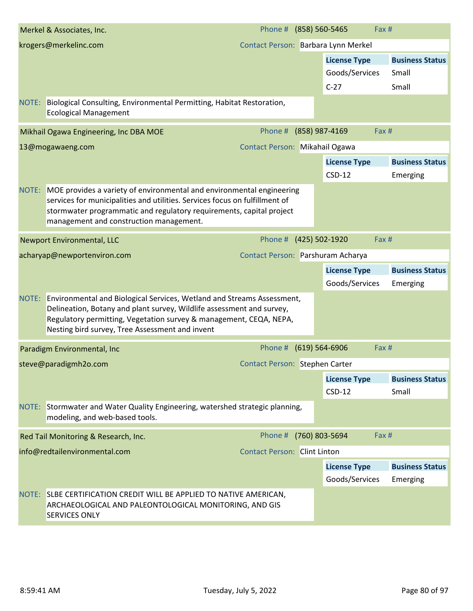|       | Merkel & Associates, Inc.                                                                                                                                                                                                                                                      | Phone # (858) 560-5465              |                     | Fax#  |                        |
|-------|--------------------------------------------------------------------------------------------------------------------------------------------------------------------------------------------------------------------------------------------------------------------------------|-------------------------------------|---------------------|-------|------------------------|
|       | krogers@merkelinc.com                                                                                                                                                                                                                                                          | Contact Person: Barbara Lynn Merkel |                     |       |                        |
|       |                                                                                                                                                                                                                                                                                |                                     | <b>License Type</b> |       | <b>Business Status</b> |
|       |                                                                                                                                                                                                                                                                                |                                     | Goods/Services      |       | Small                  |
|       |                                                                                                                                                                                                                                                                                |                                     | $C-27$              |       | Small                  |
| NOTE: | Biological Consulting, Environmental Permitting, Habitat Restoration,<br><b>Ecological Management</b>                                                                                                                                                                          |                                     |                     |       |                        |
|       | Mikhail Ogawa Engineering, Inc DBA MOE                                                                                                                                                                                                                                         | Phone # (858) 987-4169              |                     | Fax # |                        |
|       | 13@mogawaeng.com                                                                                                                                                                                                                                                               | Contact Person: Mikahail Ogawa      |                     |       |                        |
|       |                                                                                                                                                                                                                                                                                |                                     | <b>License Type</b> |       | <b>Business Status</b> |
|       |                                                                                                                                                                                                                                                                                |                                     | $CSD-12$            |       | Emerging               |
|       | NOTE: MOE provides a variety of environmental and environmental engineering<br>services for municipalities and utilities. Services focus on fulfillment of<br>stormwater programmatic and regulatory requirements, capital project<br>management and construction management.  |                                     |                     |       |                        |
|       | <b>Newport Environmental, LLC</b>                                                                                                                                                                                                                                              | Phone # (425) 502-1920              |                     | Fax # |                        |
|       | acharyap@newportenviron.com                                                                                                                                                                                                                                                    | Contact Person: Parshuram Acharya   |                     |       |                        |
|       |                                                                                                                                                                                                                                                                                |                                     | <b>License Type</b> |       | <b>Business Status</b> |
|       |                                                                                                                                                                                                                                                                                |                                     | Goods/Services      |       | Emerging               |
|       | NOTE: Environmental and Biological Services, Wetland and Streams Assessment,<br>Delineation, Botany and plant survey, Wildlife assessment and survey,<br>Regulatory permitting, Vegetation survey & management, CEQA, NEPA,<br>Nesting bird survey, Tree Assessment and invent |                                     |                     |       |                        |
|       | Paradigm Environmental, Inc                                                                                                                                                                                                                                                    | Phone # (619) 564-6906              |                     | Fax#  |                        |
|       | steve@paradigmh2o.com                                                                                                                                                                                                                                                          | Contact Person: Stephen Carter      |                     |       |                        |
|       |                                                                                                                                                                                                                                                                                |                                     | <b>License Type</b> |       | <b>Business Status</b> |
|       |                                                                                                                                                                                                                                                                                |                                     | $CSD-12$            |       | Small                  |
|       | NOTE: Stormwater and Water Quality Engineering, watershed strategic planning,<br>modeling, and web-based tools.                                                                                                                                                                |                                     |                     |       |                        |
|       | Red Tail Monitoring & Research, Inc.                                                                                                                                                                                                                                           | Phone #                             | (760) 803-5694      | Fax # |                        |
|       | info@redtailenvironmental.com                                                                                                                                                                                                                                                  | <b>Contact Person: Clint Linton</b> |                     |       |                        |
|       |                                                                                                                                                                                                                                                                                |                                     | <b>License Type</b> |       | <b>Business Status</b> |
|       |                                                                                                                                                                                                                                                                                |                                     | Goods/Services      |       | Emerging               |
| NOTE: | SLBE CERTIFICATION CREDIT WILL BE APPLIED TO NATIVE AMERICAN,<br>ARCHAEOLOGICAL AND PALEONTOLOGICAL MONITORING, AND GIS<br>SERVICES ONLY                                                                                                                                       |                                     |                     |       |                        |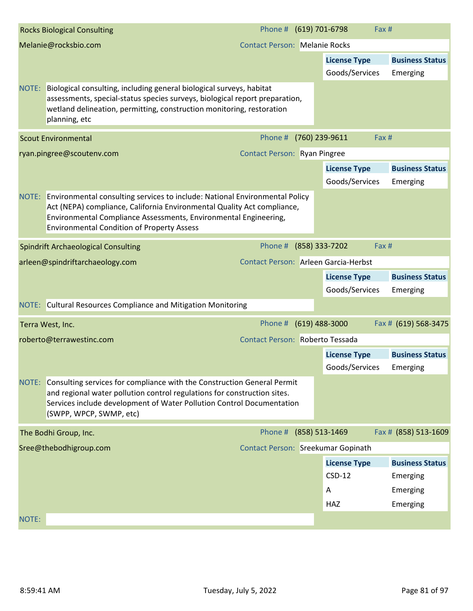|       | <b>Rocks Biological Consulting</b>                                                                                                                                                                                                                                                    | Phone # (619) 701-6798               |                         | Fax # |                        |
|-------|---------------------------------------------------------------------------------------------------------------------------------------------------------------------------------------------------------------------------------------------------------------------------------------|--------------------------------------|-------------------------|-------|------------------------|
|       | Melanie@rocksbio.com                                                                                                                                                                                                                                                                  | <b>Contact Person: Melanie Rocks</b> |                         |       |                        |
|       |                                                                                                                                                                                                                                                                                       |                                      | <b>License Type</b>     |       | <b>Business Status</b> |
|       |                                                                                                                                                                                                                                                                                       |                                      | Goods/Services          |       | Emerging               |
| NOTE: | Biological consulting, including general biological surveys, habitat<br>assessments, special-status species surveys, biological report preparation,<br>wetland delineation, permitting, construction monitoring, restoration<br>planning, etc                                         |                                      |                         |       |                        |
|       | <b>Scout Environmental</b>                                                                                                                                                                                                                                                            | Phone # (760) 239-9611               |                         | Fax # |                        |
|       | ryan.pingree@scoutenv.com                                                                                                                                                                                                                                                             | <b>Contact Person: Ryan Pingree</b>  |                         |       |                        |
|       |                                                                                                                                                                                                                                                                                       |                                      | <b>License Type</b>     |       | <b>Business Status</b> |
|       |                                                                                                                                                                                                                                                                                       |                                      | Goods/Services          |       | Emerging               |
|       | NOTE: Environmental consulting services to include: National Environmental Policy<br>Act (NEPA) compliance, California Environmental Quality Act compliance,<br>Environmental Compliance Assessments, Environmental Engineering,<br><b>Environmental Condition of Property Assess</b> |                                      |                         |       |                        |
|       | <b>Spindrift Archaeological Consulting</b>                                                                                                                                                                                                                                            | Phone #                              | (858) 333-7202          | Fax # |                        |
|       | arleen@spindriftarchaeology.com                                                                                                                                                                                                                                                       | Contact Person: Arleen Garcia-Herbst |                         |       |                        |
|       |                                                                                                                                                                                                                                                                                       |                                      | <b>License Type</b>     |       | <b>Business Status</b> |
|       |                                                                                                                                                                                                                                                                                       |                                      | Goods/Services          |       | Emerging               |
|       | NOTE: Cultural Resources Compliance and Mitigation Monitoring                                                                                                                                                                                                                         |                                      |                         |       |                        |
|       | Terra West, Inc.                                                                                                                                                                                                                                                                      | Phone # (619) 488-3000               |                         |       | Fax # (619) 568-3475   |
|       | roberto@terrawestinc.com                                                                                                                                                                                                                                                              | Contact Person: Roberto Tessada      |                         |       |                        |
|       |                                                                                                                                                                                                                                                                                       |                                      | <b>License Type</b>     |       | <b>Business Status</b> |
|       |                                                                                                                                                                                                                                                                                       |                                      | Goods/Services Emerging |       |                        |
| NOTE: | Consulting services for compliance with the Construction General Permit<br>and regional water pollution control regulations for construction sites.<br>Services include development of Water Pollution Control Documentation<br>(SWPP, WPCP, SWMP, etc)                               |                                      |                         |       |                        |
|       | The Bodhi Group, Inc.                                                                                                                                                                                                                                                                 | Phone #                              | (858) 513-1469          |       | Fax # (858) 513-1609   |
|       | Sree@thebodhigroup.com                                                                                                                                                                                                                                                                | Contact Person: Sreekumar Gopinath   |                         |       |                        |
|       |                                                                                                                                                                                                                                                                                       |                                      | <b>License Type</b>     |       | <b>Business Status</b> |
|       |                                                                                                                                                                                                                                                                                       |                                      | $CSD-12$                |       | Emerging               |
|       |                                                                                                                                                                                                                                                                                       |                                      | Α                       |       | Emerging               |
|       |                                                                                                                                                                                                                                                                                       |                                      | HAZ                     |       | Emerging               |
| NOTE: |                                                                                                                                                                                                                                                                                       |                                      |                         |       |                        |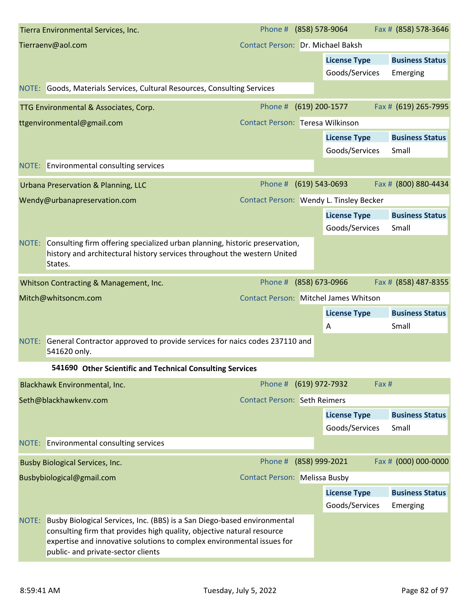|       | Tierra Environmental Services, Inc.                                                                                                                                                                                                                                | Phone # (858) 578-9064                       |                     |          | Fax # (858) 578-3646   |
|-------|--------------------------------------------------------------------------------------------------------------------------------------------------------------------------------------------------------------------------------------------------------------------|----------------------------------------------|---------------------|----------|------------------------|
|       | Tierraenv@aol.com                                                                                                                                                                                                                                                  | Contact Person: Dr. Michael Baksh            |                     |          |                        |
|       |                                                                                                                                                                                                                                                                    |                                              | <b>License Type</b> |          | <b>Business Status</b> |
|       |                                                                                                                                                                                                                                                                    |                                              | Goods/Services      | Emerging |                        |
|       | NOTE: Goods, Materials Services, Cultural Resources, Consulting Services                                                                                                                                                                                           |                                              |                     |          |                        |
|       | TTG Environmental & Associates, Corp.                                                                                                                                                                                                                              | Phone #                                      | (619) 200-1577      |          | Fax # (619) 265-7995   |
|       | ttgenvironmental@gmail.com                                                                                                                                                                                                                                         | Contact Person: Teresa Wilkinson             |                     |          |                        |
|       |                                                                                                                                                                                                                                                                    |                                              | <b>License Type</b> |          | <b>Business Status</b> |
|       |                                                                                                                                                                                                                                                                    |                                              | Goods/Services      | Small    |                        |
|       | NOTE: Environmental consulting services                                                                                                                                                                                                                            |                                              |                     |          |                        |
|       | Urbana Preservation & Planning, LLC                                                                                                                                                                                                                                | Phone #                                      | $(619)$ 543-0693    |          | Fax # (800) 880-4434   |
|       | Wendy@urbanapreservation.com                                                                                                                                                                                                                                       | Contact Person: Wendy L. Tinsley Becker      |                     |          |                        |
|       |                                                                                                                                                                                                                                                                    |                                              | <b>License Type</b> |          | <b>Business Status</b> |
|       |                                                                                                                                                                                                                                                                    |                                              | Goods/Services      | Small    |                        |
| NOTE: | Consulting firm offering specialized urban planning, historic preservation,<br>history and architectural history services throughout the western United<br>States.                                                                                                 |                                              |                     |          |                        |
|       | Whitson Contracting & Management, Inc.                                                                                                                                                                                                                             | Phone #                                      | (858) 673-0966      |          | Fax # (858) 487-8355   |
|       | Mitch@whitsoncm.com                                                                                                                                                                                                                                                | <b>Contact Person: Mitchel James Whitson</b> |                     |          |                        |
|       |                                                                                                                                                                                                                                                                    |                                              | <b>License Type</b> |          | <b>Business Status</b> |
|       |                                                                                                                                                                                                                                                                    |                                              | Α                   | Small    |                        |
| NOTE: | General Contractor approved to provide services for naics codes 237110 and<br>541620 only.                                                                                                                                                                         |                                              |                     |          |                        |
|       | 541690 Other Scientific and Technical Consulting Services                                                                                                                                                                                                          |                                              |                     |          |                        |
|       | Blackhawk Environmental, Inc.                                                                                                                                                                                                                                      | Phone # (619) 972-7932                       |                     | Fax #    |                        |
|       | Seth@blackhawkenv.com                                                                                                                                                                                                                                              | <b>Contact Person: Seth Reimers</b>          |                     |          |                        |
|       |                                                                                                                                                                                                                                                                    |                                              | <b>License Type</b> |          | <b>Business Status</b> |
|       |                                                                                                                                                                                                                                                                    |                                              | Goods/Services      | Small    |                        |
|       | NOTE: Environmental consulting services                                                                                                                                                                                                                            |                                              |                     |          |                        |
|       | <b>Busby Biological Services, Inc.</b>                                                                                                                                                                                                                             | Phone #                                      | (858) 999-2021      |          | Fax # (000) 000-0000   |
|       | Busbybiological@gmail.com                                                                                                                                                                                                                                          | <b>Contact Person: Melissa Busby</b>         |                     |          |                        |
|       |                                                                                                                                                                                                                                                                    |                                              | <b>License Type</b> |          | <b>Business Status</b> |
|       |                                                                                                                                                                                                                                                                    |                                              | Goods/Services      | Emerging |                        |
| NOTE: | Busby Biological Services, Inc. (BBS) is a San Diego-based environmental<br>consulting firm that provides high quality, objective natural resource<br>expertise and innovative solutions to complex environmental issues for<br>public- and private-sector clients |                                              |                     |          |                        |
|       |                                                                                                                                                                                                                                                                    |                                              |                     |          |                        |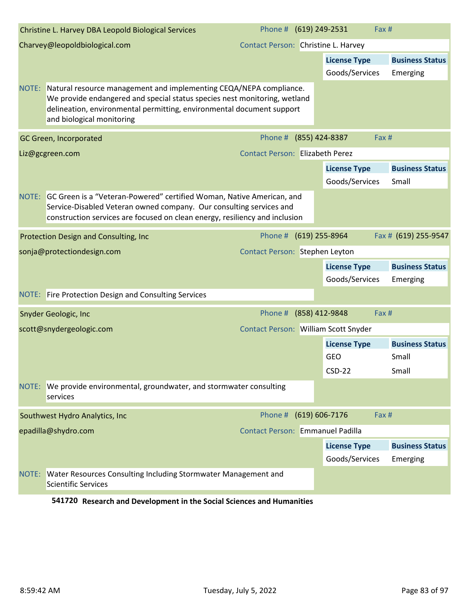| Christine L. Harvey DBA Leopold Biological Services                                                                                                                                                                                                         | Phone # (619) 249-2531                 | Fax #                                 |                                    |
|-------------------------------------------------------------------------------------------------------------------------------------------------------------------------------------------------------------------------------------------------------------|----------------------------------------|---------------------------------------|------------------------------------|
| Charvey@leopoldbiological.com                                                                                                                                                                                                                               | Contact Person: Christine L. Harvey    |                                       |                                    |
|                                                                                                                                                                                                                                                             |                                        | <b>License Type</b>                   | <b>Business Status</b>             |
|                                                                                                                                                                                                                                                             |                                        | Goods/Services                        | Emerging                           |
| NOTE: Natural resource management and implementing CEQA/NEPA compliance.<br>We provide endangered and special status species nest monitoring, wetland<br>delineation, environmental permitting, environmental document support<br>and biological monitoring |                                        |                                       |                                    |
| GC Green, Incorporated                                                                                                                                                                                                                                      | Phone # (855) 424-8387                 | Fax #                                 |                                    |
| Liz@gcgreen.com                                                                                                                                                                                                                                             | <b>Contact Person: Elizabeth Perez</b> |                                       |                                    |
|                                                                                                                                                                                                                                                             |                                        | <b>License Type</b><br>Goods/Services | <b>Business Status</b><br>Small    |
| NOTE: GC Green is a "Veteran-Powered" certified Woman, Native American, and<br>Service-Disabled Veteran owned company. Our consulting services and<br>construction services are focused on clean energy, resiliency and inclusion                           |                                        |                                       |                                    |
| Protection Design and Consulting, Inc                                                                                                                                                                                                                       | Phone # (619) 255-8964                 |                                       | Fax # (619) 255-9547               |
| sonja@protectiondesign.com                                                                                                                                                                                                                                  | Contact Person: Stephen Leyton         |                                       |                                    |
|                                                                                                                                                                                                                                                             |                                        | <b>License Type</b><br>Goods/Services | <b>Business Status</b><br>Emerging |
| NOTE: Fire Protection Design and Consulting Services                                                                                                                                                                                                        |                                        |                                       |                                    |
| <b>Snyder Geologic, Inc</b>                                                                                                                                                                                                                                 | Phone # (858) 412-9848                 | Fax #                                 |                                    |
| scott@snydergeologic.com                                                                                                                                                                                                                                    | Contact Person: William Scott Snyder   |                                       |                                    |
|                                                                                                                                                                                                                                                             |                                        | <b>License Type</b>                   | <b>Business Status</b>             |
|                                                                                                                                                                                                                                                             |                                        | <b>GEO</b>                            | Small                              |
|                                                                                                                                                                                                                                                             |                                        | $CSD-22$                              | Small                              |
| We provide environmental, groundwater, and stormwater consulting<br>NOTE:<br>services                                                                                                                                                                       |                                        |                                       |                                    |
| Southwest Hydro Analytics, Inc.                                                                                                                                                                                                                             | Phone #                                | (619) 606-7176<br>Fax #               |                                    |
| epadilla@shydro.com                                                                                                                                                                                                                                         | Contact Person: Emmanuel Padilla       |                                       |                                    |
|                                                                                                                                                                                                                                                             |                                        | <b>License Type</b>                   | <b>Business Status</b>             |
|                                                                                                                                                                                                                                                             |                                        | Goods/Services                        | Emerging                           |
| <b>Water Resources Consulting Including Stormwater Management and</b><br>NOTE:<br><b>Scientific Services</b>                                                                                                                                                |                                        |                                       |                                    |

**541720 Research and Development in the Social Sciences and Humanities**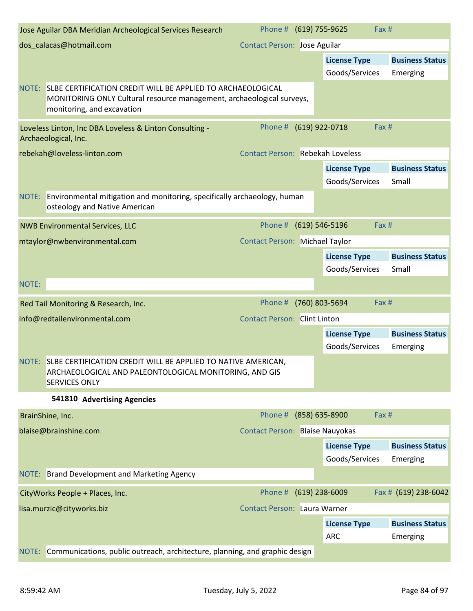| Jose Aguilar DBA Meridian Archeological Services Research                                                                                                                   | Phone # (619) 755-9625                  |                                       | Fax #                              |
|-----------------------------------------------------------------------------------------------------------------------------------------------------------------------------|-----------------------------------------|---------------------------------------|------------------------------------|
| dos_calacas@hotmail.com                                                                                                                                                     | <b>Contact Person: Jose Aguilar</b>     |                                       |                                    |
|                                                                                                                                                                             |                                         | <b>License Type</b>                   | <b>Business Status</b>             |
|                                                                                                                                                                             |                                         | Goods/Services                        | Emerging                           |
| NOTE:<br>SLBE CERTIFICATION CREDIT WILL BE APPLIED TO ARCHAEOLOGICAL<br>MONITORING ONLY Cultural resource management, archaeological surveys,<br>monitoring, and excavation |                                         |                                       |                                    |
| Loveless Linton, Inc DBA Loveless & Linton Consulting -<br>Archaeological, Inc.                                                                                             | Phone # (619) 922-0718                  |                                       | Fax #                              |
| rebekah@loveless-linton.com                                                                                                                                                 | <b>Contact Person: Rebekah Loveless</b> |                                       |                                    |
|                                                                                                                                                                             |                                         | <b>License Type</b><br>Goods/Services | <b>Business Status</b><br>Small    |
| Environmental mitigation and monitoring, specifically archaeology, human<br>NOTE:<br>osteology and Native American                                                          |                                         |                                       |                                    |
| <b>NWB Environmental Services, LLC</b>                                                                                                                                      | Phone # (619) 546-5196                  |                                       | Fax #                              |
| mtaylor@nwbenvironmental.com                                                                                                                                                | <b>Contact Person: Michael Taylor</b>   |                                       |                                    |
|                                                                                                                                                                             |                                         | <b>License Type</b><br>Goods/Services | <b>Business Status</b><br>Small    |
| NOTE:                                                                                                                                                                       |                                         |                                       |                                    |
| Red Tail Monitoring & Research, Inc.                                                                                                                                        | Phone #                                 | (760) 803-5694                        | Fax #                              |
| info@redtailenvironmental.com                                                                                                                                               | <b>Contact Person: Clint Linton</b>     |                                       |                                    |
|                                                                                                                                                                             |                                         | <b>License Type</b>                   | <b>Business Status</b>             |
|                                                                                                                                                                             |                                         | Goods/Services                        | Emerging                           |
| NOTE: SLBE CERTIFICATION CREDIT WILL BE APPLIED TO NATIVE AMERICAN,<br>ARCHAEOLOGICAL AND PALEONTOLOGICAL MONITORING, AND GIS<br><b>SERVICES ONLY</b>                       |                                         |                                       |                                    |
| 541810 Advertising Agencies                                                                                                                                                 |                                         |                                       |                                    |
| BrainShine, Inc.                                                                                                                                                            | Phone #                                 | (858) 635-8900                        | Fax #                              |
| blaise@brainshine.com                                                                                                                                                       | <b>Contact Person: Blaise Nauyokas</b>  |                                       |                                    |
|                                                                                                                                                                             |                                         | <b>License Type</b>                   | <b>Business Status</b>             |
|                                                                                                                                                                             |                                         | Goods/Services                        | Emerging                           |
| NOTE: Brand Development and Marketing Agency                                                                                                                                |                                         |                                       |                                    |
| CityWorks People + Places, Inc.                                                                                                                                             | Phone # (619) 238-6009                  |                                       | Fax # (619) 238-6042               |
| lisa.murzic@cityworks.biz                                                                                                                                                   | Contact Person: Laura Warner            |                                       |                                    |
|                                                                                                                                                                             |                                         |                                       |                                    |
|                                                                                                                                                                             |                                         | <b>License Type</b><br><b>ARC</b>     | <b>Business Status</b><br>Emerging |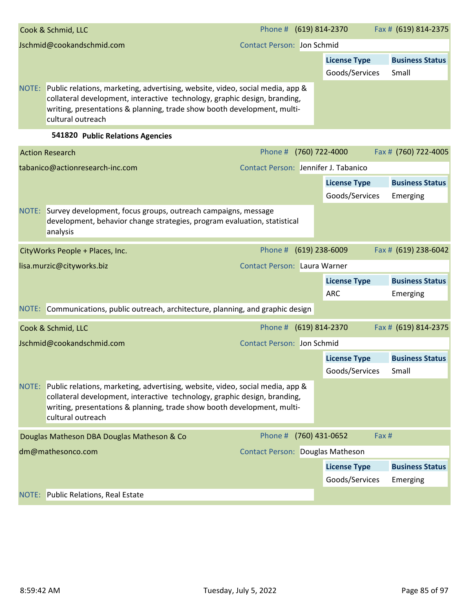|       | Cook & Schmid, LLC                                                                                                                                                                                                                                         | Phone # (619) 814-2370            |                     | Fax # (619) 814-2375   |
|-------|------------------------------------------------------------------------------------------------------------------------------------------------------------------------------------------------------------------------------------------------------------|-----------------------------------|---------------------|------------------------|
|       | Jschmid@cookandschmid.com                                                                                                                                                                                                                                  | <b>Contact Person: Jon Schmid</b> |                     |                        |
|       |                                                                                                                                                                                                                                                            |                                   | <b>License Type</b> | <b>Business Status</b> |
|       |                                                                                                                                                                                                                                                            |                                   | Goods/Services      | Small                  |
| NOTE: | Public relations, marketing, advertising, website, video, social media, app &<br>collateral development, interactive technology, graphic design, branding,<br>writing, presentations & planning, trade show booth development, multi-<br>cultural outreach |                                   |                     |                        |

## **541820 Public Relations Agencies**

|       | <b>Action Research</b>                                                                                                                                                                                                                                     | Phone # (760) 722-4000               |                     | Fax # (760) 722-4005   |
|-------|------------------------------------------------------------------------------------------------------------------------------------------------------------------------------------------------------------------------------------------------------------|--------------------------------------|---------------------|------------------------|
|       | tabanico@actionresearch-inc.com                                                                                                                                                                                                                            | Contact Person: Jennifer J. Tabanico |                     |                        |
|       |                                                                                                                                                                                                                                                            |                                      | <b>License Type</b> | <b>Business Status</b> |
|       |                                                                                                                                                                                                                                                            |                                      | Goods/Services      | Emerging               |
| NOTE: | Survey development, focus groups, outreach campaigns, message<br>development, behavior change strategies, program evaluation, statistical<br>analysis                                                                                                      |                                      |                     |                        |
|       | CityWorks People + Places, Inc.                                                                                                                                                                                                                            | Phone # (619) 238-6009               |                     | Fax # (619) 238-6042   |
|       | lisa.murzic@cityworks.biz                                                                                                                                                                                                                                  | <b>Contact Person: Laura Warner</b>  |                     |                        |
|       |                                                                                                                                                                                                                                                            |                                      | <b>License Type</b> | <b>Business Status</b> |
|       |                                                                                                                                                                                                                                                            |                                      | <b>ARC</b>          | Emerging               |
| NOTE: | Communications, public outreach, architecture, planning, and graphic design                                                                                                                                                                                |                                      |                     |                        |
|       | Cook & Schmid, LLC                                                                                                                                                                                                                                         | Phone # (619) 814-2370               |                     | Fax # (619) 814-2375   |
|       | Jschmid@cookandschmid.com                                                                                                                                                                                                                                  | <b>Contact Person: Jon Schmid</b>    |                     |                        |
|       |                                                                                                                                                                                                                                                            |                                      | <b>License Type</b> | <b>Business Status</b> |
|       |                                                                                                                                                                                                                                                            |                                      | Goods/Services      | Small                  |
| NOTE: | Public relations, marketing, advertising, website, video, social media, app &<br>collateral development, interactive technology, graphic design, branding,<br>writing, presentations & planning, trade show booth development, multi-<br>cultural outreach |                                      |                     |                        |
|       | Douglas Matheson DBA Douglas Matheson & Co                                                                                                                                                                                                                 | Phone # (760) 431-0652               | Fax #               |                        |
|       | dm@mathesonco.com                                                                                                                                                                                                                                          | Contact Person: Douglas Matheson     |                     |                        |
|       |                                                                                                                                                                                                                                                            |                                      | <b>License Type</b> | <b>Business Status</b> |
|       |                                                                                                                                                                                                                                                            |                                      | Goods/Services      | Emerging               |
|       | NOTE: Public Relations, Real Estate                                                                                                                                                                                                                        |                                      |                     |                        |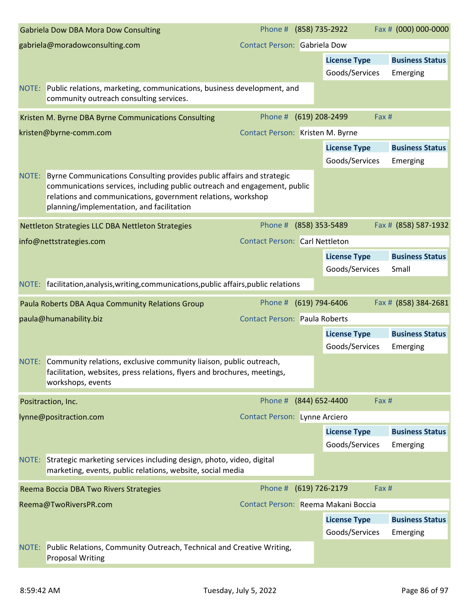|       | <b>Gabriela Dow DBA Mora Dow Consulting</b>                                                                                                                                                                                                                     | Phone # (858) 735-2922                |                                       | Fax # (000) 000-0000            |
|-------|-----------------------------------------------------------------------------------------------------------------------------------------------------------------------------------------------------------------------------------------------------------------|---------------------------------------|---------------------------------------|---------------------------------|
|       | gabriela@moradowconsulting.com                                                                                                                                                                                                                                  | <b>Contact Person: Gabriela Dow</b>   |                                       |                                 |
|       |                                                                                                                                                                                                                                                                 |                                       | <b>License Type</b>                   | <b>Business Status</b>          |
|       |                                                                                                                                                                                                                                                                 |                                       | Goods/Services                        | Emerging                        |
|       | NOTE: Public relations, marketing, communications, business development, and<br>community outreach consulting services.                                                                                                                                         |                                       |                                       |                                 |
|       | Kristen M. Byrne DBA Byrne Communications Consulting                                                                                                                                                                                                            | Phone #                               | (619) 208-2499                        | Fax #                           |
|       | kristen@byrne-comm.com                                                                                                                                                                                                                                          | Contact Person: Kristen M. Byrne      |                                       |                                 |
|       |                                                                                                                                                                                                                                                                 |                                       | <b>License Type</b>                   | <b>Business Status</b>          |
|       |                                                                                                                                                                                                                                                                 |                                       | Goods/Services                        | Emerging                        |
| NOTE: | Byrne Communications Consulting provides public affairs and strategic<br>communications services, including public outreach and engagement, public<br>relations and communications, government relations, workshop<br>planning/implementation, and facilitation |                                       |                                       |                                 |
|       | Nettleton Strategies LLC DBA Nettleton Strategies                                                                                                                                                                                                               | Phone #                               | (858) 353-5489                        | Fax # (858) 587-1932            |
|       | info@nettstrategies.com                                                                                                                                                                                                                                         | <b>Contact Person: Carl Nettleton</b> |                                       |                                 |
|       |                                                                                                                                                                                                                                                                 |                                       | <b>License Type</b><br>Goods/Services | <b>Business Status</b><br>Small |
|       | NOTE: facilitation, analysis, writing, communications, public affairs, public relations                                                                                                                                                                         |                                       |                                       |                                 |
|       | Paula Roberts DBA Aqua Community Relations Group                                                                                                                                                                                                                | Phone #                               | (619) 794-6406                        | Fax # (858) 384-2681            |
|       | paula@humanability.biz                                                                                                                                                                                                                                          | <b>Contact Person: Paula Roberts</b>  |                                       |                                 |
|       |                                                                                                                                                                                                                                                                 |                                       | <b>License Type</b>                   | <b>Business Status</b>          |
|       |                                                                                                                                                                                                                                                                 |                                       | Goods/Services                        | Emerging                        |
|       | NOTE: Community relations, exclusive community liaison, public outreach,<br>facilitation, websites, press relations, flyers and brochures, meetings,<br>workshops, events                                                                                       |                                       |                                       |                                 |
|       | Positraction, Inc.                                                                                                                                                                                                                                              | Phone #                               | (844) 652-4400                        | Fax #                           |
|       | lynne@positraction.com                                                                                                                                                                                                                                          | <b>Contact Person: Lynne Arciero</b>  |                                       |                                 |
|       |                                                                                                                                                                                                                                                                 |                                       | <b>License Type</b>                   | <b>Business Status</b>          |
|       |                                                                                                                                                                                                                                                                 |                                       | Goods/Services                        | Emerging                        |
|       | NOTE: Strategic marketing services including design, photo, video, digital<br>marketing, events, public relations, website, social media                                                                                                                        |                                       |                                       |                                 |
|       | Reema Boccia DBA Two Rivers Strategies                                                                                                                                                                                                                          | Phone #                               | (619) 726-2179                        | Fax #                           |
|       | Reema@TwoRiversPR.com                                                                                                                                                                                                                                           | Contact Person: Reema Makani Boccia   |                                       |                                 |
|       |                                                                                                                                                                                                                                                                 |                                       | <b>License Type</b>                   | <b>Business Status</b>          |
|       |                                                                                                                                                                                                                                                                 |                                       | Goods/Services                        | Emerging                        |
| NOTE: | Public Relations, Community Outreach, Technical and Creative Writing,<br><b>Proposal Writing</b>                                                                                                                                                                |                                       |                                       |                                 |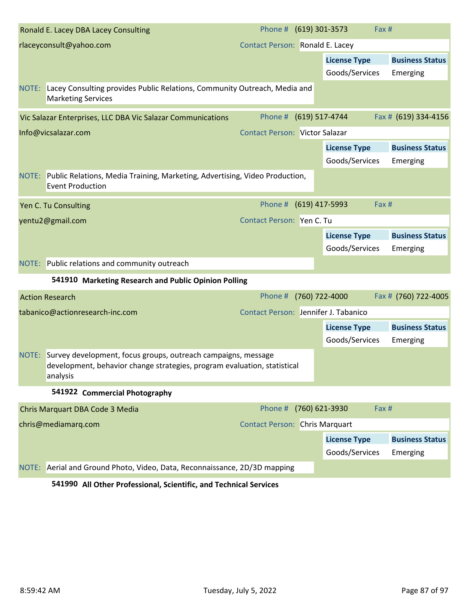|       | Ronald E. Lacey DBA Lacey Consulting                                                                                                                  | Phone # (619) 301-3573                | Fax #                   |                        |
|-------|-------------------------------------------------------------------------------------------------------------------------------------------------------|---------------------------------------|-------------------------|------------------------|
|       | rlaceyconsult@yahoo.com                                                                                                                               | Contact Person: Ronald E. Lacey       |                         |                        |
|       |                                                                                                                                                       |                                       | <b>License Type</b>     | <b>Business Status</b> |
|       |                                                                                                                                                       |                                       | Goods/Services          | Emerging               |
| NOTE: | Lacey Consulting provides Public Relations, Community Outreach, Media and<br><b>Marketing Services</b>                                                |                                       |                         |                        |
|       | Vic Salazar Enterprises, LLC DBA Vic Salazar Communications                                                                                           | Phone # (619) 517-4744                |                         | Fax # (619) 334-4156   |
|       | Info@vicsalazar.com                                                                                                                                   | <b>Contact Person: Victor Salazar</b> |                         |                        |
|       |                                                                                                                                                       |                                       | <b>License Type</b>     | <b>Business Status</b> |
|       |                                                                                                                                                       |                                       | Goods/Services          | Emerging               |
|       | NOTE: Public Relations, Media Training, Marketing, Advertising, Video Production,<br><b>Event Production</b>                                          |                                       |                         |                        |
|       | Yen C. Tu Consulting                                                                                                                                  | Phone # (619) 417-5993                | Fax #                   |                        |
|       | yentu2@gmail.com                                                                                                                                      | Contact Person: Yen C. Tu             |                         |                        |
|       |                                                                                                                                                       |                                       | <b>License Type</b>     | <b>Business Status</b> |
|       |                                                                                                                                                       |                                       | Goods/Services          | Emerging               |
|       | NOTE: Public relations and community outreach                                                                                                         |                                       |                         |                        |
|       | 541910 Marketing Research and Public Opinion Polling                                                                                                  |                                       |                         |                        |
|       | <b>Action Research</b>                                                                                                                                | Phone #                               | (760) 722-4000          | Fax # (760) 722-4005   |
|       | tabanico@actionresearch-inc.com                                                                                                                       | Contact Person: Jennifer J. Tabanico  |                         |                        |
|       |                                                                                                                                                       |                                       | <b>License Type</b>     | <b>Business Status</b> |
|       |                                                                                                                                                       |                                       | Goods/Services          | Emerging               |
| NOTE: | Survey development, focus groups, outreach campaigns, message<br>development, behavior change strategies, program evaluation, statistical<br>analysis |                                       |                         |                        |
|       | 541922 Commercial Photography                                                                                                                         |                                       |                         |                        |
|       | Chris Marquart DBA Code 3 Media                                                                                                                       | Phone #                               | (760) 621-3930<br>Fax # |                        |
|       | chris@mediamarq.com                                                                                                                                   | <b>Contact Person: Chris Marquart</b> |                         |                        |
|       |                                                                                                                                                       |                                       | <b>License Type</b>     | <b>Business Status</b> |
|       |                                                                                                                                                       |                                       | Goods/Services          | Emerging               |
|       | NOTE: Aerial and Ground Photo, Video, Data, Reconnaissance, 2D/3D mapping                                                                             |                                       |                         |                        |
|       | 541990 All Other Professional, Scientific, and Technical Services                                                                                     |                                       |                         |                        |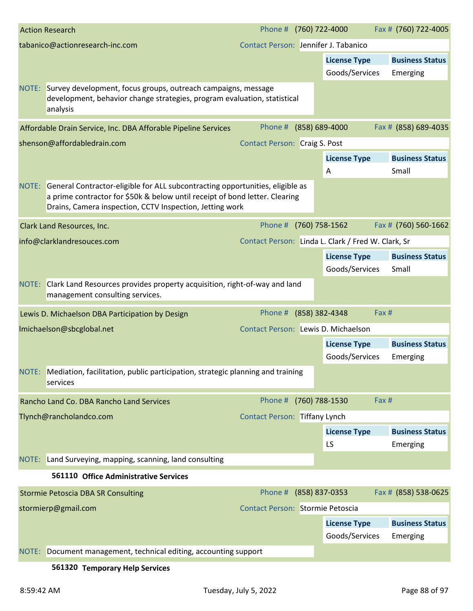|       | <b>Action Research</b>                                                                                                                                                                                                   | Phone # (760) 722-4000               |                                                    | Fax # (760) 722-4005   |
|-------|--------------------------------------------------------------------------------------------------------------------------------------------------------------------------------------------------------------------------|--------------------------------------|----------------------------------------------------|------------------------|
|       | tabanico@actionresearch-inc.com                                                                                                                                                                                          | Contact Person: Jennifer J. Tabanico |                                                    |                        |
|       |                                                                                                                                                                                                                          |                                      | <b>License Type</b>                                | <b>Business Status</b> |
|       |                                                                                                                                                                                                                          |                                      | Goods/Services                                     | Emerging               |
|       | NOTE: Survey development, focus groups, outreach campaigns, message<br>development, behavior change strategies, program evaluation, statistical<br>analysis                                                              |                                      |                                                    |                        |
|       | Affordable Drain Service, Inc. DBA Afforable Pipeline Services                                                                                                                                                           | Phone #                              | (858) 689-4000                                     | Fax # (858) 689-4035   |
|       | shenson@affordabledrain.com                                                                                                                                                                                              | <b>Contact Person: Craig S. Post</b> |                                                    |                        |
|       |                                                                                                                                                                                                                          |                                      | <b>License Type</b>                                | <b>Business Status</b> |
|       |                                                                                                                                                                                                                          |                                      | Α                                                  | Small                  |
| NOTE: | General Contractor-eligible for ALL subcontracting opportunities, eligible as<br>a prime contractor for \$50k & below until receipt of bond letter. Clearing<br>Drains, Camera inspection, CCTV Inspection, Jetting work |                                      |                                                    |                        |
|       | Clark Land Resources, Inc.                                                                                                                                                                                               | Phone #                              | (760) 758-1562                                     | Fax # (760) 560-1662   |
|       | info@clarklandresouces.com                                                                                                                                                                                               |                                      | Contact Person: Linda L. Clark / Fred W. Clark, Sr |                        |
|       |                                                                                                                                                                                                                          |                                      | <b>License Type</b>                                | <b>Business Status</b> |
|       |                                                                                                                                                                                                                          |                                      | Goods/Services                                     | Small                  |
|       | NOTE: Clark Land Resources provides property acquisition, right-of-way and land<br>management consulting services.                                                                                                       |                                      |                                                    |                        |
|       | Lewis D. Michaelson DBA Participation by Design                                                                                                                                                                          | Phone #                              | (858) 382-4348                                     | Fax #                  |
|       | Imichaelson@sbcglobal.net                                                                                                                                                                                                | Contact Person: Lewis D. Michaelson  |                                                    |                        |
|       |                                                                                                                                                                                                                          |                                      | <b>License Type</b>                                | <b>Business Status</b> |
|       |                                                                                                                                                                                                                          |                                      | Goods/Services                                     | Emerging               |
|       | NOTE: Mediation, facilitation, public participation, strategic planning and training<br>services                                                                                                                         |                                      |                                                    |                        |
|       | Rancho Land Co. DBA Rancho Land Services                                                                                                                                                                                 | Phone #                              | (760) 788-1530                                     | Fax #                  |
|       | Tlynch@rancholandco.com                                                                                                                                                                                                  | <b>Contact Person: Tiffany Lynch</b> |                                                    |                        |
|       |                                                                                                                                                                                                                          |                                      | <b>License Type</b>                                | <b>Business Status</b> |
|       |                                                                                                                                                                                                                          |                                      | LS                                                 | Emerging               |
|       | NOTE: Land Surveying, mapping, scanning, land consulting                                                                                                                                                                 |                                      |                                                    |                        |
|       | 561110 Office Administrative Services                                                                                                                                                                                    |                                      |                                                    |                        |
|       | <b>Stormie Petoscia DBA SR Consulting</b>                                                                                                                                                                                | Phone # (858) 837-0353               |                                                    | Fax # (858) 538-0625   |
|       | stormierp@gmail.com                                                                                                                                                                                                      | Contact Person: Stormie Petoscia     |                                                    |                        |
|       |                                                                                                                                                                                                                          |                                      | <b>License Type</b>                                | <b>Business Status</b> |
|       |                                                                                                                                                                                                                          |                                      | Goods/Services                                     | Emerging               |
|       | NOTE: Document management, technical editing, accounting support                                                                                                                                                         |                                      |                                                    |                        |
|       | 561320 Temporary Help Services                                                                                                                                                                                           |                                      |                                                    |                        |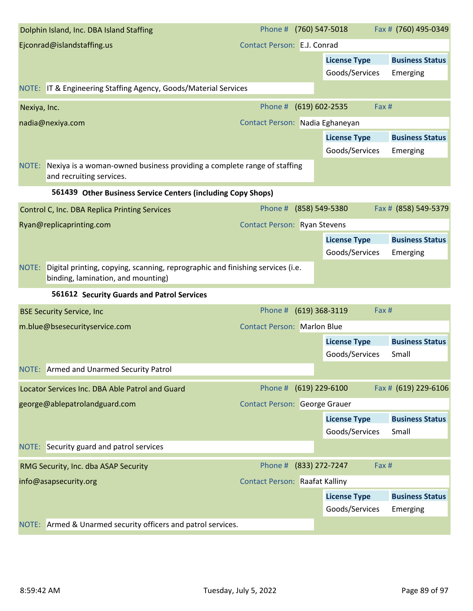| Dolphin Island, Inc. DBA Island Staffing                                                                                      | Phone # (760) 547-5018                |                     | Fax # (760) 495-0349   |
|-------------------------------------------------------------------------------------------------------------------------------|---------------------------------------|---------------------|------------------------|
| Ejconrad@islandstaffing.us                                                                                                    | Contact Person: E.J. Conrad           |                     |                        |
|                                                                                                                               |                                       | <b>License Type</b> | <b>Business Status</b> |
|                                                                                                                               |                                       | Goods/Services      | Emerging               |
| NOTE: IT & Engineering Staffing Agency, Goods/Material Services                                                               |                                       |                     |                        |
| Nexiya, Inc.                                                                                                                  | Phone #                               | (619) 602-2535      | Fax #                  |
| nadia@nexiya.com                                                                                                              | Contact Person: Nadia Eghaneyan       |                     |                        |
|                                                                                                                               |                                       | <b>License Type</b> | <b>Business Status</b> |
|                                                                                                                               |                                       | Goods/Services      | Emerging               |
| NOTE: Nexiya is a woman-owned business providing a complete range of staffing<br>and recruiting services.                     |                                       |                     |                        |
| 561439 Other Business Service Centers (including Copy Shops)                                                                  |                                       |                     |                        |
| Control C, Inc. DBA Replica Printing Services                                                                                 | Phone #                               | (858) 549-5380      | Fax # (858) 549-5379   |
| Ryan@replicaprinting.com                                                                                                      | <b>Contact Person: Ryan Stevens</b>   |                     |                        |
|                                                                                                                               |                                       | <b>License Type</b> | <b>Business Status</b> |
|                                                                                                                               |                                       | Goods/Services      | Emerging               |
| Digital printing, copying, scanning, reprographic and finishing services (i.e.<br>NOTE:<br>binding, lamination, and mounting) |                                       |                     |                        |
| 561612 Security Guards and Patrol Services                                                                                    |                                       |                     |                        |
| <b>BSE Security Service, Inc</b>                                                                                              | Phone #                               | (619) 368-3119      | Fax #                  |
| m.blue@bsesecurityservice.com                                                                                                 | <b>Contact Person: Marlon Blue</b>    |                     |                        |
|                                                                                                                               |                                       | <b>License Type</b> | <b>Business Status</b> |
|                                                                                                                               |                                       | Goods/Services      | Small                  |
| NOTE: Armed and Unarmed Security Patrol                                                                                       |                                       |                     |                        |
| Locator Services Inc. DBA Able Patrol and Guard                                                                               | Phone # (619) 229-6100                |                     | Fax # (619) 229-6106   |
| george@ablepatrolandguard.com                                                                                                 | <b>Contact Person: George Grauer</b>  |                     |                        |
|                                                                                                                               |                                       | <b>License Type</b> | <b>Business Status</b> |
|                                                                                                                               |                                       | Goods/Services      | Small                  |
| NOTE: Security guard and patrol services                                                                                      |                                       |                     |                        |
| RMG Security, Inc. dba ASAP Security                                                                                          | Phone # (833) 272-7247                |                     | Fax #                  |
| info@asapsecurity.org                                                                                                         | <b>Contact Person: Raafat Kalliny</b> |                     |                        |
|                                                                                                                               |                                       | <b>License Type</b> | <b>Business Status</b> |
|                                                                                                                               |                                       | Goods/Services      | Emerging               |
| NOTE: Armed & Unarmed security officers and patrol services.                                                                  |                                       |                     |                        |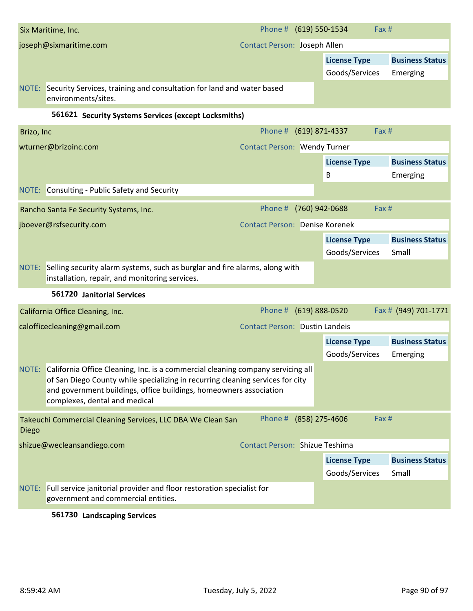|            | Six Maritime, Inc.                                                                                                                                                                                                                                                             | Phone # (619) 550-1534                |                  | Fax #               |                               |
|------------|--------------------------------------------------------------------------------------------------------------------------------------------------------------------------------------------------------------------------------------------------------------------------------|---------------------------------------|------------------|---------------------|-------------------------------|
|            | joseph@sixmaritime.com                                                                                                                                                                                                                                                         | Contact Person: Joseph Allen          |                  |                     |                               |
|            |                                                                                                                                                                                                                                                                                |                                       |                  | <b>License Type</b> | <b>Business Status</b>        |
|            |                                                                                                                                                                                                                                                                                |                                       |                  | Goods/Services      | Emerging                      |
|            | NOTE: Security Services, training and consultation for land and water based<br>environments/sites.                                                                                                                                                                             |                                       |                  |                     |                               |
|            | 561621 Security Systems Services (except Locksmiths)                                                                                                                                                                                                                           |                                       |                  |                     |                               |
| Brizo, Inc |                                                                                                                                                                                                                                                                                | Phone #                               | (619) 871-4337   | Fax #               |                               |
|            | wturner@brizoinc.com                                                                                                                                                                                                                                                           | <b>Contact Person: Wendy Turner</b>   |                  |                     |                               |
|            |                                                                                                                                                                                                                                                                                |                                       |                  | <b>License Type</b> | <b>Business Status</b>        |
|            |                                                                                                                                                                                                                                                                                |                                       |                  | B                   | Emerging                      |
|            | NOTE: Consulting - Public Safety and Security                                                                                                                                                                                                                                  |                                       |                  |                     |                               |
|            | Rancho Santa Fe Security Systems, Inc.                                                                                                                                                                                                                                         | Phone #                               | (760) 942-0688   | Fax #               |                               |
|            | jboever@rsfsecurity.com                                                                                                                                                                                                                                                        | <b>Contact Person: Denise Korenek</b> |                  |                     |                               |
|            |                                                                                                                                                                                                                                                                                |                                       |                  | <b>License Type</b> | <b>Business Status</b>        |
|            |                                                                                                                                                                                                                                                                                |                                       |                  | Goods/Services      | Small                         |
| NOTE:      | Selling security alarm systems, such as burglar and fire alarms, along with                                                                                                                                                                                                    |                                       |                  |                     |                               |
|            | installation, repair, and monitoring services.                                                                                                                                                                                                                                 |                                       |                  |                     |                               |
|            | 561720 Janitorial Services                                                                                                                                                                                                                                                     |                                       |                  |                     |                               |
|            | California Office Cleaning, Inc.                                                                                                                                                                                                                                               | Phone #                               | $(619)$ 888-0520 |                     |                               |
|            | calofficecleaning@gmail.com                                                                                                                                                                                                                                                    | <b>Contact Person: Dustin Landeis</b> |                  |                     |                               |
|            |                                                                                                                                                                                                                                                                                |                                       |                  | <b>License Type</b> | <b>Business Status</b>        |
|            |                                                                                                                                                                                                                                                                                |                                       |                  | Goods/Services      | Emerging                      |
|            | NOTE: California Office Cleaning, Inc. is a commercial cleaning company servicing all<br>of San Diego County while specializing in recurring cleaning services for city<br>and government buildings, office buildings, homeowners association<br>complexes, dental and medical |                                       |                  |                     |                               |
| Diego      | Takeuchi Commercial Cleaning Services, LLC DBA We Clean San                                                                                                                                                                                                                    | Phone # (858) 275-4606                |                  | Fax #               |                               |
|            | shizue@wecleansandiego.com                                                                                                                                                                                                                                                     | <b>Contact Person: Shizue Teshima</b> |                  |                     |                               |
|            |                                                                                                                                                                                                                                                                                |                                       |                  | <b>License Type</b> | <b>Business Status</b>        |
|            |                                                                                                                                                                                                                                                                                |                                       |                  | Goods/Services      | Fax # (949) 701-1771<br>Small |
|            | NOTE: Full service janitorial provider and floor restoration specialist for<br>government and commercial entities.                                                                                                                                                             |                                       |                  |                     |                               |

## **561730 Landscaping Services**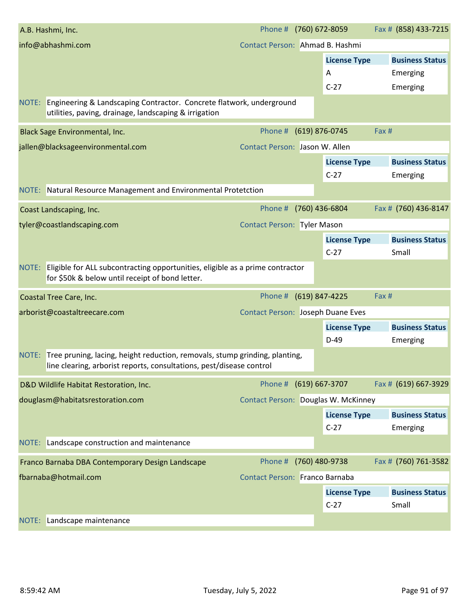|       | A.B. Hashmi, Inc.                                                                                                                                         | Phone # (760) 672-8059                   |                     | Fax # (858) 433-7215          |
|-------|-----------------------------------------------------------------------------------------------------------------------------------------------------------|------------------------------------------|---------------------|-------------------------------|
|       | info@abhashmi.com                                                                                                                                         | Contact Person: Ahmad B. Hashmi          |                     |                               |
|       |                                                                                                                                                           |                                          | <b>License Type</b> | <b>Business Status</b>        |
|       |                                                                                                                                                           |                                          | A                   | Emerging                      |
|       |                                                                                                                                                           |                                          | $C-27$              | Emerging                      |
|       | NOTE: Engineering & Landscaping Contractor. Concrete flatwork, underground<br>utilities, paving, drainage, landscaping & irrigation                       |                                          |                     |                               |
|       | <b>Black Sage Environmental, Inc.</b>                                                                                                                     | Phone # (619) 876-0745                   |                     | Fax #                         |
|       | jallen@blacksageenvironmental.com                                                                                                                         | Contact Person: Jason W. Allen           |                     |                               |
|       |                                                                                                                                                           |                                          | <b>License Type</b> | <b>Business Status</b>        |
|       |                                                                                                                                                           |                                          | $C-27$              | Emerging                      |
|       | NOTE: Natural Resource Management and Environmental Protetction                                                                                           |                                          |                     |                               |
|       | Coast Landscaping, Inc.                                                                                                                                   | Phone #                                  | (760) 436-6804      | Fax # (760) 436-8147          |
|       | tyler@coastlandscaping.com                                                                                                                                | <b>Contact Person: Tyler Mason</b>       |                     |                               |
|       |                                                                                                                                                           |                                          | <b>License Type</b> | <b>Business Status</b>        |
|       |                                                                                                                                                           |                                          | $C-27$              | Small                         |
|       | NOTE: Eligible for ALL subcontracting opportunities, eligible as a prime contractor<br>for \$50k & below until receipt of bond letter.                    |                                          |                     |                               |
|       |                                                                                                                                                           |                                          |                     |                               |
|       | Coastal Tree Care, Inc.                                                                                                                                   | Phone # (619) 847-4225                   |                     | Fax #                         |
|       | arborist@coastaltreecare.com                                                                                                                              | <b>Contact Person: Joseph Duane Eves</b> |                     |                               |
|       |                                                                                                                                                           |                                          | <b>License Type</b> | <b>Business Status</b>        |
|       |                                                                                                                                                           |                                          | $D-49$              | Emerging                      |
|       | NOTE: Tree pruning, lacing, height reduction, removals, stump grinding, planting,<br>line clearing, arborist reports, consultations, pest/disease control |                                          |                     |                               |
|       | D&D Wildlife Habitat Restoration, Inc.                                                                                                                    | Phone # (619) 667-3707                   |                     | Fax # (619) 667-3929          |
|       | douglasm@habitatsrestoration.com                                                                                                                          | Contact Person: Douglas W. McKinney      |                     |                               |
|       |                                                                                                                                                           |                                          | <b>License Type</b> | <b>Business Status</b>        |
|       |                                                                                                                                                           |                                          | $C-27$              | Emerging                      |
|       | NOTE: Landscape construction and maintenance                                                                                                              |                                          |                     |                               |
|       | Franco Barnaba DBA Contemporary Design Landscape                                                                                                          | Phone #                                  | (760) 480-9738      |                               |
|       | fbarnaba@hotmail.com                                                                                                                                      | Contact Person: Franco Barnaba           |                     |                               |
|       |                                                                                                                                                           |                                          | <b>License Type</b> | <b>Business Status</b>        |
|       |                                                                                                                                                           |                                          | $C-27$              | Fax # (760) 761-3582<br>Small |
| NOTE: | Landscape maintenance                                                                                                                                     |                                          |                     |                               |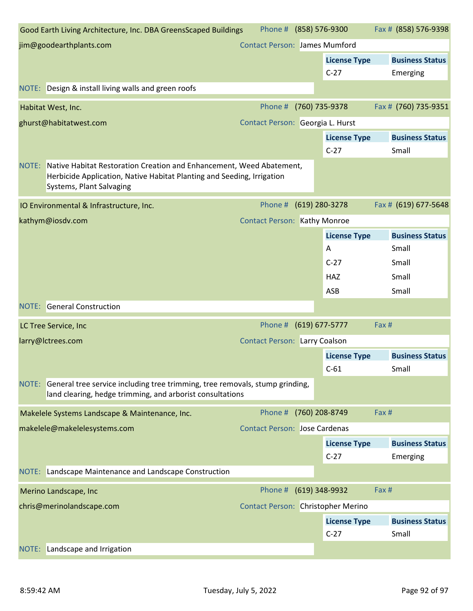|       | Good Earth Living Architecture, Inc. DBA GreensScaped Buildings                                                                                                            | Phone # (858) 576-9300               |                               | Fax # (858) 576-9398            |
|-------|----------------------------------------------------------------------------------------------------------------------------------------------------------------------------|--------------------------------------|-------------------------------|---------------------------------|
|       | jim@goodearthplants.com                                                                                                                                                    | <b>Contact Person: James Mumford</b> |                               |                                 |
|       |                                                                                                                                                                            |                                      | <b>License Type</b>           | <b>Business Status</b>          |
|       |                                                                                                                                                                            |                                      | $C-27$                        | Emerging                        |
|       | NOTE: Design & install living walls and green roofs                                                                                                                        |                                      |                               |                                 |
|       | Habitat West, Inc.                                                                                                                                                         | Phone #                              | (760) 735-9378                | Fax # (760) 735-9351            |
|       | ghurst@habitatwest.com                                                                                                                                                     | Contact Person: Georgia L. Hurst     |                               |                                 |
|       |                                                                                                                                                                            |                                      | <b>License Type</b>           | <b>Business Status</b>          |
|       |                                                                                                                                                                            |                                      | $C-27$                        | Small                           |
| NOTE: | Native Habitat Restoration Creation and Enhancement, Weed Abatement,<br>Herbicide Application, Native Habitat Planting and Seeding, Irrigation<br>Systems, Plant Salvaging |                                      |                               |                                 |
|       | IO Environmental & Infrastructure, Inc.                                                                                                                                    | Phone #                              | (619) 280-3278                | Fax # (619) 677-5648            |
|       | kathym@iosdv.com                                                                                                                                                           | <b>Contact Person: Kathy Monroe</b>  |                               |                                 |
|       |                                                                                                                                                                            |                                      | <b>License Type</b>           | <b>Business Status</b>          |
|       |                                                                                                                                                                            |                                      | A                             | Small                           |
|       |                                                                                                                                                                            |                                      | $C-27$                        | Small                           |
|       |                                                                                                                                                                            |                                      | <b>HAZ</b>                    | Small                           |
|       |                                                                                                                                                                            |                                      | ASB                           | Small                           |
|       | <b>NOTE:</b> General Construction                                                                                                                                          |                                      |                               |                                 |
|       | LC Tree Service, Inc                                                                                                                                                       | Phone # (619) 677-5777               |                               | Fax #                           |
|       | larry@lctrees.com                                                                                                                                                          | <b>Contact Person: Larry Coalson</b> |                               |                                 |
|       |                                                                                                                                                                            |                                      | <b>License Type</b>           | <b>Business Status</b>          |
|       |                                                                                                                                                                            |                                      | $C-61$                        | Small                           |
|       | NOTE: General tree service including tree trimming, tree removals, stump grinding,<br>land clearing, hedge trimming, and arborist consultations                            |                                      |                               |                                 |
|       | Makelele Systems Landscape & Maintenance, Inc.                                                                                                                             | Phone #                              | (760) 208-8749                | Fax #                           |
|       | makelele@makelelesystems.com                                                                                                                                               | <b>Contact Person: Jose Cardenas</b> |                               |                                 |
|       |                                                                                                                                                                            |                                      | <b>License Type</b>           | <b>Business Status</b>          |
|       |                                                                                                                                                                            |                                      | $C-27$                        | Emerging                        |
| NOTE: | Landscape Maintenance and Landscape Construction                                                                                                                           |                                      |                               |                                 |
|       | Merino Landscape, Inc                                                                                                                                                      | Phone #                              | (619) 348-9932                | Fax #                           |
|       | chris@merinolandscape.com                                                                                                                                                  | Contact Person: Christopher Merino   |                               |                                 |
|       |                                                                                                                                                                            |                                      | <b>License Type</b><br>$C-27$ | <b>Business Status</b><br>Small |
| NOTE: | Landscape and Irrigation                                                                                                                                                   |                                      |                               |                                 |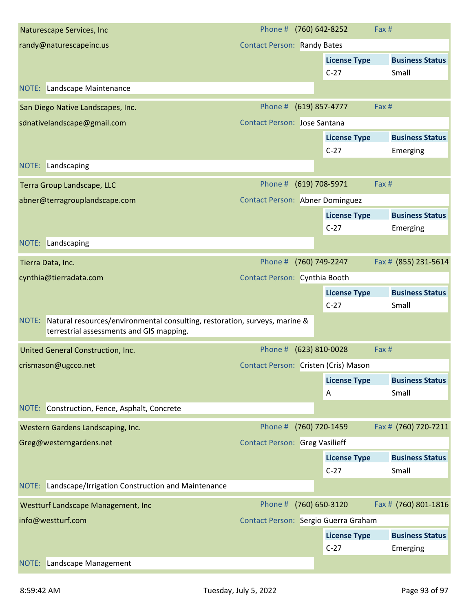| Naturescape Services, Inc.                                                                                                   | Phone # (760) 642-8252                 |                     | Fax # |                        |
|------------------------------------------------------------------------------------------------------------------------------|----------------------------------------|---------------------|-------|------------------------|
| randy@naturescapeinc.us                                                                                                      | <b>Contact Person: Randy Bates</b>     |                     |       |                        |
|                                                                                                                              |                                        | <b>License Type</b> |       | <b>Business Status</b> |
|                                                                                                                              |                                        | $C-27$              |       | Small                  |
| NOTE: Landscape Maintenance                                                                                                  |                                        |                     |       |                        |
| San Diego Native Landscapes, Inc.                                                                                            | Phone #                                | (619) 857-4777      | Fax # |                        |
| sdnativelandscape@gmail.com                                                                                                  | <b>Contact Person: Jose Santana</b>    |                     |       |                        |
|                                                                                                                              |                                        | <b>License Type</b> |       | <b>Business Status</b> |
|                                                                                                                              |                                        | $C-27$              |       | Emerging               |
| NOTE: Landscaping                                                                                                            |                                        |                     |       |                        |
| Terra Group Landscape, LLC                                                                                                   | Phone # (619) 708-5971                 |                     | Fax # |                        |
| abner@terragrouplandscape.com                                                                                                | <b>Contact Person: Abner Dominguez</b> |                     |       |                        |
|                                                                                                                              |                                        | <b>License Type</b> |       | <b>Business Status</b> |
|                                                                                                                              |                                        | $C-27$              |       | Emerging               |
| NOTE: Landscaping                                                                                                            |                                        |                     |       |                        |
| Tierra Data, Inc.                                                                                                            | Phone #                                | (760) 749-2247      |       | Fax # (855) 231-5614   |
| cynthia@tierradata.com                                                                                                       | Contact Person: Cynthia Booth          |                     |       |                        |
|                                                                                                                              |                                        | <b>License Type</b> |       | <b>Business Status</b> |
|                                                                                                                              |                                        | $C-27$              |       | Small                  |
| NOTE: Natural resources/environmental consulting, restoration, surveys, marine &<br>terrestrial assessments and GIS mapping. |                                        |                     |       |                        |
| United General Construction, Inc.                                                                                            | Phone # (623) 810-0028                 |                     | Fax # |                        |
| crismason@ugcco.net                                                                                                          | Contact Person: Cristen (Cris) Mason   |                     |       |                        |
|                                                                                                                              |                                        | <b>License Type</b> |       | <b>Business Status</b> |
|                                                                                                                              |                                        | Α                   |       | Small                  |
| NOTE: Construction, Fence, Asphalt, Concrete                                                                                 |                                        |                     |       |                        |
| Western Gardens Landscaping, Inc.                                                                                            | Phone #                                | (760) 720-1459      |       | Fax # (760) 720-7211   |
| Greg@westerngardens.net                                                                                                      | <b>Contact Person: Greg Vasilieff</b>  |                     |       |                        |
|                                                                                                                              |                                        | <b>License Type</b> |       | <b>Business Status</b> |
|                                                                                                                              |                                        | $C-27$              |       | Small                  |
| NOTE: Landscape/Irrigation Construction and Maintenance                                                                      |                                        |                     |       |                        |
| Westturf Landscape Management, Inc                                                                                           | Phone #                                | (760) 650-3120      |       | Fax # (760) 801-1816   |
| info@westturf.com                                                                                                            | Contact Person: Sergio Guerra Graham   |                     |       |                        |
|                                                                                                                              |                                        | <b>License Type</b> |       | <b>Business Status</b> |
|                                                                                                                              |                                        | $C-27$              |       | Emerging               |
| <b>NOTE:</b> Landscape Management                                                                                            |                                        |                     |       |                        |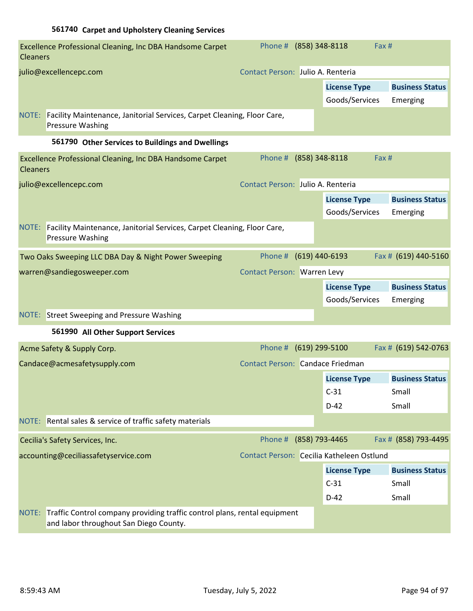| <b>Cleaners</b> | Excellence Professional Cleaning, Inc DBA Handsome Carpet                                                           | Phone # (858) 348-8118                    |                                       | Fax #                              |
|-----------------|---------------------------------------------------------------------------------------------------------------------|-------------------------------------------|---------------------------------------|------------------------------------|
|                 | julio@excellencepc.com                                                                                              | Contact Person: Julio A. Renteria         |                                       |                                    |
|                 |                                                                                                                     |                                           | <b>License Type</b><br>Goods/Services | <b>Business Status</b><br>Emerging |
|                 | NOTE: Facility Maintenance, Janitorial Services, Carpet Cleaning, Floor Care,<br><b>Pressure Washing</b>            |                                           |                                       |                                    |
|                 | 561790 Other Services to Buildings and Dwellings                                                                    |                                           |                                       |                                    |
| <b>Cleaners</b> | Excellence Professional Cleaning, Inc DBA Handsome Carpet                                                           | Phone # (858) 348-8118                    |                                       | Fax#                               |
|                 | julio@excellencepc.com                                                                                              | Contact Person: Julio A. Renteria         |                                       |                                    |
|                 |                                                                                                                     |                                           | <b>License Type</b><br>Goods/Services | <b>Business Status</b><br>Emerging |
|                 | NOTE: Facility Maintenance, Janitorial Services, Carpet Cleaning, Floor Care,<br><b>Pressure Washing</b>            |                                           |                                       |                                    |
|                 | Two Oaks Sweeping LLC DBA Day & Night Power Sweeping                                                                | Phone #                                   | (619) 440-6193                        | Fax # (619) 440-5160               |
|                 | warren@sandiegosweeper.com                                                                                          | <b>Contact Person: Warren Levy</b>        |                                       |                                    |
|                 |                                                                                                                     |                                           | <b>License Type</b>                   | <b>Business Status</b>             |
|                 |                                                                                                                     |                                           | Goods/Services                        | Emerging                           |
|                 | <b>NOTE:</b> Street Sweeping and Pressure Washing                                                                   |                                           |                                       |                                    |
|                 | 561990 All Other Support Services                                                                                   |                                           |                                       |                                    |
|                 | Acme Safety & Supply Corp.                                                                                          | Phone #                                   | $(619)$ 299-5100                      | Fax # (619) 542-0763               |
|                 | Candace@acmesafetysupply.com                                                                                        | Contact Person: Candace Friedman          |                                       |                                    |
|                 |                                                                                                                     |                                           | <b>License Type</b>                   | <b>Business Status</b>             |
|                 |                                                                                                                     |                                           | $C-31$                                | Small                              |
|                 |                                                                                                                     |                                           | $D-42$                                | Small                              |
|                 | NOTE: Rental sales & service of traffic safety materials                                                            |                                           |                                       |                                    |
|                 | Cecilia's Safety Services, Inc.                                                                                     | Phone #                                   | (858) 793-4465                        | Fax # (858) 793-4495               |
|                 | accounting@ceciliassafetyservice.com                                                                                | Contact Person: Cecilia Katheleen Ostlund |                                       |                                    |
|                 |                                                                                                                     |                                           | <b>License Type</b>                   | <b>Business Status</b>             |
|                 |                                                                                                                     |                                           | $C-31$                                | Small                              |
|                 |                                                                                                                     |                                           | $D-42$                                | Small                              |
| NOTE:           | Traffic Control company providing traffic control plans, rental equipment<br>and labor throughout San Diego County. |                                           |                                       |                                    |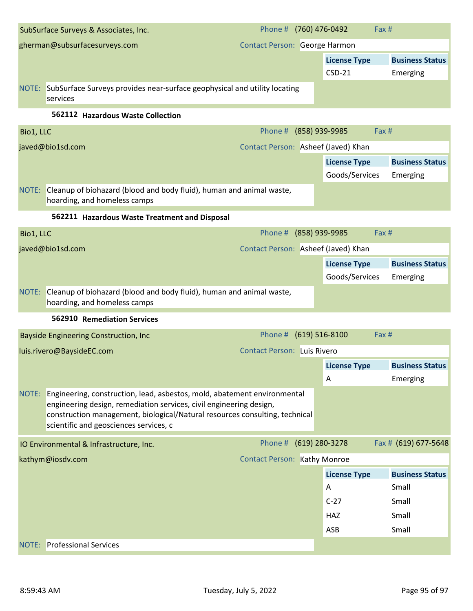| SubSurface Surveys & Associates, Inc. |                                                                                                                                                                                                                                                                          |                                     | Phone # (760) 476-0492<br>Fax #       |                                    |  |
|---------------------------------------|--------------------------------------------------------------------------------------------------------------------------------------------------------------------------------------------------------------------------------------------------------------------------|-------------------------------------|---------------------------------------|------------------------------------|--|
| gherman@subsurfacesurveys.com         |                                                                                                                                                                                                                                                                          | Contact Person: George Harmon       |                                       |                                    |  |
|                                       |                                                                                                                                                                                                                                                                          |                                     | <b>License Type</b>                   | <b>Business Status</b>             |  |
|                                       |                                                                                                                                                                                                                                                                          |                                     | $CSD-21$                              | Emerging                           |  |
|                                       | NOTE: SubSurface Surveys provides near-surface geophysical and utility locating<br>services                                                                                                                                                                              |                                     |                                       |                                    |  |
|                                       | 562112 Hazardous Waste Collection                                                                                                                                                                                                                                        |                                     |                                       |                                    |  |
| Bio1, LLC                             |                                                                                                                                                                                                                                                                          | Phone # (858) 939-9985              |                                       | Fax #                              |  |
| javed@bio1sd.com                      |                                                                                                                                                                                                                                                                          |                                     | Contact Person: Asheef (Javed) Khan   |                                    |  |
|                                       |                                                                                                                                                                                                                                                                          |                                     | <b>License Type</b><br>Goods/Services | <b>Business Status</b><br>Emerging |  |
|                                       | NOTE: Cleanup of biohazard (blood and body fluid), human and animal waste,<br>hoarding, and homeless camps                                                                                                                                                               |                                     |                                       |                                    |  |
|                                       | 562211 Hazardous Waste Treatment and Disposal                                                                                                                                                                                                                            |                                     |                                       |                                    |  |
| Bio1, LLC                             |                                                                                                                                                                                                                                                                          | Phone # (858) 939-9985              |                                       | Fax #                              |  |
| javed@bio1sd.com                      |                                                                                                                                                                                                                                                                          | Contact Person: Asheef (Javed) Khan |                                       |                                    |  |
|                                       |                                                                                                                                                                                                                                                                          |                                     | <b>License Type</b>                   | <b>Business Status</b>             |  |
|                                       |                                                                                                                                                                                                                                                                          |                                     | Goods/Services                        | Emerging                           |  |
|                                       | NOTE: Cleanup of biohazard (blood and body fluid), human and animal waste,<br>hoarding, and homeless camps                                                                                                                                                               |                                     |                                       |                                    |  |
|                                       | 562910 Remediation Services                                                                                                                                                                                                                                              |                                     |                                       |                                    |  |
|                                       | <b>Bayside Engineering Construction, Inc</b>                                                                                                                                                                                                                             | Phone #                             | $(619) 516 - 8100$<br>Fax#            |                                    |  |
|                                       | luis.rivero@BaysideEC.com                                                                                                                                                                                                                                                | <b>Contact Person: Luis Rivero</b>  |                                       |                                    |  |
|                                       |                                                                                                                                                                                                                                                                          |                                     | <b>License Type</b>                   | <b>Business Status</b>             |  |
|                                       |                                                                                                                                                                                                                                                                          |                                     | Α                                     | Emerging                           |  |
| NOTE:                                 | Engineering, construction, lead, asbestos, mold, abatement environmental<br>engineering design, remediation services, civil engineering design,<br>construction management, biological/Natural resources consulting, technical<br>scientific and geosciences services, c |                                     |                                       |                                    |  |
|                                       | IO Environmental & Infrastructure, Inc.                                                                                                                                                                                                                                  | Phone # (619) 280-3278              |                                       | Fax # (619) 677-5648               |  |
| kathym@iosdv.com                      |                                                                                                                                                                                                                                                                          | <b>Contact Person: Kathy Monroe</b> |                                       |                                    |  |
|                                       |                                                                                                                                                                                                                                                                          |                                     | <b>License Type</b>                   | <b>Business Status</b>             |  |
|                                       |                                                                                                                                                                                                                                                                          |                                     | Α                                     | Small                              |  |
|                                       |                                                                                                                                                                                                                                                                          |                                     | $C-27$                                | Small                              |  |
|                                       |                                                                                                                                                                                                                                                                          |                                     | <b>HAZ</b>                            | Small                              |  |
|                                       |                                                                                                                                                                                                                                                                          |                                     | ASB                                   | Small                              |  |
|                                       | <b>NOTE:</b> Professional Services                                                                                                                                                                                                                                       |                                     |                                       |                                    |  |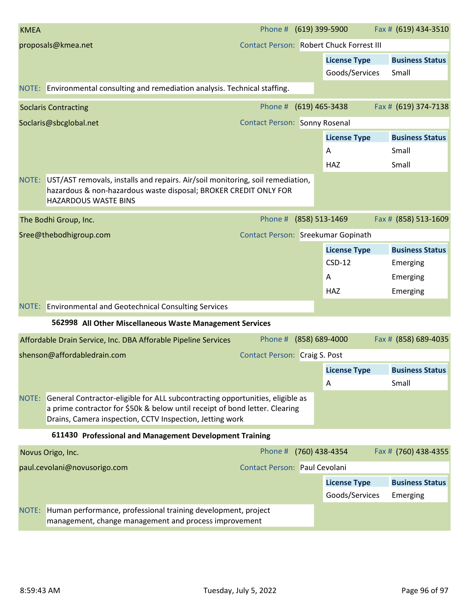| <b>KMEA</b>                                                                                                                                                                                                                    | Phone # (619) 399-5900               |                |                                          | Fax # (619) 434-3510            |  |  |  |  |
|--------------------------------------------------------------------------------------------------------------------------------------------------------------------------------------------------------------------------------|--------------------------------------|----------------|------------------------------------------|---------------------------------|--|--|--|--|
| proposals@kmea.net                                                                                                                                                                                                             |                                      |                | Contact Person: Robert Chuck Forrest III |                                 |  |  |  |  |
|                                                                                                                                                                                                                                |                                      |                | <b>License Type</b><br>Goods/Services    | <b>Business Status</b><br>Small |  |  |  |  |
| NOTE: Environmental consulting and remediation analysis. Technical staffing.                                                                                                                                                   |                                      |                |                                          |                                 |  |  |  |  |
| <b>Soclaris Contracting</b>                                                                                                                                                                                                    | Phone #                              | (619) 465-3438 |                                          | Fax # (619) 374-7138            |  |  |  |  |
| Soclaris@sbcglobal.net                                                                                                                                                                                                         | <b>Contact Person: Sonny Rosenal</b> |                |                                          |                                 |  |  |  |  |
|                                                                                                                                                                                                                                |                                      |                | <b>License Type</b>                      | <b>Business Status</b>          |  |  |  |  |
|                                                                                                                                                                                                                                |                                      |                | Α                                        | Small                           |  |  |  |  |
|                                                                                                                                                                                                                                |                                      |                | <b>HAZ</b>                               | Small                           |  |  |  |  |
| NOTE: UST/AST removals, installs and repairs. Air/soil monitoring, soil remediation,<br>hazardous & non-hazardous waste disposal; BROKER CREDIT ONLY FOR<br><b>HAZARDOUS WASTE BINS</b>                                        |                                      |                |                                          |                                 |  |  |  |  |
| The Bodhi Group, Inc.                                                                                                                                                                                                          | Phone #                              | (858) 513-1469 |                                          | Fax # (858) 513-1609            |  |  |  |  |
| Sree@thebodhigroup.com                                                                                                                                                                                                         | Contact Person: Sreekumar Gopinath   |                |                                          |                                 |  |  |  |  |
|                                                                                                                                                                                                                                |                                      |                | <b>License Type</b>                      | <b>Business Status</b>          |  |  |  |  |
|                                                                                                                                                                                                                                |                                      |                | $CSD-12$                                 | Emerging                        |  |  |  |  |
|                                                                                                                                                                                                                                |                                      |                | A                                        | Emerging                        |  |  |  |  |
|                                                                                                                                                                                                                                |                                      |                | <b>HAZ</b>                               | Emerging                        |  |  |  |  |
| NOTE: Environmental and Geotechnical Consulting Services                                                                                                                                                                       |                                      |                |                                          |                                 |  |  |  |  |
| 562998 All Other Miscellaneous Waste Management Services                                                                                                                                                                       |                                      |                |                                          |                                 |  |  |  |  |
| Affordable Drain Service, Inc. DBA Afforable Pipeline Services                                                                                                                                                                 | Phone #                              |                | $(858) 689 - 4000$                       | Fax # (858) 689-4035            |  |  |  |  |
| shenson@affordabledrain.com                                                                                                                                                                                                    | Contact Person: Craig S. Post        |                |                                          |                                 |  |  |  |  |
|                                                                                                                                                                                                                                |                                      |                | <b>License Type</b>                      | <b>Business Status</b>          |  |  |  |  |
|                                                                                                                                                                                                                                |                                      |                | Α                                        | Small                           |  |  |  |  |
| NOTE: General Contractor-eligible for ALL subcontracting opportunities, eligible as<br>a prime contractor for \$50k & below until receipt of bond letter. Clearing<br>Drains, Camera inspection, CCTV Inspection, Jetting work |                                      |                |                                          |                                 |  |  |  |  |
| 611430 Professional and Management Development Training                                                                                                                                                                        |                                      |                |                                          |                                 |  |  |  |  |
| Novus Origo, Inc.                                                                                                                                                                                                              | Phone #                              |                | (760) 438-4354                           | Fax # (760) 438-4355            |  |  |  |  |
| paul.cevolani@novusorigo.com                                                                                                                                                                                                   | Contact Person: Paul Cevolani        |                |                                          |                                 |  |  |  |  |
|                                                                                                                                                                                                                                |                                      |                | <b>License Type</b>                      | <b>Business Status</b>          |  |  |  |  |
|                                                                                                                                                                                                                                |                                      |                | Goods/Services                           | Emerging                        |  |  |  |  |
| NOTE: Human performance, professional training development, project<br>management, change management and process improvement                                                                                                   |                                      |                |                                          |                                 |  |  |  |  |